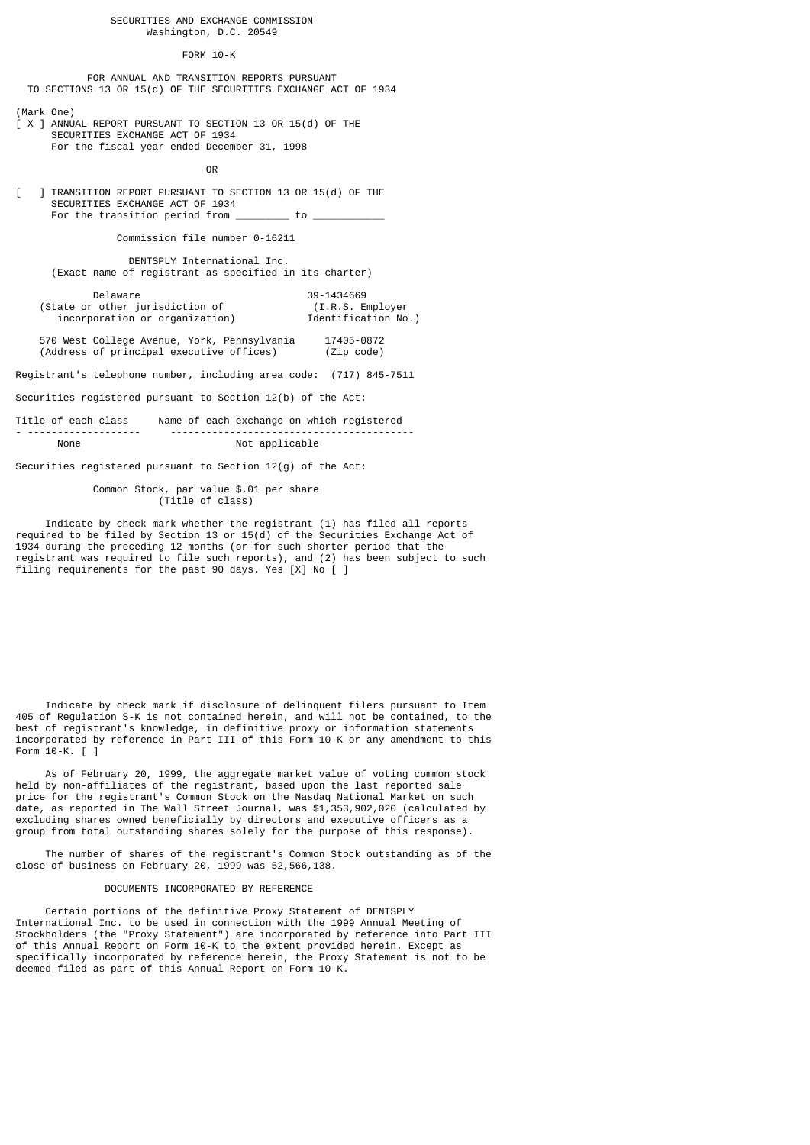## SECURITIES AND EXCHANGE COMMISSION Washington, D.C. 20549

### FORM 10-K

 FOR ANNUAL AND TRANSITION REPORTS PURSUANT TO SECTIONS 13 OR 15(d) OF THE SECURITIES EXCHANGE ACT OF 1934

(Mark One)

 $X$  ] ANNUAL REPORT PURSUANT TO SECTION 13 OR 15(d) OF THE SECURITIES EXCHANGE ACT OF 1934 For the fiscal year ended December 31, 1998

**OR** Service Service Service Service Service Service Service Service Service Service Service Service Service Service Service Service Service Service Service Service Service Service Service Service Service Service Service S

[ ] TRANSITION REPORT PURSUANT TO SECTION 13 OR 15(d) OF THE SECURITIES EXCHANGE ACT OF 1934 For the transition period from \_\_\_\_\_\_\_\_\_\_\_ to \_\_

Commission file number 0-16211

 DENTSPLY International Inc. (Exact name of registrant as specified in its charter)

| Delaware                        | 39-1434669          |
|---------------------------------|---------------------|
| (State or other jurisdiction of | (I.R.S. Employer)   |
| incorporation or organization)  | Identification No.) |

 570 West College Avenue, York, Pennsylvania 17405-0872 (Address of principal executive offices)

Registrant's telephone number, including area code: (717) 845-7511

Securities registered pursuant to Section 12(b) of the Act:

Title of each class Name of each exchange on which registered - ------------------- ----------------------------------------- Not applicable

Securities registered pursuant to Section 12(g) of the Act:

 Common Stock, par value \$.01 per share (Title of class)

 Indicate by check mark whether the registrant (1) has filed all reports required to be filed by Section 13 or 15(d) of the Securities Exchange Act of 1934 during the preceding 12 months (or for such shorter period that the registrant was required to file such reports), and (2) has been subject to such filing requirements for the past 90 days. Yes [X] No [ ]

 Indicate by check mark if disclosure of delinquent filers pursuant to Item 405 of Regulation S-K is not contained herein, and will not be contained, to the best of registrant's knowledge, in definitive proxy or information statements incorporated by reference in Part III of this Form 10-K or any amendment to this Form 10-K. [ ]

 As of February 20, 1999, the aggregate market value of voting common stock held by non-affiliates of the registrant, based upon the last reported sale price for the registrant's Common Stock on the Nasdaq National Market on such date, as reported in The Wall Street Journal, was \$1,353,902,020 (calculated by excluding shares owned beneficially by directors and executive officers as a group from total outstanding shares solely for the purpose of this response).

 The number of shares of the registrant's Common Stock outstanding as of the close of business on February 20, 1999 was 52,566,138.

### DOCUMENTS INCORPORATED BY REFERENCE

 Certain portions of the definitive Proxy Statement of DENTSPLY International Inc. to be used in connection with the 1999 Annual Meeting of Stockholders (the "Proxy Statement") are incorporated by reference into Part III of this Annual Report on Form 10-K to the extent provided herein. Except as specifically incorporated by reference herein, the Proxy Statement is not to be deemed filed as part of this Annual Report on Form 10-K.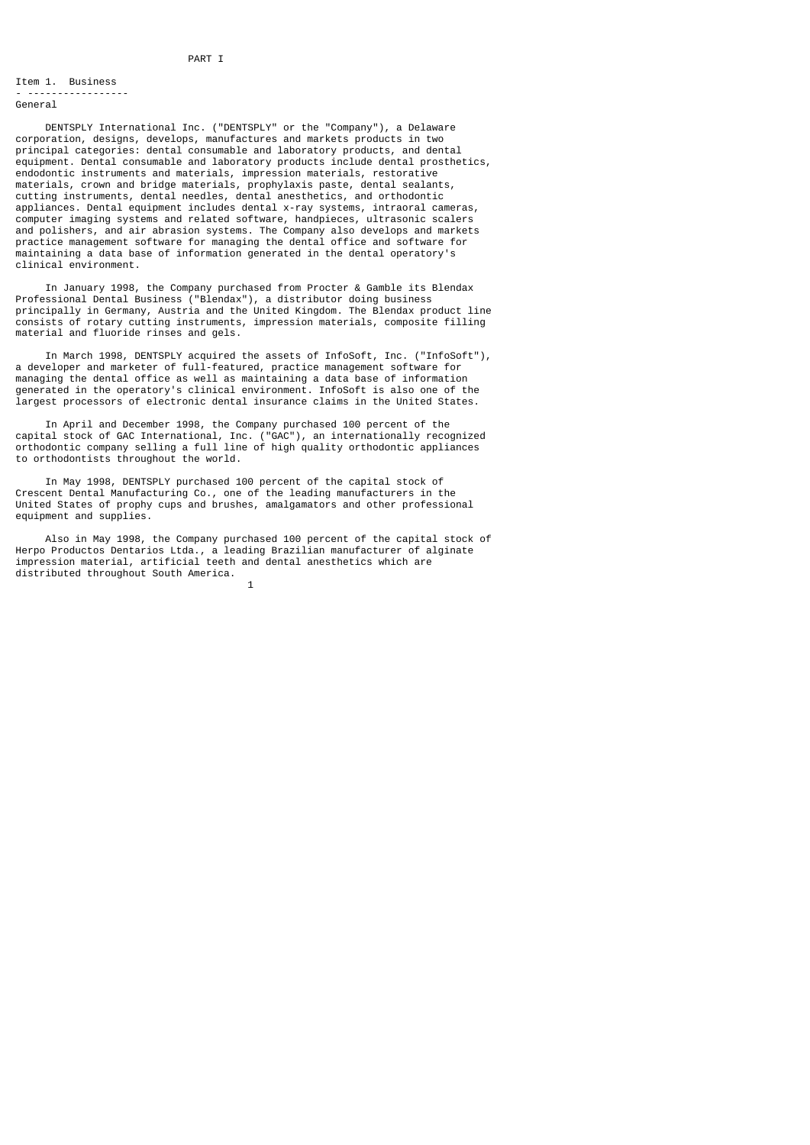#### Item 1. Business - -----------------

General

 DENTSPLY International Inc. ("DENTSPLY" or the "Company"), a Delaware corporation, designs, develops, manufactures and markets products in two principal categories: dental consumable and laboratory products, and dental equipment. Dental consumable and laboratory products include dental prosthetics, endodontic instruments and materials, impression materials, restorative materials, crown and bridge materials, prophylaxis paste, dental sealants, cutting instruments, dental needles, dental anesthetics, and orthodontic appliances. Dental equipment includes dental x-ray systems, intraoral cameras, computer imaging systems and related software, handpieces, ultrasonic scalers and polishers, and air abrasion systems. The Company also develops and markets practice management software for managing the dental office and software for maintaining a data base of information generated in the dental operatory's clinical environment.

 In January 1998, the Company purchased from Procter & Gamble its Blendax Professional Dental Business ("Blendax"), a distributor doing business principally in Germany, Austria and the United Kingdom. The Blendax product line consists of rotary cutting instruments, impression materials, composite filling material and fluoride rinses and gels.

 In March 1998, DENTSPLY acquired the assets of InfoSoft, Inc. ("InfoSoft"), a developer and marketer of full-featured, practice management software for managing the dental office as well as maintaining a data base of information generated in the operatory's clinical environment. InfoSoft is also one of the largest processors of electronic dental insurance claims in the United States.

 In April and December 1998, the Company purchased 100 percent of the capital stock of GAC International, Inc. ("GAC"), an internationally recognized orthodontic company selling a full line of high quality orthodontic appliances to orthodontists throughout the world.

 In May 1998, DENTSPLY purchased 100 percent of the capital stock of Crescent Dental Manufacturing Co., one of the leading manufacturers in the United States of prophy cups and brushes, amalgamators and other professional equipment and supplies.

 Also in May 1998, the Company purchased 100 percent of the capital stock of Herpo Productos Dentarios Ltda., a leading Brazilian manufacturer of alginate impression material, artificial teeth and dental anesthetics which are distributed throughout South America.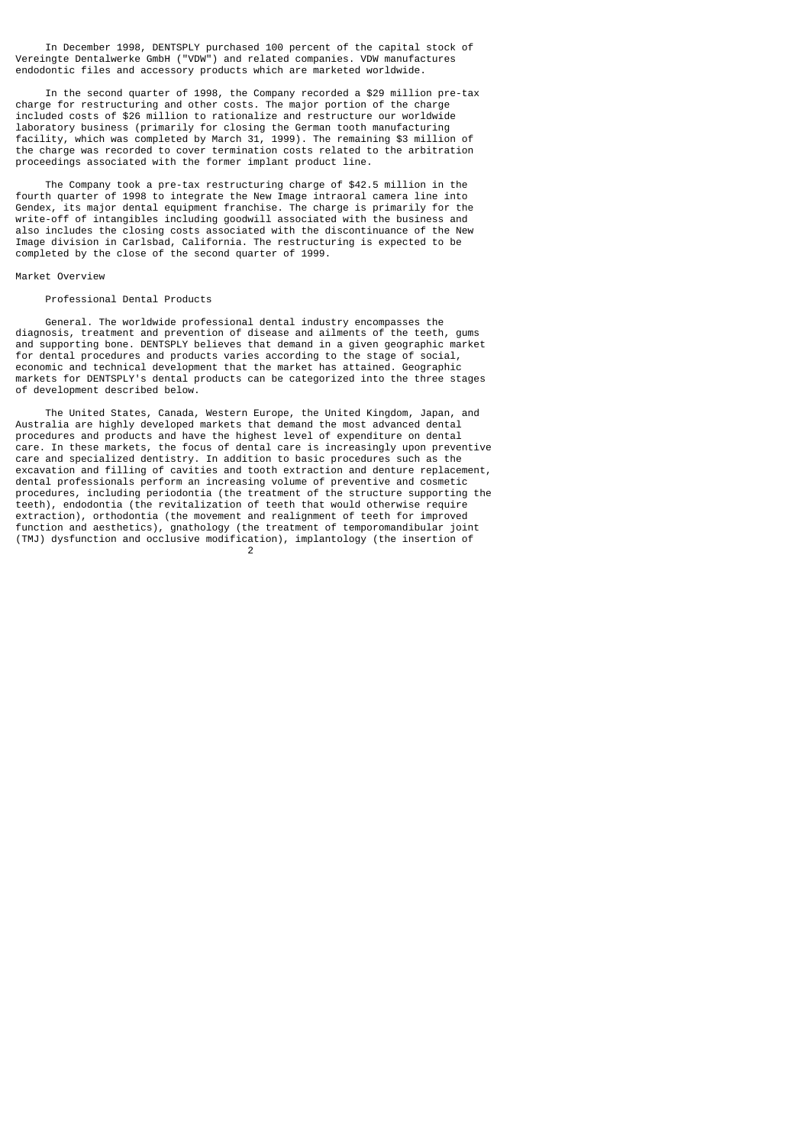In December 1998, DENTSPLY purchased 100 percent of the capital stock of Vereingte Dentalwerke GmbH ("VDW") and related companies. VDW manufactures endodontic files and accessory products which are marketed worldwide.

 In the second quarter of 1998, the Company recorded a \$29 million pre-tax charge for restructuring and other costs. The major portion of the charge included costs of \$26 million to rationalize and restructure our worldwide laboratory business (primarily for closing the German tooth manufacturing facility, which was completed by March 31, 1999). The remaining \$3 million of the charge was recorded to cover termination costs related to the arbitration proceedings associated with the former implant product line.

 The Company took a pre-tax restructuring charge of \$42.5 million in the fourth quarter of 1998 to integrate the New Image intraoral camera line into Gendex, its major dental equipment franchise. The charge is primarily for the write-off of intangibles including goodwill associated with the business and also includes the closing costs associated with the discontinuance of the New Image division in Carlsbad, California. The restructuring is expected to be completed by the close of the second quarter of 1999.

### Market Overview

#### Professional Dental Products

 General. The worldwide professional dental industry encompasses the diagnosis, treatment and prevention of disease and ailments of the teeth, gums and supporting bone. DENTSPLY believes that demand in a given geographic market for dental procedures and products varies according to the stage of social, economic and technical development that the market has attained. Geographic markets for DENTSPLY's dental products can be categorized into the three stages of development described below.

 The United States, Canada, Western Europe, the United Kingdom, Japan, and Australia are highly developed markets that demand the most advanced dental procedures and products and have the highest level of expenditure on dental care. In these markets, the focus of dental care is increasingly upon preventive care and specialized dentistry. In addition to basic procedures such as the excavation and filling of cavities and tooth extraction and denture replacement, dental professionals perform an increasing volume of preventive and cosmetic procedures, including periodontia (the treatment of the structure supporting the teeth), endodontia (the revitalization of teeth that would otherwise require extraction), orthodontia (the movement and realignment of teeth for improved function and aesthetics), gnathology (the treatment of temporomandibular joint (TMJ) dysfunction and occlusive modification), implantology (the insertion of 2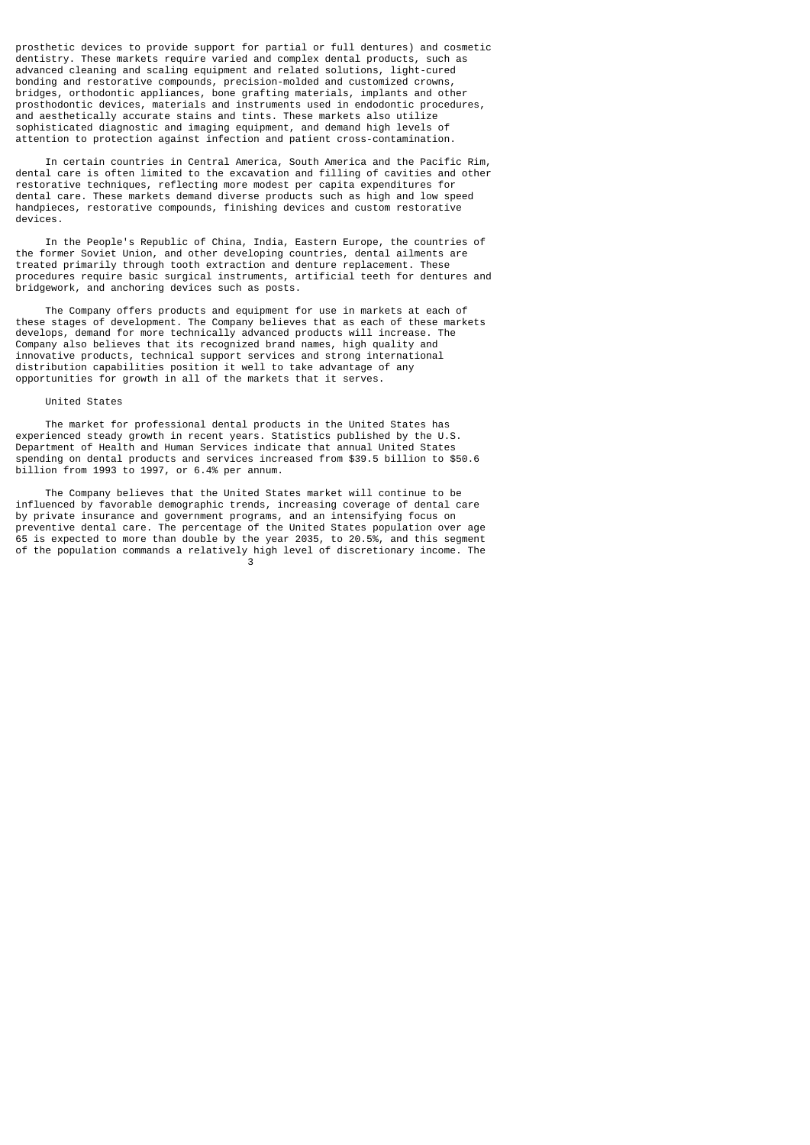prosthetic devices to provide support for partial or full dentures) and cosmetic dentistry. These markets require varied and complex dental products, such as advanced cleaning and scaling equipment and related solutions, light-cured bonding and restorative compounds, precision-molded and customized crowns, bridges, orthodontic appliances, bone grafting materials, implants and other prosthodontic devices, materials and instruments used in endodontic procedures, and aesthetically accurate stains and tints. These markets also utilize sophisticated diagnostic and imaging equipment, and demand high levels of attention to protection against infection and patient cross-contamination.

 In certain countries in Central America, South America and the Pacific Rim, dental care is often limited to the excavation and filling of cavities and other restorative techniques, reflecting more modest per capita expenditures for dental care. These markets demand diverse products such as high and low speed handpieces, restorative compounds, finishing devices and custom restorative devices.

 In the People's Republic of China, India, Eastern Europe, the countries of the former Soviet Union, and other developing countries, dental ailments are treated primarily through tooth extraction and denture replacement. These procedures require basic surgical instruments, artificial teeth for dentures and bridgework, and anchoring devices such as posts.

 The Company offers products and equipment for use in markets at each of these stages of development. The Company believes that as each of these markets develops, demand for more technically advanced products will increase. The Company also believes that its recognized brand names, high quality and innovative products, technical support services and strong international distribution capabilities position it well to take advantage of any opportunities for growth in all of the markets that it serves.

#### United States

 The market for professional dental products in the United States has experienced steady growth in recent years. Statistics published by the U.S. Department of Health and Human Services indicate that annual United States spending on dental products and services increased from \$39.5 billion to \$50.6 billion from 1993 to 1997, or 6.4% per annum.

 The Company believes that the United States market will continue to be influenced by favorable demographic trends, increasing coverage of dental care by private insurance and government programs, and an intensifying focus on preventive dental care. The percentage of the United States population over age 65 is expected to more than double by the year 2035, to 20.5%, and this segment of the population commands a relatively high level of discretionary income. The 3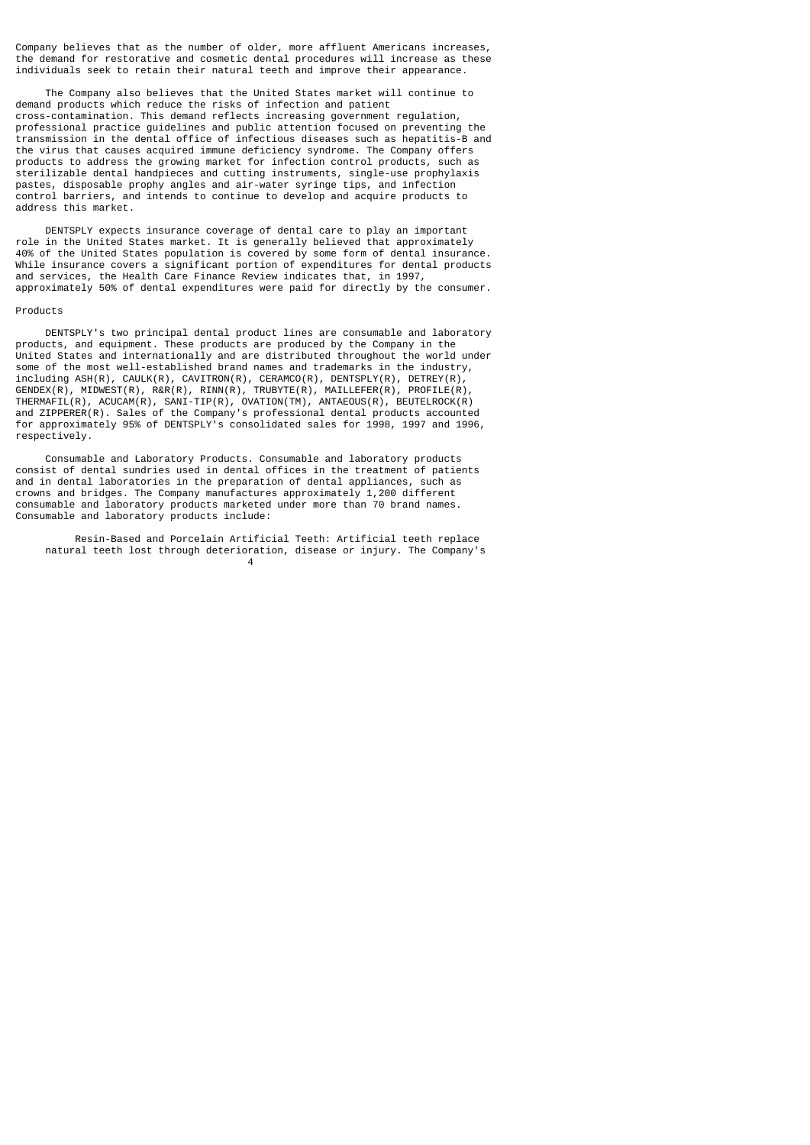Company believes that as the number of older, more affluent Americans increases, the demand for restorative and cosmetic dental procedures will increase as these individuals seek to retain their natural teeth and improve their appearance.

 The Company also believes that the United States market will continue to demand products which reduce the risks of infection and patient cross-contamination. This demand reflects increasing government regulation, professional practice guidelines and public attention focused on preventing the transmission in the dental office of infectious diseases such as hepatitis-B and the virus that causes acquired immune deficiency syndrome. The Company offers products to address the growing market for infection control products, such as sterilizable dental handpieces and cutting instruments, single-use prophylaxis pastes, disposable prophy angles and air-water syringe tips, and infection control barriers, and intends to continue to develop and acquire products to address this market.

 DENTSPLY expects insurance coverage of dental care to play an important role in the United States market. It is generally believed that approximately 40% of the United States population is covered by some form of dental insurance. While insurance covers a significant portion of expenditures for dental products and services, the Health Care Finance Review indicates that, in 1997, approximately 50% of dental expenditures were paid for directly by the consumer.

#### Products

 DENTSPLY's two principal dental product lines are consumable and laboratory products, and equipment. These products are produced by the Company in the United States and internationally and are distributed throughout the world under some of the most well-established brand names and trademarks in the industry, including ASH(R), CAULK(R), CAVITRON(R), CERAMCO(R), DENTSPLY(R), DETREY(R), GENDEX(R), MIDWEST(R), R&R(R), RINN(R), TRUBYTE(R), MAILLEFER(R), PROFILE(R), THERMAFIL(R), ACUCAM(R), SANI-TIP(R), OVATION(TM), ANTAEOUS(R), BEUTELROCK(R) and ZIPPERER(R). Sales of the Company's professional dental products accounted for approximately 95% of DENTSPLY's consolidated sales for 1998, 1997 and 1996, respectively.

 Consumable and Laboratory Products. Consumable and laboratory products consist of dental sundries used in dental offices in the treatment of patients and in dental laboratories in the preparation of dental appliances, such as crowns and bridges. The Company manufactures approximately 1,200 different consumable and laboratory products marketed under more than 70 brand names. Consumable and laboratory products include:

 Resin-Based and Porcelain Artificial Teeth: Artificial teeth replace natural teeth lost through deterioration, disease or injury. The Company's 4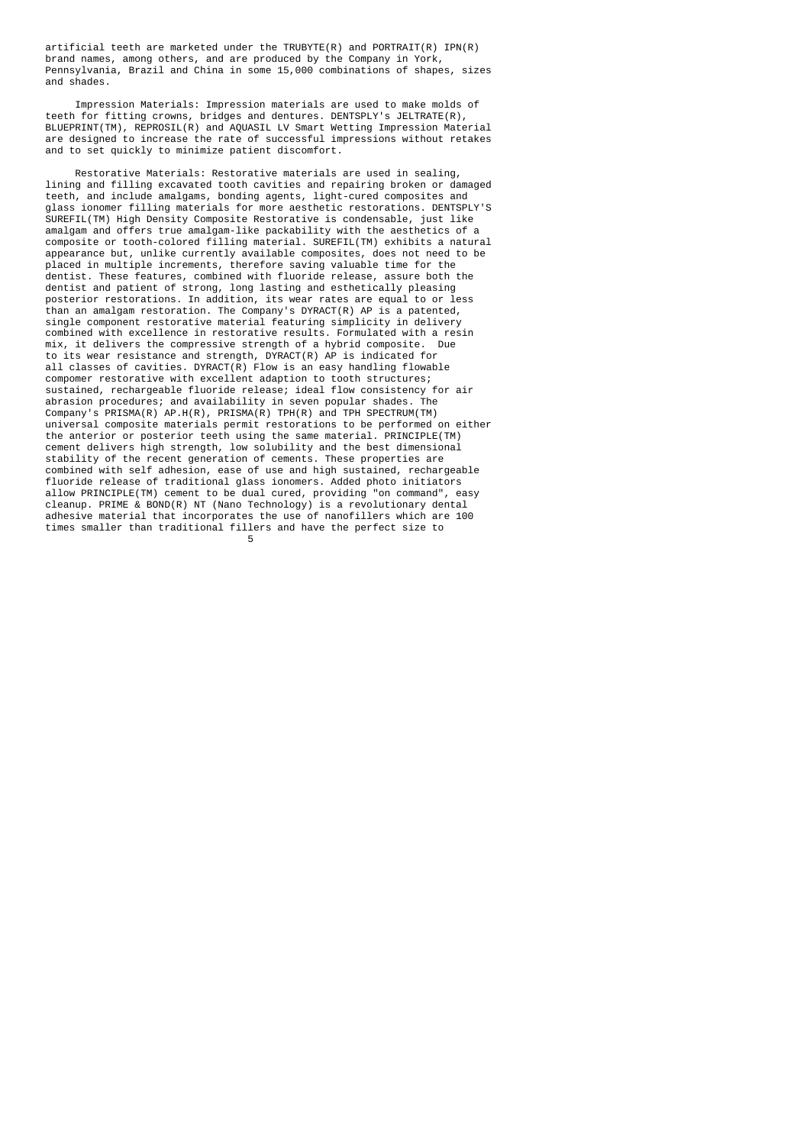artificial teeth are marketed under the TRUBYTE(R) and PORTRAIT(R) IPN(R) brand names, among others, and are produced by the Company in York, Pennsylvania, Brazil and China in some 15,000 combinations of shapes, sizes and shades.

 Impression Materials: Impression materials are used to make molds of teeth for fitting crowns, bridges and dentures. DENTSPLY's JELTRATE(R), BLUEPRINT(TM), REPROSIL(R) and AQUASIL LV Smart Wetting Impression Material are designed to increase the rate of successful impressions without retakes and to set quickly to minimize patient discomfort.

 Restorative Materials: Restorative materials are used in sealing, lining and filling excavated tooth cavities and repairing broken or damaged teeth, and include amalgams, bonding agents, light-cured composites and glass ionomer filling materials for more aesthetic restorations. DENTSPLY'S SUREFIL(TM) High Density Composite Restorative is condensable, just like amalgam and offers true amalgam-like packability with the aesthetics of a composite or tooth-colored filling material. SUREFIL(TM) exhibits a natural appearance but, unlike currently available composites, does not need to be placed in multiple increments, therefore saving valuable time for the dentist. These features, combined with fluoride release, assure both the dentist and patient of strong, long lasting and esthetically pleasing posterior restorations. In addition, its wear rates are equal to or less than an amalgam restoration. The Company's DYRACT(R) AP is a patented, single component restorative material featuring simplicity in delivery combined with excellence in restorative results. Formulated with a resin mix, it delivers the compressive strength of a hybrid composite. Due to its wear resistance and strength, DYRACT(R) AP is indicated for all classes of cavities. DYRACT(R) Flow is an easy handling flowable compomer restorative with excellent adaption to tooth structures; sustained, rechargeable fluoride release; ideal flow consistency for air abrasion procedures; and availability in seven popular shades. The Company's PRISMA(R) AP.H(R), PRISMA(R) TPH(R) and TPH SPECTRUM(TM) universal composite materials permit restorations to be performed on either the anterior or posterior teeth using the same material. PRINCIPLE(TM) cement delivers high strength, low solubility and the best dimensional stability of the recent generation of cements. These properties are combined with self adhesion, ease of use and high sustained, rechargeable fluoride release of traditional glass ionomers. Added photo initiators allow PRINCIPLE(TM) cement to be dual cured, providing "on command", easy cleanup. PRIME & BOND(R) NT (Nano Technology) is a revolutionary dental adhesive material that incorporates the use of nanofillers which are 100 times smaller than traditional fillers and have the perfect size to  $\sim$  5  $\sim$  5  $\sim$  5  $\sim$  5  $\sim$  5  $\sim$  5  $\sim$  5  $\sim$  5  $\sim$  5  $\sim$  5  $\sim$  5  $\sim$  5  $\sim$  5  $\sim$  5  $\sim$  5  $\sim$  5  $\sim$  5  $\sim$  5  $\sim$  5  $\sim$  5  $\sim$  5  $\sim$  5  $\sim$  5  $\sim$  5  $\sim$  5  $\sim$  5  $\sim$  5  $\sim$  5  $\sim$  5  $\sim$  5  $\sim$  5  $\sim$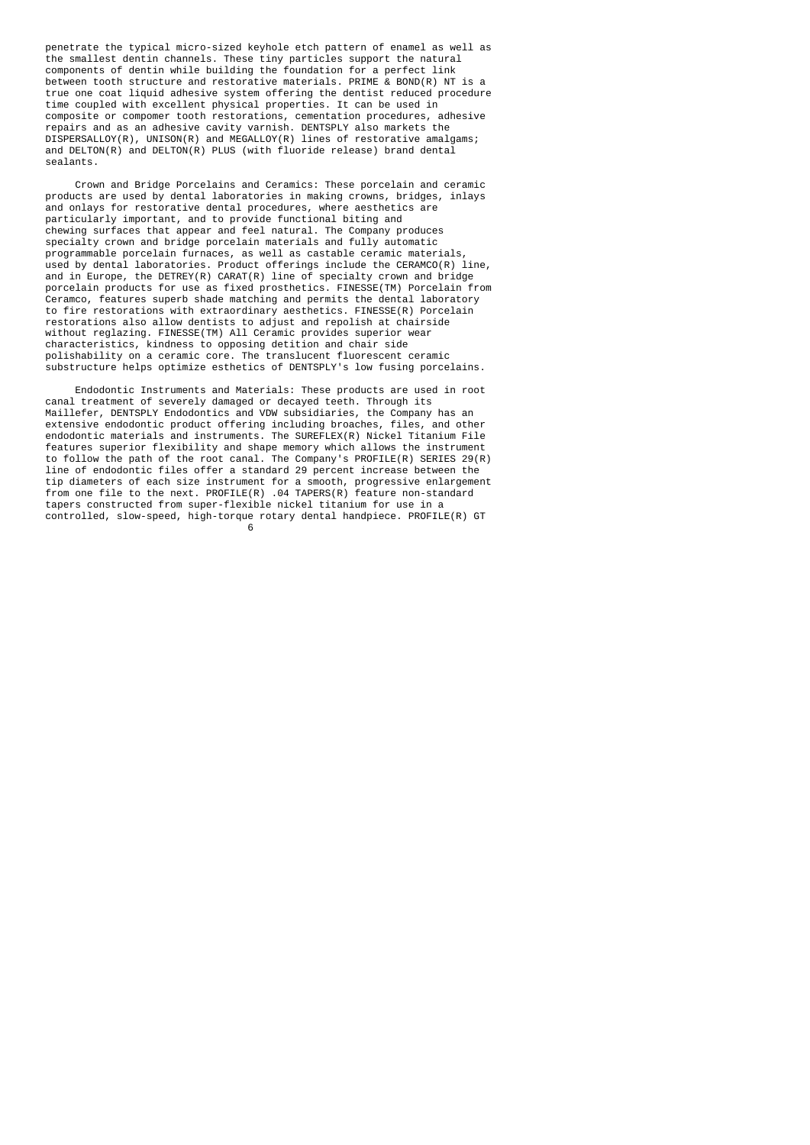penetrate the typical micro-sized keyhole etch pattern of enamel as well as the smallest dentin channels. These tiny particles support the natural components of dentin while building the foundation for a perfect link between tooth structure and restorative materials. PRIME & BOND(R) NT is a true one coat liquid adhesive system offering the dentist reduced procedure time coupled with excellent physical properties. It can be used in composite or compomer tooth restorations, cementation procedures, adhesive repairs and as an adhesive cavity varnish. DENTSPLY also markets the DISPERSALLOY(R), UNISON(R) and MEGALLOY(R) lines of restorative amalgams; and DELTON(R) and DELTON(R) PLUS (with fluoride release) brand dental sealants.

 Crown and Bridge Porcelains and Ceramics: These porcelain and ceramic products are used by dental laboratories in making crowns, bridges, inlays and onlays for restorative dental procedures, where aesthetics are particularly important, and to provide functional biting and chewing surfaces that appear and feel natural. The Company produces specialty crown and bridge porcelain materials and fully automatic programmable porcelain furnaces, as well as castable ceramic materials, used by dental laboratories. Product offerings include the CERAMCO(R) line, and in Europe, the DETREY(R) CARAT(R) line of specialty crown and bridge porcelain products for use as fixed prosthetics. FINESSE(TM) Porcelain from Ceramco, features superb shade matching and permits the dental laboratory to fire restorations with extraordinary aesthetics. FINESSE(R) Porcelain restorations also allow dentists to adjust and repolish at chairside without reglazing. FINESSE(TM) All Ceramic provides superior wear characteristics, kindness to opposing detition and chair side polishability on a ceramic core. The translucent fluorescent ceramic substructure helps optimize esthetics of DENTSPLY's low fusing porcelains.

 Endodontic Instruments and Materials: These products are used in root canal treatment of severely damaged or decayed teeth. Through its Maillefer, DENTSPLY Endodontics and VDW subsidiaries, the Company has an extensive endodontic product offering including broaches, files, and other endodontic materials and instruments. The SUREFLEX(R) Nickel Titanium File features superior flexibility and shape memory which allows the instrument to follow the path of the root canal. The Company's PROFILE(R) SERIES 29(R) line of endodontic files offer a standard 29 percent increase between the tip diameters of each size instrument for a smooth, progressive enlargement from one file to the next. PROFILE(R) .04 TAPERS(R) feature non-standard tapers constructed from super-flexible nickel titanium for use in a controlled, slow-speed, high-torque rotary dental handpiece. PROFILE(R) GT<br>6

 $\sim$  6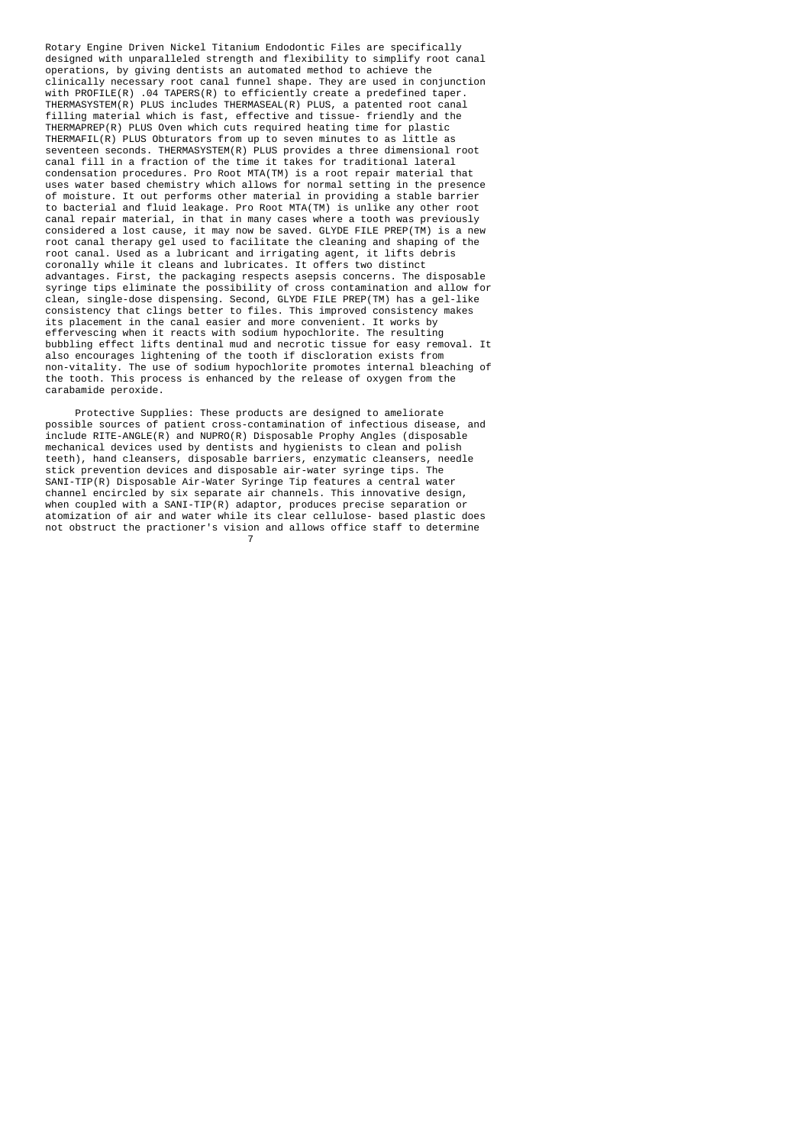Rotary Engine Driven Nickel Titanium Endodontic Files are specifically designed with unparalleled strength and flexibility to simplify root canal operations, by giving dentists an automated method to achieve the clinically necessary root canal funnel shape. They are used in conjunction with PROFILE(R) .04 TAPERS(R) to efficiently create a predefined taper. THERMASYSTEM(R) PLUS includes THERMASEAL(R) PLUS, a patented root canal filling material which is fast, effective and tissue- friendly and the THERMAPREP(R) PLUS Oven which cuts required heating time for plastic THERMAFIL(R) PLUS Obturators from up to seven minutes to as little as seventeen seconds. THERMASYSTEM(R) PLUS provides a three dimensional root canal fill in a fraction of the time it takes for traditional lateral condensation procedures. Pro Root MTA(TM) is a root repair material that uses water based chemistry which allows for normal setting in the presence of moisture. It out performs other material in providing a stable barrier to bacterial and fluid leakage. Pro Root MTA(TM) is unlike any other root canal repair material, in that in many cases where a tooth was previously considered a lost cause, it may now be saved. GLYDE FILE PREP(TM) is a new root canal therapy gel used to facilitate the cleaning and shaping of the root canal. Used as a lubricant and irrigating agent, it lifts debris coronally while it cleans and lubricates. It offers two distinct advantages. First, the packaging respects asepsis concerns. The disposable syringe tips eliminate the possibility of cross contamination and allow for clean, single-dose dispensing. Second, GLYDE FILE PREP(TM) has a gel-like consistency that clings better to files. This improved consistency makes its placement in the canal easier and more convenient. It works by effervescing when it reacts with sodium hypochlorite. The resulting bubbling effect lifts dentinal mud and necrotic tissue for easy removal. It also encourages lightening of the tooth if discloration exists from non-vitality. The use of sodium hypochlorite promotes internal bleaching of the tooth. This process is enhanced by the release of oxygen from the carabamide peroxide.

 Protective Supplies: These products are designed to ameliorate possible sources of patient cross-contamination of infectious disease, and include RITE-ANGLE(R) and NUPRO(R) Disposable Prophy Angles (disposable mechanical devices used by dentists and hygienists to clean and polish teeth), hand cleansers, disposable barriers, enzymatic cleansers, needle stick prevention devices and disposable air-water syringe tips. The SANI-TIP(R) Disposable Air-Water Syringe Tip features a central water channel encircled by six separate air channels. This innovative design, when coupled with a SANI-TIP(R) adaptor, produces precise separation or atomization of air and water while its clear cellulose- based plastic does not obstruct the practioner's vision and allows office staff to determine 7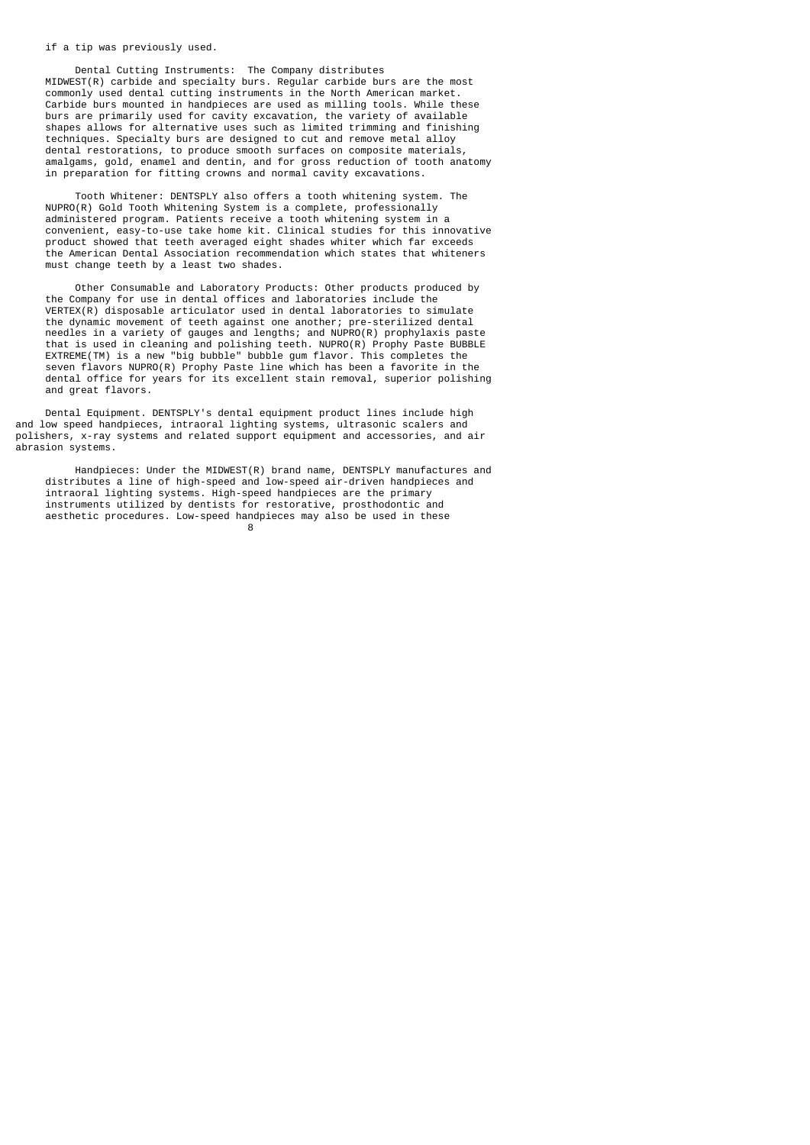#### if a tip was previously used.

en andere andere andere andere andere andere andere andere andere andere andere andere andere andere andere an

 Dental Cutting Instruments: The Company distributes MIDWEST(R) carbide and specialty burs. Regular carbide burs are the most commonly used dental cutting instruments in the North American market. Carbide burs mounted in handpieces are used as milling tools. While these burs are primarily used for cavity excavation, the variety of available shapes allows for alternative uses such as limited trimming and finishing techniques. Specialty burs are designed to cut and remove metal alloy dental restorations, to produce smooth surfaces on composite materials, amalgams, gold, enamel and dentin, and for gross reduction of tooth anatomy in preparation for fitting crowns and normal cavity excavations.

 Tooth Whitener: DENTSPLY also offers a tooth whitening system. The NUPRO(R) Gold Tooth Whitening System is a complete, professionally administered program. Patients receive a tooth whitening system in a convenient, easy-to-use take home kit. Clinical studies for this innovative product showed that teeth averaged eight shades whiter which far exceeds the American Dental Association recommendation which states that whiteners must change teeth by a least two shades.

 Other Consumable and Laboratory Products: Other products produced by the Company for use in dental offices and laboratories include the VERTEX(R) disposable articulator used in dental laboratories to simulate the dynamic movement of teeth against one another; pre-sterilized dental needles in a variety of gauges and lengths; and NUPRO(R) prophylaxis paste that is used in cleaning and polishing teeth. NUPRO(R) Prophy Paste BUBBLE EXTREME(TM) is a new "big bubble" bubble gum flavor. This completes the seven flavors NUPRO(R) Prophy Paste line which has been a favorite in the dental office for years for its excellent stain removal, superior polishing and great flavors.

 Dental Equipment. DENTSPLY's dental equipment product lines include high and low speed handpieces, intraoral lighting systems, ultrasonic scalers and polishers, x-ray systems and related support equipment and accessories, and air abrasion systems.

 Handpieces: Under the MIDWEST(R) brand name, DENTSPLY manufactures and distributes a line of high-speed and low-speed air-driven handpieces and intraoral lighting systems. High-speed handpieces are the primary instruments utilized by dentists for restorative, prosthodontic and aesthetic procedures. Low-speed handpieces may also be used in these  $\frac{8}{100}$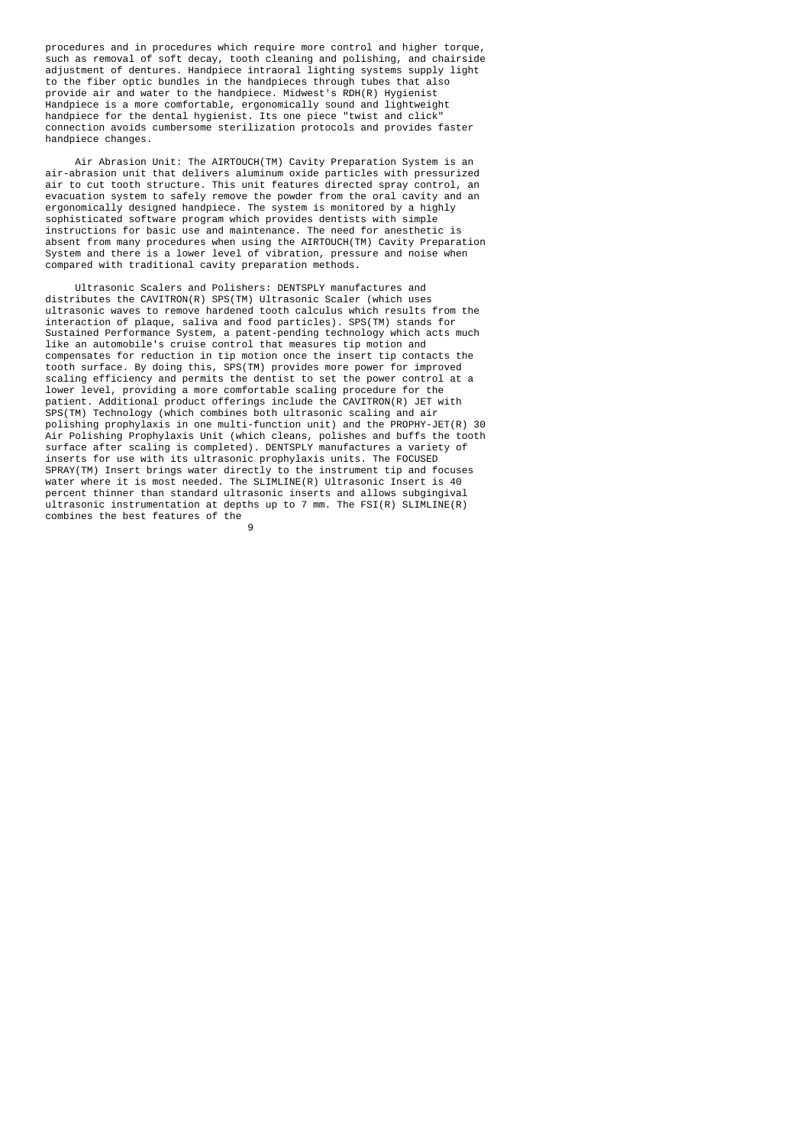procedures and in procedures which require more control and higher torque, such as removal of soft decay, tooth cleaning and polishing, and chairside adjustment of dentures. Handpiece intraoral lighting systems supply light to the fiber optic bundles in the handpieces through tubes that also provide air and water to the handpiece. Midwest's RDH(R) Hygienist Handpiece is a more comfortable, ergonomically sound and lightweight handpiece for the dental hygienist. Its one piece "twist and click" connection avoids cumbersome sterilization protocols and provides faster handpiece changes.

 Air Abrasion Unit: The AIRTOUCH(TM) Cavity Preparation System is an air-abrasion unit that delivers aluminum oxide particles with pressurized air to cut tooth structure. This unit features directed spray control, an evacuation system to safely remove the powder from the oral cavity and an ergonomically designed handpiece. The system is monitored by a highly sophisticated software program which provides dentists with simple instructions for basic use and maintenance. The need for anesthetic is absent from many procedures when using the AIRTOUCH(TM) Cavity Preparation System and there is a lower level of vibration, pressure and noise when compared with traditional cavity preparation methods.

 Ultrasonic Scalers and Polishers: DENTSPLY manufactures and distributes the CAVITRON(R) SPS(TM) Ultrasonic Scaler (which uses ultrasonic waves to remove hardened tooth calculus which results from the interaction of plaque, saliva and food particles). SPS(TM) stands for Sustained Performance System, a patent-pending technology which acts much like an automobile's cruise control that measures tip motion and compensates for reduction in tip motion once the insert tip contacts the tooth surface. By doing this, SPS(TM) provides more power for improved scaling efficiency and permits the dentist to set the power control at a lower level, providing a more comfortable scaling procedure for the patient. Additional product offerings include the CAVITRON(R) JET with SPS(TM) Technology (which combines both ultrasonic scaling and air polishing prophylaxis in one multi-function unit) and the PROPHY-JET(R) 30 Air Polishing Prophylaxis Unit (which cleans, polishes and buffs the tooth surface after scaling is completed). DENTSPLY manufactures a variety of inserts for use with its ultrasonic prophylaxis units. The FOCUSED SPRAY(TM) Insert brings water directly to the instrument tip and focuses water where it is most needed. The SLIMLINE(R) Ultrasonic Insert is 40 percent thinner than standard ultrasonic inserts and allows subgingival ultrasonic instrumentation at depths up to 7 mm. The FSI(R) SLIMLINE(R) combines the best features of the 9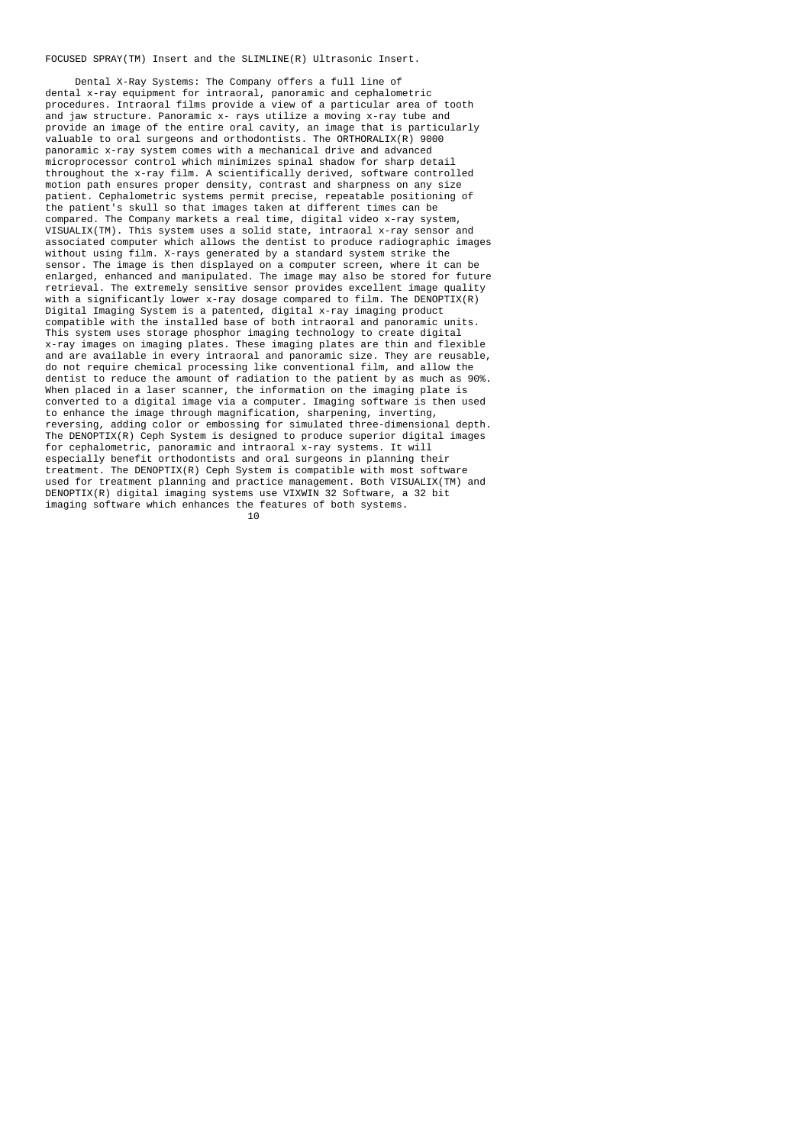### FOCUSED SPRAY(TM) Insert and the SLIMLINE(R) Ultrasonic Insert.

 Dental X-Ray Systems: The Company offers a full line of dental x-ray equipment for intraoral, panoramic and cephalometric procedures. Intraoral films provide a view of a particular area of tooth and jaw structure. Panoramic x- rays utilize a moving x-ray tube and provide an image of the entire oral cavity, an image that is particularly valuable to oral surgeons and orthodontists. The ORTHORALIX(R) 9000 panoramic x-ray system comes with a mechanical drive and advanced microprocessor control which minimizes spinal shadow for sharp detail throughout the x-ray film. A scientifically derived, software controlled motion path ensures proper density, contrast and sharpness on any size patient. Cephalometric systems permit precise, repeatable positioning of the patient's skull so that images taken at different times can be compared. The Company markets a real time, digital video x-ray system, VISUALIX(TM). This system uses a solid state, intraoral x-ray sensor and associated computer which allows the dentist to produce radiographic images without using film. X-rays generated by a standard system strike the sensor. The image is then displayed on a computer screen, where it can be enlarged, enhanced and manipulated. The image may also be stored for future retrieval. The extremely sensitive sensor provides excellent image quality with a significantly lower x-ray dosage compared to film. The DENOPTIX(R) Digital Imaging System is a patented, digital x-ray imaging product compatible with the installed base of both intraoral and panoramic units. This system uses storage phosphor imaging technology to create digital x-ray images on imaging plates. These imaging plates are thin and flexible and are available in every intraoral and panoramic size. They are reusable, do not require chemical processing like conventional film, and allow the dentist to reduce the amount of radiation to the patient by as much as 90%. When placed in a laser scanner, the information on the imaging plate is converted to a digital image via a computer. Imaging software is then used to enhance the image through magnification, sharpening, inverting, reversing, adding color or embossing for simulated three-dimensional depth. The DENOPTIX(R) Ceph System is designed to produce superior digital images for cephalometric, panoramic and intraoral x-ray systems. It will especially benefit orthodontists and oral surgeons in planning their treatment. The DENOPTIX(R) Ceph System is compatible with most software used for treatment planning and practice management. Both VISUALIX(TM) and DENOPTIX(R) digital imaging systems use VIXWIN 32 Software, a 32 bit imaging software which enhances the features of both systems.<br>10  $10$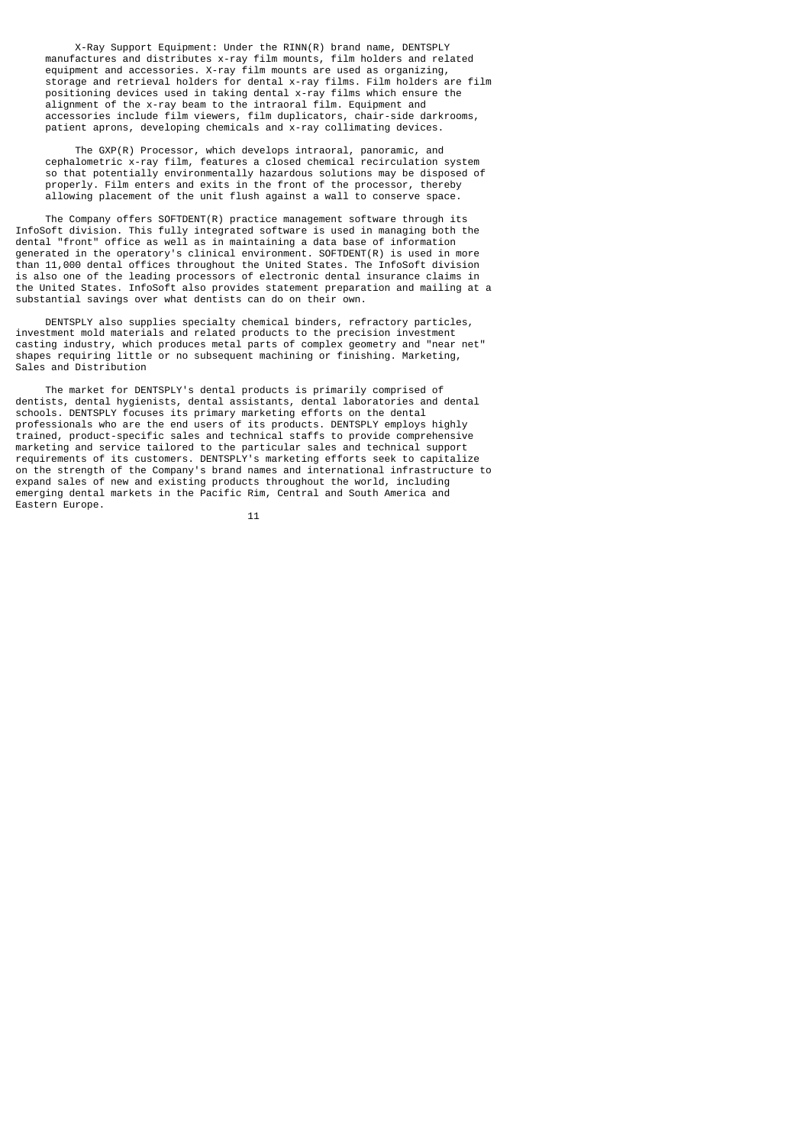X-Ray Support Equipment: Under the RINN(R) brand name, DENTSPLY manufactures and distributes x-ray film mounts, film holders and related equipment and accessories. X-ray film mounts are used as organizing, storage and retrieval holders for dental x-ray films. Film holders are film positioning devices used in taking dental x-ray films which ensure the alignment of the x-ray beam to the intraoral film. Equipment and accessories include film viewers, film duplicators, chair-side darkrooms, patient aprons, developing chemicals and x-ray collimating devices.

 The GXP(R) Processor, which develops intraoral, panoramic, and cephalometric x-ray film, features a closed chemical recirculation system so that potentially environmentally hazardous solutions may be disposed of properly. Film enters and exits in the front of the processor, thereby allowing placement of the unit flush against a wall to conserve space.

 The Company offers SOFTDENT(R) practice management software through its InfoSoft division. This fully integrated software is used in managing both the dental "front" office as well as in maintaining a data base of information generated in the operatory's clinical environment. SOFTDENT(R) is used in more than 11,000 dental offices throughout the United States. The InfoSoft division is also one of the leading processors of electronic dental insurance claims in the United States. InfoSoft also provides statement preparation and mailing at a substantial savings over what dentists can do on their own.

 DENTSPLY also supplies specialty chemical binders, refractory particles, investment mold materials and related products to the precision investment casting industry, which produces metal parts of complex geometry and "near net" shapes requiring little or no subsequent machining or finishing. Marketing, Sales and Distribution

 The market for DENTSPLY's dental products is primarily comprised of dentists, dental hygienists, dental assistants, dental laboratories and dental schools. DENTSPLY focuses its primary marketing efforts on the dental professionals who are the end users of its products. DENTSPLY employs highly trained, product-specific sales and technical staffs to provide comprehensive marketing and service tailored to the particular sales and technical support requirements of its customers. DENTSPLY's marketing efforts seek to capitalize on the strength of the Company's brand names and international infrastructure to expand sales of new and existing products throughout the world, including emerging dental markets in the Pacific Rim, Central and South America and Eastern Europe.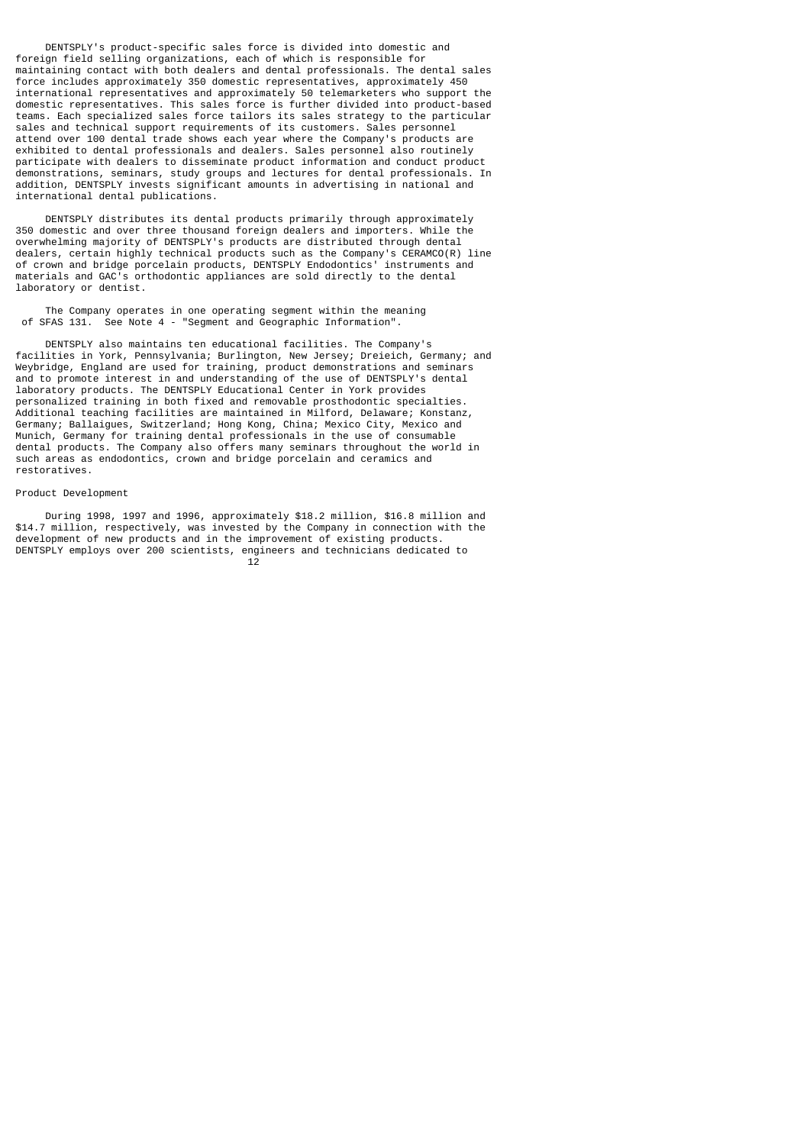DENTSPLY's product-specific sales force is divided into domestic and foreign field selling organizations, each of which is responsible for maintaining contact with both dealers and dental professionals. The dental sales force includes approximately 350 domestic representatives, approximately 450 international representatives and approximately 50 telemarketers who support the domestic representatives. This sales force is further divided into product-based teams. Each specialized sales force tailors its sales strategy to the particular sales and technical support requirements of its customers. Sales personnel attend over 100 dental trade shows each year where the Company's products are exhibited to dental professionals and dealers. Sales personnel also routinely participate with dealers to disseminate product information and conduct product demonstrations, seminars, study groups and lectures for dental professionals. In addition, DENTSPLY invests significant amounts in advertising in national and international dental publications.

 DENTSPLY distributes its dental products primarily through approximately 350 domestic and over three thousand foreign dealers and importers. While the overwhelming majority of DENTSPLY's products are distributed through dental dealers, certain highly technical products such as the Company's CERAMCO(R) line of crown and bridge porcelain products, DENTSPLY Endodontics' instruments and materials and GAC's orthodontic appliances are sold directly to the dental laboratory or dentist.

 The Company operates in one operating segment within the meaning of SFAS 131. See Note 4 - "Segment and Geographic Information".

 DENTSPLY also maintains ten educational facilities. The Company's facilities in York, Pennsylvania; Burlington, New Jersey; Dreieich, Germany; and Weybridge, England are used for training, product demonstrations and seminars and to promote interest in and understanding of the use of DENTSPLY's dental laboratory products. The DENTSPLY Educational Center in York provides personalized training in both fixed and removable prosthodontic specialties. Additional teaching facilities are maintained in Milford, Delaware; Konstanz, Germany; Ballaigues, Switzerland; Hong Kong, China; Mexico City, Mexico and Munich, Germany for training dental professionals in the use of consumable dental products. The Company also offers many seminars throughout the world in such areas as endodontics, crown and bridge porcelain and ceramics and restoratives.

### Product Development

 During 1998, 1997 and 1996, approximately \$18.2 million, \$16.8 million and \$14.7 million, respectively, was invested by the Company in connection with the development of new products and in the improvement of existing products. DENTSPLY employs over 200 scientists, engineers and technicians dedicated to 12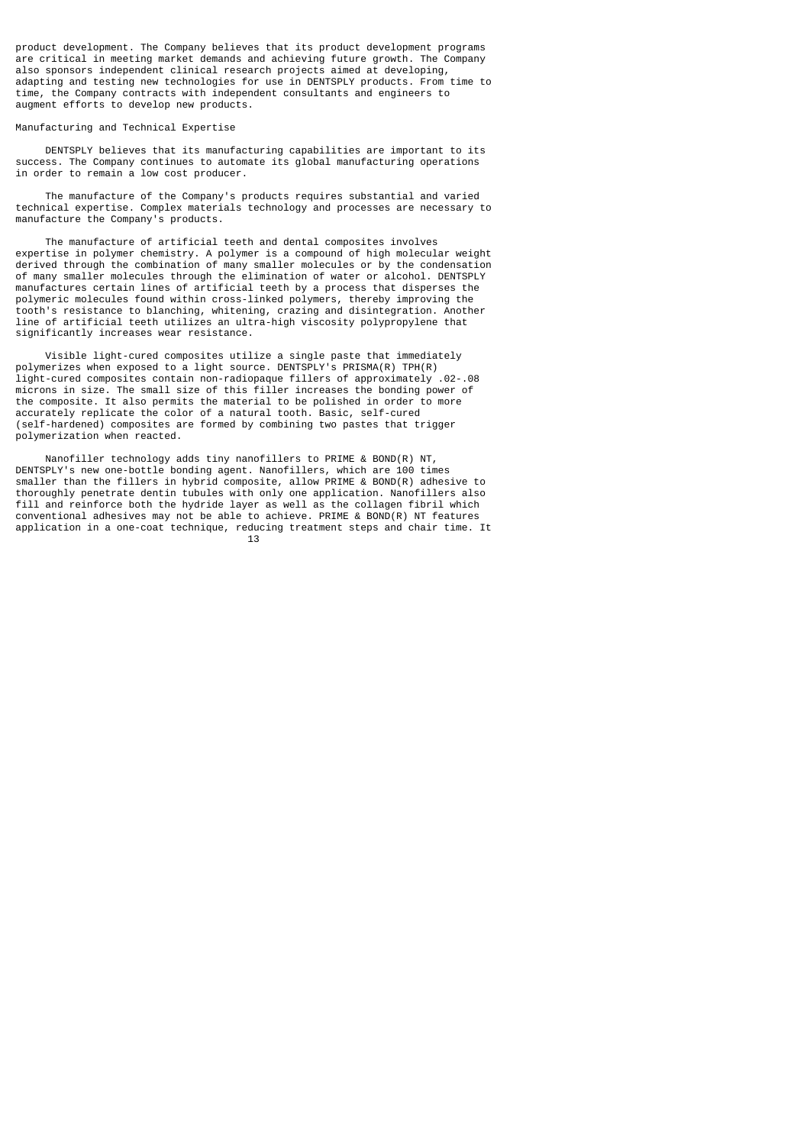product development. The Company believes that its product development programs are critical in meeting market demands and achieving future growth. The Company also sponsors independent clinical research projects aimed at developing, adapting and testing new technologies for use in DENTSPLY products. From time to time, the Company contracts with independent consultants and engineers to augment efforts to develop new products.

## Manufacturing and Technical Expertise

 DENTSPLY believes that its manufacturing capabilities are important to its success. The Company continues to automate its global manufacturing operations in order to remain a low cost producer.

 The manufacture of the Company's products requires substantial and varied technical expertise. Complex materials technology and processes are necessary to manufacture the Company's products.

 The manufacture of artificial teeth and dental composites involves expertise in polymer chemistry. A polymer is a compound of high molecular weight derived through the combination of many smaller molecules or by the condensation of many smaller molecules through the elimination of water or alcohol. DENTSPLY manufactures certain lines of artificial teeth by a process that disperses the polymeric molecules found within cross-linked polymers, thereby improving the tooth's resistance to blanching, whitening, crazing and disintegration. Another line of artificial teeth utilizes an ultra-high viscosity polypropylene that significantly increases wear resistance.

 Visible light-cured composites utilize a single paste that immediately polymerizes when exposed to a light source. DENTSPLY's PRISMA(R) TPH(R) light-cured composites contain non-radiopaque fillers of approximately .02-.08 microns in size. The small size of this filler increases the bonding power of the composite. It also permits the material to be polished in order to more accurately replicate the color of a natural tooth. Basic, self-cured (self-hardened) composites are formed by combining two pastes that trigger polymerization when reacted.

 Nanofiller technology adds tiny nanofillers to PRIME & BOND(R) NT, DENTSPLY's new one-bottle bonding agent. Nanofillers, which are 100 times smaller than the fillers in hybrid composite, allow PRIME & BOND(R) adhesive to thoroughly penetrate dentin tubules with only one application. Nanofillers also fill and reinforce both the hydride layer as well as the collagen fibril which conventional adhesives may not be able to achieve. PRIME & BOND(R) NT features application in a one-coat technique, reducing treatment steps and chair time. It 13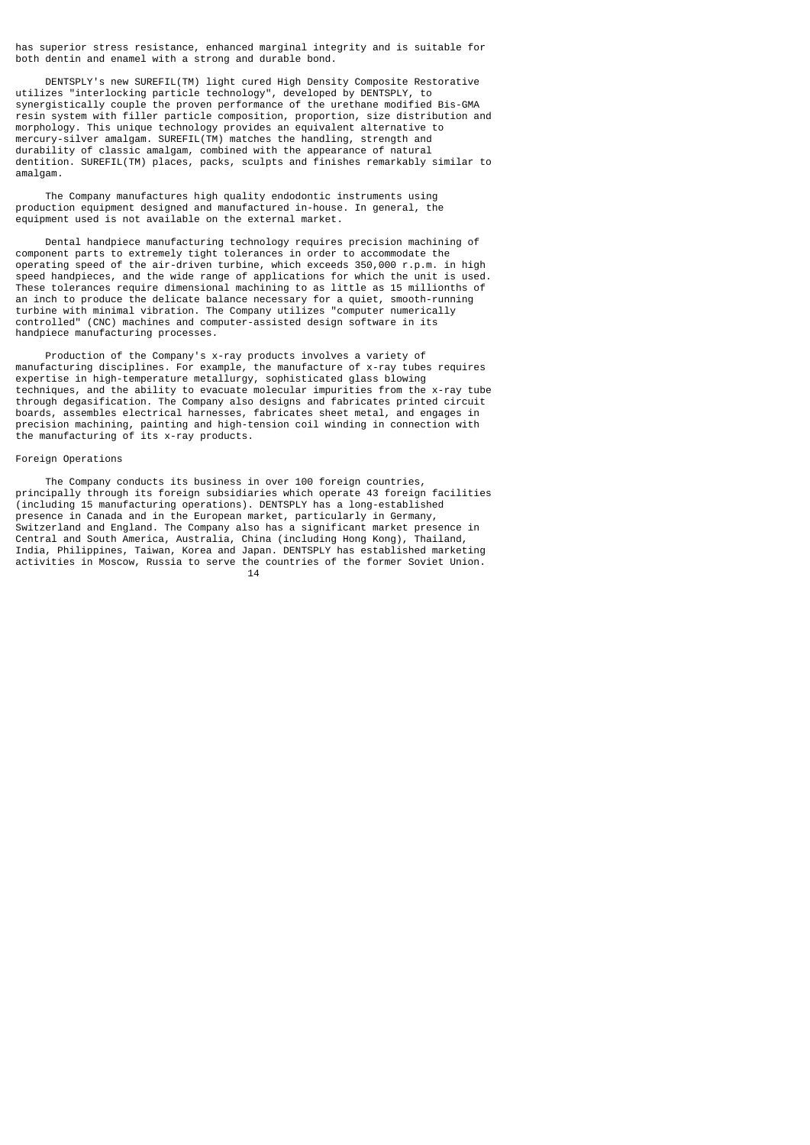has superior stress resistance, enhanced marginal integrity and is suitable for both dentin and enamel with a strong and durable bond.

 DENTSPLY's new SUREFIL(TM) light cured High Density Composite Restorative utilizes "interlocking particle technology", developed by DENTSPLY, to synergistically couple the proven performance of the urethane modified Bis-GMA resin system with filler particle composition, proportion, size distribution and morphology. This unique technology provides an equivalent alternative to mercury-silver amalgam. SUREFIL(TM) matches the handling, strength and durability of classic amalgam, combined with the appearance of natural dentition. SUREFIL(TM) places, packs, sculpts and finishes remarkably similar to amalgam.

 The Company manufactures high quality endodontic instruments using production equipment designed and manufactured in-house. In general, the equipment used is not available on the external market.

 Dental handpiece manufacturing technology requires precision machining of component parts to extremely tight tolerances in order to accommodate the operating speed of the air-driven turbine, which exceeds 350,000 r.p.m. in high speed handpieces, and the wide range of applications for which the unit is used. These tolerances require dimensional machining to as little as 15 millionths of an inch to produce the delicate balance necessary for a quiet, smooth-running turbine with minimal vibration. The Company utilizes "computer numerically controlled" (CNC) machines and computer-assisted design software in its handpiece manufacturing processes.

 Production of the Company's x-ray products involves a variety of manufacturing disciplines. For example, the manufacture of x-ray tubes requires expertise in high-temperature metallurgy, sophisticated glass blowing techniques, and the ability to evacuate molecular impurities from the x-ray tube through degasification. The Company also designs and fabricates printed circuit boards, assembles electrical harnesses, fabricates sheet metal, and engages in precision machining, painting and high-tension coil winding in connection with the manufacturing of its x-ray products.

#### Foreign Operations

 The Company conducts its business in over 100 foreign countries, principally through its foreign subsidiaries which operate 43 foreign facilities (including 15 manufacturing operations). DENTSPLY has a long-established presence in Canada and in the European market, particularly in Germany, Switzerland and England. The Company also has a significant market presence in Central and South America, Australia, China (including Hong Kong), Thailand, India, Philippines, Taiwan, Korea and Japan. DENTSPLY has established marketing activities in Moscow, Russia to serve the countries of the former Soviet Union.  $14$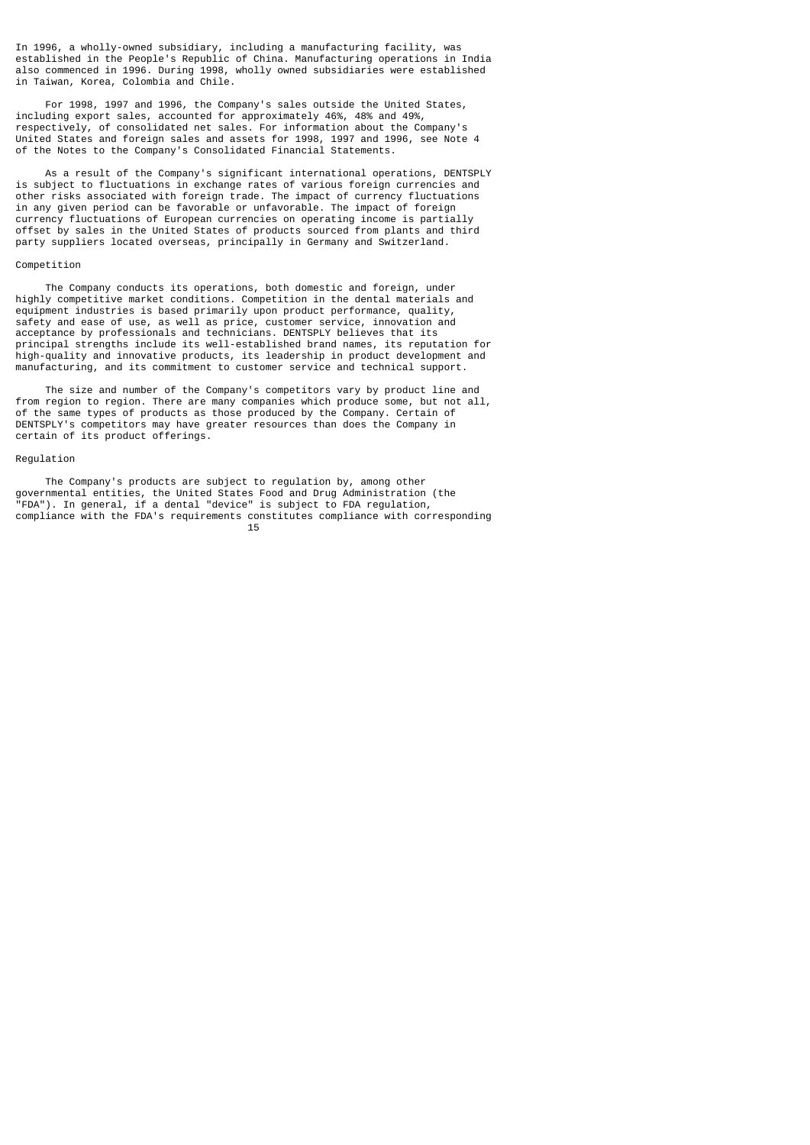In 1996, a wholly-owned subsidiary, including a manufacturing facility, was established in the People's Republic of China. Manufacturing operations in India also commenced in 1996. During 1998, wholly owned subsidiaries were established in Taiwan, Korea, Colombia and Chile.

 For 1998, 1997 and 1996, the Company's sales outside the United States, including export sales, accounted for approximately 46%, 48% and 49%, respectively, of consolidated net sales. For information about the Company's United States and foreign sales and assets for 1998, 1997 and 1996, see Note 4 of the Notes to the Company's Consolidated Financial Statements.

 As a result of the Company's significant international operations, DENTSPLY is subject to fluctuations in exchange rates of various foreign currencies and other risks associated with foreign trade. The impact of currency fluctuations in any given period can be favorable or unfavorable. The impact of foreign currency fluctuations of European currencies on operating income is partially offset by sales in the United States of products sourced from plants and third party suppliers located overseas, principally in Germany and Switzerland.

### Competition

 The Company conducts its operations, both domestic and foreign, under highly competitive market conditions. Competition in the dental materials and equipment industries is based primarily upon product performance, quality, safety and ease of use, as well as price, customer service, innovation and acceptance by professionals and technicians. DENTSPLY believes that its principal strengths include its well-established brand names, its reputation for high-quality and innovative products, its leadership in product development and manufacturing, and its commitment to customer service and technical support.

 The size and number of the Company's competitors vary by product line and from region to region. There are many companies which produce some, but not all, of the same types of products as those produced by the Company. Certain of DENTSPLY's competitors may have greater resources than does the Company in certain of its product offerings.

#### Regulation

 The Company's products are subject to regulation by, among other governmental entities, the United States Food and Drug Administration (the "FDA"). In general, if a dental "device" is subject to FDA regulation, compliance with the FDA's requirements constitutes compliance with corresponding<br>15  $15$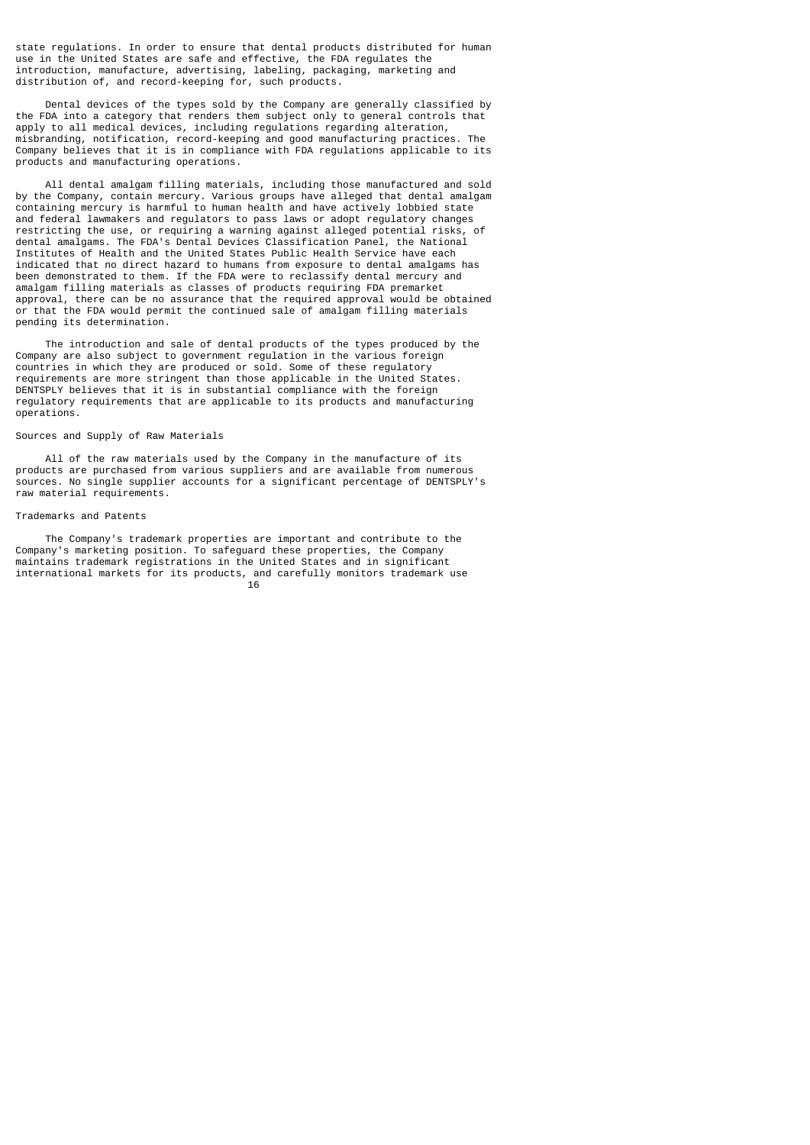state regulations. In order to ensure that dental products distributed for human use in the United States are safe and effective, the FDA regulates the introduction, manufacture, advertising, labeling, packaging, marketing and distribution of, and record-keeping for, such products.

 Dental devices of the types sold by the Company are generally classified by the FDA into a category that renders them subject only to general controls that apply to all medical devices, including regulations regarding alteration, misbranding, notification, record-keeping and good manufacturing practices. The Company believes that it is in compliance with FDA regulations applicable to its products and manufacturing operations.

 All dental amalgam filling materials, including those manufactured and sold by the Company, contain mercury. Various groups have alleged that dental amalgam containing mercury is harmful to human health and have actively lobbied state and federal lawmakers and regulators to pass laws or adopt regulatory changes restricting the use, or requiring a warning against alleged potential risks, of dental amalgams. The FDA's Dental Devices Classification Panel, the National Institutes of Health and the United States Public Health Service have each indicated that no direct hazard to humans from exposure to dental amalgams has been demonstrated to them. If the FDA were to reclassify dental mercury and amalgam filling materials as classes of products requiring FDA premarket approval, there can be no assurance that the required approval would be obtained or that the FDA would permit the continued sale of amalgam filling materials pending its determination.

 The introduction and sale of dental products of the types produced by the Company are also subject to government regulation in the various foreign countries in which they are produced or sold. Some of these regulatory requirements are more stringent than those applicable in the United States. DENTSPLY believes that it is in substantial compliance with the foreign regulatory requirements that are applicable to its products and manufacturing operations.

## Sources and Supply of Raw Materials

 All of the raw materials used by the Company in the manufacture of its products are purchased from various suppliers and are available from numerous sources. No single supplier accounts for a significant percentage of DENTSPLY's raw material requirements.

### Trademarks and Patents

 The Company's trademark properties are important and contribute to the Company's marketing position. To safeguard these properties, the Company maintains trademark registrations in the United States and in significant international markets for its products, and carefully monitors trademark use 16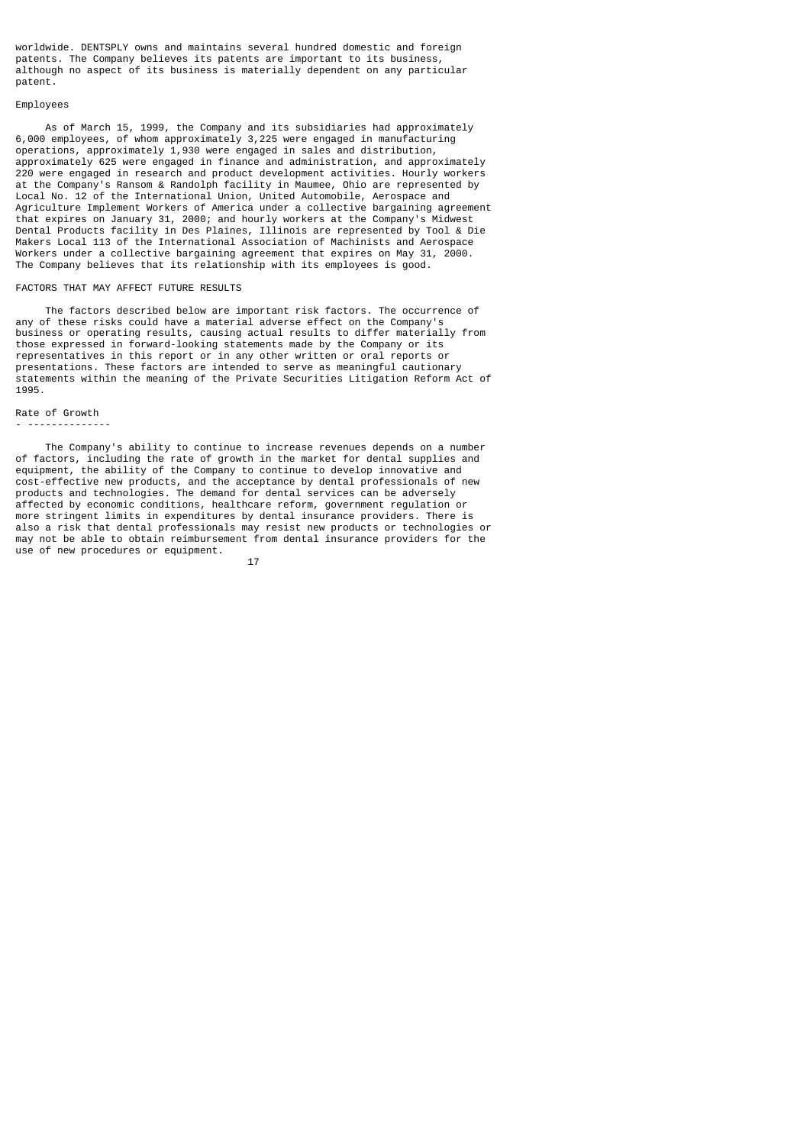worldwide. DENTSPLY owns and maintains several hundred domestic and foreign patents. The Company believes its patents are important to its business, although no aspect of its business is materially dependent on any particular patent.

#### Employees

 As of March 15, 1999, the Company and its subsidiaries had approximately 6,000 employees, of whom approximately 3,225 were engaged in manufacturing operations, approximately 1,930 were engaged in sales and distribution, approximately 625 were engaged in finance and administration, and approximately 220 were engaged in research and product development activities. Hourly workers at the Company's Ransom & Randolph facility in Maumee, Ohio are represented by Local No. 12 of the International Union, United Automobile, Aerospace and Agriculture Implement Workers of America under a collective bargaining agreement that expires on January 31, 2000; and hourly workers at the Company's Midwest Dental Products facility in Des Plaines, Illinois are represented by Tool & Die Makers Local 113 of the International Association of Machinists and Aerospace Workers under a collective bargaining agreement that expires on May 31, 2000. The Company believes that its relationship with its employees is good.

### FACTORS THAT MAY AFFECT FUTURE RESULTS

 The factors described below are important risk factors. The occurrence of any of these risks could have a material adverse effect on the Company's business or operating results, causing actual results to differ materially from those expressed in forward-looking statements made by the Company or its representatives in this report or in any other written or oral reports or presentations. These factors are intended to serve as meaningful cautionary statements within the meaning of the Private Securities Litigation Reform Act of 1995.

### Rate of Growth - --------------

 The Company's ability to continue to increase revenues depends on a number of factors, including the rate of growth in the market for dental supplies and equipment, the ability of the Company to continue to develop innovative and cost-effective new products, and the acceptance by dental professionals of new products and technologies. The demand for dental services can be adversely affected by economic conditions, healthcare reform, government regulation or more stringent limits in expenditures by dental insurance providers. There is also a risk that dental professionals may resist new products or technologies or may not be able to obtain reimbursement from dental insurance providers for the use of new procedures or equipment.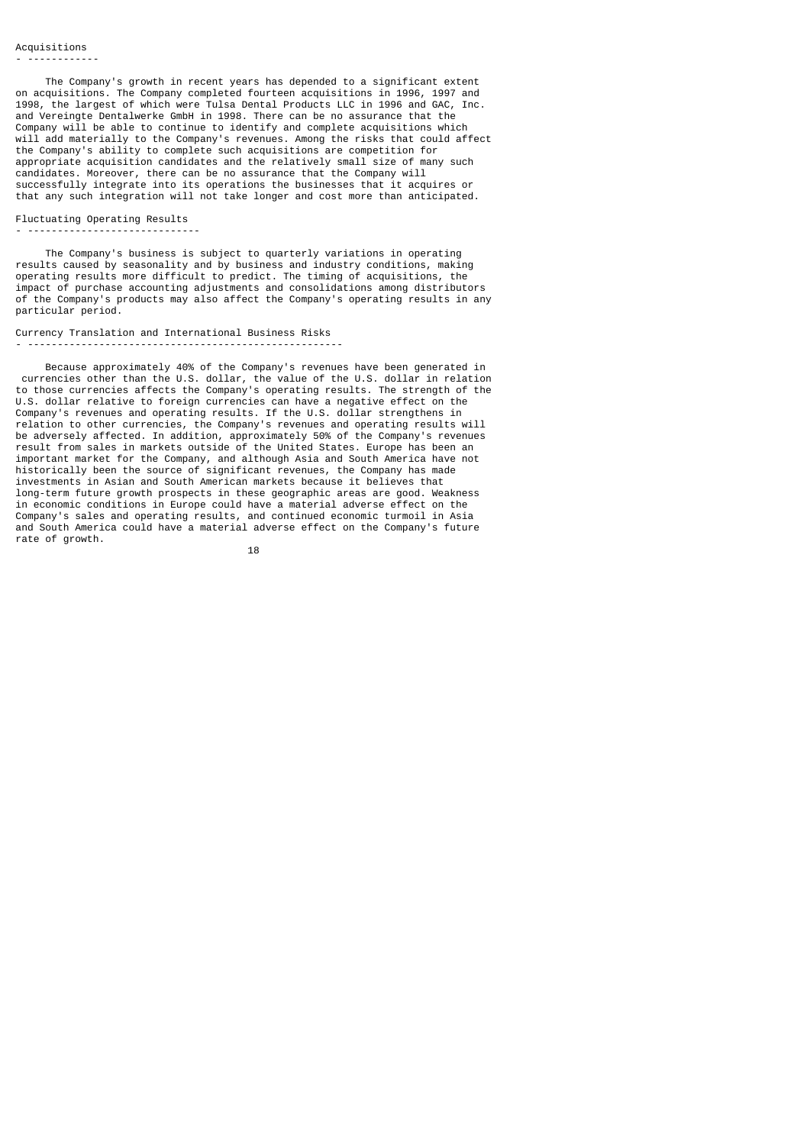The Company's growth in recent years has depended to a significant extent on acquisitions. The Company completed fourteen acquisitions in 1996, 1997 and 1998, the largest of which were Tulsa Dental Products LLC in 1996 and GAC, Inc. and Vereingte Dentalwerke GmbH in 1998. There can be no assurance that the Company will be able to continue to identify and complete acquisitions which will add materially to the Company's revenues. Among the risks that could affect the Company's ability to complete such acquisitions are competition for appropriate acquisition candidates and the relatively small size of many such candidates. Moreover, there can be no assurance that the Company will successfully integrate into its operations the businesses that it acquires or that any such integration will not take longer and cost more than anticipated.

### Fluctuating Operating Results - -----------------------------

 The Company's business is subject to quarterly variations in operating results caused by seasonality and by business and industry conditions, making operating results more difficult to predict. The timing of acquisitions, the impact of purchase accounting adjustments and consolidations among distributors of the Company's products may also affect the Company's operating results in any particular period.

## Currency Translation and International Business Risks - -----------------------------------------------------

 Because approximately 40% of the Company's revenues have been generated in currencies other than the U.S. dollar, the value of the U.S. dollar in relation to those currencies affects the Company's operating results. The strength of the U.S. dollar relative to foreign currencies can have a negative effect on the Company's revenues and operating results. If the U.S. dollar strengthens in relation to other currencies, the Company's revenues and operating results will be adversely affected. In addition, approximately 50% of the Company's revenues result from sales in markets outside of the United States. Europe has been an important market for the Company, and although Asia and South America have not historically been the source of significant revenues, the Company has made investments in Asian and South American markets because it believes that long-term future growth prospects in these geographic areas are good. Weakness in economic conditions in Europe could have a material adverse effect on the Company's sales and operating results, and continued economic turmoil in Asia and South America could have a material adverse effect on the Company's future rate of growth.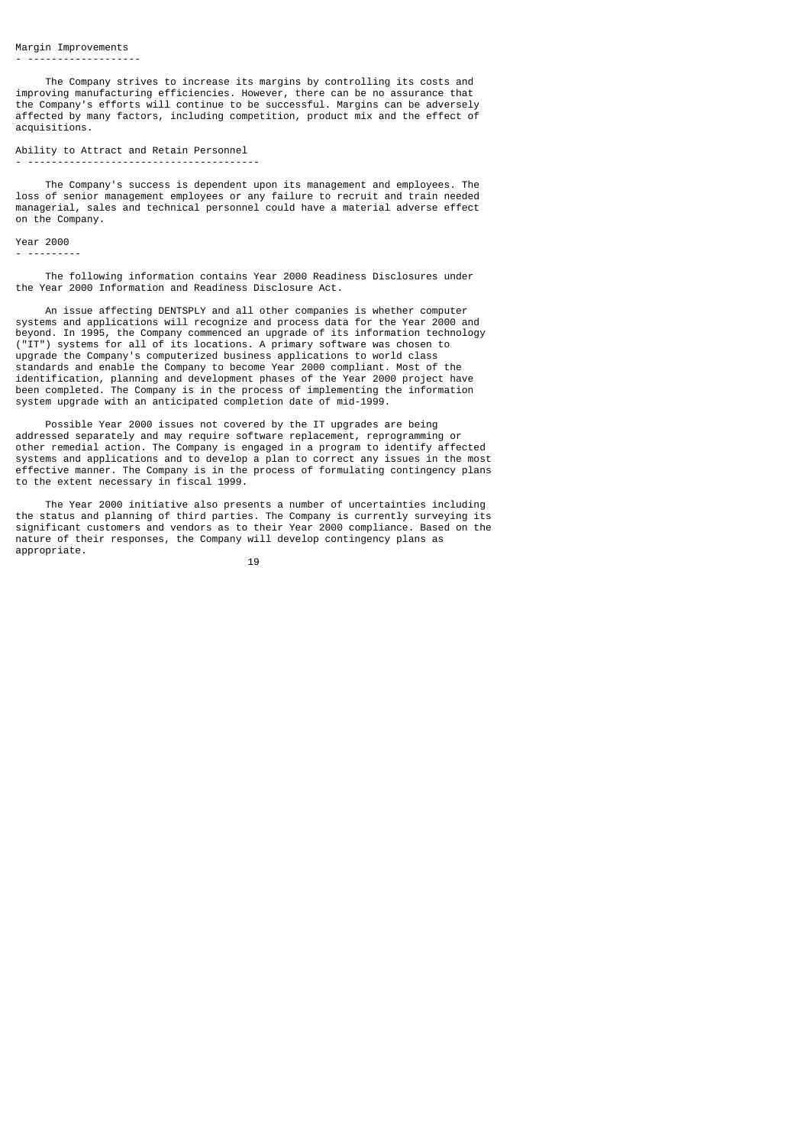The Company strives to increase its margins by controlling its costs and improving manufacturing efficiencies. However, there can be no assurance that the Company's efforts will continue to be successful. Margins can be adversely affected by many factors, including competition, product mix and the effect of acquisitions.

#### Ability to Attract and Retain Personnel - ---------------------------------------

 The Company's success is dependent upon its management and employees. The loss of senior management employees or any failure to recruit and train needed managerial, sales and technical personnel could have a material adverse effect on the Company.

Year 2000 - ---------

 The following information contains Year 2000 Readiness Disclosures under the Year 2000 Information and Readiness Disclosure Act.

 An issue affecting DENTSPLY and all other companies is whether computer systems and applications will recognize and process data for the Year 2000 and beyond. In 1995, the Company commenced an upgrade of its information technology ("IT") systems for all of its locations. A primary software was chosen to upgrade the Company's computerized business applications to world class standards and enable the Company to become Year 2000 compliant. Most of the identification, planning and development phases of the Year 2000 project have been completed. The Company is in the process of implementing the information system upgrade with an anticipated completion date of mid-1999.

 Possible Year 2000 issues not covered by the IT upgrades are being addressed separately and may require software replacement, reprogramming or other remedial action. The Company is engaged in a program to identify affected systems and applications and to develop a plan to correct any issues in the most effective manner. The Company is in the process of formulating contingency plans to the extent necessary in fiscal 1999.

 The Year 2000 initiative also presents a number of uncertainties including the status and planning of third parties. The Company is currently surveying its significant customers and vendors as to their Year 2000 compliance. Based on the nature of their responses, the Company will develop contingency plans as appropriate.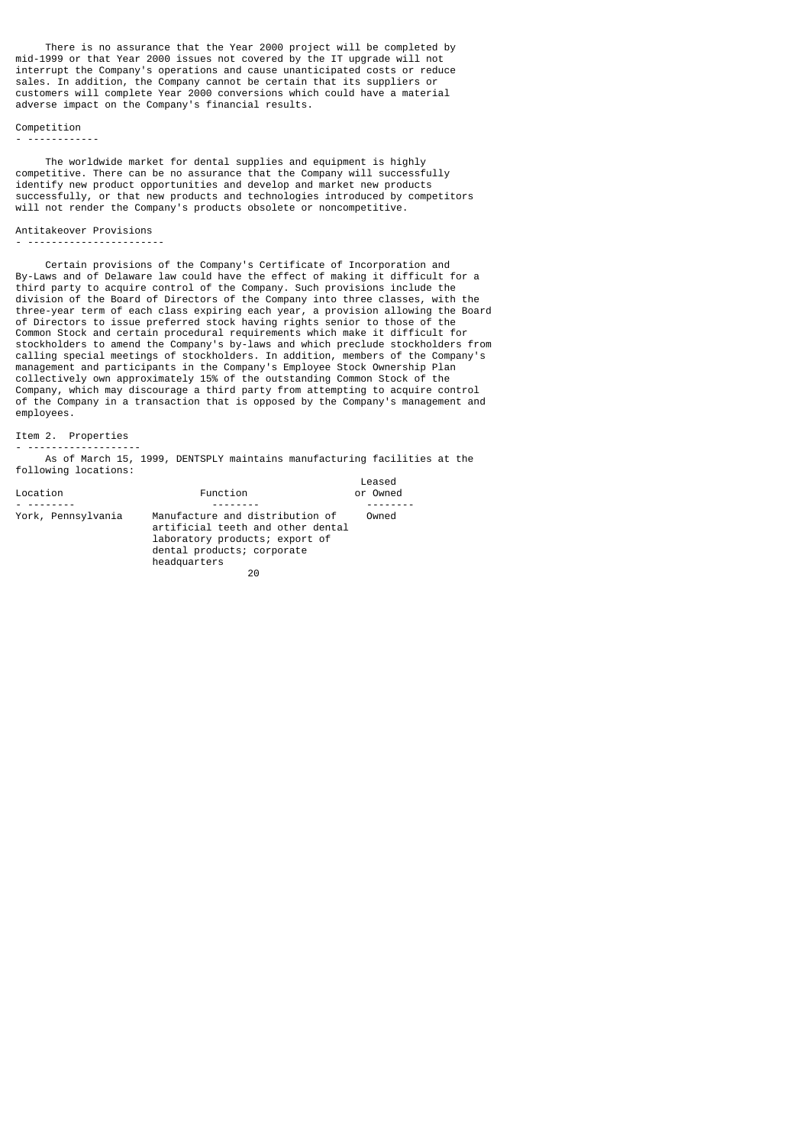There is no assurance that the Year 2000 project will be completed by mid-1999 or that Year 2000 issues not covered by the IT upgrade will not interrupt the Company's operations and cause unanticipated costs or reduce sales. In addition, the Company cannot be certain that its suppliers or customers will complete Year 2000 conversions which could have a material adverse impact on the Company's financial results.

# Competition

- ------------

 The worldwide market for dental supplies and equipment is highly competitive. There can be no assurance that the Company will successfully identify new product opportunities and develop and market new products successfully, or that new products and technologies introduced by competitors will not render the Company's products obsolete or noncompetitive.

## Antitakeover Provisions

```
- -----------------------
```
 Certain provisions of the Company's Certificate of Incorporation and By-Laws and of Delaware law could have the effect of making it difficult for a third party to acquire control of the Company. Such provisions include the division of the Board of Directors of the Company into three classes, with the three-year term of each class expiring each year, a provision allowing the Board of Directors to issue preferred stock having rights senior to those of the Common Stock and certain procedural requirements which make it difficult for stockholders to amend the Company's by-laws and which preclude stockholders from calling special meetings of stockholders. In addition, members of the Company's management and participants in the Company's Employee Stock Ownership Plan collectively own approximately 15% of the outstanding Common Stock of the Company, which may discourage a third party from attempting to acquire control of the Company in a transaction that is opposed by the Company's management and employees.

### Item 2. Properties - -------------------

 As of March 15, 1999, DENTSPLY maintains manufacturing facilities at the following locations:

| Location           | Function                                                                                                                                                   | Leased<br>or Owned |
|--------------------|------------------------------------------------------------------------------------------------------------------------------------------------------------|--------------------|
|                    |                                                                                                                                                            |                    |
| York, Pennsylvania | Manufacture and distribution of<br>artificial teeth and other dental<br>laboratory products; export of<br>dental products; corporate<br>headquarters<br>20 | Owned              |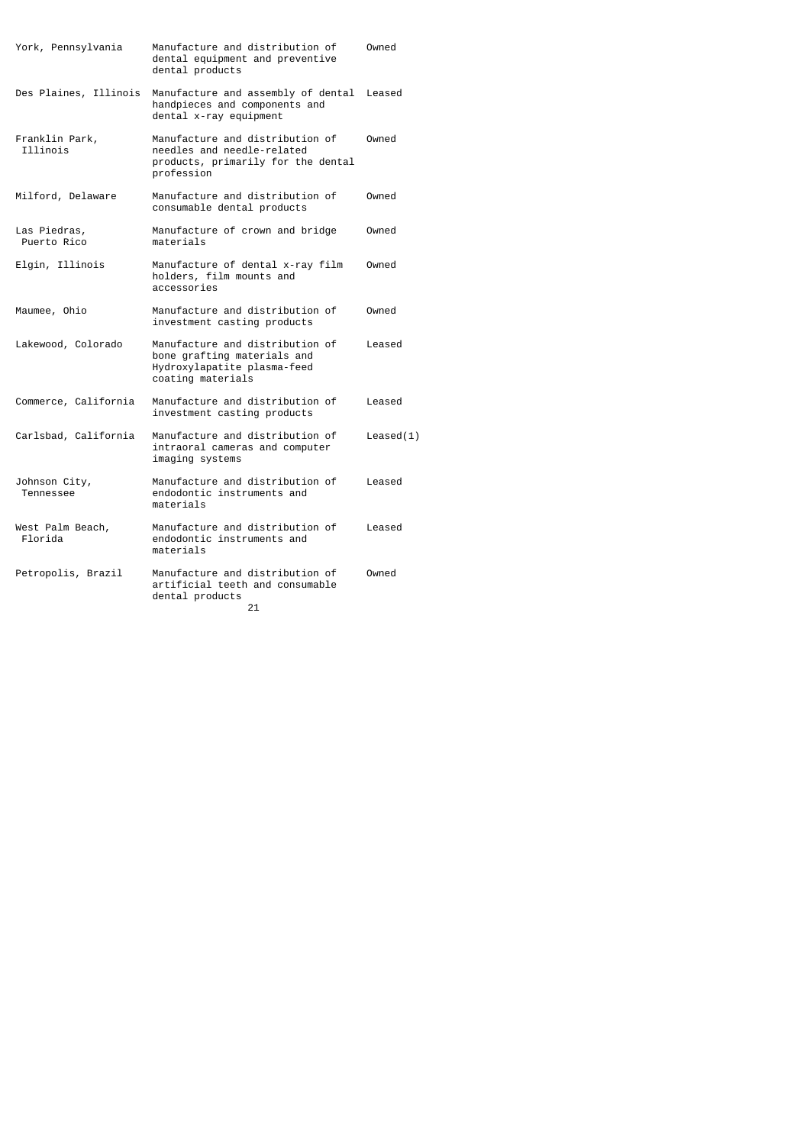| York, Pennsylvania                | Manufacture and distribution of<br>dental equipment and preventive<br>dental products                              | Owned     |
|-----------------------------------|--------------------------------------------------------------------------------------------------------------------|-----------|
| Des Plaines, Illinois             | Manufacture and assembly of dental<br>handpieces and components and<br>dental x-ray equipment                      | Leased    |
| Franklin Park,<br><b>Tllinois</b> | Manufacture and distribution of<br>needles and needle-related<br>products, primarily for the dental<br>profession  | Owned     |
| Milford, Delaware                 | Manufacture and distribution of<br>consumable dental products                                                      | Owned     |
| Las Piedras,<br>Puerto Rico       | Manufacture of crown and bridge<br>materials                                                                       | Owned     |
| Elgin, Illinois                   | Manufacture of dental x-ray film<br>holders, film mounts and<br>accessories                                        | Owned     |
| Maumee, Ohio                      | Manufacture and distribution of<br>investment casting products                                                     | Owned     |
| Lakewood, Colorado                | Manufacture and distribution of<br>bone grafting materials and<br>Hydroxylapatite plasma-feed<br>coating materials | Leased    |
| Commerce, California              | Manufacture and distribution of<br>investment casting products                                                     | Leased    |
| Carlsbad, California              | Manufacture and distribution of<br>intraoral cameras and computer<br>imaging systems                               | Leased(1) |
| Johnson City,<br>Tennessee        | Manufacture and distribution of<br>endodontic instruments and<br>materials                                         | Leased    |
| West Palm Beach,<br>Florida       | Manufacture and distribution of<br>endodontic instruments and<br>materials                                         | Leased    |
| Petropolis, Brazil                | Manufacture and distribution of<br>artificial teeth and consumable<br>dental products<br>21                        | Owned     |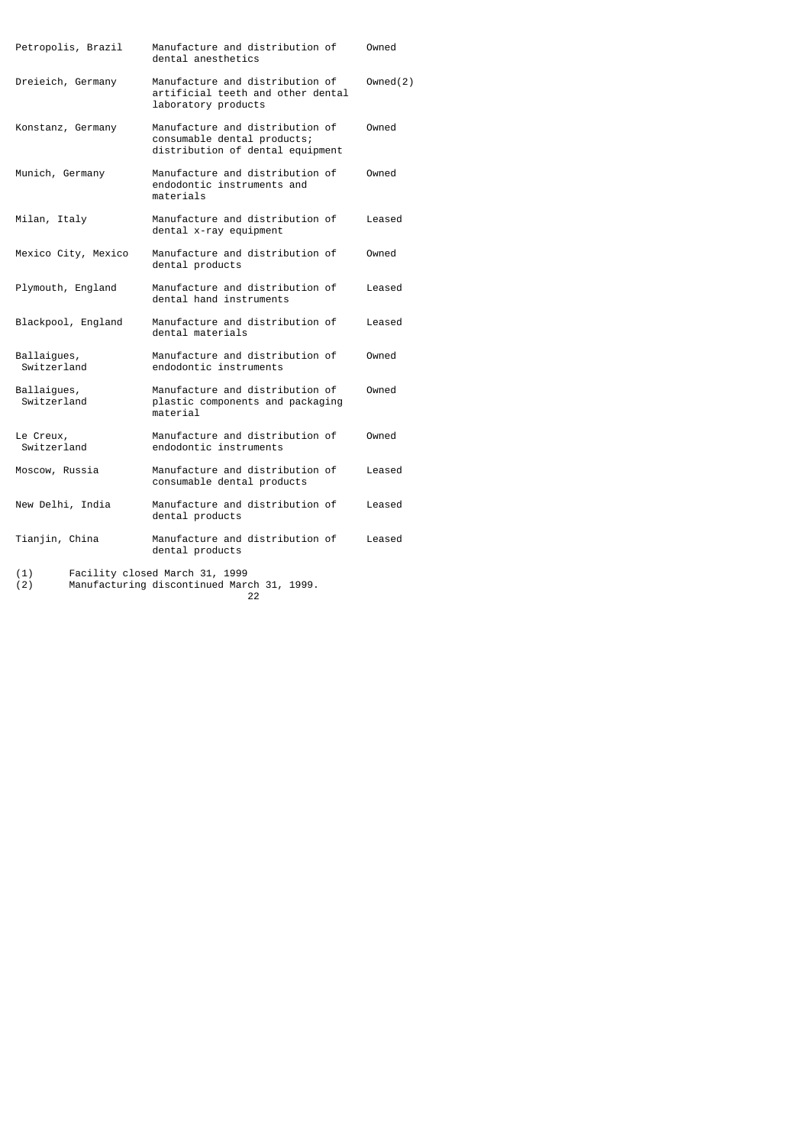| Petropolis, Brazil         | Manufacture and distribution of<br>dental anesthetics                                              | Owned    |
|----------------------------|----------------------------------------------------------------------------------------------------|----------|
| Dreieich, Germany          | Manufacture and distribution of<br>artificial teeth and other dental<br>laboratory products        | Owned(2) |
| Konstanz, Germany          | Manufacture and distribution of<br>consumable dental products;<br>distribution of dental equipment | Owned    |
| Munich, Germany            | Manufacture and distribution of<br>endodontic instruments and<br>materials                         | Owned    |
| Milan, Italy               | Manufacture and distribution of<br>dental x-ray equipment                                          | Leased   |
| Mexico City, Mexico        | Manufacture and distribution of<br>dental products                                                 | Owned    |
| Plymouth, England          | Manufacture and distribution of<br>dental hand instruments                                         | Leased   |
| Blackpool, England         | Manufacture and distribution of<br>dental materials                                                | Leased   |
| Ballaigues,<br>Switzerland | Manufacture and distribution of<br>endodontic instruments                                          | Owned    |
| Ballaigues,<br>Switzerland | Manufacture and distribution of<br>plastic components and packaging<br>material                    | Owned    |
| Le Creux,<br>Switzerland   | Manufacture and distribution of<br>endodontic instruments                                          | Owned    |
| Moscow, Russia             | Manufacture and distribution of<br>consumable dental products                                      | Leased   |
| New Delhi, India           | Manufacture and distribution of<br>dental products                                                 | Leased   |
| Tianjin, China             | Manufacture and distribution of<br>dental products                                                 | Leased   |
| (1)<br>(2)                 | Facility closed March 31, 1999<br>Manufacturing discontinued March 21 1000                         |          |

(2) Manufacturing discontinued March 31, 1999. <u>22</u>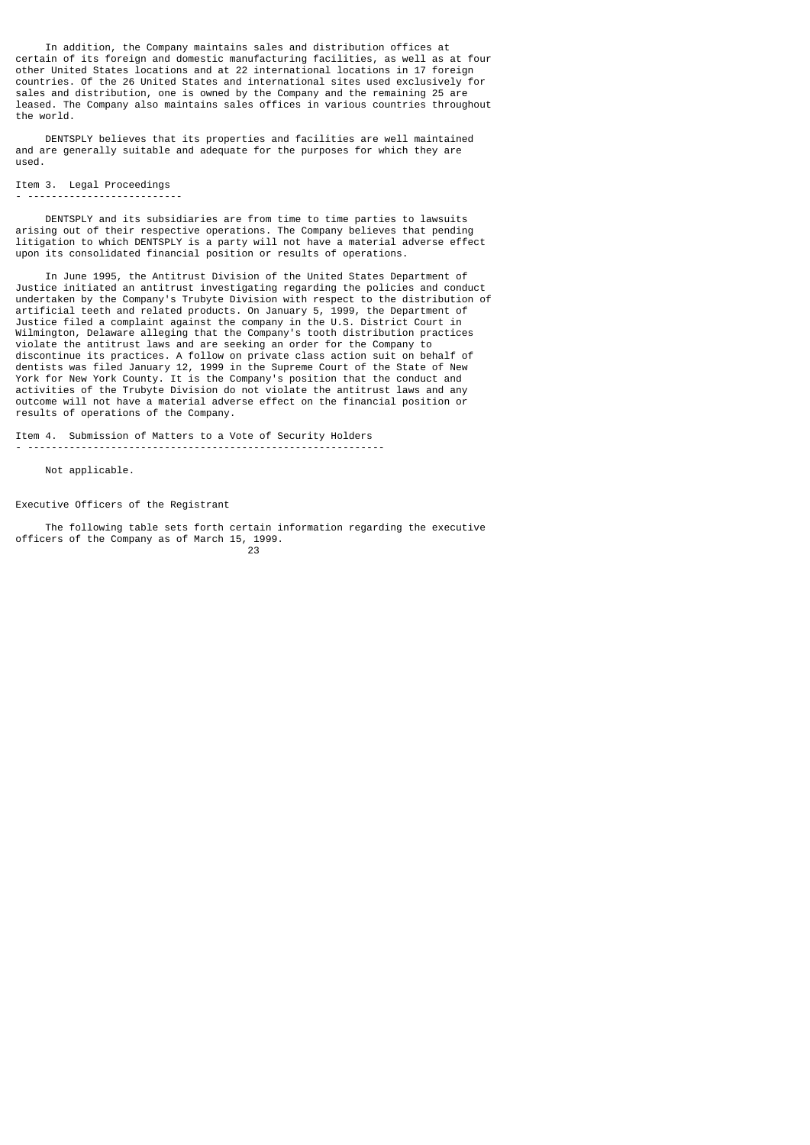In addition, the Company maintains sales and distribution offices at certain of its foreign and domestic manufacturing facilities, as well as at four other United States locations and at 22 international locations in 17 foreign countries. Of the 26 United States and international sites used exclusively for sales and distribution, one is owned by the Company and the remaining 25 are leased. The Company also maintains sales offices in various countries throughout the world.

 DENTSPLY believes that its properties and facilities are well maintained and are generally suitable and adequate for the purposes for which they are used.

## Item 3. Legal Proceedings

#### - --------------------------

 DENTSPLY and its subsidiaries are from time to time parties to lawsuits arising out of their respective operations. The Company believes that pending litigation to which DENTSPLY is a party will not have a material adverse effect upon its consolidated financial position or results of operations.

 In June 1995, the Antitrust Division of the United States Department of Justice initiated an antitrust investigating regarding the policies and conduct undertaken by the Company's Trubyte Division with respect to the distribution of artificial teeth and related products. On January 5, 1999, the Department of Justice filed a complaint against the company in the U.S. District Court in Wilmington, Delaware alleging that the Company's tooth distribution practices violate the antitrust laws and are seeking an order for the Company to discontinue its practices. A follow on private class action suit on behalf of dentists was filed January 12, 1999 in the Supreme Court of the State of New York for New York County. It is the Company's position that the conduct and activities of the Trubyte Division do not violate the antitrust laws and any outcome will not have a material adverse effect on the financial position or results of operations of the Company.

Item 4. Submission of Matters to a Vote of Security Holders - ------------------------------------------------------------

Not applicable.

Executive Officers of the Registrant

 The following table sets forth certain information regarding the executive officers of the Company as of March 15, 1999. 23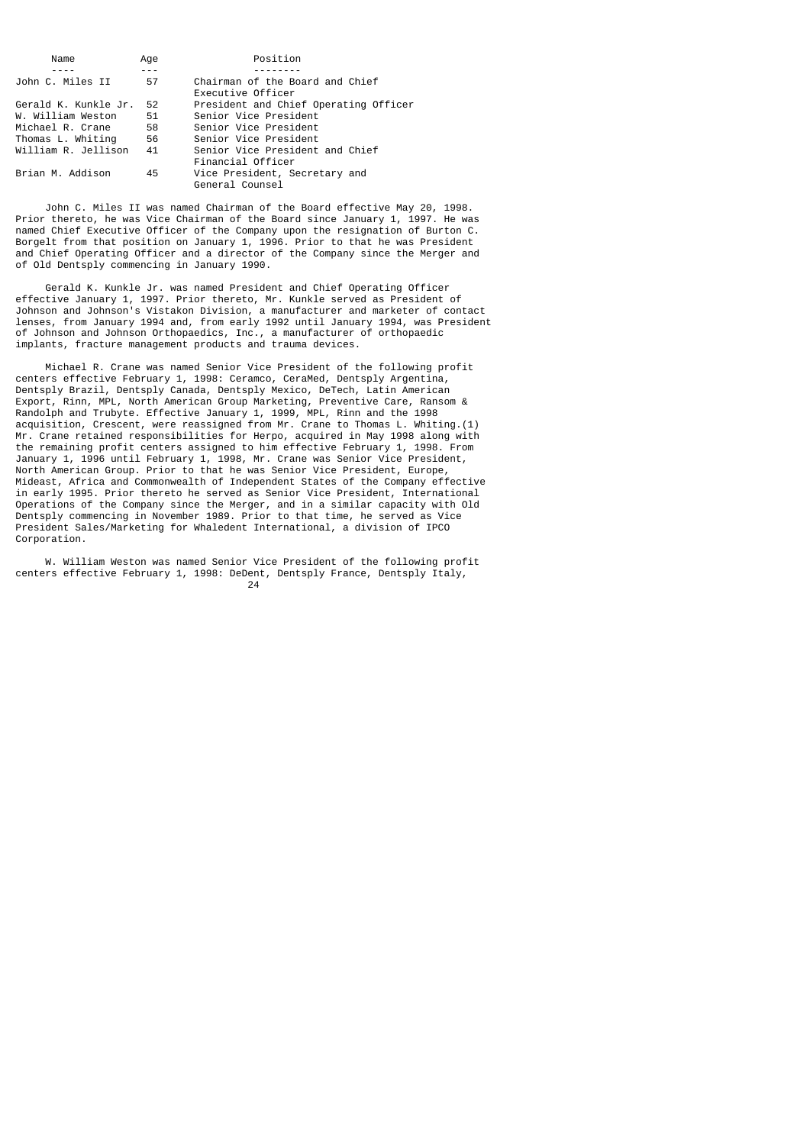| Name                 | Age | Position                                             |
|----------------------|-----|------------------------------------------------------|
|                      |     |                                                      |
| John C. Miles II     | 57  | Chairman of the Board and Chief<br>Executive Officer |
| Gerald K. Kunkle Jr. | 52  | President and Chief Operating Officer                |
| W. William Weston    | 51  | Senior Vice President                                |
| Michael R. Crane     | 58  | Senior Vice President                                |
| Thomas L. Whiting    | 56  | Senior Vice President                                |
| William R. Jellison  | 41  | Senior Vice President and Chief                      |
|                      |     | Financial Officer                                    |
| Brian M. Addison     | 45  | Vice President, Secretary and<br>General Counsel     |

 John C. Miles II was named Chairman of the Board effective May 20, 1998. Prior thereto, he was Vice Chairman of the Board since January 1, 1997. He was named Chief Executive Officer of the Company upon the resignation of Burton C. Borgelt from that position on January 1, 1996. Prior to that he was President and Chief Operating Officer and a director of the Company since the Merger and of Old Dentsply commencing in January 1990.

 Gerald K. Kunkle Jr. was named President and Chief Operating Officer effective January 1, 1997. Prior thereto, Mr. Kunkle served as President of Johnson and Johnson's Vistakon Division, a manufacturer and marketer of contact lenses, from January 1994 and, from early 1992 until January 1994, was President of Johnson and Johnson Orthopaedics, Inc., a manufacturer of orthopaedic implants, fracture management products and trauma devices.

 Michael R. Crane was named Senior Vice President of the following profit centers effective February 1, 1998: Ceramco, CeraMed, Dentsply Argentina, Dentsply Brazil, Dentsply Canada, Dentsply Mexico, DeTech, Latin American Export, Rinn, MPL, North American Group Marketing, Preventive Care, Ransom & Randolph and Trubyte. Effective January 1, 1999, MPL, Rinn and the 1998 acquisition, Crescent, were reassigned from Mr. Crane to Thomas L. Whiting.(1) Mr. Crane retained responsibilities for Herpo, acquired in May 1998 along with the remaining profit centers assigned to him effective February 1, 1998. From January 1, 1996 until February 1, 1998, Mr. Crane was Senior Vice President, North American Group. Prior to that he was Senior Vice President, Europe, Mideast, Africa and Commonwealth of Independent States of the Company effective in early 1995. Prior thereto he served as Senior Vice President, International Operations of the Company since the Merger, and in a similar capacity with Old Dentsply commencing in November 1989. Prior to that time, he served as Vice President Sales/Marketing for Whaledent International, a division of IPCO Corporation.

 W. William Weston was named Senior Vice President of the following profit centers effective February 1, 1998: DeDent, Dentsply France, Dentsply Italy,<br>24 <u>24</u>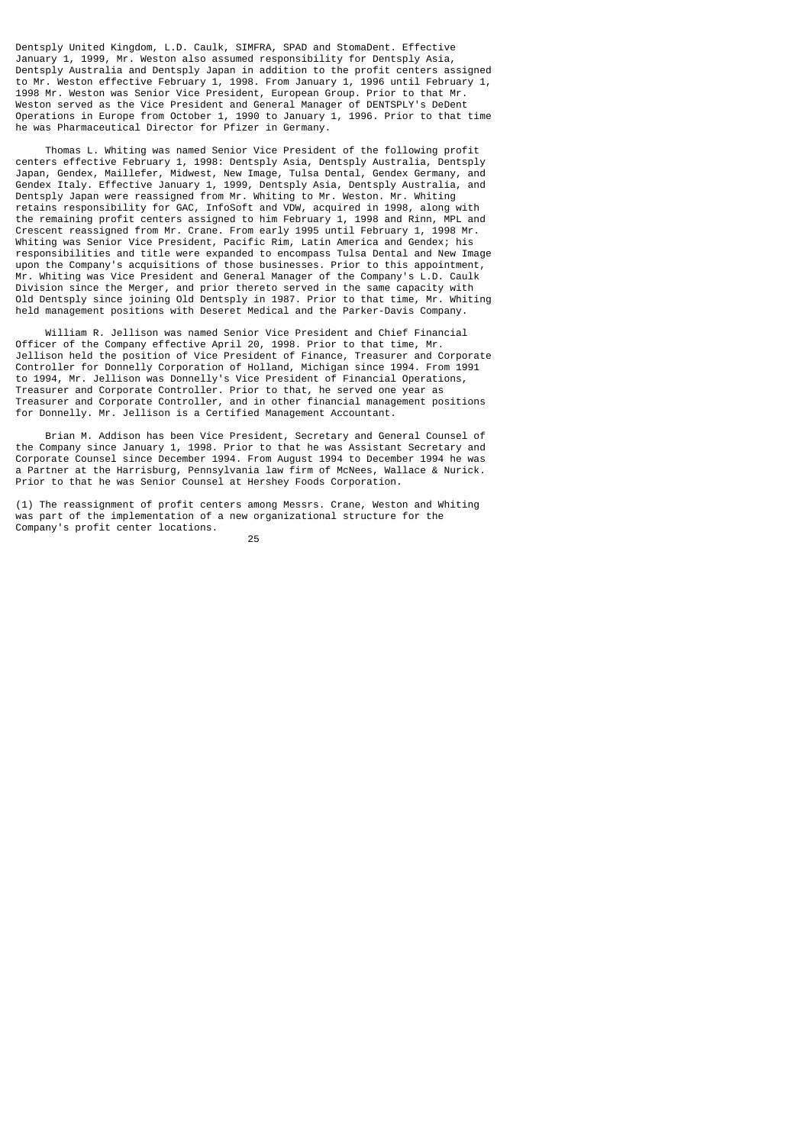Dentsply United Kingdom, L.D. Caulk, SIMFRA, SPAD and StomaDent. Effective January 1, 1999, Mr. Weston also assumed responsibility for Dentsply Asia, Dentsply Australia and Dentsply Japan in addition to the profit centers assigned to Mr. Weston effective February 1, 1998. From January 1, 1996 until February 1, 1998 Mr. Weston was Senior Vice President, European Group. Prior to that Mr. Weston served as the Vice President and General Manager of DENTSPLY's DeDent Operations in Europe from October 1, 1990 to January 1, 1996. Prior to that time he was Pharmaceutical Director for Pfizer in Germany.

 Thomas L. Whiting was named Senior Vice President of the following profit centers effective February 1, 1998: Dentsply Asia, Dentsply Australia, Dentsply Japan, Gendex, Maillefer, Midwest, New Image, Tulsa Dental, Gendex Germany, and Gendex Italy. Effective January 1, 1999, Dentsply Asia, Dentsply Australia, and Dentsply Japan were reassigned from Mr. Whiting to Mr. Weston. Mr. Whiting retains responsibility for GAC, InfoSoft and VDW, acquired in 1998, along with the remaining profit centers assigned to him February 1, 1998 and Rinn, MPL and Crescent reassigned from Mr. Crane. From early 1995 until February 1, 1998 Mr. Whiting was Senior Vice President, Pacific Rim, Latin America and Gendex; his responsibilities and title were expanded to encompass Tulsa Dental and New Image upon the Company's acquisitions of those businesses. Prior to this appointment, Mr. Whiting was Vice President and General Manager of the Company's L.D. Caulk Division since the Merger, and prior thereto served in the same capacity with Old Dentsply since joining Old Dentsply in 1987. Prior to that time, Mr. Whiting held management positions with Deseret Medical and the Parker-Davis Company.

 William R. Jellison was named Senior Vice President and Chief Financial Officer of the Company effective April 20, 1998. Prior to that time, Mr. Jellison held the position of Vice President of Finance, Treasurer and Corporate Controller for Donnelly Corporation of Holland, Michigan since 1994. From 1991 to 1994, Mr. Jellison was Donnelly's Vice President of Financial Operations, Treasurer and Corporate Controller. Prior to that, he served one year as Treasurer and Corporate Controller, and in other financial management positions for Donnelly. Mr. Jellison is a Certified Management Accountant.

 Brian M. Addison has been Vice President, Secretary and General Counsel of the Company since January 1, 1998. Prior to that he was Assistant Secretary and Corporate Counsel since December 1994. From August 1994 to December 1994 he was a Partner at the Harrisburg, Pennsylvania law firm of McNees, Wallace & Nurick. Prior to that he was Senior Counsel at Hershey Foods Corporation.

(1) The reassignment of profit centers among Messrs. Crane, Weston and Whiting was part of the implementation of a new organizational structure for the Company's profit center locations.

<u>25 and 25</u>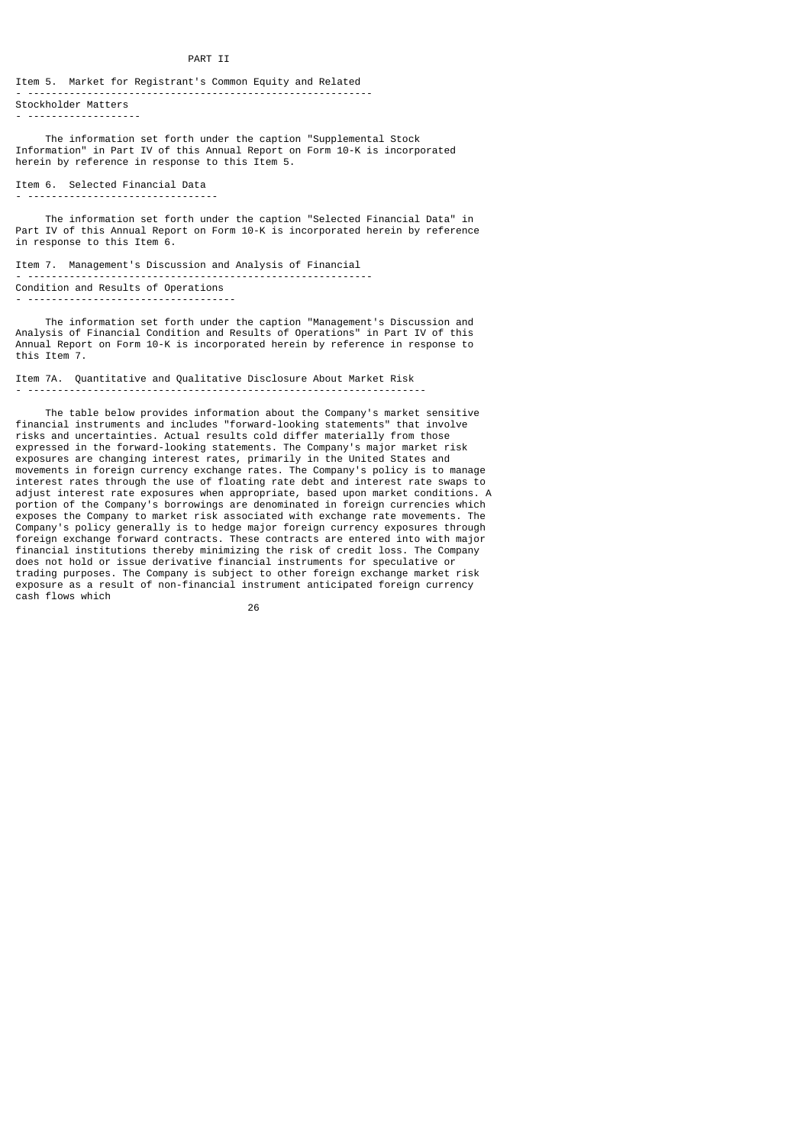#### PART TT

#### Item 5. Market for Registrant's Common Equity and Related - ---------------------------------------------------------- Stockholder Matters

- -------------------

 The information set forth under the caption "Supplemental Stock Information" in Part IV of this Annual Report on Form 10-K is incorporated herein by reference in response to this Item 5.

### Item 6. Selected Financial Data - --------------------------------

 The information set forth under the caption "Selected Financial Data" in Part IV of this Annual Report on Form 10-K is incorporated herein by reference in response to this Item 6.

Item 7. Management's Discussion and Analysis of Financial - ---------------------------------------------------------- Condition and Results of Operations - -----------------------------------

 The information set forth under the caption "Management's Discussion and Analysis of Financial Condition and Results of Operations" in Part IV of this Annual Report on Form 10-K is incorporated herein by reference in response to this Item 7.

## Item 7A. Quantitative and Qualitative Disclosure About Market Risk - -------------------------------------------------------------------

 The table below provides information about the Company's market sensitive financial instruments and includes "forward-looking statements" that involve risks and uncertainties. Actual results cold differ materially from those expressed in the forward-looking statements. The Company's major market risk exposures are changing interest rates, primarily in the United States and movements in foreign currency exchange rates. The Company's policy is to manage interest rates through the use of floating rate debt and interest rate swaps to adjust interest rate exposures when appropriate, based upon market conditions. A portion of the Company's borrowings are denominated in foreign currencies which exposes the Company to market risk associated with exchange rate movements. The Company's policy generally is to hedge major foreign currency exposures through foreign exchange forward contracts. These contracts are entered into with major financial institutions thereby minimizing the risk of credit loss. The Company does not hold or issue derivative financial instruments for speculative or trading purposes. The Company is subject to other foreign exchange market risk exposure as a result of non-financial instrument anticipated foreign currency cash flows which

<u>26 and 26</u>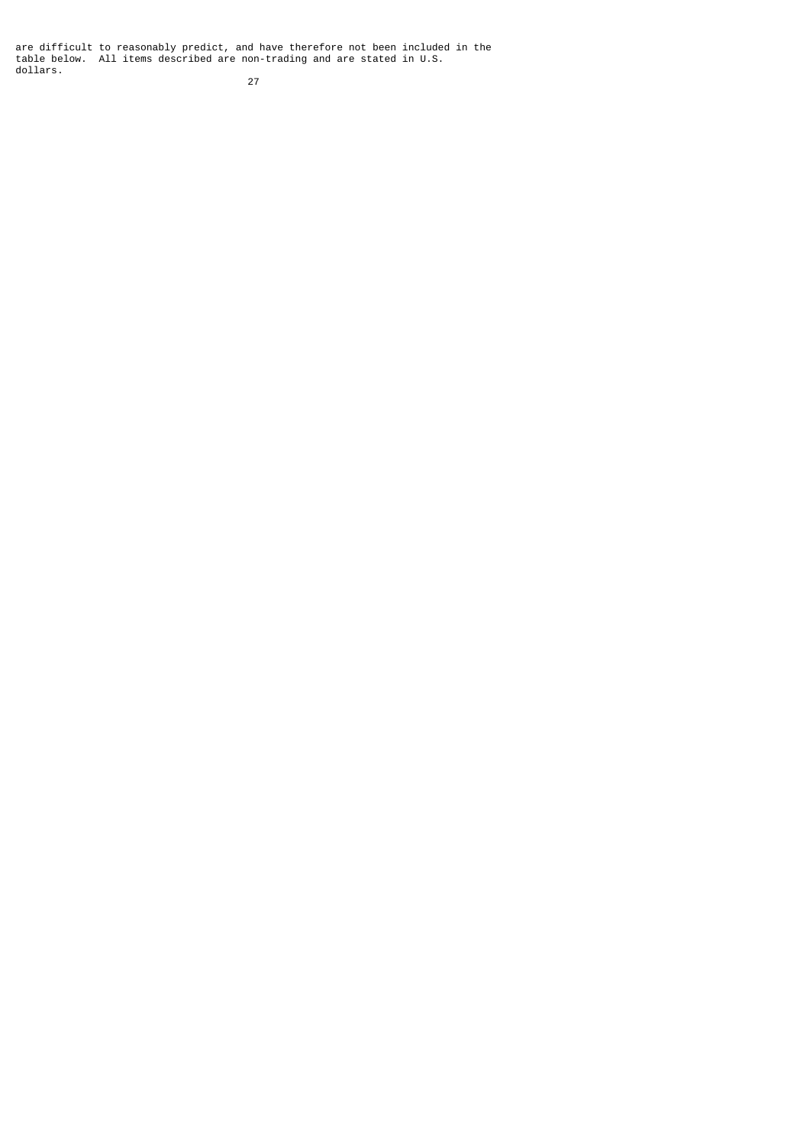are difficult to reasonably predict, and have therefore not been included in the table below. All items described are non-trading and are stated in U.S. dollars.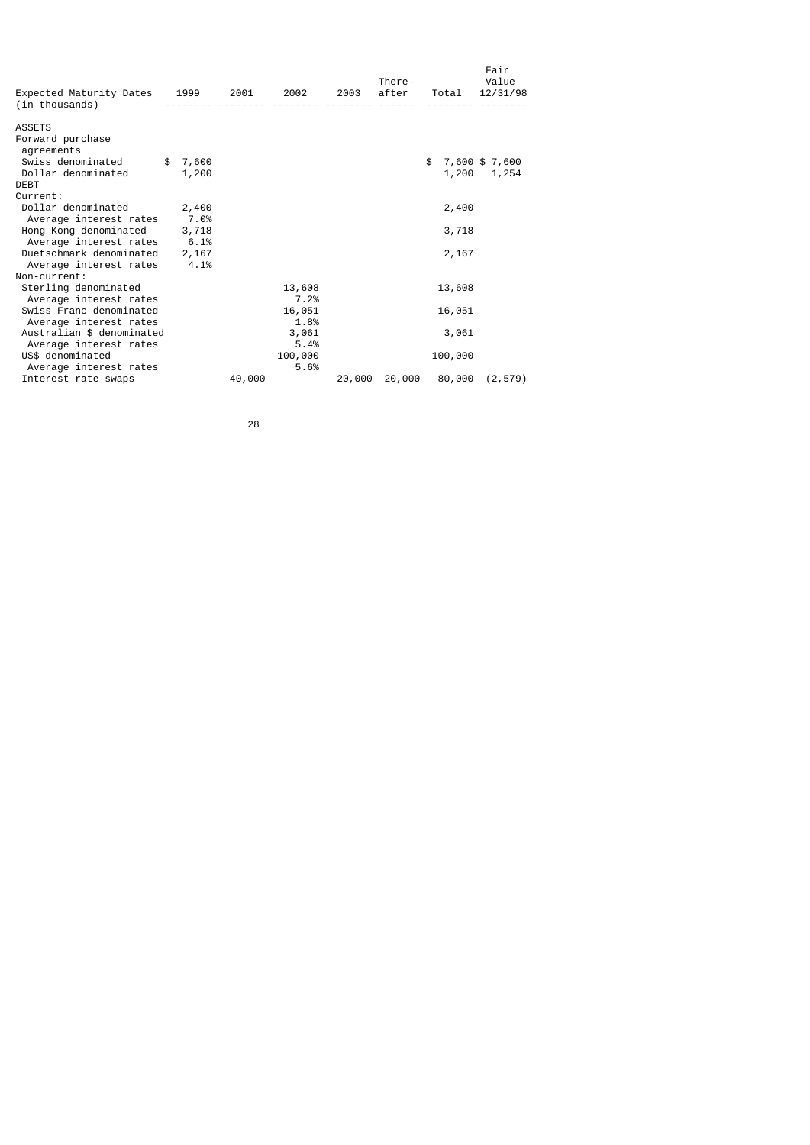| Expected Maturity Dates 1999<br>(in thousands)    |               | 2001 - 10 | 2002           | 2003   | There-<br>after | Total   | Fair<br>Value<br>12/31/98 |
|---------------------------------------------------|---------------|-----------|----------------|--------|-----------------|---------|---------------------------|
| <b>ASSETS</b>                                     |               |           |                |        |                 |         |                           |
| Forward purchase<br>agreements                    |               |           |                |        |                 |         |                           |
| Swiss denominated                                 | \$<br>7,600   |           |                |        |                 | \$      | 7,600 \$7,600             |
| Dollar denominated<br><b>DEBT</b>                 | 1,200         |           |                |        |                 | 1,200   | 1,254                     |
| Current:                                          |               |           |                |        |                 |         |                           |
| Dollar denominated                                | 2,400         |           |                |        |                 | 2,400   |                           |
| Average interest rates                            | 7.0%          |           |                |        |                 |         |                           |
| Hong Kong denominated                             | 3,718         |           |                |        |                 | 3,718   |                           |
| Average interest rates<br>Duetschmark denominated | 6.1%<br>2,167 |           |                |        |                 | 2,167   |                           |
| Average interest rates                            | 4.1%          |           |                |        |                 |         |                           |
| Non-current:                                      |               |           |                |        |                 |         |                           |
| Sterling denominated                              |               |           | 13,608         |        |                 | 13,608  |                           |
| Average interest rates                            |               |           | 7.2%           |        |                 |         |                           |
| Swiss Franc denominated<br>Average interest rates |               |           | 16,051<br>1.8% |        |                 | 16,051  |                           |
| Australian \$ denominated                         |               |           | 3,061          |        |                 | 3,061   |                           |
| Average interest rates                            |               |           | 5.4%           |        |                 |         |                           |
| US\$ denominated                                  |               |           | 100,000        |        |                 | 100,000 |                           |
| Average interest rates                            |               |           | 5.6%           |        |                 |         |                           |
| Interest rate swaps                               |               | 40,000    |                | 20,000 | 20,000          | 80,000  | (2, 579)                  |

<u>28 and 28 and 28 and 28 and 28 and 28 and 28 and 28 and 28 and 28 and 28 and 28 and 28 and 28 and 28 and 28 and 28 and 28 and 28 and 28 and 28 and 28 and 28 and 28 and 28 and 28 and 28 and 28 and 28 and 28 and 28 and 28 a</u>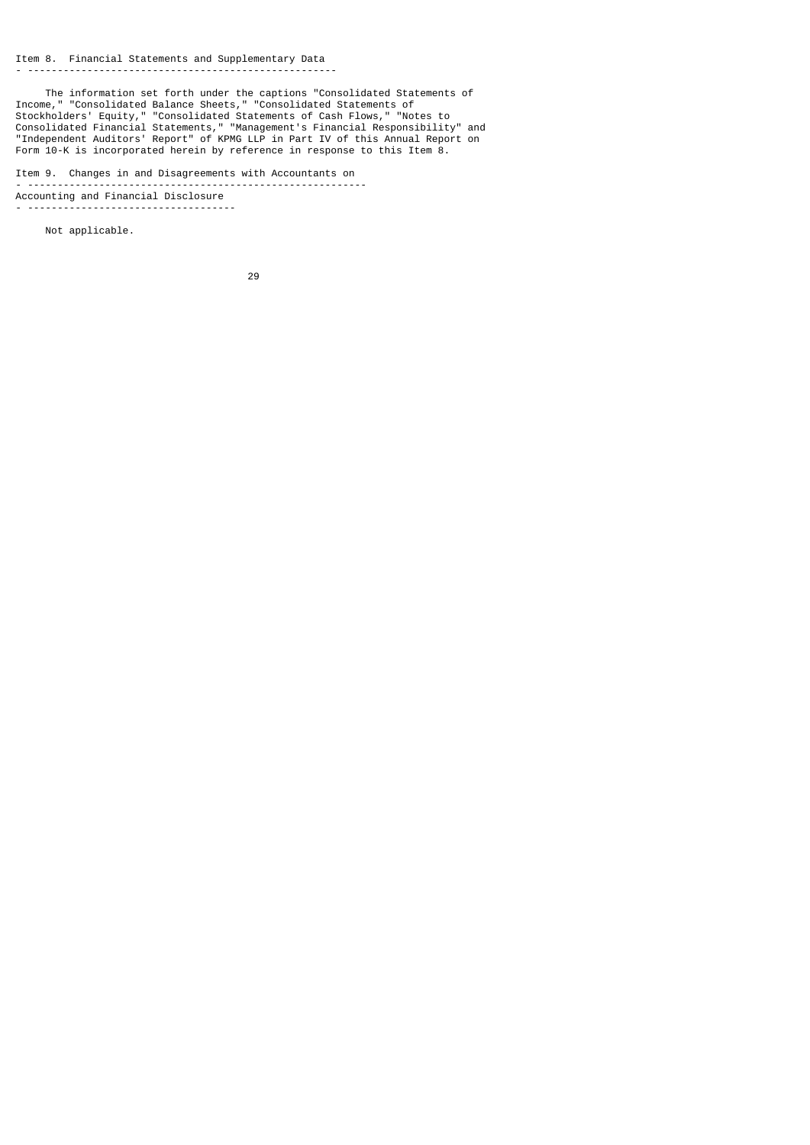The information set forth under the captions "Consolidated Statements of Income," "Consolidated Balance Sheets," "Consolidated Statements of Stockholders' Equity," "Consolidated Statements of Cash Flows," "Notes to Consolidated Financial Statements," "Management's Financial Responsibility" and "Independent Auditors' Report" of KPMG LLP in Part IV of this Annual Report on Form 10-K is incorporated herein by reference in response to this Item 8.

Item 9. Changes in and Disagreements with Accountants on - --------------------------------------------------------- Accounting and Financial Disclosure - -----------------------------------

Not applicable.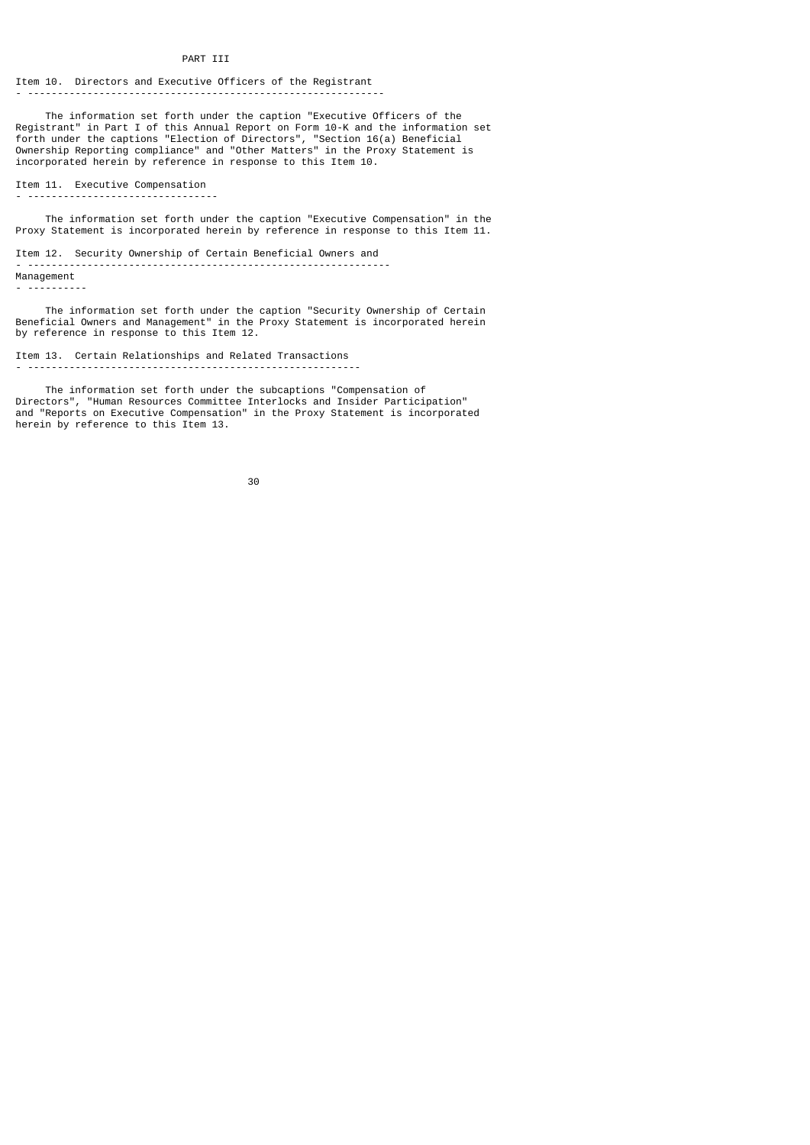### PART III

Item 10. Directors and Executive Officers of the Registrant - ------------------------------------------------------------

 The information set forth under the caption "Executive Officers of the Registrant" in Part I of this Annual Report on Form 10-K and the information set forth under the captions "Election of Directors", "Section 16(a) Beneficial Ownership Reporting compliance" and "Other Matters" in the Proxy Statement is incorporated herein by reference in response to this Item 10.

Item 11. Executive Compensation - --------------------------------

 The information set forth under the caption "Executive Compensation" in the Proxy Statement is incorporated herein by reference in response to this Item 11.

Item 12. Security Ownership of Certain Beneficial Owners and - ------------------------------------------------------------- Management

- ----------

 The information set forth under the caption "Security Ownership of Certain Beneficial Owners and Management" in the Proxy Statement is incorporated herein by reference in response to this Item 12.

- --------------------------------------------------------

Item 13. Certain Relationships and Related Transactions

 The information set forth under the subcaptions "Compensation of Directors", "Human Resources Committee Interlocks and Insider Participation" and "Reports on Executive Compensation" in the Proxy Statement is incorporated herein by reference to this Item 13.

30 and 20 and 20 and 20 and 20 and 20 and 20 and 20 and 20 and 20 and 20 and 20 and 20 and 20 and 20 and 20 an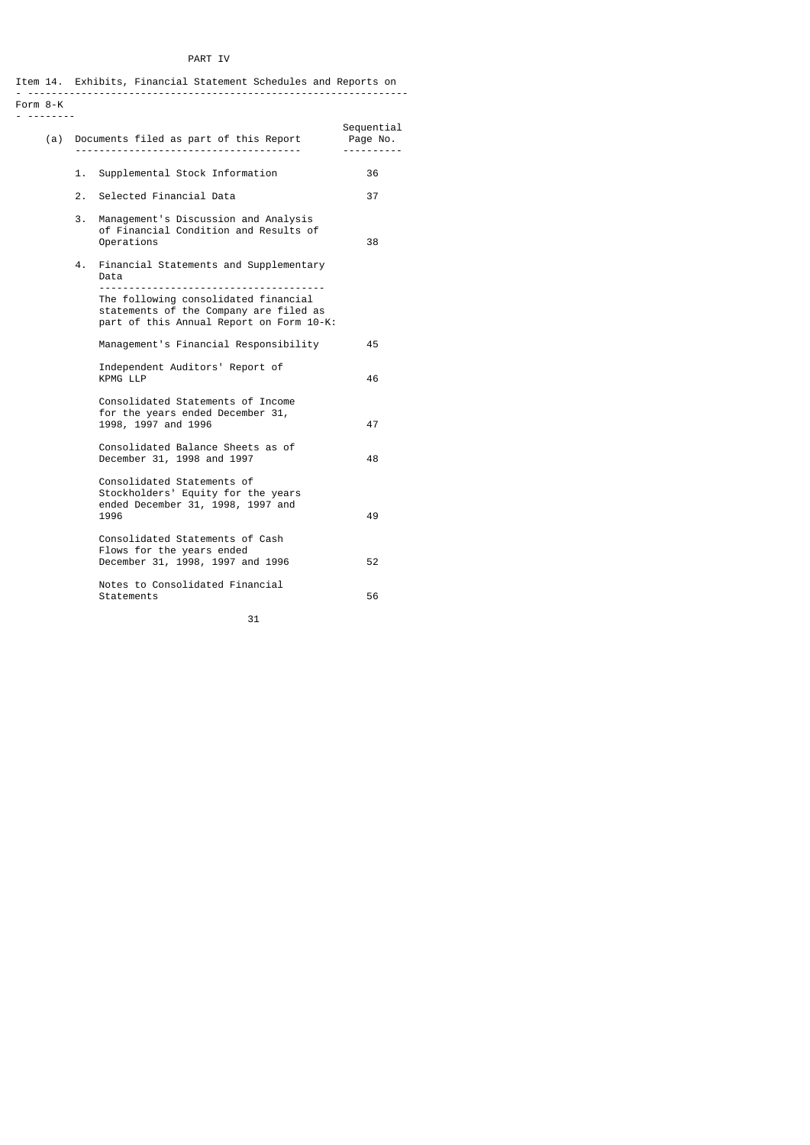# PART IV

Item 14. Exhibits, Financial Statement Schedules and Reports on - ---------------------------------------------------------------- Form 8-K

- --------

|    | (a) Documents filed as part of this Report Page No.<br>.                                                                   | Sequential |
|----|----------------------------------------------------------------------------------------------------------------------------|------------|
| 1. | Supplemental Stock Information                                                                                             | 36         |
| 2. | Selected Financial Data                                                                                                    | 37         |
| 3. | Management's Discussion and Analysis<br>of Financial Condition and Results of<br>Operations                                | 38         |
| 4. | Financial Statements and Supplementary<br>Data                                                                             |            |
|    | The following consolidated financial<br>statements of the Company are filed as<br>part of this Annual Report on Form 10-K: |            |
|    | Management's Financial Responsibility                                                                                      | 45         |
|    | Independent Auditors' Report of<br>KPMG LLP                                                                                | 46         |
|    | Consolidated Statements of Income<br>for the years ended December 31,<br>1998, 1997 and 1996                               | 47         |
|    | Consolidated Balance Sheets as of<br>December 31, 1998 and 1997                                                            | 48         |
|    | Consolidated Statements of<br>Stockholders' Equity for the years<br>ended December 31, 1998, 1997 and<br>1996              | 49         |
|    | Consolidated Statements of Cash<br>Flows for the years ended<br>December 31, 1998, 1997 and 1996                           | 52         |
|    | Notes to Consolidated Financial<br>Statements                                                                              | 56         |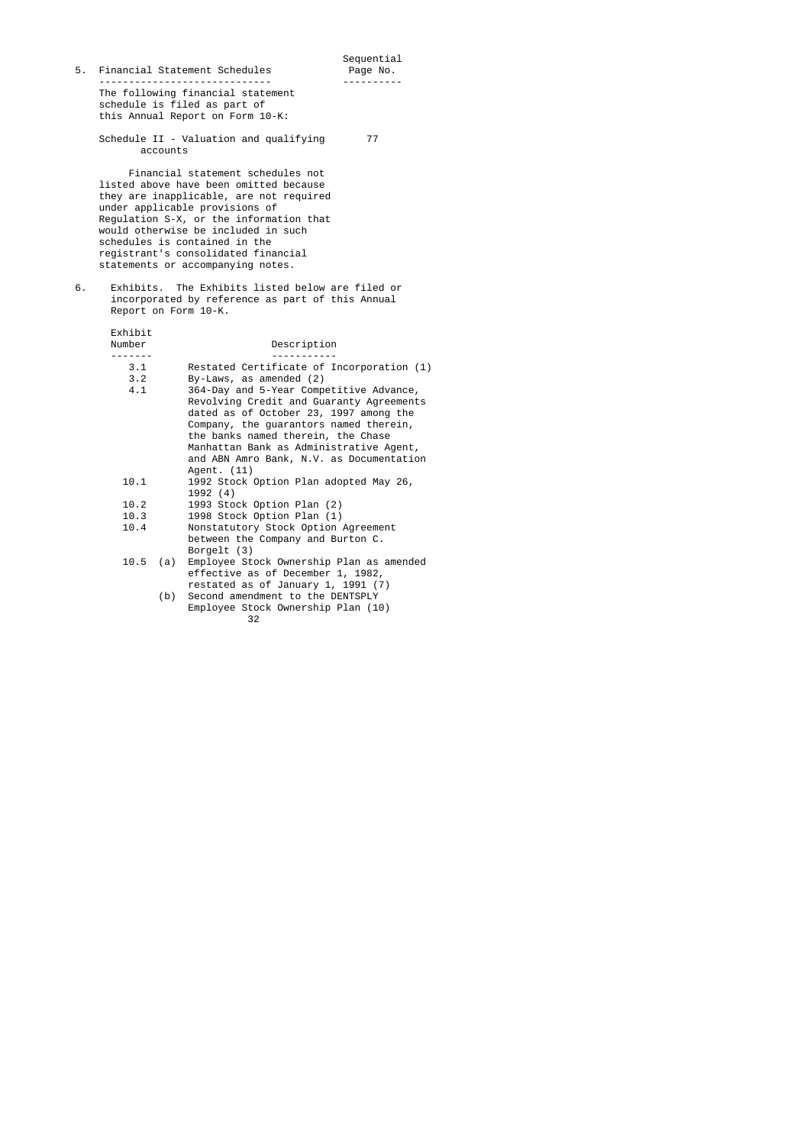| 5. |                      | Financial Statement Schedules                                                                                                                                                                                                                                                                                                                                                               | Sequential<br>Page No. |
|----|----------------------|---------------------------------------------------------------------------------------------------------------------------------------------------------------------------------------------------------------------------------------------------------------------------------------------------------------------------------------------------------------------------------------------|------------------------|
|    |                      | The following financial statement<br>schedule is filed as part of<br>this Annual Report on Form 10-K:                                                                                                                                                                                                                                                                                       |                        |
|    | accounts             | Schedule II - Valuation and qualifying                                                                                                                                                                                                                                                                                                                                                      | 77                     |
|    |                      | Financial statement schedules not<br>listed above have been omitted because<br>they are inapplicable, are not required<br>under applicable provisions of<br>Regulation S-X, or the information that<br>would otherwise be included in such<br>schedules is contained in the<br>registrant's consolidated financial<br>statements or accompanying notes.                                     |                        |
| 6. | Report on Form 10-K. | Exhibits. The Exhibits listed below are filed or<br>incorporated by reference as part of this Annual                                                                                                                                                                                                                                                                                        |                        |
|    | Exhibit<br>Number    | Description                                                                                                                                                                                                                                                                                                                                                                                 |                        |
|    | 3.1<br>3.2<br>4.1    | Restated Certificate of Incorporation (1)<br>By-Laws, as amended (2)<br>364-Day and 5-Year Competitive Advance,<br>Revolving Credit and Guaranty Agreements<br>dated as of October 23, 1997 among the<br>Company, the guarantors named therein,<br>the banks named therein, the Chase<br>Manhattan Bank as Administrative Agent,<br>and ABN Amro Bank, N.V. as Documentation<br>Agent. (11) |                        |
|    | 10.1                 | 1992 Stock Option Plan adopted May 26,<br>1992 (4)                                                                                                                                                                                                                                                                                                                                          |                        |
|    | 10.2                 | 1993 Stock Option Plan (2)                                                                                                                                                                                                                                                                                                                                                                  |                        |
|    | 10.3<br>10.4         | 1998 Stock Option Plan (1)                                                                                                                                                                                                                                                                                                                                                                  |                        |
|    |                      | Nonstatutory Stock Option Agreement<br>between the Company and Burton C.<br>Borgelt (3)                                                                                                                                                                                                                                                                                                     |                        |
|    | 10.5<br>(a)          | Employee Stock Ownership Plan as amended<br>effective as of December 1, 1982,<br>restated as of January 1, 1991 (7)                                                                                                                                                                                                                                                                         |                        |
|    |                      |                                                                                                                                                                                                                                                                                                                                                                                             |                        |

 (b) Second amendment to the DENTSPLY Employee Stock Ownership Plan (10)  $32$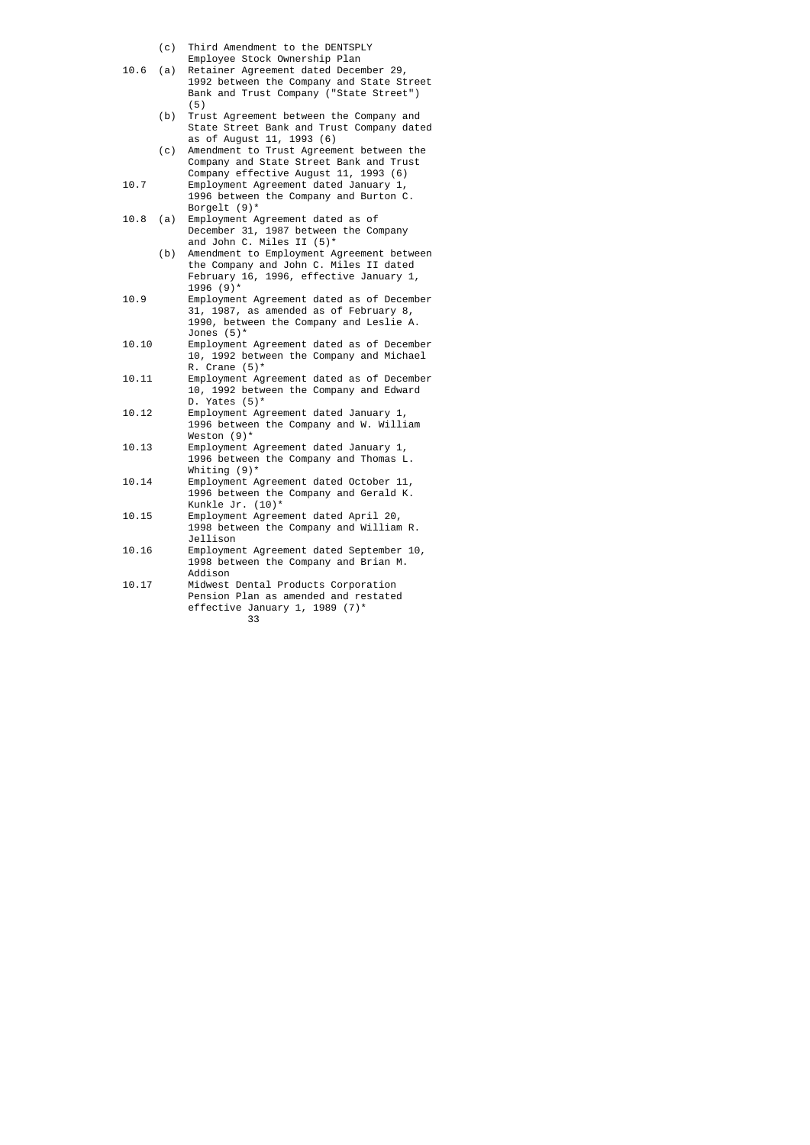- (c) Third Amendment to the DENTSPLY
- Employee Stock Ownership Plan<br>10.6 (a) Retainer Agreement dated Decem
- Retainer Agreement dated December 29, 1992 between the Company and State Street Bank and Trust Company ("State Street")  $(5)$ 
	- (b) Trust Agreement between the Company and State Street Bank and Trust Company dated as of August 11, 1993 (6)
- (c) Amendment to Trust Agreement between the Company and State Street Bank and Trust Company effective August 11, 1993 (6)
	- 10.7 Employment Agreement dated January 1, 1996 between the Company and Burton C.
- Borgelt (9)\*<br>10.8 (a) Employment A Employment Agreement dated as of December 31, 1987 between the Company and John C. Miles II (5)\*
- (b) Amendment to Employment Agreement between the Company and John C. Miles II dated February 16, 1996, effective January 1,  $1996 \hspace{1mm} (9)^*$
- 10.9 Employment Agreement dated as of December 31, 1987, as amended as of February 8, 1990, between the Company and Leslie A. Jones (5)\*
- 10.10 Employment Agreement dated as of December 10, 1992 between the Company and Michael R. Crane (5)\*
- 10.11 Employment Agreement dated as of December 10, 1992 between the Company and Edward D. Yates (5)\*
	- 10.12 Employment Agreement dated January 1, 1996 between the Company and W. William  $\begin{array}{cc}\n\text{Weston (9)}\\
	10.13\n\end{array}$
	- mesee...., 2, 1996 between the Company and Thomas L.  $Whiting (9)*$ <br>10.14 Employment A
- Employment Agreement dated October 11, 1996 between the Company and Gerald K. Kunkle Jr. (10)\*
- 10.15 Employment Agreement dated April 20, 1998 between the Company and William R. Jellison<br>10.16 Employmer
	- Employment Agreement dated September 10, 1998 between the Company and Brian M.
- Addison<br>10.17 Midwest Midwest Dental Products Corporation Pension Plan as amended and restated effective January 1, 1989 (7)\*<br>33 33 and 2012 and 2013 and 2013 and 2014 and 2014 and 2014 and 2014 and 2014 and 2014 and 2014 and 2014 and 2014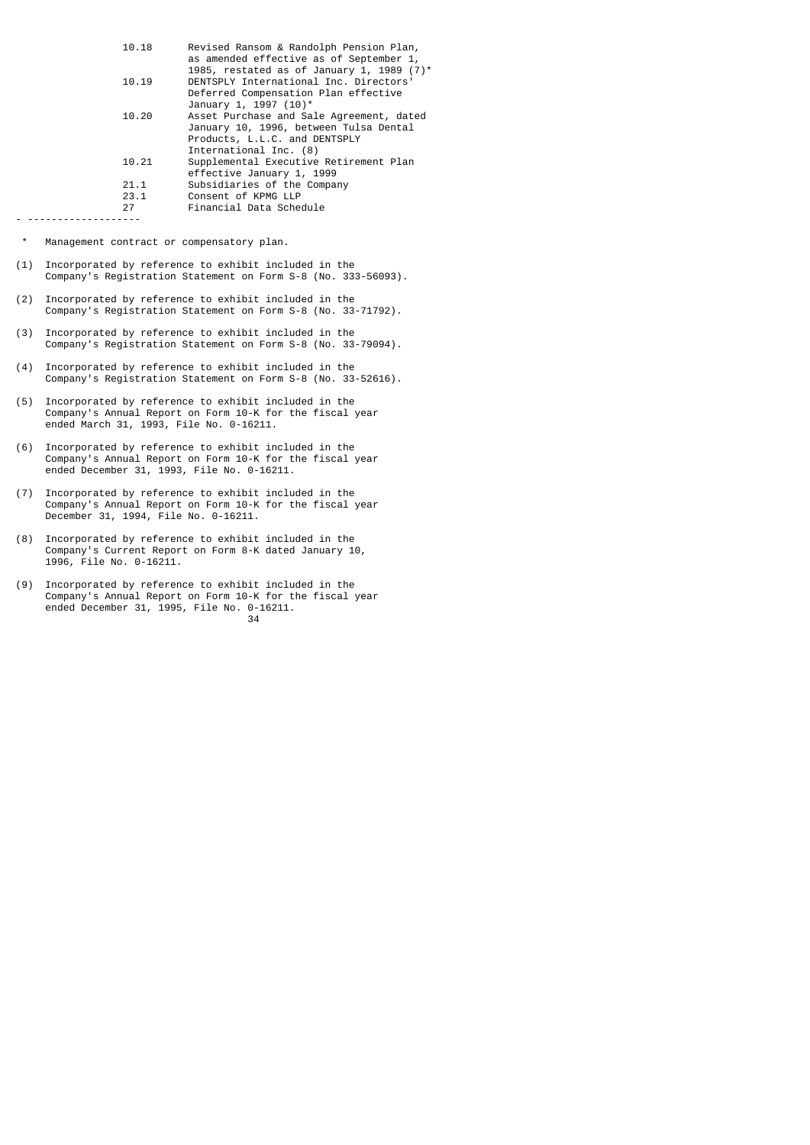| 10.18              | Revised Ransom & Randolph Pension Plan,<br>as amended effective as of September 1,<br>1985, restated as of January 1, 1989 $(7)^*$            |
|--------------------|-----------------------------------------------------------------------------------------------------------------------------------------------|
| 10.19              | DENTSPLY International Inc. Directors'<br>Deferred Compensation Plan effective<br>January 1, 1997 (10)*                                       |
| 10.20              | Asset Purchase and Sale Agreement, dated<br>January 10, 1996, between Tulsa Dental<br>Products, L.L.C. and DENTSPLY<br>International Inc. (8) |
| 10.21              | Supplemental Executive Retirement Plan<br>effective January 1, 1999                                                                           |
| 21.1<br>23.1<br>27 | Subsidiaries of the Company<br>Consent of KPMG LLP<br>Financial Data Schedule                                                                 |

- -------------------

\* Management contract or compensatory plan.

- (1) Incorporated by reference to exhibit included in the Company's Registration Statement on Form S-8 (No. 333-56093).
- (2) Incorporated by reference to exhibit included in the Company's Registration Statement on Form S-8 (No. 33-71792).
- (3) Incorporated by reference to exhibit included in the Company's Registration Statement on Form S-8 (No. 33-79094).
- (4) Incorporated by reference to exhibit included in the Company's Registration Statement on Form S-8 (No. 33-52616).
- (5) Incorporated by reference to exhibit included in the Company's Annual Report on Form 10-K for the fiscal year ended March 31, 1993, File No. 0-16211.
- (6) Incorporated by reference to exhibit included in the Company's Annual Report on Form 10-K for the fiscal year ended December 31, 1993, File No. 0-16211.
- (7) Incorporated by reference to exhibit included in the Company's Annual Report on Form 10-K for the fiscal year December 31, 1994, File No. 0-16211.
- (8) Incorporated by reference to exhibit included in the Company's Current Report on Form 8-K dated January 10, 1996, File No. 0-16211.
- (9) Incorporated by reference to exhibit included in the Company's Annual Report on Form 10-K for the fiscal year ended December 31, 1995, File No. 0-16211.  $34$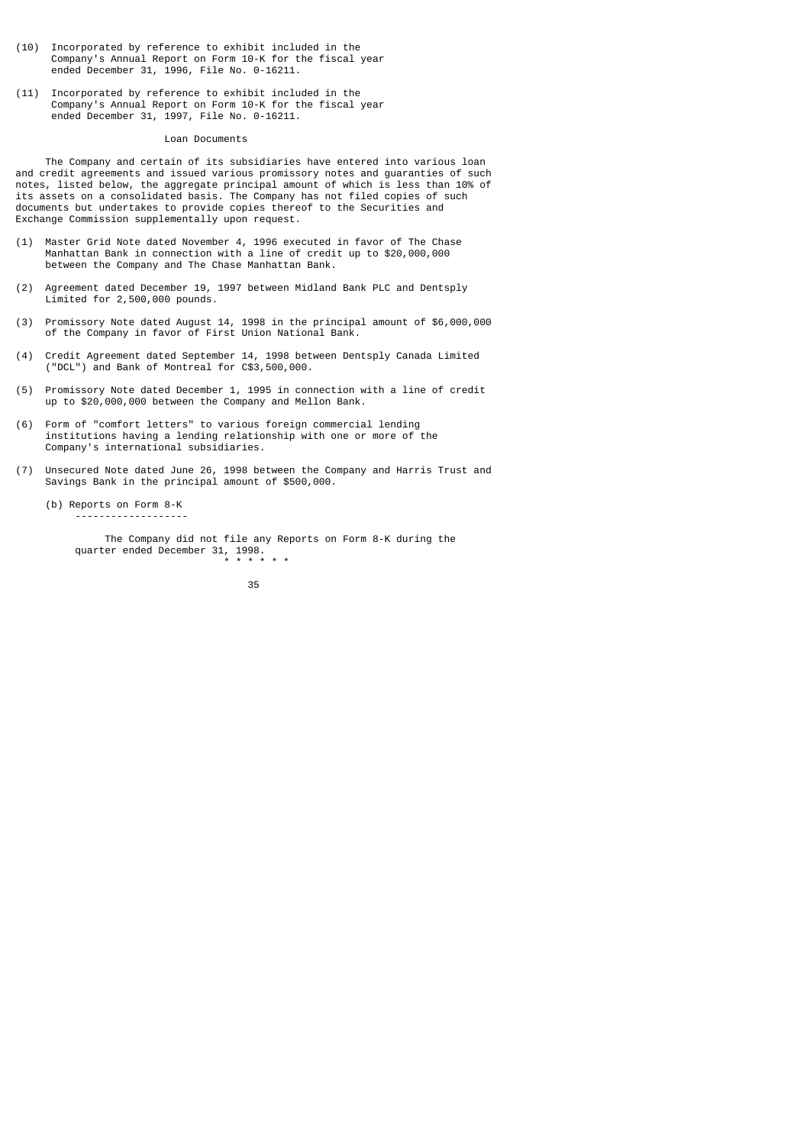- (10) Incorporated by reference to exhibit included in the Company's Annual Report on Form 10-K for the fiscal year ended December 31, 1996, File No. 0-16211.
- (11) Incorporated by reference to exhibit included in the Company's Annual Report on Form 10-K for the fiscal year ended December 31, 1997, File No. 0-16211.

#### Loan Documents

 The Company and certain of its subsidiaries have entered into various loan and credit agreements and issued various promissory notes and guaranties of such notes, listed below, the aggregate principal amount of which is less than 10% of its assets on a consolidated basis. The Company has not filed copies of such documents but undertakes to provide copies thereof to the Securities and Exchange Commission supplementally upon request.

- (1) Master Grid Note dated November 4, 1996 executed in favor of The Chase Manhattan Bank in connection with a line of credit up to \$20,000,000 between the Company and The Chase Manhattan Bank.
- (2) Agreement dated December 19, 1997 between Midland Bank PLC and Dentsply Limited for 2,500,000 pounds.
- (3) Promissory Note dated August 14, 1998 in the principal amount of \$6,000,000 of the Company in favor of First Union National Bank.
- (4) Credit Agreement dated September 14, 1998 between Dentsply Canada Limited ("DCL") and Bank of Montreal for C\$3,500,000.
- (5) Promissory Note dated December 1, 1995 in connection with a line of credit up to \$20,000,000 between the Company and Mellon Bank.
- (6) Form of "comfort letters" to various foreign commercial lending institutions having a lending relationship with one or more of the Company's international subsidiaries.
- (7) Unsecured Note dated June 26, 1998 between the Company and Harris Trust and Savings Bank in the principal amount of \$500,000.

 (b) Reports on Form 8-K -------------------

 The Company did not file any Reports on Form 8-K during the quarter ended December 31, 1998. \* \* \* \* \* \*

<u>35 and 200 and 200 and 200 and 200 and 200 and 200 and 200 and 200 and 200 and 200 and 200 and 200 and 200 and 200 and 200 and 200 and 200 and 200 and 200 and 200 and 200 and 200 and 200 and 200 and 200 and 200 and 200 an</u>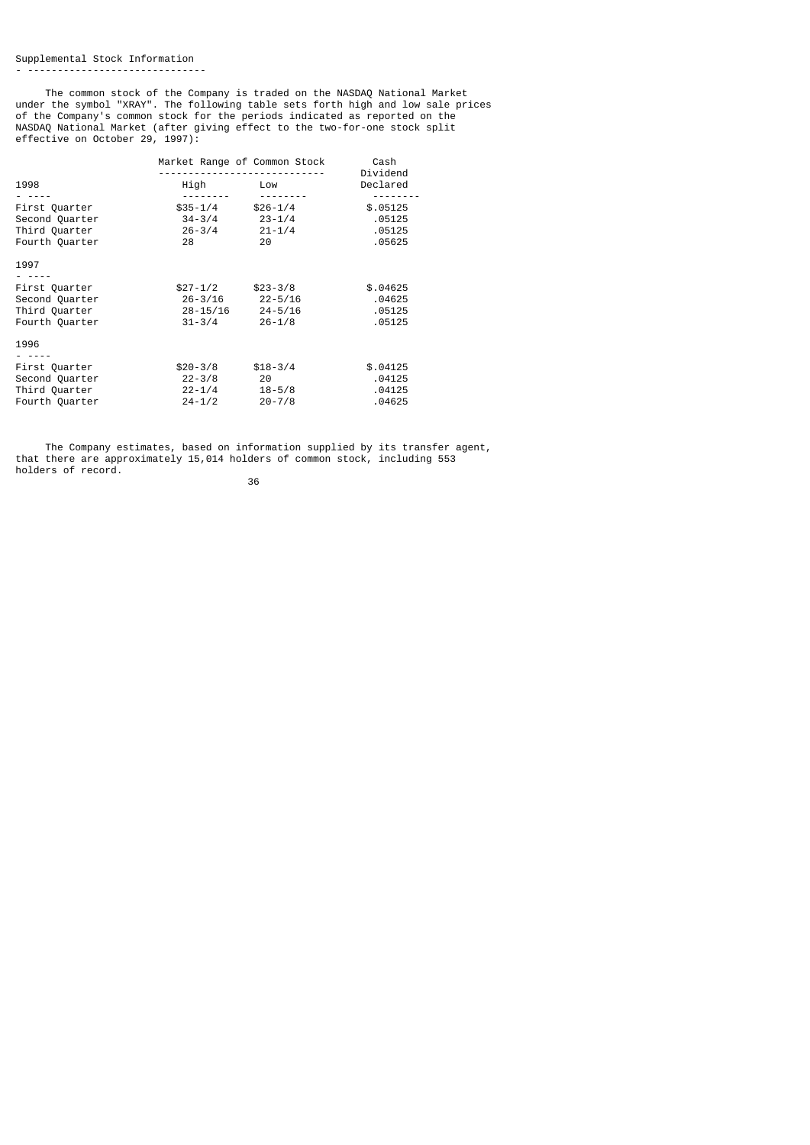The common stock of the Company is traded on the NASDAQ National Market under the symbol "XRAY". The following table sets forth high and low sale prices of the Company's common stock for the periods indicated as reported on the NASDAQ National Market (after giving effect to the two-for-one stock split effective on October 29, 1997):

| 1998                                                               | High                                            | Market Range of Common Stock<br>Low                                | Cash<br>Dividend<br>Declared           |
|--------------------------------------------------------------------|-------------------------------------------------|--------------------------------------------------------------------|----------------------------------------|
|                                                                    |                                                 |                                                                    |                                        |
| First Quarter<br>Second Quarter<br>Third Quarter<br>Fourth Quarter | $$35-1/4$<br>34-3/4<br>$26 - 3/4$ 21-1/4<br>28  | $$26-1/4$<br>$23 - 1/4$<br>20                                      | \$.05125<br>.05125<br>.05125<br>.05625 |
| 1997                                                               |                                                 |                                                                    |                                        |
| First Quarter<br>Second Quarter<br>Third Quarter<br>Fourth Quarter | $$27-1/2$<br>$31 - 3/4$                         | $$23-3/8$<br>$26 - 3/16$ 22-5/16<br>28-15/16 24-5/16<br>$26 - 1/8$ | \$.04625<br>.04625<br>.05125<br>.05125 |
| 1996                                                               |                                                 |                                                                    |                                        |
| First Quarter<br>Second Quarter<br>Third Quarter<br>Fourth Quarter | $$20-3/8$<br>$22 - 3/8$<br>22-1/4<br>$24 - 1/2$ | $$18-3/4$<br>20<br>$18 - 5/8$<br>$20 - 7/8$                        | \$.04125<br>.04125<br>.04125<br>.04625 |

 The Company estimates, based on information supplied by its transfer agent, that there are approximately 15,014 holders of common stock, including 553 holders of record.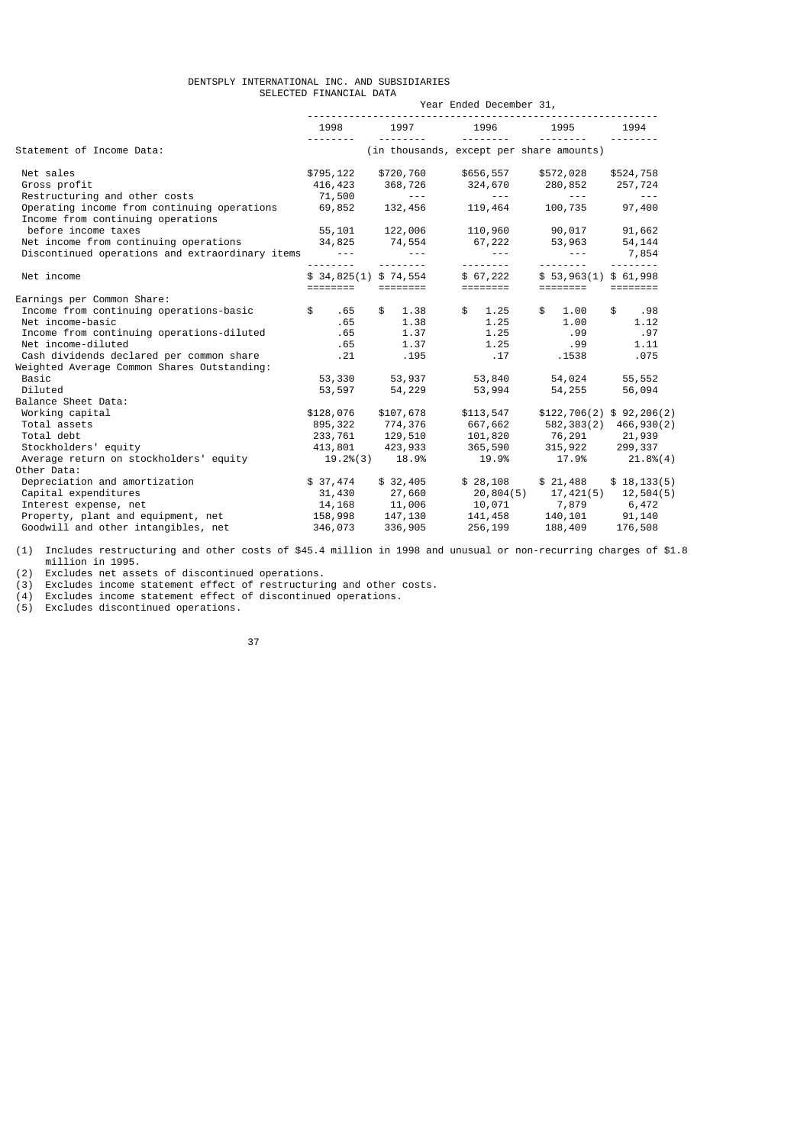# DENTSPLY INTERNATIONAL INC. AND SUBSIDIARIES SELECTED FINANCIAL DATA Year Ended December 31,

|                                                                                  | 1998                 | 1997                               | 1996                 | 1995                                           | 1994                     |
|----------------------------------------------------------------------------------|----------------------|------------------------------------|----------------------|------------------------------------------------|--------------------------|
| Statement of Income Data:                                                        |                      |                                    | --------             | (in thousands, except per share amounts)       |                          |
| Net sales                                                                        | \$795,122            | \$720,760                          | \$656,557            | \$572,028                                      | \$524,758                |
| Gross profit                                                                     | 416,423              | 368,726                            | 324,670              | 280,852                                        | 257,724                  |
| Restructuring and other costs                                                    | 71,500               | and the state of                   | <b>Service State</b> | and the season of the                          | and the season           |
| Operating income from continuing operations<br>Income from continuing operations | 69,852               | 132,456                            | 119,464              | 100,735 97,400                                 |                          |
| before income taxes                                                              |                      | 55,101 122,006                     |                      | 110,960 90,017                                 | 91,662                   |
| Net income from continuing operations                                            |                      | 34,825 74,554                      |                      | 67,222 53,963 54,144                           |                          |
| Discontinued operations and extraordinary items ---                              |                      | $\sim$ $\sim$ $\sim$ $\sim$ $\sim$ | <b>Service State</b> | $\sim$ $\sim$ $\sim$                           | 7,854                    |
|                                                                                  | .                    | <u> - - - - - - - -</u>            | ---------            | <u>.</u>                                       | <u>.</u>                 |
| Net income                                                                       |                      | \$34,825(1) \$74,554               | \$ 67,222            | \$53,963(1) \$61,998                           |                          |
|                                                                                  |                      |                                    | ========             |                                                |                          |
| Earnings per Common Share:                                                       |                      |                                    |                      |                                                |                          |
| Income from continuing operations-basic                                          | $\mathbb{S}$<br>. 65 | $\mathbb{S}$<br>1.38               | \$ 1.25              | $\mathsf{s}$<br>1.00                           | \$<br>.98                |
| Net income-basic                                                                 | .65                  | 1.38                               | 1.25                 | 1.00                                           | 1.12                     |
| Income from continuing operations-diluted                                        | .65                  | 1.37                               | 1.25                 | .99                                            | .97                      |
| Net income-diluted                                                               | . 65                 | 1.37                               | 1.25                 | .99                                            | 1.11                     |
| Cash dividends declared per common share                                         | .21                  | .195                               | .17                  | .1538                                          | .075                     |
| Weighted Average Common Shares Outstanding:                                      |                      |                                    |                      |                                                |                          |
| Basic                                                                            | 53,330               | 53,937                             | 53,840               | 54,024                                         | 55,552                   |
| Diluted                                                                          | 53,597               | 54,229                             | 53,994               | 54,255                                         | 56,094                   |
| Balance Sheet Data:                                                              |                      |                                    |                      |                                                |                          |
| Working capital                                                                  | \$128,076            | \$107,678                          | \$113,547            |                                                | \$122,706(2) \$92,206(2) |
| Total assets                                                                     | 895,322              | 774,376                            | 667,662              |                                                | 582, 383(2) 466, 930(2)  |
| Total debt                                                                       |                      | 233, 761 129, 510                  | 101,820              | 76,291 21,939                                  |                          |
| Stockholders' equity                                                             |                      | 413,801 423,933                    | 365,590              | 315, 922                                       | 299,337                  |
| Average return on stockholders' equity                                           |                      | 19.2%(3) 18.9%                     | 19.9%                | 17.9%                                          | 21.8%(4)                 |
| Other Data:                                                                      |                      |                                    |                      |                                                |                          |
| Depreciation and amortization                                                    | \$37,474             | \$32,405                           | \$28,108             | \$21,488                                       | \$18, 133(5)             |
| Capital expenditures                                                             | 31,430               | 27,660                             | 20,804(5)            | 17,421(5) 12,504(5)                            |                          |
| Interest expense, net                                                            |                      |                                    |                      | 10,071 7,879 6,472                             |                          |
| Property, plant and equipment, net                                               |                      | $14, 168$<br>158,998<br>147,130    | $141,458$<br>256.199 | 0, 4/2<br>140, 101 91, 140<br>188, 409 176 508 |                          |
| Goodwill and other intangibles, net                                              | 346,073              | 336,905                            | 256,199              |                                                |                          |

(1) Includes restructuring and other costs of \$45.4 million in 1998 and unusual or non-recurring charges of \$1.8 million in 1995.

(2) Excludes net assets of discontinued operations.

(3) Excludes income statement effect of restructuring and other costs.

(4) Excludes income statement effect of discontinued operations.

(5) Excludes discontinued operations.

<u>37 and 2012 and 2013</u>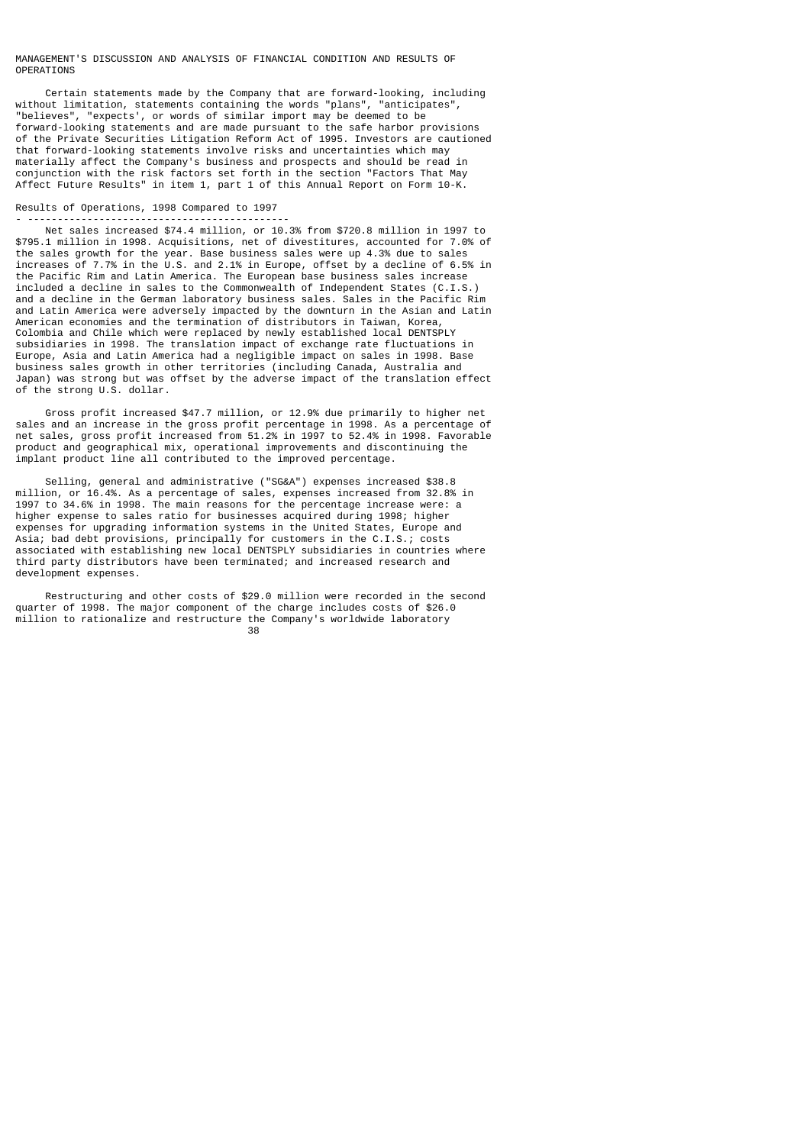## MANAGEMENT'S DISCUSSION AND ANALYSIS OF FINANCIAL CONDITION AND RESULTS OF OPERATIONS

 Certain statements made by the Company that are forward-looking, including without limitation, statements containing the words "plans", "anticipates",<br>"helieves", "expects' or words of similar import may be deemed to be "expects', or words of similar import may be deemed to be forward-looking statements and are made pursuant to the safe harbor provisions of the Private Securities Litigation Reform Act of 1995. Investors are cautioned that forward-looking statements involve risks and uncertainties which may materially affect the Company's business and prospects and should be read in conjunction with the risk factors set forth in the section "Factors That May Affect Future Results" in item 1, part 1 of this Annual Report on Form 10-K.

#### Results of Operations, 1998 Compared to 1997 - --------------------------------------------

 Net sales increased \$74.4 million, or 10.3% from \$720.8 million in 1997 to \$795.1 million in 1998. Acquisitions, net of divestitures, accounted for 7.0% of the sales growth for the year. Base business sales were up 4.3% due to sales increases of 7.7% in the U.S. and 2.1% in Europe, offset by a decline of 6.5% in the Pacific Rim and Latin America. The European base business sales increase included a decline in sales to the Commonwealth of Independent States (C.I.S.) and a decline in the German laboratory business sales. Sales in the Pacific Rim and Latin America were adversely impacted by the downturn in the Asian and Latin American economies and the termination of distributors in Taiwan, Korea, Colombia and Chile which were replaced by newly established local DENTSPLY subsidiaries in 1998. The translation impact of exchange rate fluctuations in Europe, Asia and Latin America had a negligible impact on sales in 1998. Base business sales growth in other territories (including Canada, Australia and Japan) was strong but was offset by the adverse impact of the translation effect of the strong U.S. dollar.

 Gross profit increased \$47.7 million, or 12.9% due primarily to higher net sales and an increase in the gross profit percentage in 1998. As a percentage of net sales, gross profit increased from 51.2% in 1997 to 52.4% in 1998. Favorable product and geographical mix, operational improvements and discontinuing the implant product line all contributed to the improved percentage.

 Selling, general and administrative ("SG&A") expenses increased \$38.8 million, or 16.4%. As a percentage of sales, expenses increased from 32.8% in 1997 to 34.6% in 1998. The main reasons for the percentage increase were: a higher expense to sales ratio for businesses acquired during 1998; higher expenses for upgrading information systems in the United States, Europe and Asia; bad debt provisions, principally for customers in the C.I.S.; costs associated with establishing new local DENTSPLY subsidiaries in countries where third party distributors have been terminated; and increased research and development expenses.

 Restructuring and other costs of \$29.0 million were recorded in the second quarter of 1998. The major component of the charge includes costs of \$26.0 million to rationalize and restructure the Company's worldwide laboratory<br>38 <u>38 and 200 and 200 and 200 and 200 and 200 and 200 and 200 and 200 and 200 and 200 and 200 and 200 and 200 and 200 and 200 and 200 and 200 and 200 and 200 and 200 and 200 and 200 and 200 and 200 and 200 and 200 and 200 an</u>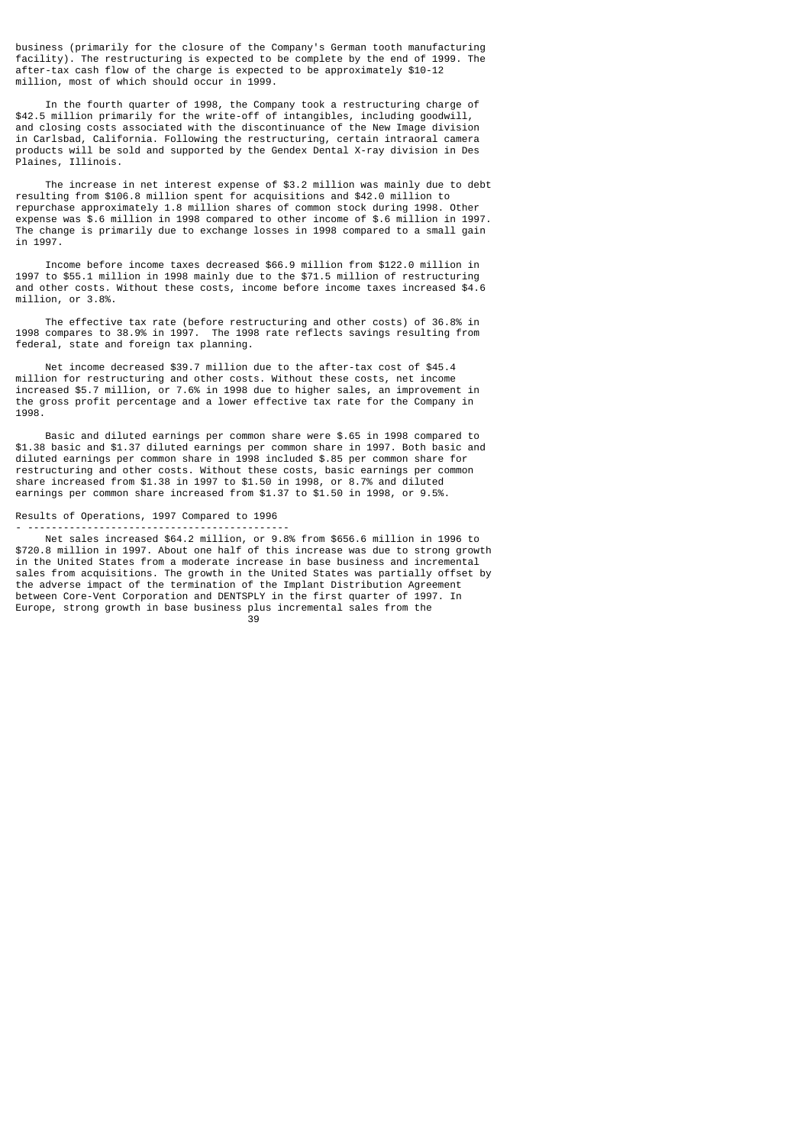business (primarily for the closure of the Company's German tooth manufacturing facility). The restructuring is expected to be complete by the end of 1999. The after-tax cash flow of the charge is expected to be approximately \$10-12 million, most of which should occur in 1999.

 In the fourth quarter of 1998, the Company took a restructuring charge of \$42.5 million primarily for the write-off of intangibles, including goodwill, and closing costs associated with the discontinuance of the New Image division in Carlsbad, California. Following the restructuring, certain intraoral camera products will be sold and supported by the Gendex Dental X-ray division in Des Plaines, Illinois.

 The increase in net interest expense of \$3.2 million was mainly due to debt resulting from \$106.8 million spent for acquisitions and \$42.0 million to repurchase approximately 1.8 million shares of common stock during 1998. Other expense was \$.6 million in 1998 compared to other income of \$.6 million in 1997. The change is primarily due to exchange losses in 1998 compared to a small gain in 1997.

 Income before income taxes decreased \$66.9 million from \$122.0 million in 1997 to \$55.1 million in 1998 mainly due to the \$71.5 million of restructuring and other costs. Without these costs, income before income taxes increased \$4.6 million, or 3.8%.

 The effective tax rate (before restructuring and other costs) of 36.8% in 1998 compares to 38.9% in 1997. The 1998 rate reflects savings resulting from federal, state and foreign tax planning.

 Net income decreased \$39.7 million due to the after-tax cost of \$45.4 million for restructuring and other costs. Without these costs, net income increased \$5.7 million, or 7.6% in 1998 due to higher sales, an improvement in the gross profit percentage and a lower effective tax rate for the Company in 1998.

 Basic and diluted earnings per common share were \$.65 in 1998 compared to \$1.38 basic and \$1.37 diluted earnings per common share in 1997. Both basic and diluted earnings per common share in 1998 included \$.85 per common share for restructuring and other costs. Without these costs, basic earnings per common share increased from \$1.38 in 1997 to \$1.50 in 1998, or 8.7% and diluted earnings per common share increased from \$1.37 to \$1.50 in 1998, or 9.5%.

## Results of Operations, 1997 Compared to 1996 - --------------------------------------------

 Net sales increased \$64.2 million, or 9.8% from \$656.6 million in 1996 to \$720.8 million in 1997. About one half of this increase was due to strong growth in the United States from a moderate increase in base business and incremental sales from acquisitions. The growth in the United States was partially offset by the adverse impact of the termination of the Implant Distribution Agreement between Core-Vent Corporation and DENTSPLY in the first quarter of 1997. In Europe, strong growth in base business plus incremental sales from the<br>39 39 and 2012 and 2013 and 2014 and 2014 and 2014 and 2014 and 2014 and 2014 and 2014 and 2014 and 2014 and 2014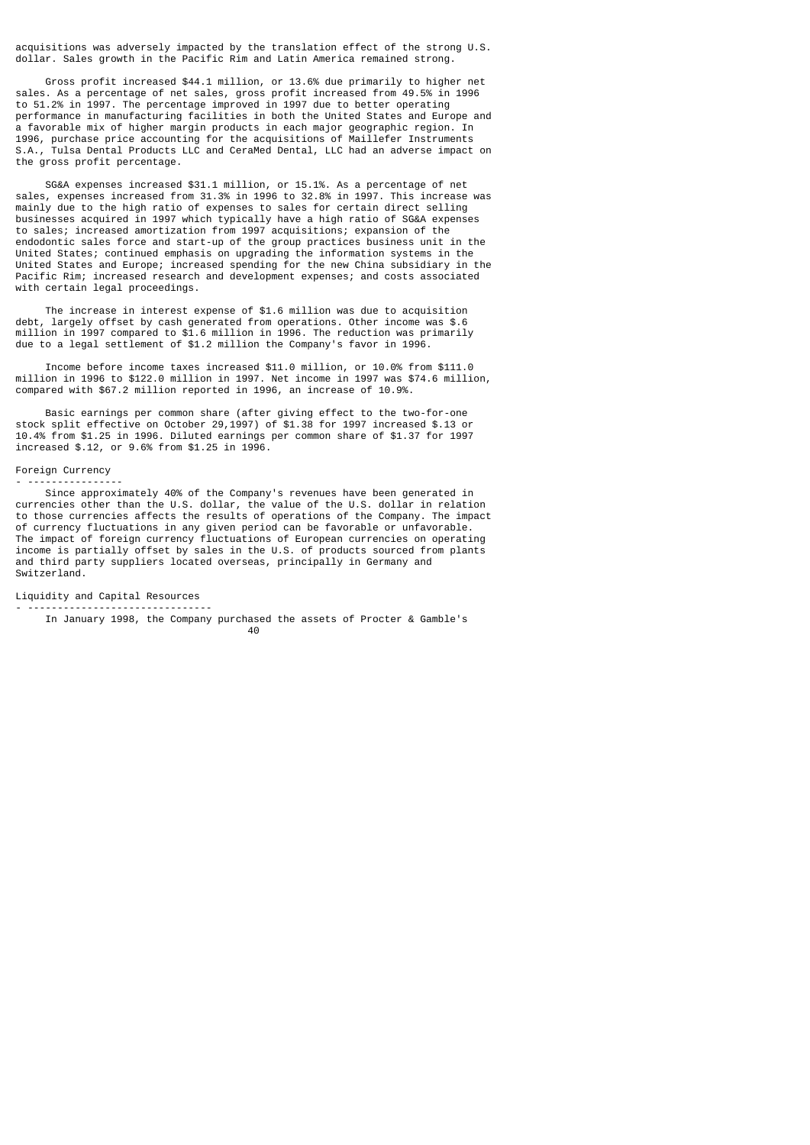acquisitions was adversely impacted by the translation effect of the strong U.S. dollar. Sales growth in the Pacific Rim and Latin America remained strong.

 Gross profit increased \$44.1 million, or 13.6% due primarily to higher net sales. As a percentage of net sales, gross profit increased from 49.5% in 1996 to 51.2% in 1997. The percentage improved in 1997 due to better operating performance in manufacturing facilities in both the United States and Europe and a favorable mix of higher margin products in each major geographic region. In 1996, purchase price accounting for the acquisitions of Maillefer Instruments S.A., Tulsa Dental Products LLC and CeraMed Dental, LLC had an adverse impact on the gross profit percentage.

 SG&A expenses increased \$31.1 million, or 15.1%. As a percentage of net sales, expenses increased from 31.3% in 1996 to 32.8% in 1997. This increase was mainly due to the high ratio of expenses to sales for certain direct selling businesses acquired in 1997 which typically have a high ratio of SG&A expenses to sales; increased amortization from 1997 acquisitions; expansion of the endodontic sales force and start-up of the group practices business unit in the United States; continued emphasis on upgrading the information systems in the United States and Europe; increased spending for the new China subsidiary in the Pacific Rim; increased research and development expenses; and costs associated with certain legal proceedings.

 The increase in interest expense of \$1.6 million was due to acquisition debt, largely offset by cash generated from operations. Other income was \$.6 million in 1997 compared to \$1.6 million in 1996. The reduction was primarily due to a legal settlement of \$1.2 million the Company's favor in 1996.

 Income before income taxes increased \$11.0 million, or 10.0% from \$111.0 million in 1996 to \$122.0 million in 1997. Net income in 1997 was \$74.6 million, compared with \$67.2 million reported in 1996, an increase of 10.9%.

 Basic earnings per common share (after giving effect to the two-for-one stock split effective on October 29,1997) of \$1.38 for 1997 increased \$.13 or 10.4% from \$1.25 in 1996. Diluted earnings per common share of \$1.37 for 1997 increased \$.12, or 9.6% from \$1.25 in 1996.

#### Foreign Currency

- ----------------

 Since approximately 40% of the Company's revenues have been generated in currencies other than the U.S. dollar, the value of the U.S. dollar in relation to those currencies affects the results of operations of the Company. The impact of currency fluctuations in any given period can be favorable or unfavorable. The impact of foreign currency fluctuations of European currencies on operating income is partially offset by sales in the U.S. of products sourced from plants and third party suppliers located overseas, principally in Germany and Switzerland.

Liquidity and Capital Resources

- ------------------------------- In January 1998, the Company purchased the assets of Procter & Gamble's<br> $40$ е в село во село во село во село во село во село во село во село во село во село во село во село во село во се<br>Во село во село во село во село во село во село во село во село во село во село во село во село во село во сел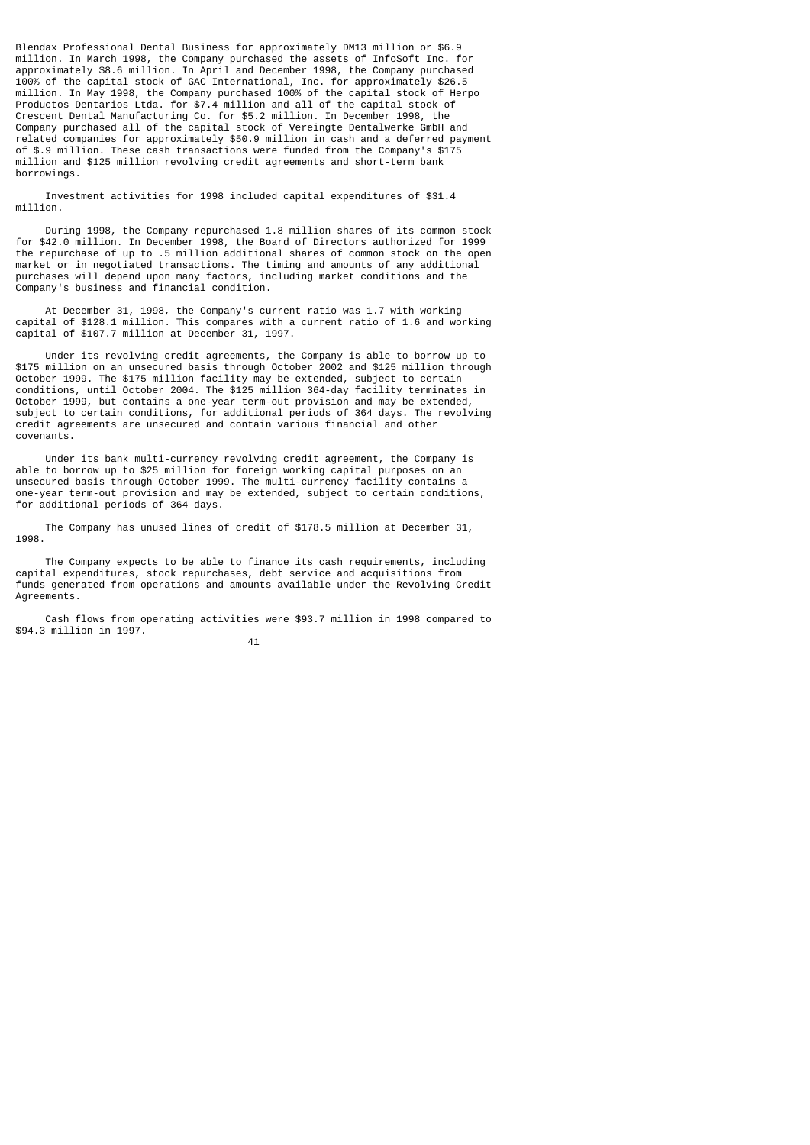Blendax Professional Dental Business for approximately DM13 million or \$6.9 million. In March 1998, the Company purchased the assets of InfoSoft Inc. for approximately \$8.6 million. In April and December 1998, the Company purchased 100% of the capital stock of GAC International, Inc. for approximately \$26.5 million. In May 1998, the Company purchased 100% of the capital stock of Herpo Productos Dentarios Ltda. for \$7.4 million and all of the capital stock of Crescent Dental Manufacturing Co. for \$5.2 million. In December 1998, the Company purchased all of the capital stock of Vereingte Dentalwerke GmbH and related companies for approximately \$50.9 million in cash and a deferred payment of \$.9 million. These cash transactions were funded from the Company's \$175 million and \$125 million revolving credit agreements and short-term bank borrowings.

 Investment activities for 1998 included capital expenditures of \$31.4 million.

 During 1998, the Company repurchased 1.8 million shares of its common stock for \$42.0 million. In December 1998, the Board of Directors authorized for 1999 the repurchase of up to .5 million additional shares of common stock on the open market or in negotiated transactions. The timing and amounts of any additional purchases will depend upon many factors, including market conditions and the Company's business and financial condition.

 At December 31, 1998, the Company's current ratio was 1.7 with working capital of \$128.1 million. This compares with a current ratio of 1.6 and working capital of \$107.7 million at December 31, 1997.

 Under its revolving credit agreements, the Company is able to borrow up to \$175 million on an unsecured basis through October 2002 and \$125 million through October 1999. The \$175 million facility may be extended, subject to certain conditions, until October 2004. The \$125 million 364-day facility terminates in October 1999, but contains a one-year term-out provision and may be extended, subject to certain conditions, for additional periods of 364 days. The revolving credit agreements are unsecured and contain various financial and other covenants.

 Under its bank multi-currency revolving credit agreement, the Company is able to borrow up to \$25 million for foreign working capital purposes on an unsecured basis through October 1999. The multi-currency facility contains a one-year term-out provision and may be extended, subject to certain conditions, for additional periods of 364 days.

 The Company has unused lines of credit of \$178.5 million at December 31, 1998.

 The Company expects to be able to finance its cash requirements, including capital expenditures, stock repurchases, debt service and acquisitions from funds generated from operations and amounts available under the Revolving Credit Agreements.

 Cash flows from operating activities were \$93.7 million in 1998 compared to \$94.3 million in 1997.

41 and 2012 and 2014 and 2014 and 2014 and 2014 and 2014 and 2014 and 2014 and 2014 and 2014 and 2014 and 2014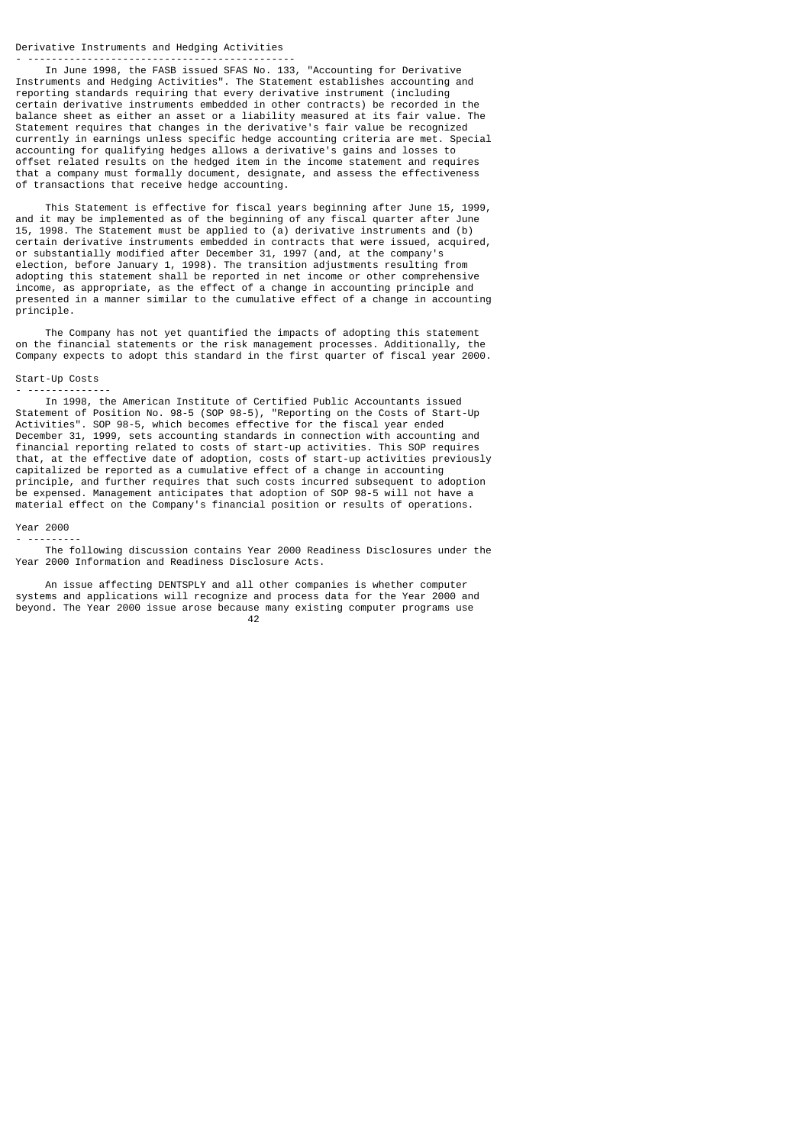#### Derivative Instruments and Hedging Activities - ---------------------------------------------

 In June 1998, the FASB issued SFAS No. 133, "Accounting for Derivative Instruments and Hedging Activities". The Statement establishes accounting and reporting standards requiring that every derivative instrument (including certain derivative instruments embedded in other contracts) be recorded in the balance sheet as either an asset or a liability measured at its fair value. The Statement requires that changes in the derivative's fair value be recognized currently in earnings unless specific hedge accounting criteria are met. Special accounting for qualifying hedges allows a derivative's gains and losses to offset related results on the hedged item in the income statement and requires that a company must formally document, designate, and assess the effectiveness of transactions that receive hedge accounting.

 This Statement is effective for fiscal years beginning after June 15, 1999, and it may be implemented as of the beginning of any fiscal quarter after June 15, 1998. The Statement must be applied to (a) derivative instruments and (b) certain derivative instruments embedded in contracts that were issued, acquired, or substantially modified after December 31, 1997 (and, at the company's election, before January 1, 1998). The transition adjustments resulting from adopting this statement shall be reported in net income or other comprehensive income, as appropriate, as the effect of a change in accounting principle and presented in a manner similar to the cumulative effect of a change in accounting principle.

 The Company has not yet quantified the impacts of adopting this statement on the financial statements or the risk management processes. Additionally, the Company expects to adopt this standard in the first quarter of fiscal year 2000.

# Start-Up Costs - --------------

 In 1998, the American Institute of Certified Public Accountants issued Statement of Position No. 98-5 (SOP 98-5), "Reporting on the Costs of Start-Up Activities". SOP 98-5, which becomes effective for the fiscal year ended December 31, 1999, sets accounting standards in connection with accounting and financial reporting related to costs of start-up activities. This SOP requires that, at the effective date of adoption, costs of start-up activities previously capitalized be reported as a cumulative effect of a change in accounting principle, and further requires that such costs incurred subsequent to adoption be expensed. Management anticipates that adoption of SOP 98-5 will not have a material effect on the Company's financial position or results of operations.

# Year 2000 - ---------

 The following discussion contains Year 2000 Readiness Disclosures under the Year 2000 Information and Readiness Disclosure Acts.

 An issue affecting DENTSPLY and all other companies is whether computer systems and applications will recognize and process data for the Year 2000 and beyond. The Year 2000 issue arose because many existing computer programs use<br> $42$ 42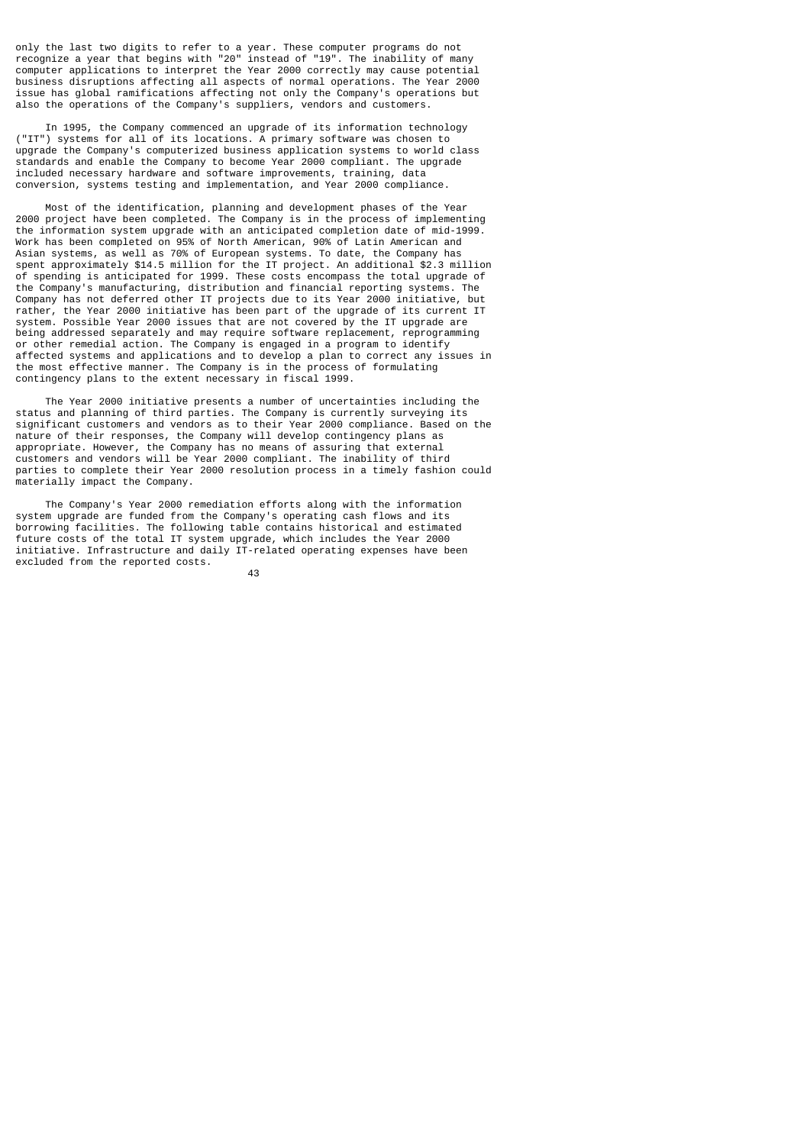only the last two digits to refer to a year. These computer programs do not recognize a year that begins with "20" instead of "19". The inability of many computer applications to interpret the Year 2000 correctly may cause potential business disruptions affecting all aspects of normal operations. The Year 2000 issue has global ramifications affecting not only the Company's operations but also the operations of the Company's suppliers, vendors and customers.

 In 1995, the Company commenced an upgrade of its information technology ("IT") systems for all of its locations. A primary software was chosen to upgrade the Company's computerized business application systems to world class standards and enable the Company to become Year 2000 compliant. The upgrade included necessary hardware and software improvements, training, data conversion, systems testing and implementation, and Year 2000 compliance.

 Most of the identification, planning and development phases of the Year 2000 project have been completed. The Company is in the process of implementing the information system upgrade with an anticipated completion date of mid-1999. Work has been completed on 95% of North American, 90% of Latin American and Asian systems, as well as 70% of European systems. To date, the Company has spent approximately \$14.5 million for the IT project. An additional \$2.3 million of spending is anticipated for 1999. These costs encompass the total upgrade of the Company's manufacturing, distribution and financial reporting systems. The Company has not deferred other IT projects due to its Year 2000 initiative, but rather, the Year 2000 initiative has been part of the upgrade of its current IT system. Possible Year 2000 issues that are not covered by the IT upgrade are being addressed separately and may require software replacement, reprogramming or other remedial action. The Company is engaged in a program to identify affected systems and applications and to develop a plan to correct any issues in the most effective manner. The Company is in the process of formulating contingency plans to the extent necessary in fiscal 1999.

 The Year 2000 initiative presents a number of uncertainties including the status and planning of third parties. The Company is currently surveying its significant customers and vendors as to their Year 2000 compliance. Based on the nature of their responses, the Company will develop contingency plans as appropriate. However, the Company has no means of assuring that external customers and vendors will be Year 2000 compliant. The inability of third parties to complete their Year 2000 resolution process in a timely fashion could materially impact the Company.

 The Company's Year 2000 remediation efforts along with the information system upgrade are funded from the Company's operating cash flows and its borrowing facilities. The following table contains historical and estimated future costs of the total IT system upgrade, which includes the Year 2000 initiative. Infrastructure and daily  $IT$ -related operating expenses have been excluded from the reported costs.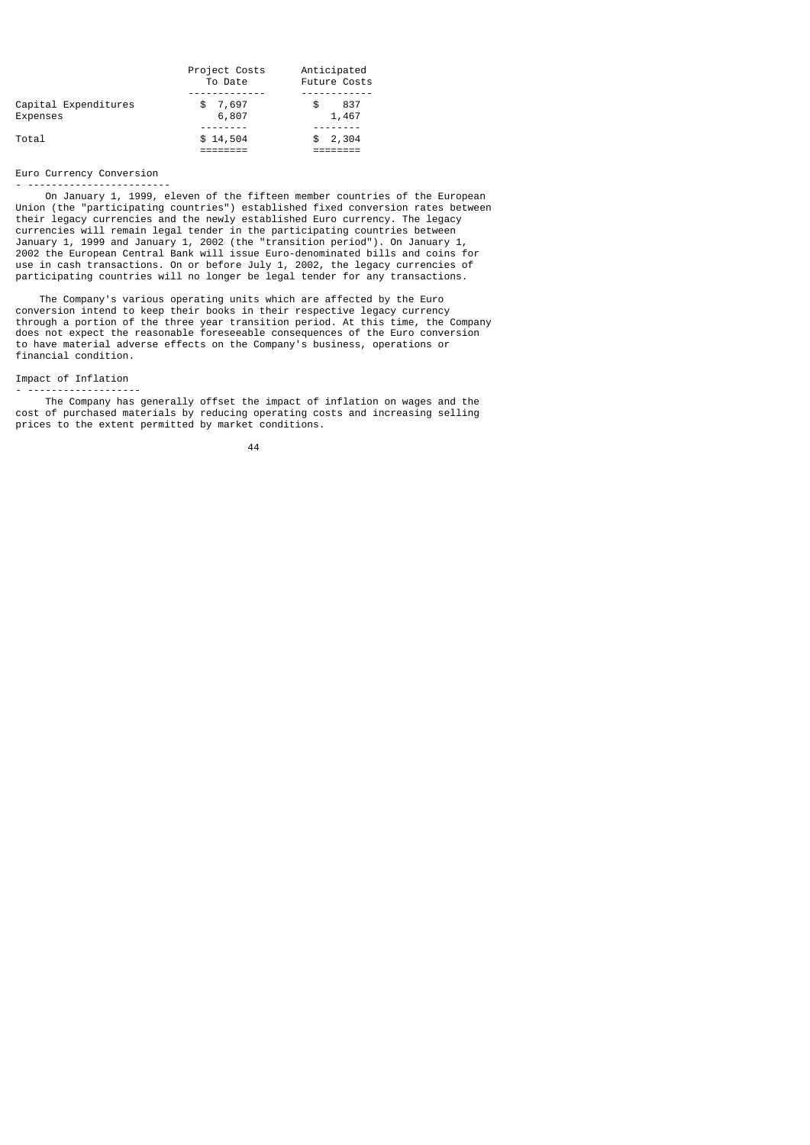|                                  | Project Costs<br>To Date | Anticipated<br><b>Future Costs</b> |  |  |
|----------------------------------|--------------------------|------------------------------------|--|--|
|                                  |                          |                                    |  |  |
| Capital Expenditures<br>Expenses | 7,697<br>S<br>6,807      | 837<br>\$<br>1,467                 |  |  |
| Total                            | \$14,504                 | 2,304                              |  |  |
|                                  |                          |                                    |  |  |

# Euro Currency Conversion

- ------------------------

 On January 1, 1999, eleven of the fifteen member countries of the European Union (the "participating countries") established fixed conversion rates between their legacy currencies and the newly established Euro currency. The legacy currencies will remain legal tender in the participating countries between January 1, 1999 and January 1, 2002 (the "transition period"). On January 1, 2002 the European Central Bank will issue Euro-denominated bills and coins for use in cash transactions. On or before July 1, 2002, the legacy currencies of participating countries will no longer be legal tender for any transactions.

 The Company's various operating units which are affected by the Euro conversion intend to keep their books in their respective legacy currency through a portion of the three year transition period. At this time, the Company does not expect the reasonable foreseeable consequences of the Euro conversion to have material adverse effects on the Company's business, operations or financial condition.

# Impact of Inflation

- ------------------- The Company has generally offset the impact of inflation on wages and the cost of purchased materials by reducing operating costs and increasing selling prices to the extent permitted by market conditions.

44 and 2012 and 2014 and 2014 and 2014 and 2014 and 2014 and 2014 and 2014 and 2014 and 2014 and 2014 and 201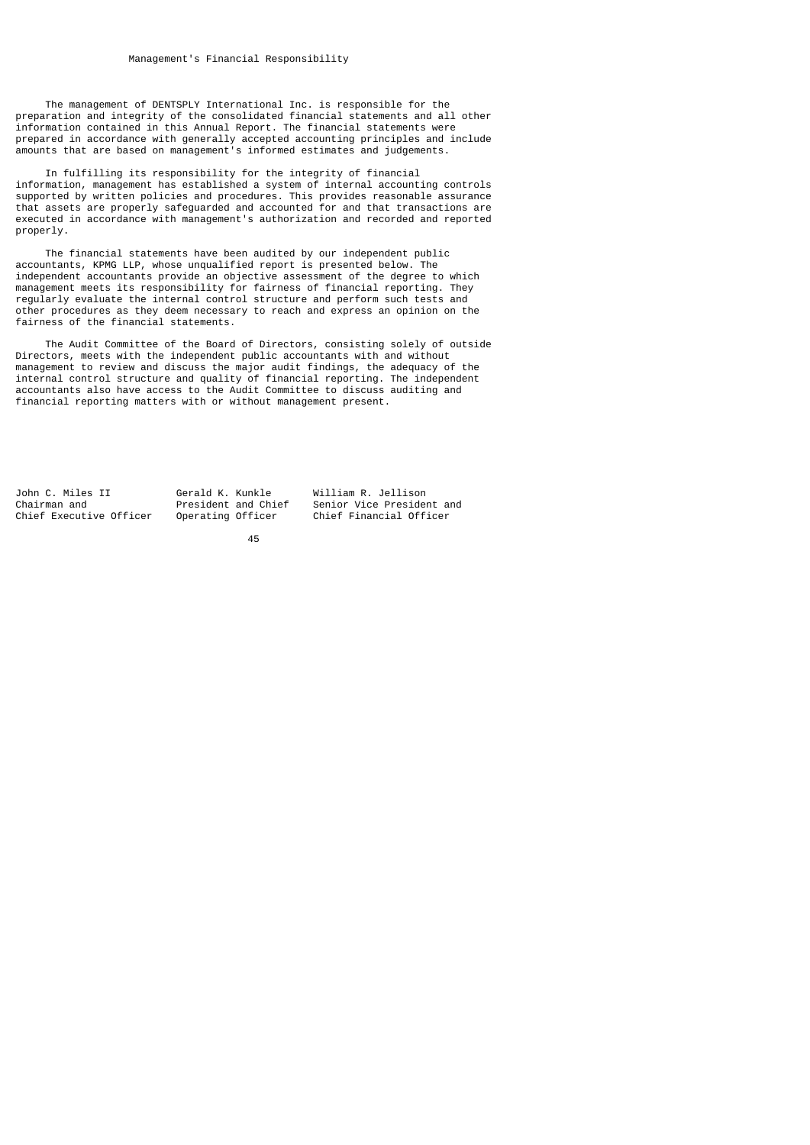The management of DENTSPLY International Inc. is responsible for the preparation and integrity of the consolidated financial statements and all other information contained in this Annual Report. The financial statements were prepared in accordance with generally accepted accounting principles and include amounts that are based on management's informed estimates and judgements.

 In fulfilling its responsibility for the integrity of financial information, management has established a system of internal accounting controls supported by written policies and procedures. This provides reasonable assurance that assets are properly safeguarded and accounted for and that transactions are executed in accordance with management's authorization and recorded and reported properly.

 The financial statements have been audited by our independent public accountants, KPMG LLP, whose unqualified report is presented below. The independent accountants provide an objective assessment of the degree to which management meets its responsibility for fairness of financial reporting. They regularly evaluate the internal control structure and perform such tests and other procedures as they deem necessary to reach and express an opinion on the fairness of the financial statements.

 The Audit Committee of the Board of Directors, consisting solely of outside Directors, meets with the independent public accountants with and without management to review and discuss the major audit findings, the adequacy of the internal control structure and quality of financial reporting. The independent accountants also have access to the Audit Committee to discuss auditing and financial reporting matters with or without management present.

John C. Miles II Gerald K. Kunkle William R. Jellison Chairman and **President and President and Chief Senior Vice President and Chief Executive Officer** Operating Officer Chief Financial Officer

Chief Financial Officer

<u>45 and 2012 and 2013</u>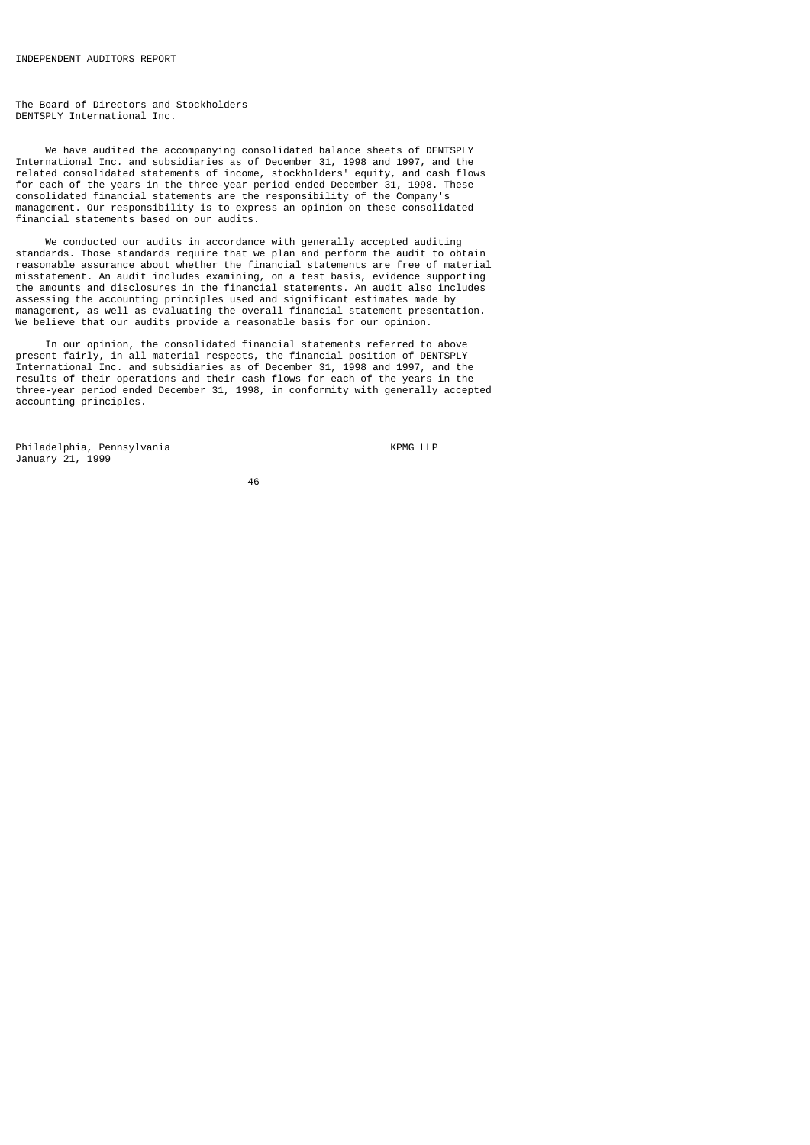The Board of Directors and Stockholders DENTSPLY International Inc.

 We have audited the accompanying consolidated balance sheets of DENTSPLY International Inc. and subsidiaries as of December 31, 1998 and 1997, and the related consolidated statements of income, stockholders' equity, and cash flows for each of the years in the three-year period ended December 31, 1998. These consolidated financial statements are the responsibility of the Company's management. Our responsibility is to express an opinion on these consolidated financial statements based on our audits.

 We conducted our audits in accordance with generally accepted auditing standards. Those standards require that we plan and perform the audit to obtain reasonable assurance about whether the financial statements are free of material misstatement. An audit includes examining, on a test basis, evidence supporting the amounts and disclosures in the financial statements. An audit also includes assessing the accounting principles used and significant estimates made by management, as well as evaluating the overall financial statement presentation. We believe that our audits provide a reasonable basis for our opinion.

 In our opinion, the consolidated financial statements referred to above present fairly, in all material respects, the financial position of DENTSPLY International Inc. and subsidiaries as of December 31, 1998 and 1997, and the results of their operations and their cash flows for each of the years in the three-year period ended December 31, 1998, in conformity with generally accepted accounting principles.

Philadelphia, Pennsylvania KPMG LLP January 21, 1999

<u>46 and 2012</u>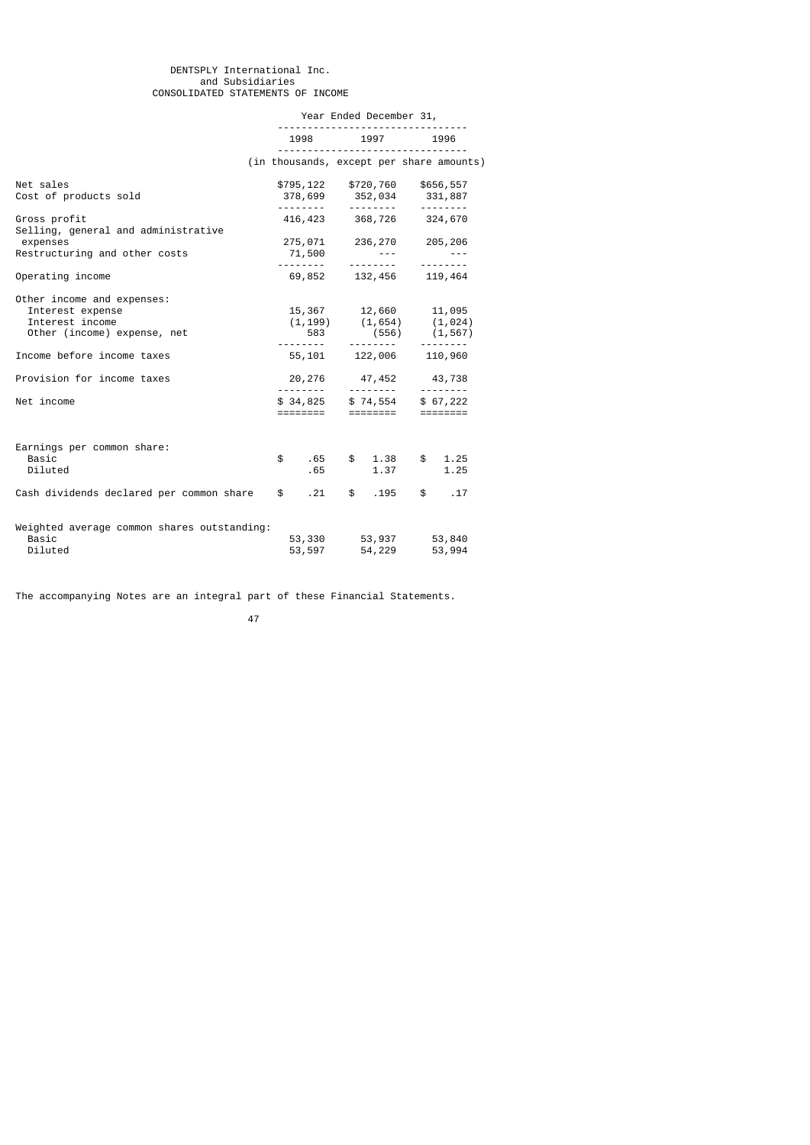### DENTSPLY International Inc. and Subsidiaries CONSOLIDATED STATEMENTS OF INCOME

|                                                                                                  | Year Ended December 31, |                                                                                                                         |                                                                                                         |  |
|--------------------------------------------------------------------------------------------------|-------------------------|-------------------------------------------------------------------------------------------------------------------------|---------------------------------------------------------------------------------------------------------|--|
|                                                                                                  |                         | 1998 1997                                                                                                               | 1996                                                                                                    |  |
|                                                                                                  |                         |                                                                                                                         | (in thousands, except per share amounts)                                                                |  |
| Net sales<br>Cost of products sold                                                               |                         | \$795,122 \$720,760 \$656,557<br>378,699 352,034 331,887                                                                |                                                                                                         |  |
| Gross profit<br>Selling, general and administrative                                              |                         | ---------<br>416, 423 368, 726 324, 670                                                                                 |                                                                                                         |  |
| expenses<br>Restructuring and other costs                                                        | 71,500                  | 275,071 236,270 205,206<br>$\mathcal{L}_{\text{max}}$ , and $\mathcal{L}_{\text{max}}$ , and $\mathcal{L}_{\text{max}}$ | $\sim 10^{11}$ , $\sim 10^{11}$                                                                         |  |
| Operating income                                                                                 |                         | 69,852 132,456 119,464                                                                                                  | <u> - - - - - - - -</u>                                                                                 |  |
| Other income and expenses:<br>Interest expense<br>Interest income<br>Other (income) expense, net | 583                     | (556)                                                                                                                   | 15, 367<br>$(1, 199)$<br>$(1, 654)$<br>$(1, 024)$<br>$(1, 654)$<br>$(1, 624)$<br>$(1, 667)$<br>(1, 567) |  |
| Income before income taxes                                                                       |                         | ---------<br>55,101 122,006 110,960                                                                                     | --------                                                                                                |  |
| Provision for income taxes                                                                       |                         | 20, 276 47, 452 43, 738                                                                                                 |                                                                                                         |  |
| Net income                                                                                       | \$34,825<br>========    | ========                                                                                                                | $$74,554$ $$67,222$<br>========                                                                         |  |
| Earnings per common share:<br>Basic<br>Diluted                                                   | \$<br>.65<br>.65        | \$1.38<br>1.37                                                                                                          | \$1.25<br>1.25                                                                                          |  |
| Cash dividends declared per common share                                                         | $\mathbb{S}$<br>.21     | \$.195                                                                                                                  | $\mathbb{S}$<br>.17                                                                                     |  |
| Weighted average common shares outstanding:<br>Basic<br>Diluted                                  | 53,330<br>53,597        | 53,937<br>54,229                                                                                                        | 53,840<br>53,994                                                                                        |  |

The accompanying Notes are an integral part of these Financial Statements.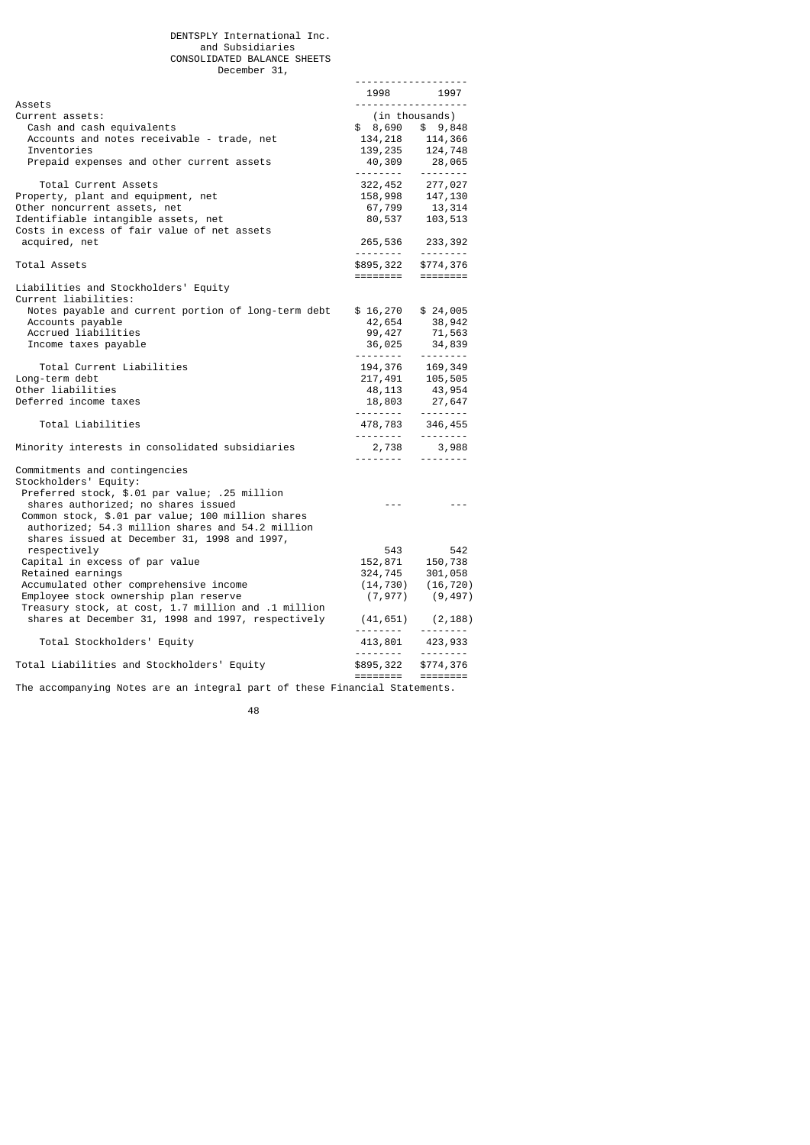-------------------

|                                                                            | 1998                                                                                                             | 1997                                                                       |
|----------------------------------------------------------------------------|------------------------------------------------------------------------------------------------------------------|----------------------------------------------------------------------------|
| Assets<br>Current assets:                                                  | -------------------                                                                                              | (in thousands)                                                             |
| Cash and cash equivalents                                                  | $$8,690$ \$ 9,848                                                                                                |                                                                            |
| Accounts and notes receivable - trade, net                                 |                                                                                                                  |                                                                            |
| Inventories                                                                |                                                                                                                  | 134, 218 114, 366<br>139, 235 124, 748                                     |
| Prepaid expenses and other current assets                                  |                                                                                                                  |                                                                            |
|                                                                            | <u>.</u>                                                                                                         | $40,309$ 28,065                                                            |
| Total Current Assets                                                       |                                                                                                                  | 322, 452 277, 027<br>158, 998 147, 130                                     |
| Property, plant and equipment, net                                         |                                                                                                                  |                                                                            |
| Other noncurrent assets, net                                               |                                                                                                                  |                                                                            |
| Identifiable intangible assets, net                                        |                                                                                                                  | 67,799 13,314<br>80,537 103,513                                            |
| Costs in excess of fair value of net assets                                |                                                                                                                  |                                                                            |
| acquired, net                                                              |                                                                                                                  |                                                                            |
|                                                                            |                                                                                                                  |                                                                            |
| Total Assets                                                               |                                                                                                                  |                                                                            |
| Liabilities and Stockholders' Equity                                       |                                                                                                                  |                                                                            |
| Current liabilities:                                                       |                                                                                                                  |                                                                            |
| Notes payable and current portion of long-term debt                        | \$16,270                                                                                                         | \$24,005                                                                   |
| Accounts payable                                                           | 42,654                                                                                                           | 38,942                                                                     |
| Accrued liabilities                                                        | 99, 427                                                                                                          |                                                                            |
| Income taxes payable                                                       |                                                                                                                  | $71,563$<br>34.830<br>34,839                                               |
|                                                                            | 36,025                                                                                                           | $- - - - - - - - -$                                                        |
| Total Current Liabilities                                                  |                                                                                                                  |                                                                            |
| Long-term debt                                                             |                                                                                                                  |                                                                            |
| Other liabilities                                                          |                                                                                                                  |                                                                            |
| Deferred income taxes                                                      |                                                                                                                  |                                                                            |
|                                                                            | $\begin{array}{ccc} 194,376 & 169,349 \\ 217,491 & 105,505 \\ 48,113 & 43,954 \\ 18,803 & 27,647 \\ \end{array}$ |                                                                            |
| Total Liabilities                                                          | $478,783$ $346,455$                                                                                              |                                                                            |
| Minority interests in consolidated subsidiaries                            |                                                                                                                  |                                                                            |
|                                                                            | $2,738$ $3,988$                                                                                                  |                                                                            |
| Commitments and contingencies                                              |                                                                                                                  |                                                                            |
| Stockholders' Equity:                                                      |                                                                                                                  |                                                                            |
| Preferred stock, \$.01 par value; .25 million                              |                                                                                                                  |                                                                            |
| shares authorized; no shares issued                                        | $- - -$                                                                                                          | $- - -$                                                                    |
| Common stock, \$.01 par value; 100 million shares                          |                                                                                                                  |                                                                            |
| authorized; 54.3 million shares and 54.2 million                           |                                                                                                                  |                                                                            |
| shares issued at December 31, 1998 and 1997,                               |                                                                                                                  |                                                                            |
| respectively                                                               | 543                                                                                                              | 542                                                                        |
| Capital in excess of par value                                             |                                                                                                                  | 152, 871 150, 738<br>324, 745 301, 058                                     |
| Retained earnings                                                          |                                                                                                                  |                                                                            |
| Accumulated other comprehensive income                                     | (14, 730)                                                                                                        | (16, 720)                                                                  |
| Employee stock ownership plan reserve                                      | (7, 977)                                                                                                         | (9, 497)                                                                   |
| Treasury stock, at cost, 1.7 million and .1 million                        |                                                                                                                  |                                                                            |
| shares at December 31, 1998 and 1997, respectively                         | (41, 651)                                                                                                        | (2, 188)<br>--------                                                       |
| Total Stockholders' Equity                                                 | ---------                                                                                                        |                                                                            |
|                                                                            | $413,801$ $423,933$<br>-------- --------                                                                         |                                                                            |
| Total Liabilities and Stockholders' Equity                                 | \$895,322                                                                                                        | \$774,376                                                                  |
|                                                                            | ========                                                                                                         | $\begin{array}{c} \texttt{m}=\texttt{m}=\texttt{m}=\texttt{m} \end{array}$ |
| The accompanying Notes are an integral part of these Financial Statements. |                                                                                                                  |                                                                            |

<u>48 and 2011 and 2012 and 2012 and 2012 and 2012 and 2012 and 2012 and 2012 and 2012 and 2012 and 2012 and 201</u>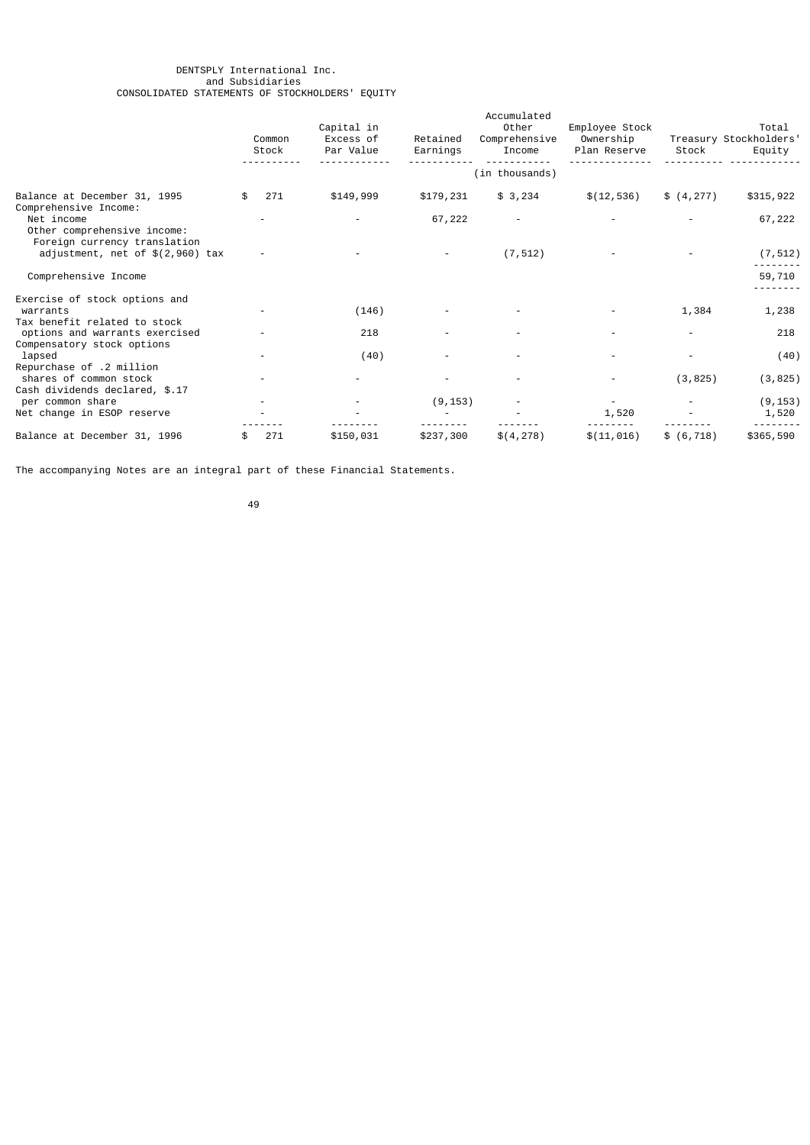#### DENTSPLY International Inc. and Subsidiaries CONSOLIDATED STATEMENTS OF STOCKHOLDERS' EQUITY

|                                                                                  | Common<br>Stock | Capital in<br>Excess of<br>Par Value | Retained<br>Earnings | Accumulated<br>Other<br>Comprehensive<br>Income | Employee Stock<br>Ownership<br>Plan Reserve | Stock       | Total<br>Treasury Stockholders'<br>Equity |
|----------------------------------------------------------------------------------|-----------------|--------------------------------------|----------------------|-------------------------------------------------|---------------------------------------------|-------------|-------------------------------------------|
|                                                                                  |                 |                                      |                      | (in thousands)                                  |                                             |             |                                           |
| Balance at December 31, 1995<br>Comprehensive Income:                            | 271             | \$149,999                            | \$179,231            | \$3,234                                         | \$(12, 536)                                 | \$(4, 277)  | \$315,922                                 |
| Net income<br>Other comprehensive income:<br>Foreign currency translation        |                 |                                      | 67,222               |                                                 |                                             |             | 67,222                                    |
| adjustment, net of $$(2,960)$ tax                                                |                 |                                      |                      | (7, 512)                                        |                                             |             | (7, 512)                                  |
| Comprehensive Income                                                             |                 |                                      |                      |                                                 |                                             |             | 59,710                                    |
| Exercise of stock options and<br>warrants<br>Tax benefit related to stock        |                 | (146)                                |                      |                                                 |                                             | 1,384       | 1,238                                     |
| options and warrants exercised<br>Compensatory stock options                     |                 | 218                                  |                      |                                                 |                                             |             | 218                                       |
| lapsed                                                                           |                 | (40)                                 |                      |                                                 |                                             |             | (40)                                      |
| Repurchase of .2 million<br>shares of common stock                               |                 |                                      |                      |                                                 |                                             | (3, 825)    | (3, 825)                                  |
| Cash dividends declared, \$.17<br>per common share<br>Net change in ESOP reserve |                 |                                      | (9, 153)             |                                                 | 1,520                                       |             | (9, 153)<br>1,520                         |
| Balance at December 31, 1996                                                     | 271             | \$150,031                            | \$237,300            | \$(4, 278)                                      | \$(11, 016)                                 | \$ (6, 718) | \$365,590                                 |

The accompanying Notes are an integral part of these Financial Statements.

49 and 2012 and 2014 and 2014 and 2014 and 2014 and 2014 and 2014 and 2014 and 2014 and 2014 and 2014 and 201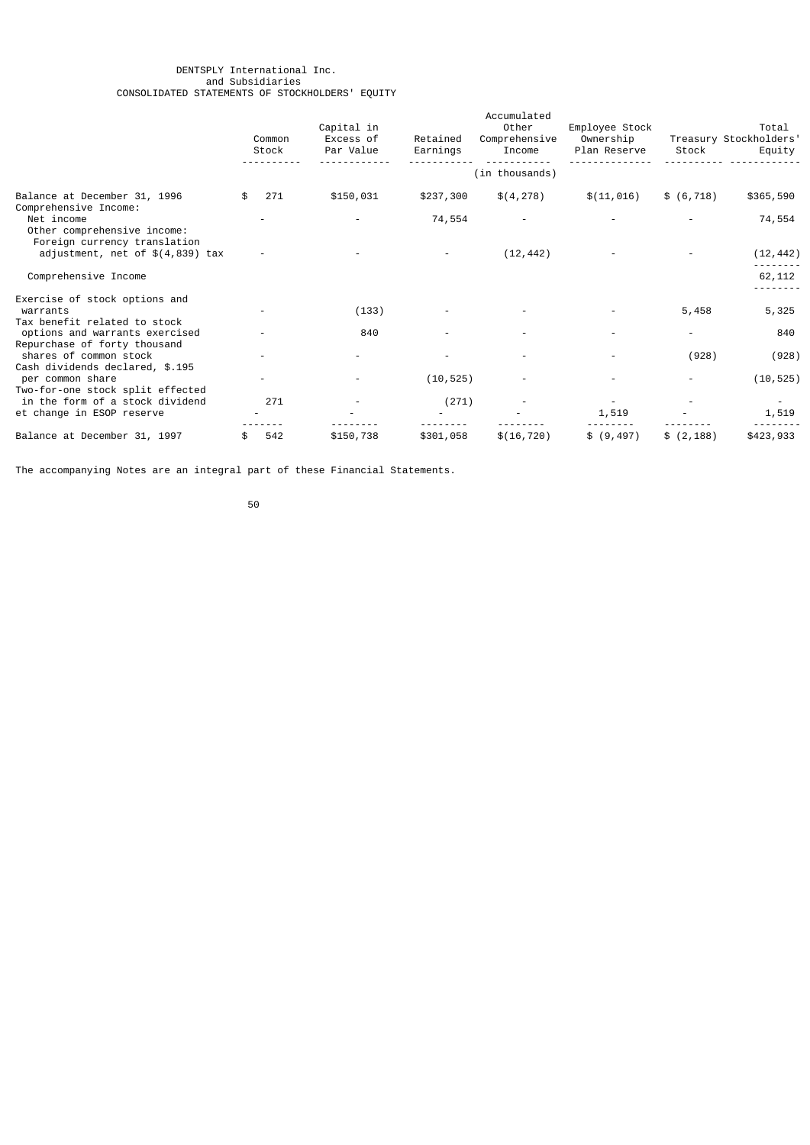#### DENTSPLY International Inc. and Subsidiaries CONSOLIDATED STATEMENTS OF STOCKHOLDERS' EQUITY

|                                                                           | Common<br>Stock | Capital in<br>Excess of<br>Par Value | Retained<br>Earnings | Accumulated<br>Other<br>Comprehensive<br>Income | Employee Stock<br>Ownership<br>Plan Reserve | Stock       | Total<br>Treasury Stockholders'<br>Equity |
|---------------------------------------------------------------------------|-----------------|--------------------------------------|----------------------|-------------------------------------------------|---------------------------------------------|-------------|-------------------------------------------|
|                                                                           |                 |                                      |                      | (in thousands)                                  |                                             |             |                                           |
| Balance at December 31, 1996<br>Comprehensive Income:                     | 271             | \$150,031                            | \$237,300            | \$(4, 278)                                      | \$(11, 016)                                 | \$ (6, 718) | \$365,590                                 |
| Net income<br>Other comprehensive income:<br>Foreign currency translation |                 |                                      | 74,554               |                                                 |                                             |             | 74,554                                    |
| adjustment, net of $$(4,839)$ tax                                         |                 |                                      |                      | (12, 442)                                       |                                             |             | (12, 442)                                 |
| Comprehensive Income                                                      |                 |                                      |                      |                                                 |                                             |             | 62,112                                    |
| Exercise of stock options and<br>warrants<br>Tax benefit related to stock |                 | (133)                                |                      |                                                 |                                             | 5,458       | 5,325                                     |
| options and warrants exercised<br>Repurchase of forty thousand            |                 | 840                                  |                      |                                                 |                                             |             | 840                                       |
| shares of common stock<br>Cash dividends declared, \$.195                 |                 |                                      |                      |                                                 |                                             | (928)       | (928)                                     |
| per common share<br>Two-for-one stock split effected                      | -               |                                      | (10, 525)            |                                                 |                                             |             | (10, 525)                                 |
| in the form of a stock dividend<br>et change in ESOP reserve              | 271             |                                      | (271)                |                                                 | 1,519                                       |             | 1,519                                     |
| Balance at December 31, 1997                                              | 542             | \$150,738                            | \$301,058            | \$(16, 720)                                     | \$ (9, 497)                                 | \$(2, 188)  | \$423,933                                 |

The accompanying Notes are an integral part of these Financial Statements.

50 and 2012 and 2013 and 2014 and 2014 and 2014 and 2014 and 2014 and 2014 and 2014 and 2014 and 2014 and 2014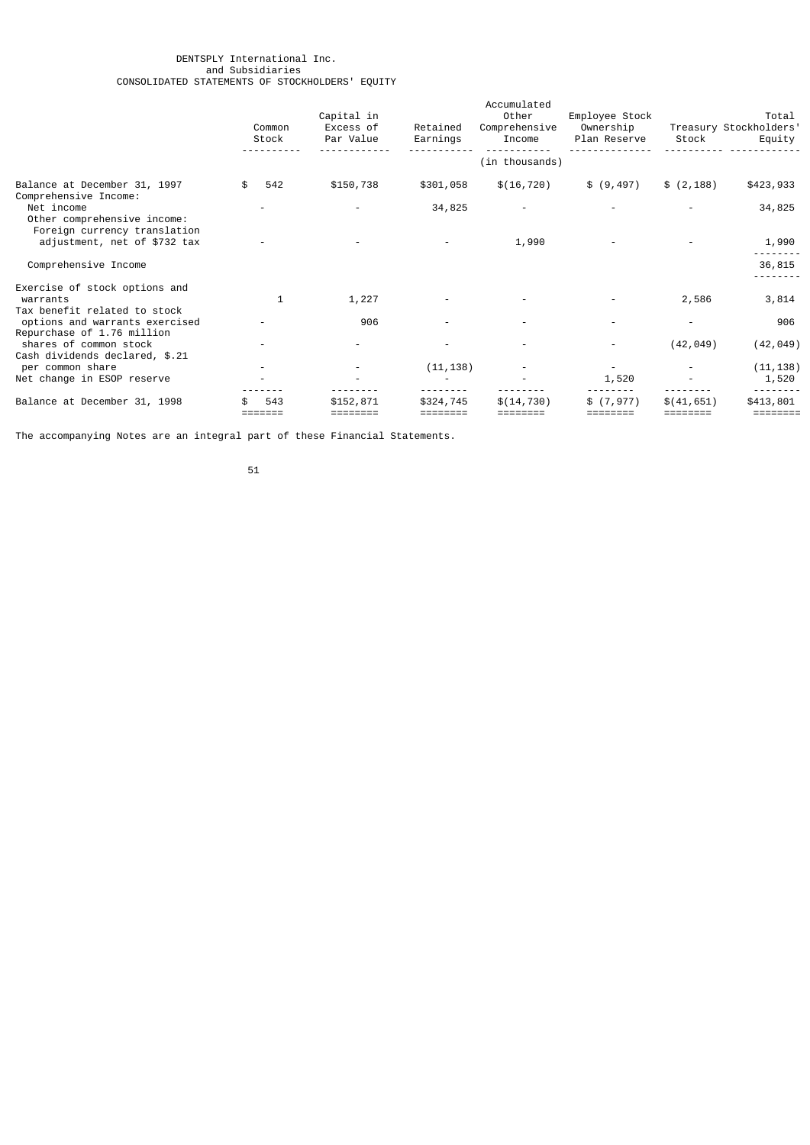#### DENTSPLY International Inc. and Subsidiaries CONSOLIDATED STATEMENTS OF STOCKHOLDERS' EQUITY

|                                                                                                    | Common<br>Stock | Capital in<br>Excess of<br>Par Value | Retained<br>Earnings  | Accumulated<br>Other<br>Comprehensive<br>Income | Employee Stock<br>Ownership<br>Plan Reserve | Stock       | Total<br>Treasury Stockholders'<br>Equity |
|----------------------------------------------------------------------------------------------------|-----------------|--------------------------------------|-----------------------|-------------------------------------------------|---------------------------------------------|-------------|-------------------------------------------|
|                                                                                                    |                 |                                      |                       | (in thousands)                                  |                                             |             |                                           |
| Balance at December 31, 1997                                                                       | 542             | \$150,738                            | \$301,058             | \$(16, 720)                                     | \$ (9, 497)                                 | \$(2, 188)  | \$423,933                                 |
| Comprehensive Income:<br>Net income<br>Other comprehensive income:<br>Foreign currency translation |                 |                                      | 34,825                |                                                 |                                             |             | 34,825                                    |
| adjustment, net of \$732 tax                                                                       |                 |                                      |                       | 1,990                                           |                                             |             | 1,990                                     |
| Comprehensive Income                                                                               |                 |                                      |                       |                                                 |                                             |             | 36,815                                    |
| Exercise of stock options and<br>warrants<br>Tax benefit related to stock                          | 1               | 1,227                                |                       |                                                 |                                             | 2,586       | 3,814                                     |
| options and warrants exercised<br>Repurchase of 1.76 million                                       |                 | 906                                  |                       |                                                 |                                             |             | 906                                       |
| shares of common stock<br>Cash dividends declared, \$.21                                           |                 | -                                    |                       |                                                 |                                             | (42, 049)   | (42, 049)                                 |
| per common share<br>Net change in ESOP reserve                                                     |                 |                                      | (11, 138)             |                                                 | 1,520                                       |             | (11, 138)<br>1,520                        |
| Balance at December 31, 1998                                                                       | 543             | \$152,871                            | \$324,745<br>======== | \$(14, 730)<br>========                         | \$(7, 977)                                  | \$(41, 651) | \$413,801<br>========                     |

The accompanying Notes are an integral part of these Financial Statements.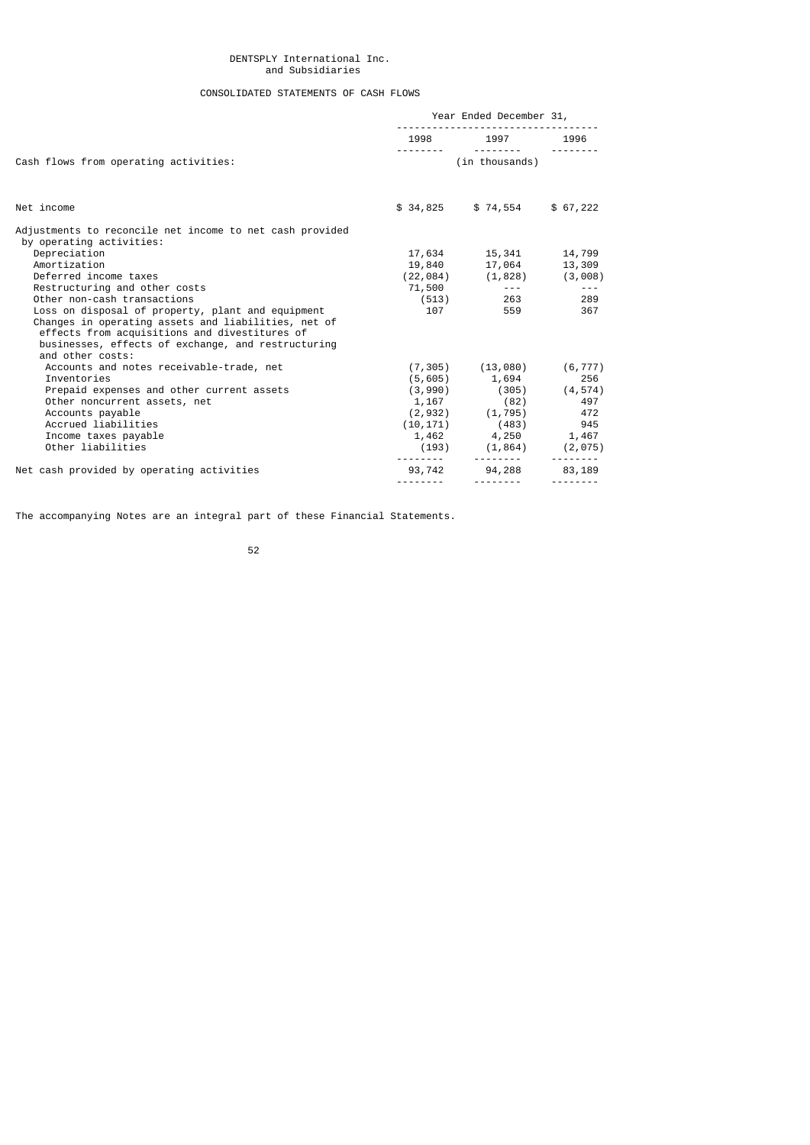# DENTSPLY International Inc. and Subsidiaries

# CONSOLIDATED STATEMENTS OF CASH FLOWS

|                                                                                                                                                                                                                                     | Year Ended December 31, |                                                   |     |  |
|-------------------------------------------------------------------------------------------------------------------------------------------------------------------------------------------------------------------------------------|-------------------------|---------------------------------------------------|-----|--|
|                                                                                                                                                                                                                                     |                         | 1998 1997 1996                                    |     |  |
| Cash flows from operating activities:                                                                                                                                                                                               |                         | (in thousands)                                    |     |  |
| Net income                                                                                                                                                                                                                          |                         | $$34,825$ $$74,554$ $$67,222$                     |     |  |
| Adjustments to reconcile net income to net cash provided<br>by operating activities:                                                                                                                                                |                         |                                                   |     |  |
| Depreciation                                                                                                                                                                                                                        |                         | 17,634   15,341   14,799                          |     |  |
| Amortization                                                                                                                                                                                                                        |                         | 19,840 17,064 13,309                              |     |  |
| Deferred income taxes                                                                                                                                                                                                               |                         | $(22, 084)$ $(1, 828)$ $(3, 008)$                 |     |  |
| Restructuring and other costs                                                                                                                                                                                                       |                         | $71,500$ ---                                      | .   |  |
| Other non-cash transactions                                                                                                                                                                                                         |                         | $(513)$ 263                                       | 289 |  |
| Loss on disposal of property, plant and equipment<br>Changes in operating assets and liabilities, net of<br>effects from acquisitions and divestitures of<br>businesses, effects of exchange, and restructuring<br>and other costs: |                         | 107 559                                           | 367 |  |
| Accounts and notes receivable-trade, net                                                                                                                                                                                            |                         | $(7, 305)$ $(13, 080)$ $(6, 777)$                 |     |  |
| Inventories                                                                                                                                                                                                                         |                         | $(5,605)$ 1,694 256                               |     |  |
| Prepaid expenses and other current assets                                                                                                                                                                                           |                         | $(3,990)$ $(305)$ $(4,574)$                       |     |  |
| Other noncurrent assets, net                                                                                                                                                                                                        |                         | $1,167$ $(82)$ $497$<br>$(2,932)$ $(1,795)$ $472$ |     |  |
| Accounts payable                                                                                                                                                                                                                    |                         |                                                   |     |  |
| Accrued liabilities                                                                                                                                                                                                                 |                         | $(10, 171)$ $(483)$ 945                           |     |  |
| Income taxes payable                                                                                                                                                                                                                |                         | $1,462$ $4,250$ $1,467$                           |     |  |
| Other liabilities                                                                                                                                                                                                                   |                         | $(193)$ $(1,864)$ $(2,075)$                       |     |  |
| Net cash provided by operating activities                                                                                                                                                                                           |                         | 93,742 94,288 83,189                              |     |  |
|                                                                                                                                                                                                                                     |                         |                                                   |     |  |

The accompanying Notes are an integral part of these Financial Statements.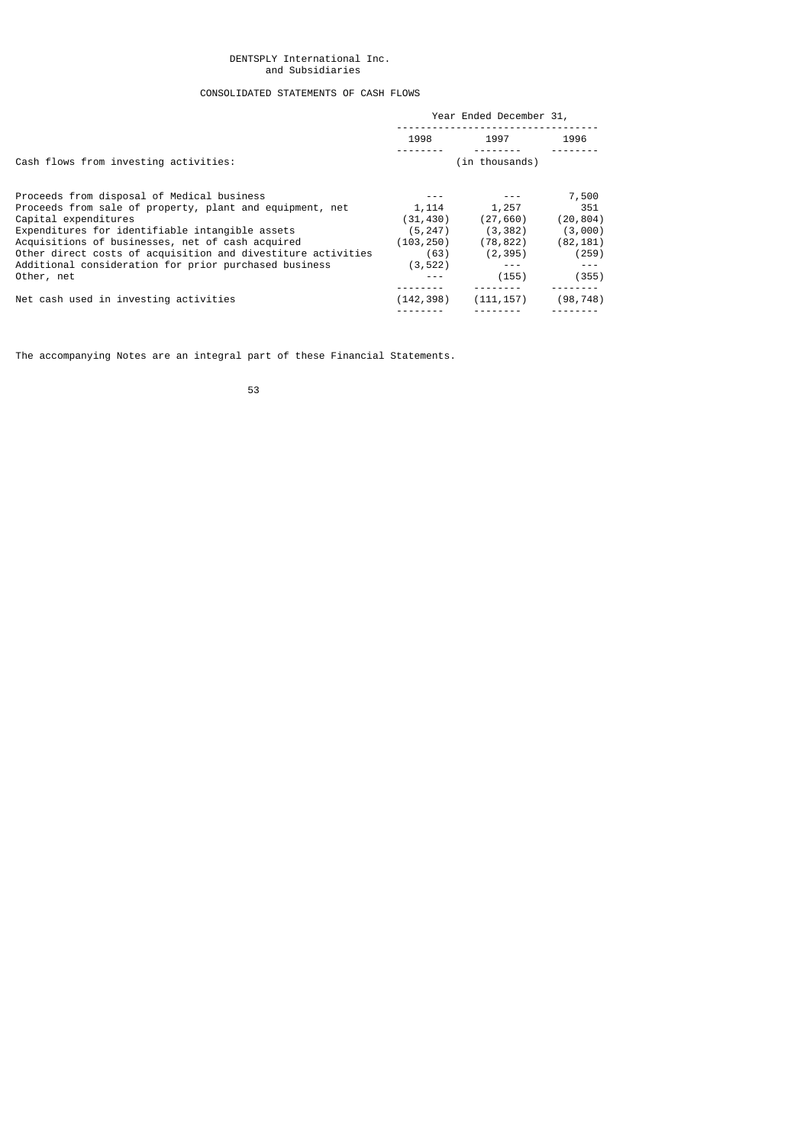# DENTSPLY International Inc. and Subsidiaries

# CONSOLIDATED STATEMENTS OF CASH FLOWS

| Year Ended December 31, |            |                |  |
|-------------------------|------------|----------------|--|
| 1998                    | 1997       | 1996           |  |
|                         |            |                |  |
|                         |            | 7,500          |  |
| 1,114                   | 1,257      | 351            |  |
| (31, 430)               | (27, 660)  | (20, 804)      |  |
| (5, 247)                | (3, 382)   | (3,000)        |  |
| (103, 250)              | (78, 822)  | (82, 181)      |  |
| (63)                    | (2, 395)   | (259)          |  |
| (3, 522)                | $- - -$    | $- - -$        |  |
|                         | (155)      | (355)          |  |
| (142, 398)              | (111, 157) | (98, 748)      |  |
|                         |            | (in thousands) |  |

The accompanying Notes are an integral part of these Financial Statements.

53 and 2012 and 2013 and 2013 and 2014 and 2014 and 2014 and 2014 and 2014 and 2014 and 2014 and 2014 and 2014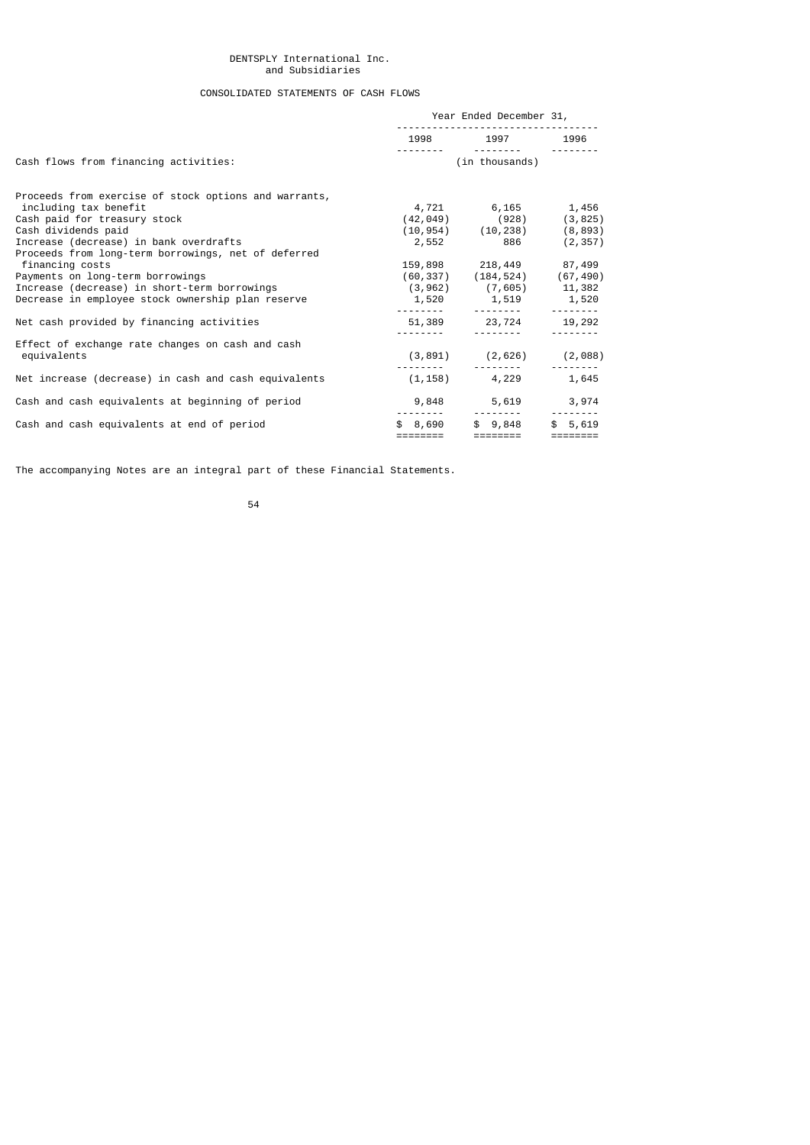## DENTSPLY International Inc. and Subsidiaries

# CONSOLIDATED STATEMENTS OF CASH FLOWS

|                                                       | Year Ended December 31, |                                                                      |          |
|-------------------------------------------------------|-------------------------|----------------------------------------------------------------------|----------|
|                                                       |                         | 1998 1997 1996                                                       |          |
| Cash flows from financing activities:                 |                         | (in thousands)                                                       |          |
| Proceeds from exercise of stock options and warrants, |                         |                                                                      |          |
| including tax benefit                                 |                         | 4,721 6,165 1,456                                                    |          |
| Cash paid for treasury stock                          |                         | $(42, 049)$ $(928)$ $(3, 825)$<br>$(10, 954)$ $(10, 238)$ $(8, 893)$ |          |
| Cash dividends paid                                   |                         |                                                                      |          |
| Increase (decrease) in bank overdrafts                |                         | 2,552 886 (2,357)                                                    |          |
| Proceeds from long-term borrowings, net of deferred   |                         |                                                                      |          |
| financing costs                                       |                         | 159,898 218,449 87,499                                               |          |
| Payments on long-term borrowings                      |                         | $(60, 337)$ $(184, 524)$ $(67, 490)$                                 |          |
| Increase (decrease) in short-term borrowings          |                         | $(3,962)$ $(7,605)$ 11,382                                           |          |
| Decrease in employee stock ownership plan reserve     |                         | 1,520 1,519 1,520                                                    |          |
| Net cash provided by financing activities             |                         | 51,389 23,724 19,292                                                 |          |
| Effect of exchange rate changes on cash and cash      |                         |                                                                      |          |
| equivalents                                           |                         | $(3,891)$ $(2,626)$ $(2,088)$                                        |          |
| Net increase (decrease) in cash and cash equivalents  |                         | $(1, 158)$ 4, 229                                                    | 1,645    |
| Cash and cash equivalents at beginning of period      |                         | 9,848 5,619                                                          | 3,974    |
|                                                       | \$8,690                 | \$9,848                                                              | \$5.619  |
| Cash and cash equivalents at end of period            |                         | ========                                                             | ======== |

The accompanying Notes are an integral part of these Financial Statements.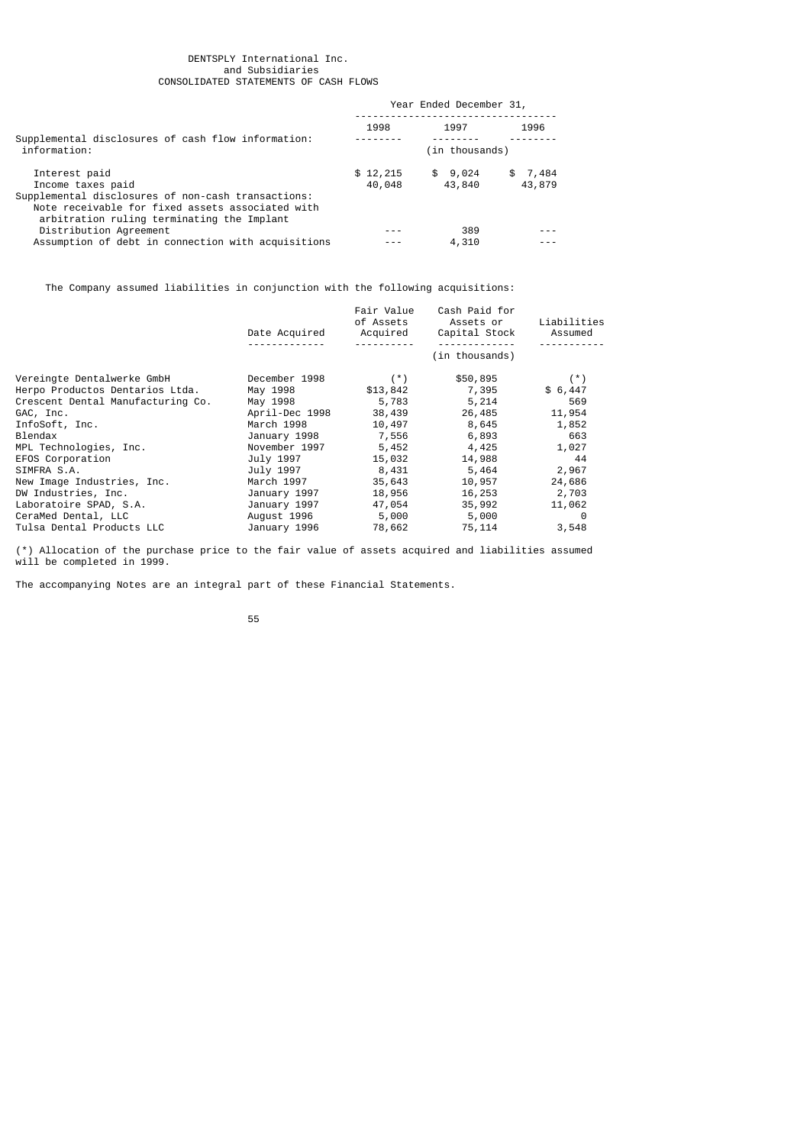#### DENTSPLY International Inc. and Subsidiaries CONSOLIDATED STATEMENTS OF CASH FLOWS

|                                                                                                                                                      | Year Ended December 31, |                    |                   |
|------------------------------------------------------------------------------------------------------------------------------------------------------|-------------------------|--------------------|-------------------|
|                                                                                                                                                      | 1998                    | 1997               | 1996              |
| Supplemental disclosures of cash flow information:<br>information:                                                                                   |                         | (in thousands)     |                   |
| Interest paid<br>Income taxes paid                                                                                                                   | \$12,215<br>40,048      | \$ 9,024<br>43,840 | \$7,484<br>43,879 |
| Supplemental disclosures of non-cash transactions:<br>Note receivable for fixed assets associated with<br>arbitration ruling terminating the Implant |                         |                    |                   |
| Distribution Agreement                                                                                                                               |                         | 389                |                   |
| Assumption of debt in connection with acquisitions                                                                                                   |                         | 4,310              |                   |

The Company assumed liabilities in conjunction with the following acquisitions:

|                                   | Date Acquired  | Fair Value<br>of Assets<br>Acquired | Cash Paid for<br>Assets or<br>Capital Stock | Liabilities<br>Assumed |
|-----------------------------------|----------------|-------------------------------------|---------------------------------------------|------------------------|
|                                   |                |                                     | (in thousands)                              |                        |
| Vereingte Dentalwerke GmbH        | December 1998  | $(\star)$                           | \$50,895                                    | $(*)$                  |
| Herpo Productos Dentarios Ltda.   | May 1998       | \$13,842                            | 7,395                                       | \$6,447                |
| Crescent Dental Manufacturing Co. | May 1998       | 5,783                               | 5,214                                       | 569                    |
| GAC, Inc.                         | April-Dec 1998 | 38,439                              | 26,485                                      | 11,954                 |
| InfoSoft, Inc.                    | March 1998     | 10,497                              | 8,645                                       | 1,852                  |
| Blendax                           | January 1998   | 7,556                               | 6,893                                       | 663                    |
| MPL Technologies, Inc.            | November 1997  | 5,452                               | 4,425                                       | 1,027                  |
| EFOS Corporation                  | July 1997      | 15,032                              | 14,988                                      | - 44                   |
| SIMFRA S.A.                       | July 1997      | 8,431                               | 5,464                                       | 2,967                  |
| New Image Industries, Inc.        | March 1997     | 35,643                              | 10,957                                      | 24,686                 |
| DW Industries, Inc.               | January 1997   | 18,956                              | 16,253                                      | 2,703                  |
| Laboratoire SPAD, S.A.            | January 1997   | 47,054                              | 35,992                                      | 11,062                 |
| CeraMed Dental, LLC               | August 1996    | 5,000                               | 5,000                                       | 0                      |
| Tulsa Dental Products LLC         | January 1996   | 78,662                              | 75,114                                      | 3,548                  |

(\*) Allocation of the purchase price to the fair value of assets acquired and liabilities assumed will be completed in 1999.

The accompanying Notes are an integral part of these Financial Statements.

55 and 2012 and 2013 and 2013 and 2014 and 2014 and 2014 and 2014 and 2014 and 2014 and 2014 and 2014 and 2014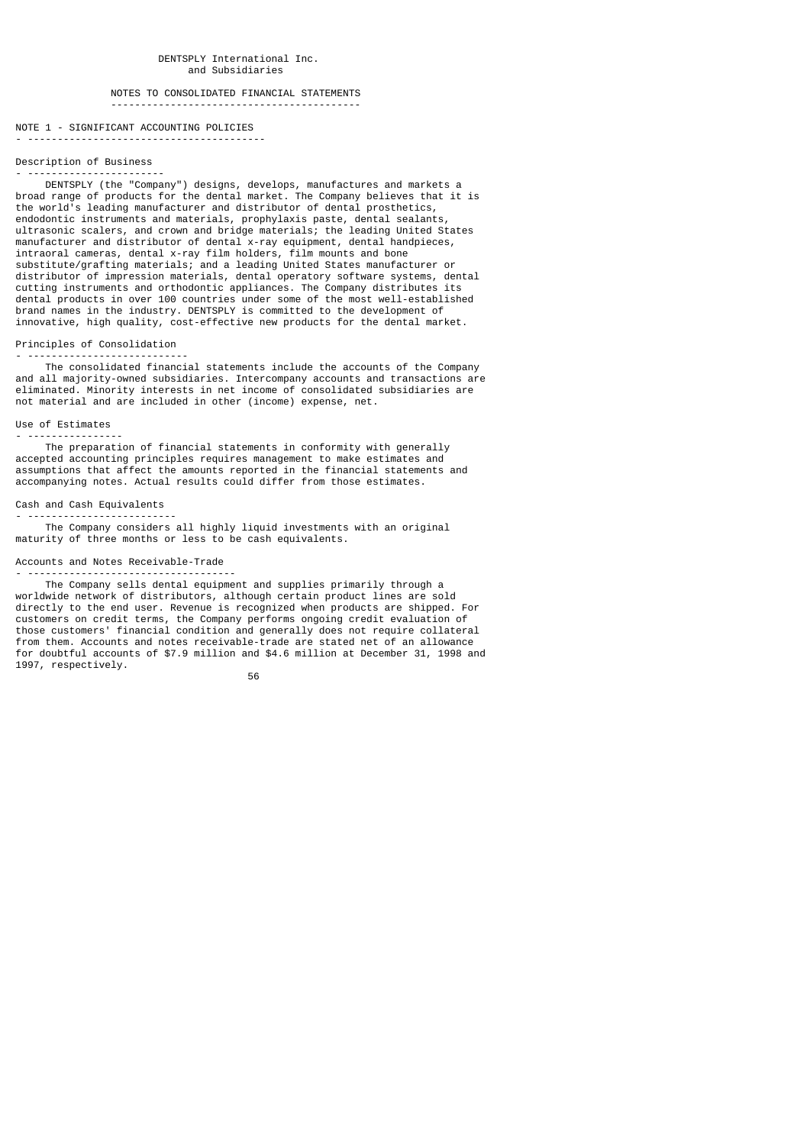## NOTES TO CONSOLIDATED FINANCIAL STATEMENTS ------------------------------------------

# NOTE 1 - SIGNIFICANT ACCOUNTING POLICIES

- ----------------------------------------

#### Description of Business - -----------------------

 DENTSPLY (the "Company") designs, develops, manufactures and markets a broad range of products for the dental market. The Company believes that it is the world's leading manufacturer and distributor of dental prosthetics, endodontic instruments and materials, prophylaxis paste, dental sealants, ultrasonic scalers, and crown and bridge materials; the leading United States manufacturer and distributor of dental x-ray equipment, dental handpieces, intraoral cameras, dental x-ray film holders, film mounts and bone substitute/grafting materials; and a leading United States manufacturer or distributor of impression materials, dental operatory software systems, dental cutting instruments and orthodontic appliances. The Company distributes its dental products in over 100 countries under some of the most well-established brand names in the industry. DENTSPLY is committed to the development of innovative, high quality, cost-effective new products for the dental market.

#### Principles of Consolidation - ---------------------------

 The consolidated financial statements include the accounts of the Company and all majority-owned subsidiaries. Intercompany accounts and transactions are eliminated. Minority interests in net income of consolidated subsidiaries are not material and are included in other (income) expense, net.

#### Use of Estimates

- ---------------- The preparation of financial statements in conformity with generally accepted accounting principles requires management to make estimates and assumptions that affect the amounts reported in the financial statements and accompanying notes. Actual results could differ from those estimates.

#### Cash and Cash Equivalents - -------------------------

 The Company considers all highly liquid investments with an original maturity of three months or less to be cash equivalents.

#### Accounts and Notes Receivable-Trade

- ----------------------------------- The Company sells dental equipment and supplies primarily through a worldwide network of distributors, although certain product lines are sold directly to the end user. Revenue is recognized when products are shipped. For customers on credit terms, the Company performs ongoing credit evaluation of those customers' financial condition and generally does not require collateral from them. Accounts and notes receivable-trade are stated net of an allowance for doubtful accounts of \$7.9 million and \$4.6 million at December 31, 1998 and 1997, respectively.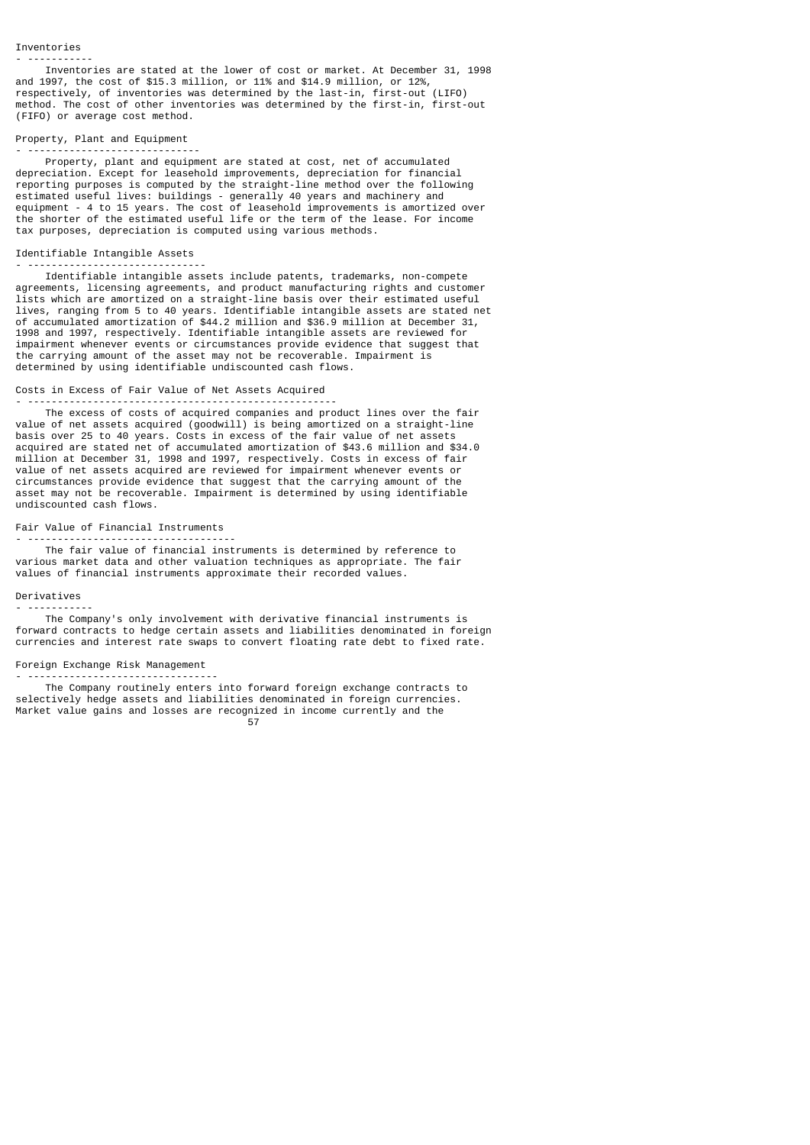- ----------- Inventories are stated at the lower of cost or market. At December 31, 1998 and 1997, the cost of \$15.3 million, or 11% and \$14.9 million, or 12%, respectively, of inventories was determined by the last-in, first-out (LIFO) method. The cost of other inventories was determined by the first-in, first-out (FIFO) or average cost method.

# Property, Plant and Equipment

- ----------------------------- Property, plant and equipment are stated at cost, net of accumulated depreciation. Except for leasehold improvements, depreciation for financial reporting purposes is computed by the straight-line method over the following estimated useful lives: buildings - generally 40 years and machinery and equipment - 4 to 15 years. The cost of leasehold improvements is amortized over the shorter of the estimated useful life or the term of the lease. For income tax purposes, depreciation is computed using various methods.

#### Identifiable Intangible Assets

- ------------------------------ Identifiable intangible assets include patents, trademarks, non-compete agreements, licensing agreements, and product manufacturing rights and customer lists which are amortized on a straight-line basis over their estimated useful lives, ranging from 5 to 40 years. Identifiable intangible assets are stated net of accumulated amortization of \$44.2 million and \$36.9 million at December 31, 1998 and 1997, respectively. Identifiable intangible assets are reviewed for impairment whenever events or circumstances provide evidence that suggest that the carrying amount of the asset may not be recoverable. Impairment is determined by using identifiable undiscounted cash flows.

#### Costs in Excess of Fair Value of Net Assets Acquired - ----------------------------------------------------

 The excess of costs of acquired companies and product lines over the fair value of net assets acquired (goodwill) is being amortized on a straight-line basis over 25 to 40 years. Costs in excess of the fair value of net assets acquired are stated net of accumulated amortization of \$43.6 million and \$34.0 million at December 31, 1998 and 1997, respectively. Costs in excess of fair value of net assets acquired are reviewed for impairment whenever events or circumstances provide evidence that suggest that the carrying amount of the asset may not be recoverable. Impairment is determined by using identifiable undiscounted cash flows.

# Fair Value of Financial Instruments

- -----------------------------------

 The fair value of financial instruments is determined by reference to various market data and other valuation techniques as appropriate. The fair values of financial instruments approximate their recorded values.

### Derivatives - -----------

 The Company's only involvement with derivative financial instruments is forward contracts to hedge certain assets and liabilities denominated in foreign currencies and interest rate swaps to convert floating rate debt to fixed rate.

### Foreign Exchange Risk Management

- -------------------------------- The Company routinely enters into forward foreign exchange contracts to selectively hedge assets and liabilities denominated in foreign currencies. Market value gains and losses are recognized in income currently and the

57 (1992) 1994 (1994) 1995 (1995) 1996 (1996) 1997 (1998) 1997 (1998) 1997 (1998) 1997 (1998) 1997 (1998) 199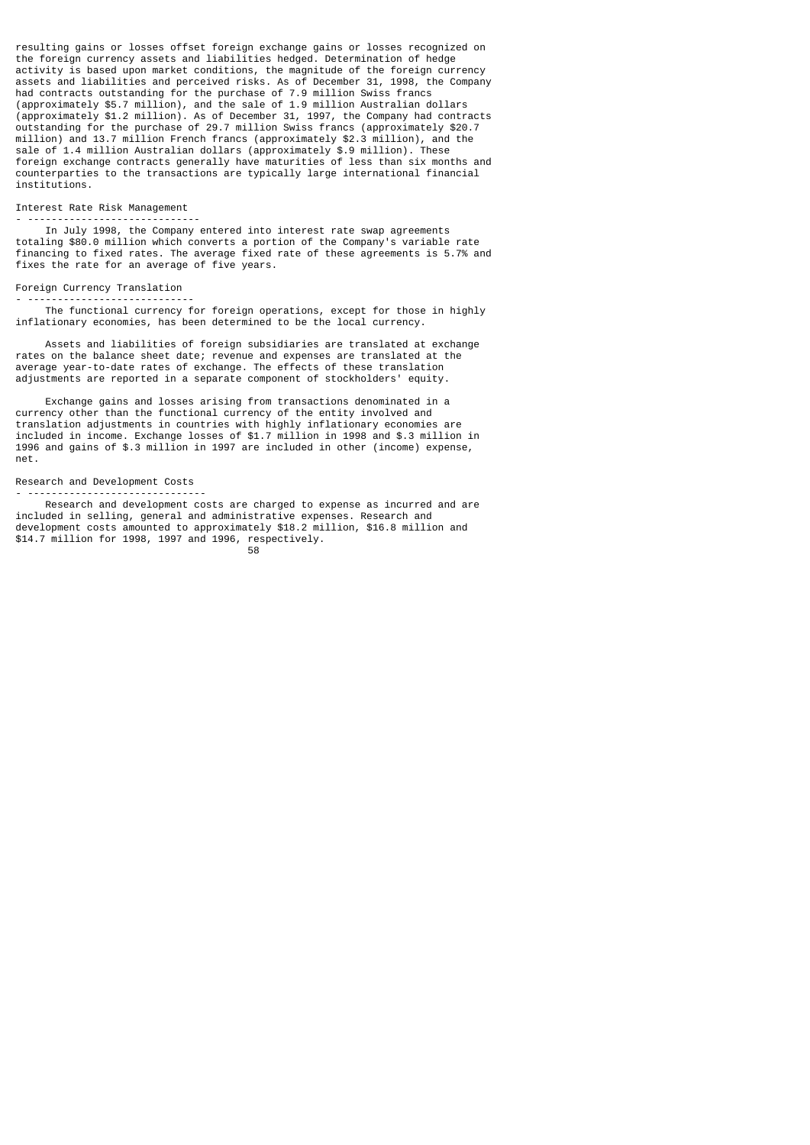resulting gains or losses offset foreign exchange gains or losses recognized on the foreign currency assets and liabilities hedged. Determination of hedge activity is based upon market conditions, the magnitude of the foreign currency assets and liabilities and perceived risks. As of December 31, 1998, the Company had contracts outstanding for the purchase of 7.9 million Swiss francs (approximately \$5.7 million), and the sale of 1.9 million Australian dollars (approximately \$1.2 million). As of December 31, 1997, the Company had contracts outstanding for the purchase of 29.7 million Swiss francs (approximately \$20.7 million) and 13.7 million French francs (approximately \$2.3 million), and the sale of 1.4 million Australian dollars (approximately \$.9 million). These foreign exchange contracts generally have maturities of less than six months and counterparties to the transactions are typically large international financial institutions.

### Interest Rate Risk Management

- -----------------------------

 In July 1998, the Company entered into interest rate swap agreements totaling \$80.0 million which converts a portion of the Company's variable rate financing to fixed rates. The average fixed rate of these agreements is 5.7% and fixes the rate for an average of five years.

# Foreign Currency Translation

- ---------------------------- The functional currency for foreign operations, except for those in highly inflationary economies, has been determined to be the local currency.

 Assets and liabilities of foreign subsidiaries are translated at exchange rates on the balance sheet date; revenue and expenses are translated at the average year-to-date rates of exchange. The effects of these translation adjustments are reported in a separate component of stockholders' equity.

 Exchange gains and losses arising from transactions denominated in a currency other than the functional currency of the entity involved and translation adjustments in countries with highly inflationary economies are included in income. Exchange losses of \$1.7 million in 1998 and \$.3 million in 1996 and gains of \$.3 million in 1997 are included in other (income) expense, net.

#### Research and Development Costs - ------------------------------

 Research and development costs are charged to expense as incurred and are included in selling, general and administrative expenses. Research and development costs amounted to approximately \$18.2 million, \$16.8 million and \$14.7 million for 1998, 1997 and 1996, respectively. e a componente de la componente de la componente de la componente de la componente de la componente de la comp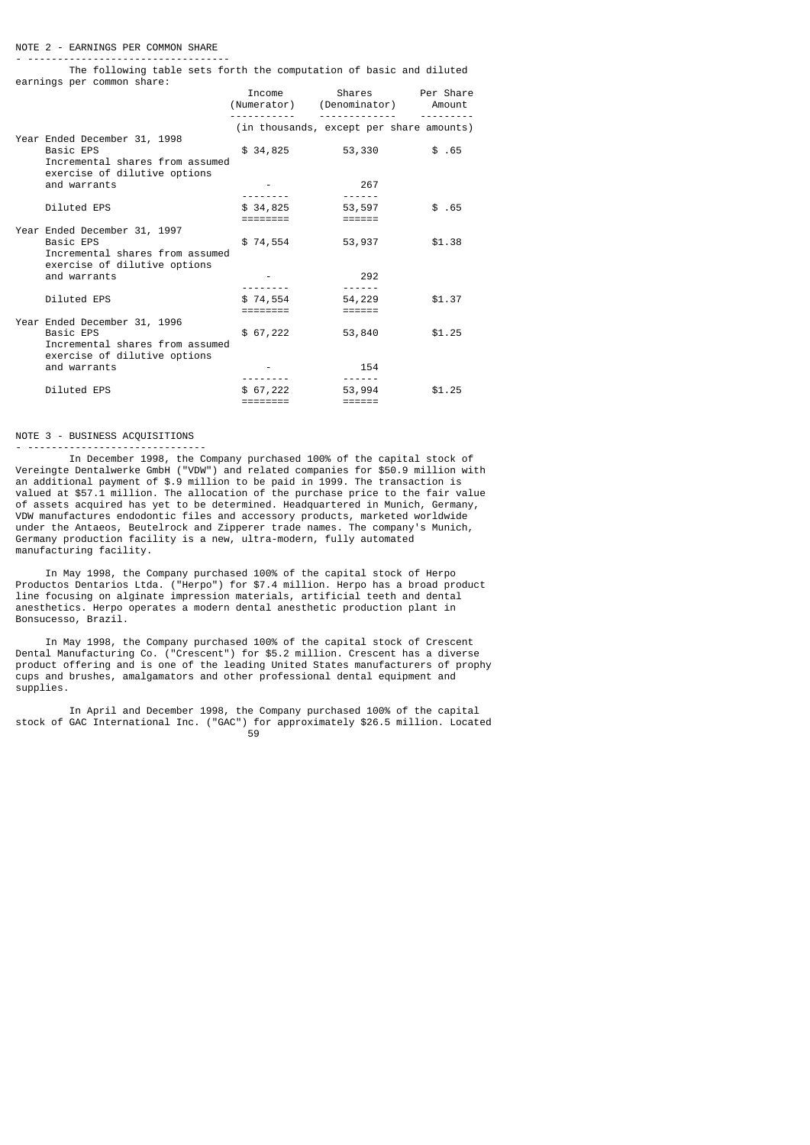#### NOTE 2 - EARNINGS PER COMMON SHARE

- ----------------------------------

 The following table sets forth the computation of basic and diluted earnings per common share:

|                                                                                                              | Income<br>(Numerator) (Denominator)      | Shares           | Per Share<br>Amount |
|--------------------------------------------------------------------------------------------------------------|------------------------------------------|------------------|---------------------|
|                                                                                                              | (in thousands, except per share amounts) |                  |                     |
| Year Ended December 31, 1998<br>Basic EPS<br>Incremental shares from assumed<br>exercise of dilutive options | \$34,825                                 | 53,330           | \$.65               |
| and warrants                                                                                                 |                                          | 267              |                     |
|                                                                                                              |                                          | ------           |                     |
| Diluted EPS                                                                                                  | \$34,825                                 | 53,597           | \$.65               |
| Year Ended December 31, 1997                                                                                 |                                          |                  |                     |
| Basic EPS<br>Incremental shares from assumed                                                                 | \$74,554                                 | 53,937           | \$1.38              |
| exercise of dilutive options                                                                                 |                                          |                  |                     |
| and warrants                                                                                                 |                                          | 292              |                     |
|                                                                                                              |                                          |                  |                     |
| Diluted EPS                                                                                                  | \$74,554<br>========                     | 54,229<br>====== | \$1.37              |
| Year Ended December 31, 1996<br>Basic EPS<br>Incremental shares from assumed                                 | \$67,222                                 | 53,840           | \$1.25              |
| exercise of dilutive options<br>and warrants                                                                 |                                          | 154              |                     |
|                                                                                                              |                                          | ------           |                     |
| Diluted EPS                                                                                                  | \$67,222<br>========                     | 53,994<br>====== | \$1.25              |
|                                                                                                              |                                          |                  |                     |

#### NOTE 3 - BUSINESS ACQUISITIONS - ------------------------------

 In December 1998, the Company purchased 100% of the capital stock of Vereingte Dentalwerke GmbH ("VDW") and related companies for \$50.9 million with an additional payment of \$.9 million to be paid in 1999. The transaction is valued at \$57.1 million. The allocation of the purchase price to the fair value of assets acquired has yet to be determined. Headquartered in Munich, Germany, VDW manufactures endodontic files and accessory products, marketed worldwide under the Antaeos, Beutelrock and Zipperer trade names. The company's Munich, Germany production facility is a new, ultra-modern, fully automated manufacturing facility.

 In May 1998, the Company purchased 100% of the capital stock of Herpo Productos Dentarios Ltda. ("Herpo") for \$7.4 million. Herpo has a broad product line focusing on alginate impression materials, artificial teeth and dental anesthetics. Herpo operates a modern dental anesthetic production plant in Bonsucesso, Brazil.

 In May 1998, the Company purchased 100% of the capital stock of Crescent Dental Manufacturing Co. ("Crescent") for \$5.2 million. Crescent has a diverse product offering and is one of the leading United States manufacturers of prophy cups and brushes, amalgamators and other professional dental equipment and supplies.

 In April and December 1998, the Company purchased 100% of the capital stock of GAC International Inc. ("GAC") for approximately \$26.5 million. Located 59 - 1992 - 1993 - 1994 - 1995 - 1996 - 1997 - 1998 - 1999 - 1999 - 1999 - 1999 - 1999 - 1999 - 199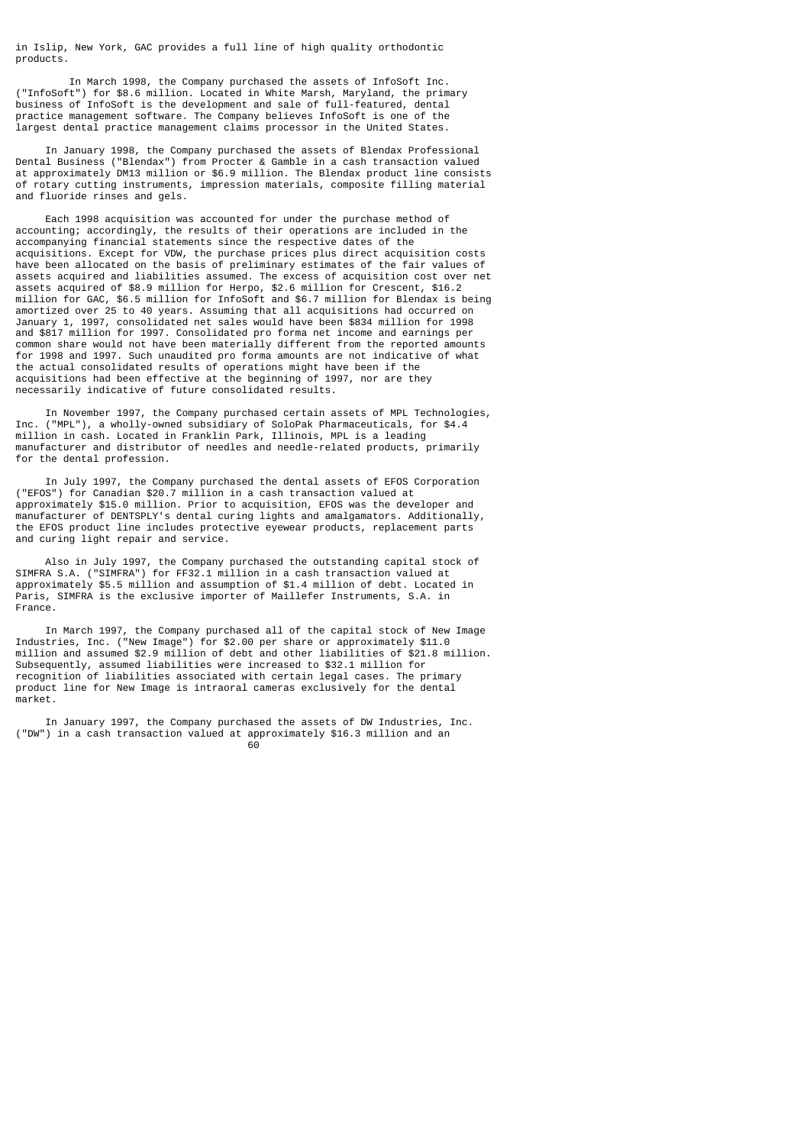in Islip, New York, GAC provides a full line of high quality orthodontic products.

 In March 1998, the Company purchased the assets of InfoSoft Inc. ("InfoSoft") for \$8.6 million. Located in White Marsh, Maryland, the primary business of InfoSoft is the development and sale of full-featured, dental practice management software. The Company believes InfoSoft is one of the largest dental practice management claims processor in the United States.

 In January 1998, the Company purchased the assets of Blendax Professional Dental Business ("Blendax") from Procter & Gamble in a cash transaction valued at approximately DM13 million or \$6.9 million. The Blendax product line consists of rotary cutting instruments, impression materials, composite filling material and fluoride rinses and gels.

 Each 1998 acquisition was accounted for under the purchase method of accounting; accordingly, the results of their operations are included in the accompanying financial statements since the respective dates of the acquisitions. Except for VDW, the purchase prices plus direct acquisition costs have been allocated on the basis of preliminary estimates of the fair values of assets acquired and liabilities assumed. The excess of acquisition cost over net assets acquired of \$8.9 million for Herpo, \$2.6 million for Crescent, \$16.2 million for GAC, \$6.5 million for InfoSoft and \$6.7 million for Blendax is being amortized over 25 to 40 years. Assuming that all acquisitions had occurred on January 1, 1997, consolidated net sales would have been \$834 million for 1998 and \$817 million for 1997. Consolidated pro forma net income and earnings per common share would not have been materially different from the reported amounts for 1998 and 1997. Such unaudited pro forma amounts are not indicative of what the actual consolidated results of operations might have been if the acquisitions had been effective at the beginning of 1997, nor are they necessarily indicative of future consolidated results.

 In November 1997, the Company purchased certain assets of MPL Technologies, Inc. ("MPL"), a wholly-owned subsidiary of SoloPak Pharmaceuticals, for \$4.4 million in cash. Located in Franklin Park, Illinois, MPL is a leading manufacturer and distributor of needles and needle-related products, primarily for the dental profession.

 In July 1997, the Company purchased the dental assets of EFOS Corporation ("EFOS") for Canadian \$20.7 million in a cash transaction valued at approximately \$15.0 million. Prior to acquisition, EFOS was the developer and manufacturer of DENTSPLY's dental curing lights and amalgamators. Additionally, the EFOS product line includes protective eyewear products, replacement parts and curing light repair and service.

 Also in July 1997, the Company purchased the outstanding capital stock of SIMFRA S.A. ("SIMFRA") for FF32.1 million in a cash transaction valued at approximately \$5.5 million and assumption of \$1.4 million of debt. Located in Paris, SIMFRA is the exclusive importer of Maillefer Instruments, S.A. in France.

 In March 1997, the Company purchased all of the capital stock of New Image Industries, Inc. ("New Image") for \$2.00 per share or approximately \$11.0 million and assumed \$2.9 million of debt and other liabilities of \$21.8 million. Subsequently, assumed liabilities were increased to \$32.1 million for recognition of liabilities associated with certain legal cases. The primary product line for New Image is intraoral cameras exclusively for the dental market.

 In January 1997, the Company purchased the assets of DW Industries, Inc. ("DW") in a cash transaction valued at approximately \$16.3 million and an de de la construcción de la construcción de la construcción de la construcción de la construcción de la constr<br>1960 - La construcción de la construcción de la construcción de la construcción de la construcción de la const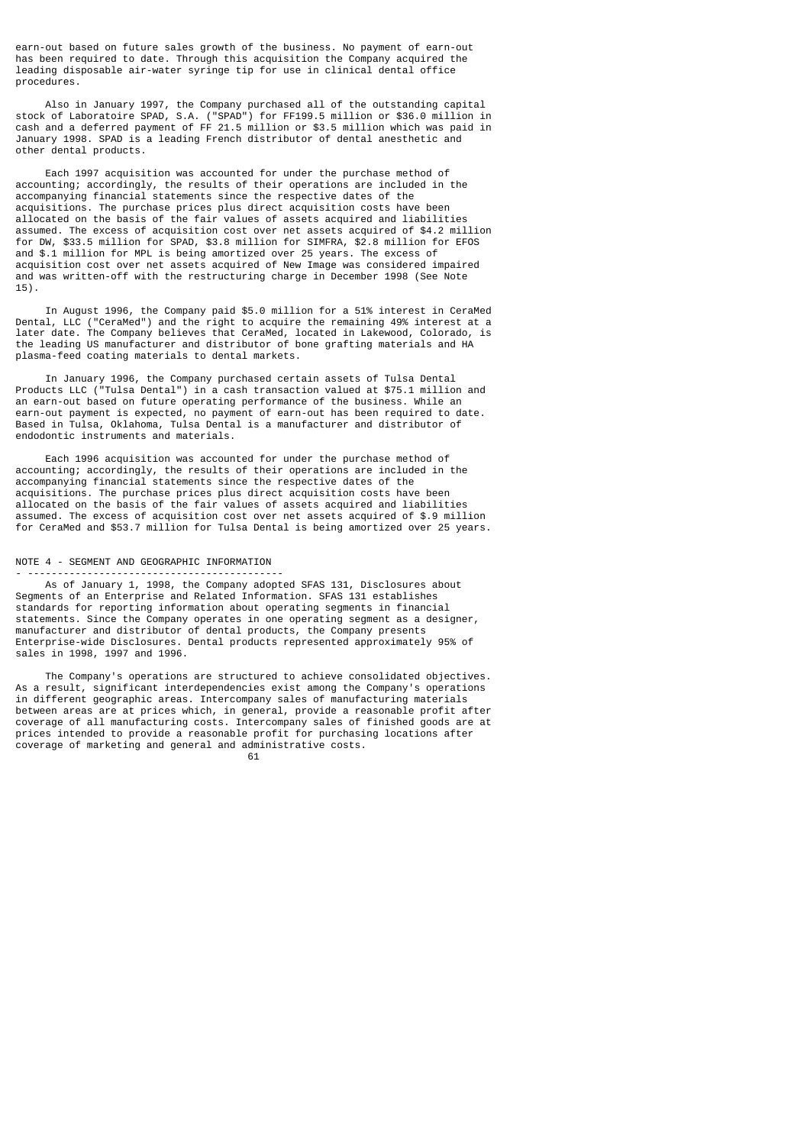earn-out based on future sales growth of the business. No payment of earn-out has been required to date. Through this acquisition the Company acquired the leading disposable air-water syringe tip for use in clinical dental office procedures.

 Also in January 1997, the Company purchased all of the outstanding capital stock of Laboratoire SPAD, S.A. ("SPAD") for FF199.5 million or \$36.0 million in cash and a deferred payment of FF 21.5 million or \$3.5 million which was paid in January 1998. SPAD is a leading French distributor of dental anesthetic and other dental products.

 Each 1997 acquisition was accounted for under the purchase method of accounting; accordingly, the results of their operations are included in the accompanying financial statements since the respective dates of the acquisitions. The purchase prices plus direct acquisition costs have been allocated on the basis of the fair values of assets acquired and liabilities assumed. The excess of acquisition cost over net assets acquired of \$4.2 million for DW, \$33.5 million for SPAD, \$3.8 million for SIMFRA, \$2.8 million for EFOS and \$.1 million for MPL is being amortized over 25 years. The excess of acquisition cost over net assets acquired of New Image was considered impaired and was written-off with the restructuring charge in December 1998 (See Note 15).

 In August 1996, the Company paid \$5.0 million for a 51% interest in CeraMed Dental, LLC ("CeraMed") and the right to acquire the remaining 49% interest at a later date. The Company believes that CeraMed, located in Lakewood, Colorado, is the leading US manufacturer and distributor of bone grafting materials and HA plasma-feed coating materials to dental markets.

 In January 1996, the Company purchased certain assets of Tulsa Dental Products LLC ("Tulsa Dental") in a cash transaction valued at \$75.1 million and an earn-out based on future operating performance of the business. While an earn-out payment is expected, no payment of earn-out has been required to date. Based in Tulsa, Oklahoma, Tulsa Dental is a manufacturer and distributor of endodontic instruments and materials.

 Each 1996 acquisition was accounted for under the purchase method of accounting; accordingly, the results of their operations are included in the accompanying financial statements since the respective dates of the acquisitions. The purchase prices plus direct acquisition costs have been allocated on the basis of the fair values of assets acquired and liabilities assumed. The excess of acquisition cost over net assets acquired of \$.9 million for CeraMed and \$53.7 million for Tulsa Dental is being amortized over 25 years.

# NOTE 4 - SEGMENT AND GEOGRAPHIC INFORMATION

- ------------------------------------------- As of January 1, 1998, the Company adopted SFAS 131, Disclosures about Segments of an Enterprise and Related Information. SFAS 131 establishes standards for reporting information about operating segments in financial statements. Since the Company operates in one operating segment as a designer, manufacturer and distributor of dental products, the Company presents Enterprise-wide Disclosures. Dental products represented approximately 95% of sales in 1998, 1997 and 1996.

 The Company's operations are structured to achieve consolidated objectives. As a result, significant interdependencies exist among the Company's operations in different geographic areas. Intercompany sales of manufacturing materials between areas are at prices which, in general, provide a reasonable profit after coverage of all manufacturing costs. Intercompany sales of finished goods are at prices intended to provide a reasonable profit for purchasing locations after coverage of marketing and general and administrative costs.

 $\sim$  61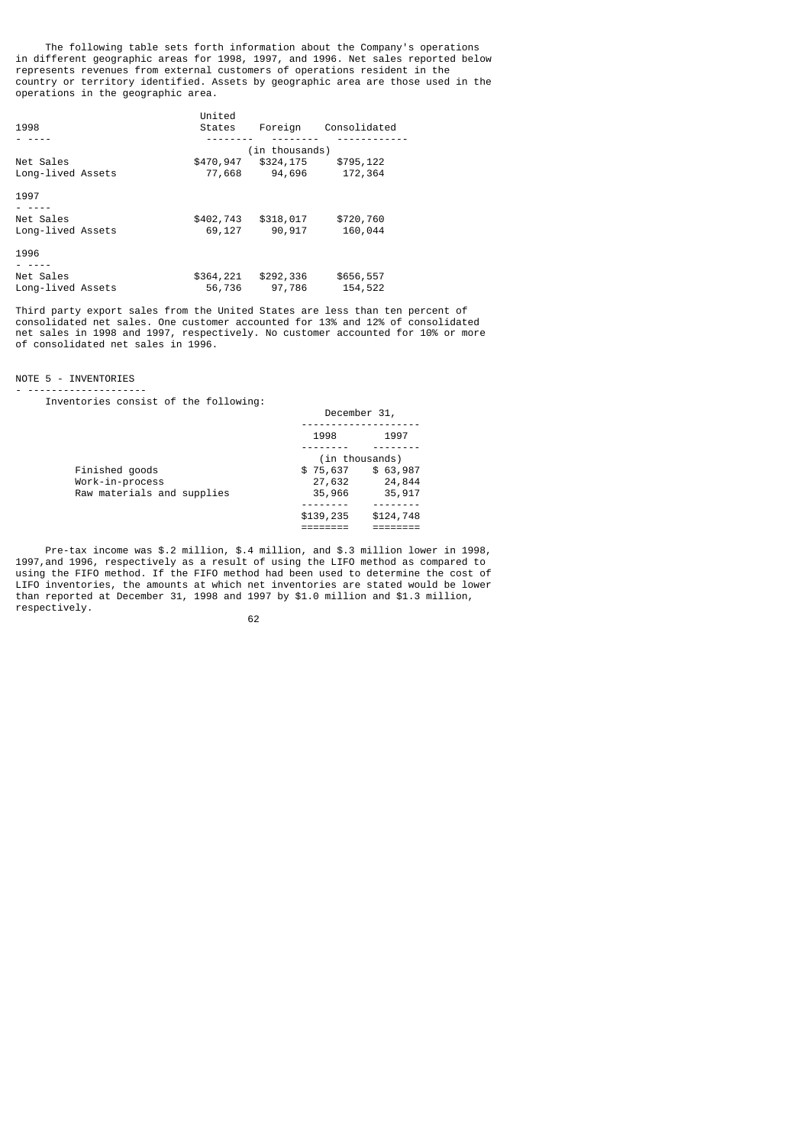The following table sets forth information about the Company's operations in different geographic areas for 1998, 1997, and 1996. Net sales reported below represents revenues from external customers of operations resident in the country or territory identified. Assets by geographic area are those used in the operations in the geographic area.

|                   | United    |                |              |  |
|-------------------|-----------|----------------|--------------|--|
| 1998              | States    | Foreign        | Consolidated |  |
|                   |           |                |              |  |
|                   |           | (in thousands) |              |  |
| Net Sales         | \$470,947 | \$324,175      | \$795,122    |  |
| Long-lived Assets | 77,668    | 94,696         | 172,364      |  |
| 1997              |           |                |              |  |
|                   |           |                |              |  |
| Net Sales         | \$402,743 | \$318,017      | \$720,760    |  |
| Long-lived Assets | 69,127    | 90,917         | 160,044      |  |
| 1996              |           |                |              |  |
|                   |           |                |              |  |
| Net Sales         | \$364,221 | \$292,336      | \$656,557    |  |
| Long-lived Assets | 56,736    | 97,786         | 154,522      |  |

Third party export sales from the United States are less than ten percent of consolidated net sales. One customer accounted for 13% and 12% of consolidated net sales in 1998 and 1997, respectively. No customer accounted for 10% or more of consolidated net sales in 1996.

# NOTE 5 - INVENTORIES

- -------------------- Inventories consist of the following:

|                                   | December 31,       |                                      |
|-----------------------------------|--------------------|--------------------------------------|
|                                   | 1998               | 1997                                 |
| Finished goods<br>Work-in-process | \$75,637<br>27,632 | (in thousands)<br>\$63,987<br>24,844 |
| Raw materials and supplies        | 35,966             | 35,917                               |
|                                   | \$139,235          | \$124,748                            |

Pre-tax income was \$.2 million, \$.4 million, and \$.3 million lower in 1998, 1997,and 1996, respectively as a result of using the LIFO method as compared to using the FIFO method. If the FIFO method had been used to determine the cost of LIFO inventories, the amounts at which net inventories are stated would be lower than reported at December 31, 1998 and 1997 by \$1.0 million and \$1.3 million, respectively.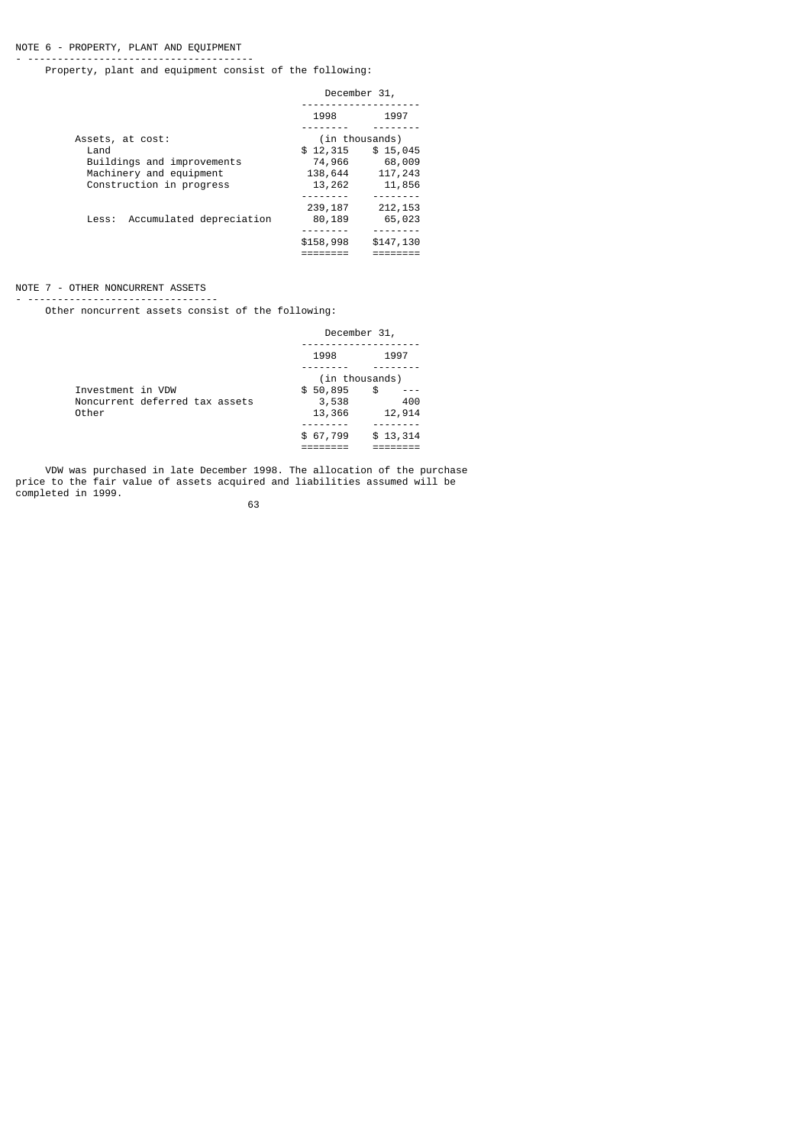# NOTE 6 - PROPERTY, PLANT AND EQUIPMENT

- -------------------------------------- Property, plant and equipment consist of the following:

|                                | December 31,       |                    |
|--------------------------------|--------------------|--------------------|
|                                | 1998               | 1997               |
| Assets, at cost:               |                    | (in thousands)     |
| Land                           | \$12,315           | \$15,045           |
| Buildings and improvements     | 74,966             | 68,009             |
| Machinery and equipment        | 138,644            | 117,243            |
| Construction in progress       | 13,262             | 11,856             |
|                                |                    |                    |
| Less: Accumulated depreciation | 239, 187<br>80,189 | 212, 153<br>65,023 |
|                                |                    | -------            |
|                                | \$158,998          | \$147,130          |

# NOTE 7 - OTHER NONCURRENT ASSETS

- --------------------------------

Other noncurrent assets consist of the following:

|                                                              | December 31,                |                                       |
|--------------------------------------------------------------|-----------------------------|---------------------------------------|
|                                                              | 1998                        | 1997                                  |
| Investment in VDW<br>Noncurrent deferred tax assets<br>Other | \$50,895<br>3,538<br>13,366 | (in thousands)<br>\$<br>400<br>12,914 |
|                                                              | \$67,799                    | \$13,314                              |

 VDW was purchased in late December 1998. The allocation of the purchase price to the fair value of assets acquired and liabilities assumed will be completed in 1999.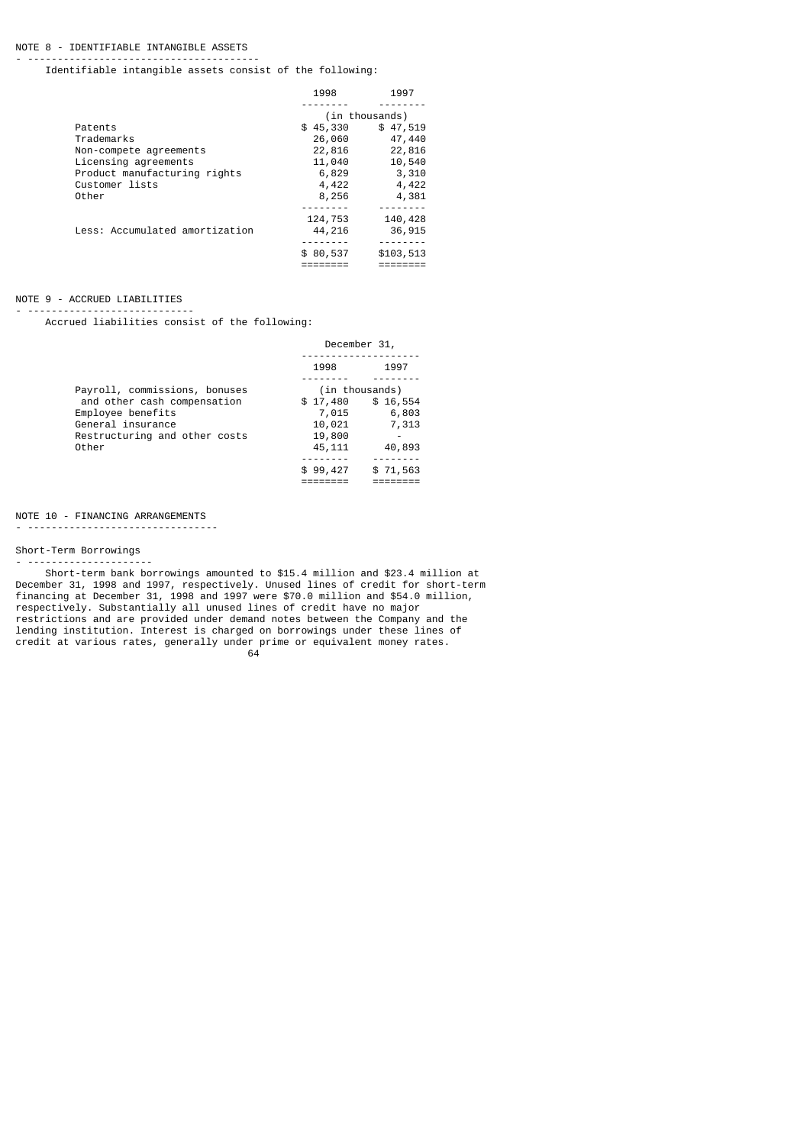## NOTE 8 - IDENTIFIABLE INTANGIBLE ASSETS

- --------------------------------------- Identifiable intangible assets consist of the following:

|                                | 1998     | 1997           |
|--------------------------------|----------|----------------|
|                                |          |                |
|                                |          | (in thousands) |
| Patents                        | \$45,330 | \$47,519       |
| Trademarks                     | 26,060   | 47,440         |
| Non-compete agreements         | 22,816   | 22,816         |
| Licensing agreements           | 11,040   | 10,540         |
| Product manufacturing rights   | 6,829    | 3,310          |
| Customer lists                 | 4,422    | 4,422          |
| Other                          | 8,256    | 4,381          |
|                                |          |                |
|                                | 124,753  | 140,428        |
| Less: Accumulated amortization | 44,216   | 36,915         |
|                                |          |                |
|                                | \$80,537 | \$103,513      |
|                                |          | --------       |

#### NOTE 9 - ACCRUED LIABILITIES - ----------------------------

Accrued liabilities consist of the following:

|                                                    | December 31,      |                   |
|----------------------------------------------------|-------------------|-------------------|
|                                                    | 1998              | 1997              |
| Payroll, commissions, bonuses                      |                   | (in thousands)    |
| and other cash compensation<br>Employee benefits   | \$17,480<br>7,015 | \$16,554<br>6,803 |
| General insurance<br>Restructuring and other costs | 10,021<br>19,800  | 7,313             |
| Other                                              | 45,111            | 40,893            |
|                                                    | \$99,427          | \$71,563          |

# NOTE 10 - FINANCING ARRANGEMENTS

- --------------------------------

 $64$ 

# Short-Term Borrowings

- --------------------- Short-term bank borrowings amounted to \$15.4 million and \$23.4 million at December 31, 1998 and 1997, respectively. Unused lines of credit for short-term financing at December 31, 1998 and 1997 were \$70.0 million and \$54.0 million, respectively. Substantially all unused lines of credit have no major restrictions and are provided under demand notes between the Company and the lending institution. Interest is charged on borrowings under these lines of credit at various rates, generally under prime or equivalent money rates.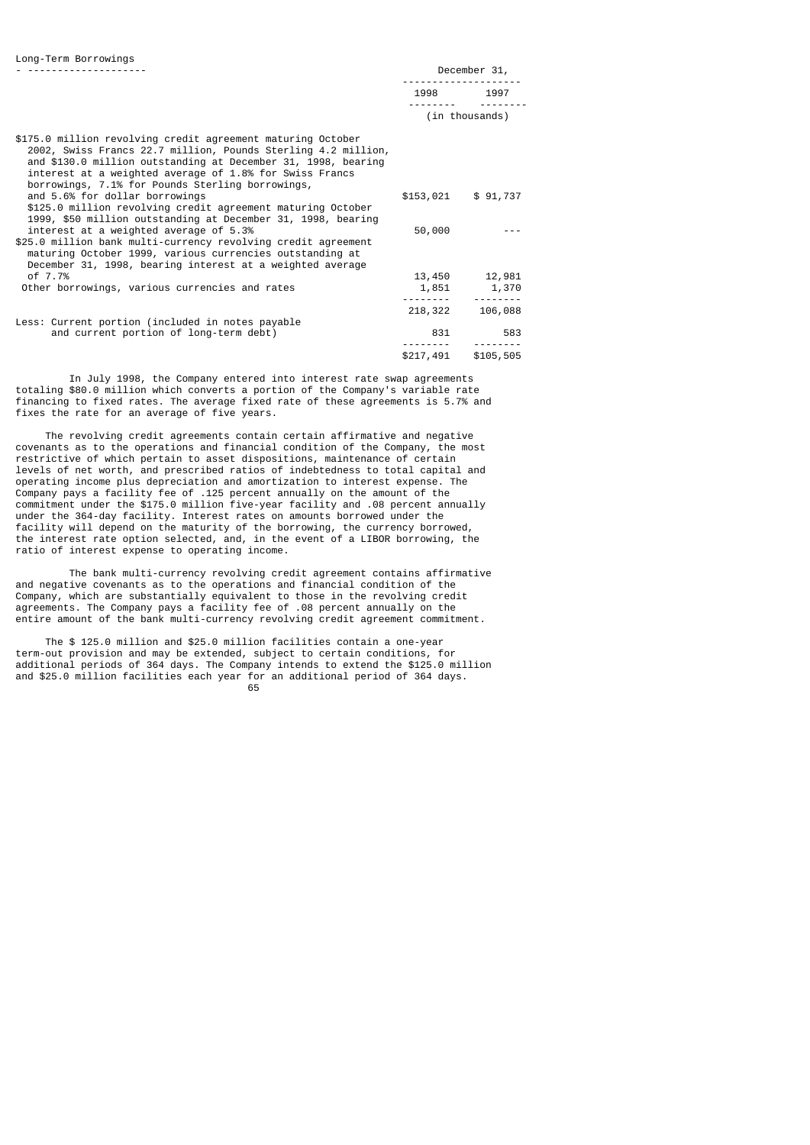| -------------------- |      | DECEMMEL 9T'   |  |
|----------------------|------|----------------|--|
|                      |      |                |  |
|                      | 1998 | 1997           |  |
|                      |      | (in thousands) |  |
|                      |      |                |  |

| \$175.0 million revolving credit agreement maturing October   |                 |           |
|---------------------------------------------------------------|-----------------|-----------|
| 2002, Swiss Francs 22.7 million, Pounds Sterling 4.2 million, |                 |           |
| and \$130.0 million outstanding at December 31, 1998, bearing |                 |           |
| interest at a weighted average of 1.8% for Swiss Francs       |                 |           |
| borrowings, 7.1% for Pounds Sterling borrowings,              |                 |           |
| and 5.6% for dollar borrowings                                | \$153,021       | \$91,737  |
| \$125.0 million revolving credit agreement maturing October   |                 |           |
| 1999, \$50 million outstanding at December 31, 1998, bearing  |                 |           |
| interest at a weighted average of 5.3%                        | 50,000          |           |
| \$25.0 million bank multi-currency revolving credit agreement |                 |           |
| maturing October 1999, various currencies outstanding at      |                 |           |
| December 31, 1998, bearing interest at a weighted average     |                 |           |
| of 7.7%                                                       | 13,450          | 12,981    |
| Other borrowings, various currencies and rates                | 1,851           | 1,370     |
|                                                               | - - - - - - - - | --------  |
|                                                               | 218,322         | 106,088   |
| Less: Current portion (included in notes payable              |                 |           |
| and current portion of long-term debt)                        | 831             | 583       |
|                                                               | \$217,491       | \$105,505 |

 In July 1998, the Company entered into interest rate swap agreements totaling \$80.0 million which converts a portion of the Company's variable rate financing to fixed rates. The average fixed rate of these agreements is 5.7% and fixes the rate for an average of five years.

 The revolving credit agreements contain certain affirmative and negative covenants as to the operations and financial condition of the Company, the most restrictive of which pertain to asset dispositions, maintenance of certain levels of net worth, and prescribed ratios of indebtedness to total capital and operating income plus depreciation and amortization to interest expense. The Company pays a facility fee of .125 percent annually on the amount of the commitment under the \$175.0 million five-year facility and .08 percent annually under the 364-day facility. Interest rates on amounts borrowed under the facility will depend on the maturity of the borrowing, the currency borrowed, the interest rate option selected, and, in the event of a LIBOR borrowing, the ratio of interest expense to operating income.

 The bank multi-currency revolving credit agreement contains affirmative and negative covenants as to the operations and financial condition of the Company, which are substantially equivalent to those in the revolving credit agreements. The Company pays a facility fee of .08 percent annually on the entire amount of the bank multi-currency revolving credit agreement commitment.

 The \$ 125.0 million and \$25.0 million facilities contain a one-year term-out provision and may be extended, subject to certain conditions, for additional periods of 364 days. The Company intends to extend the \$125.0 million and \$25.0 million facilities each year for an additional period of 364 days.  $\sim$  65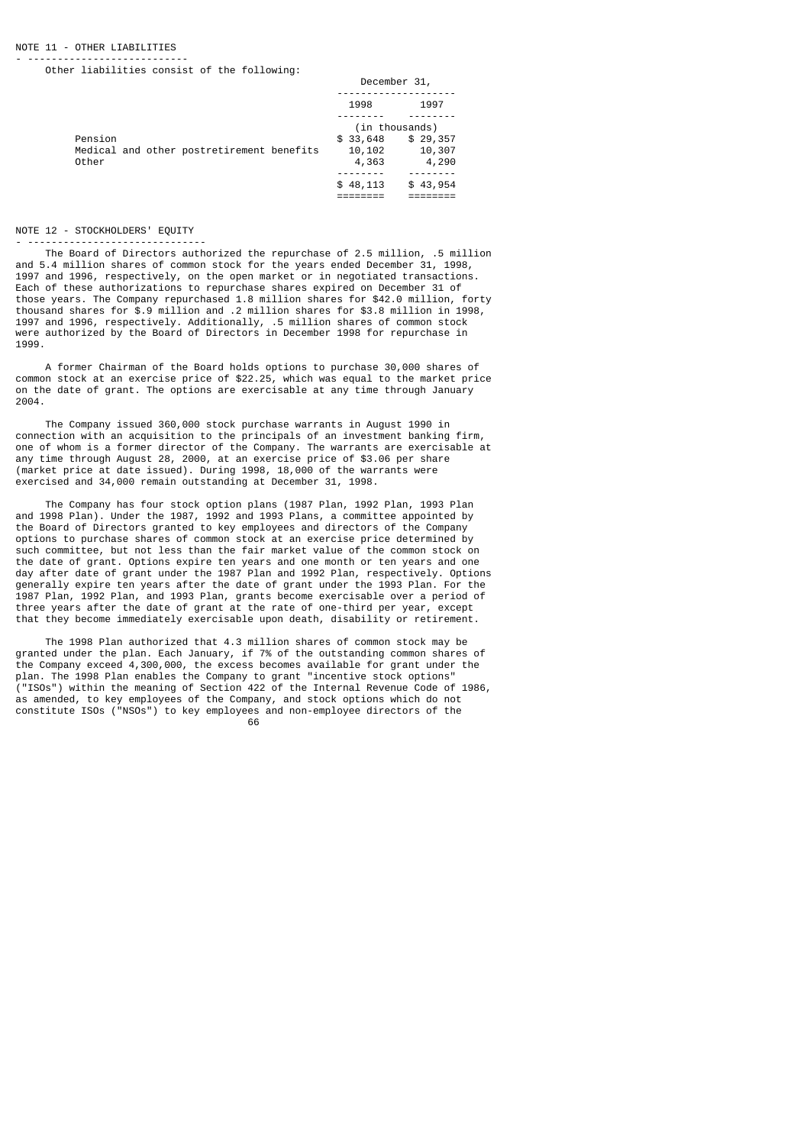#### NOTE 11 - OTHER LIABILITIES

- --------------------------- Other liabilities consist of the following:

|                                                    | December 31,    |                 |
|----------------------------------------------------|-----------------|-----------------|
|                                                    | 1998            | 1997            |
|                                                    |                 | (in thousands)  |
| Pension                                            | \$33,648        | \$29,357        |
| Medical and other postretirement benefits<br>Other | 10,102<br>4,363 | 10,307<br>4,290 |
|                                                    | \$48,113        | \$43,954        |
|                                                    |                 |                 |

#### NOTE 12 - STOCKHOLDERS' EQUITY - ------------------------------

 The Board of Directors authorized the repurchase of 2.5 million, .5 million and 5.4 million shares of common stock for the years ended December 31, 1998, 1997 and 1996, respectively, on the open market or in negotiated transactions. Each of these authorizations to repurchase shares expired on December 31 of those years. The Company repurchased 1.8 million shares for \$42.0 million, forty thousand shares for \$.9 million and .2 million shares for \$3.8 million in 1998, 1997 and 1996, respectively. Additionally, .5 million shares of common stock were authorized by the Board of Directors in December 1998 for repurchase in 1999.

 A former Chairman of the Board holds options to purchase 30,000 shares of common stock at an exercise price of \$22.25, which was equal to the market price on the date of grant. The options are exercisable at any time through January 2004.

 The Company issued 360,000 stock purchase warrants in August 1990 in connection with an acquisition to the principals of an investment banking firm, one of whom is a former director of the Company. The warrants are exercisable at any time through August 28, 2000, at an exercise price of \$3.06 per share (market price at date issued). During 1998, 18,000 of the warrants were exercised and 34,000 remain outstanding at December 31, 1998.

 The Company has four stock option plans (1987 Plan, 1992 Plan, 1993 Plan and 1998 Plan). Under the 1987, 1992 and 1993 Plans, a committee appointed by the Board of Directors granted to key employees and directors of the Company options to purchase shares of common stock at an exercise price determined by such committee, but not less than the fair market value of the common stock on the date of grant. Options expire ten years and one month or ten years and one day after date of grant under the 1987 Plan and 1992 Plan, respectively. Options generally expire ten years after the date of grant under the 1993 Plan. For the 1987 Plan, 1992 Plan, and 1993 Plan, grants become exercisable over a period of three years after the date of grant at the rate of one-third per year, except that they become immediately exercisable upon death, disability or retirement.

 The 1998 Plan authorized that 4.3 million shares of common stock may be granted under the plan. Each January, if 7% of the outstanding common shares of the Company exceed 4,300,000, the excess becomes available for grant under the plan. The 1998 Plan enables the Company to grant "incentive stock options" ("ISOs") within the meaning of Section 422 of the Internal Revenue Code of 1986, as amended, to key employees of the Company, and stock options which do not constitute ISOs ("NSOs") to key employees and non-employee directors of the<br>66

 $\sim$  66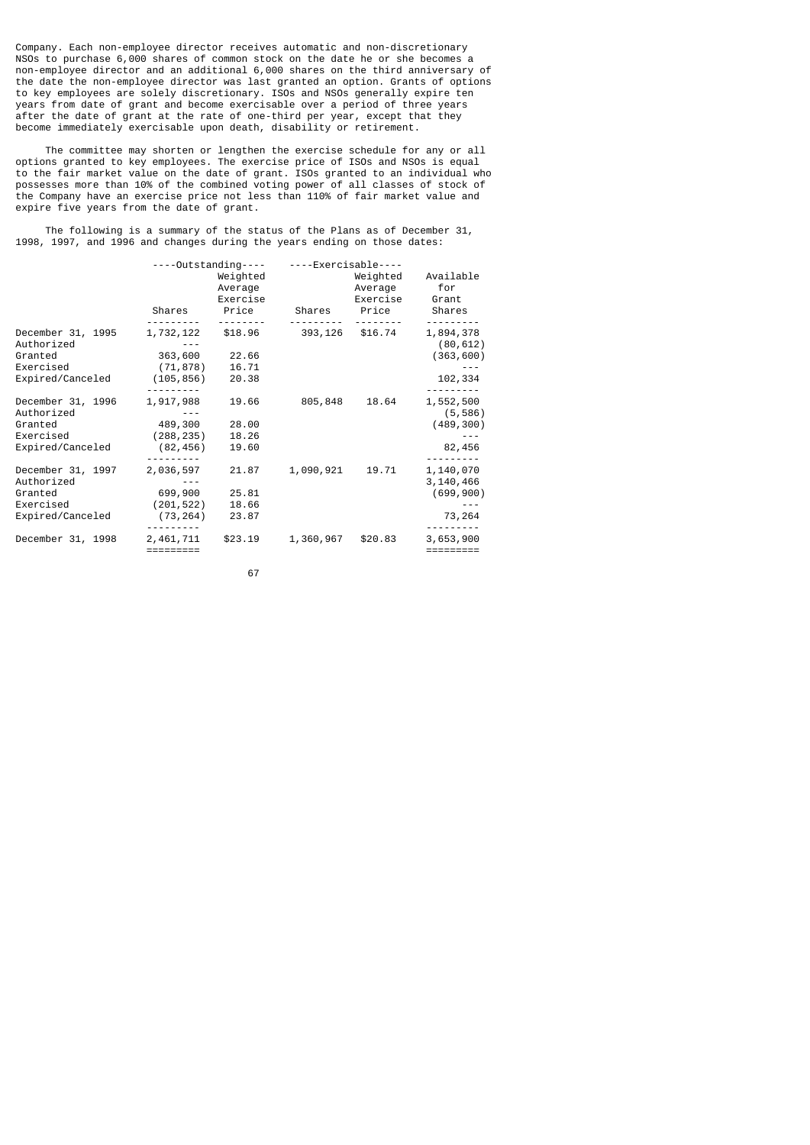Company. Each non-employee director receives automatic and non-discretionary NSOs to purchase 6,000 shares of common stock on the date he or she becomes a non-employee director and an additional 6,000 shares on the third anniversary of the date the non-employee director was last granted an option. Grants of options to key employees are solely discretionary. ISOs and NSOs generally expire ten years from date of grant and become exercisable over a period of three years after the date of grant at the rate of one-third per year, except that they become immediately exercisable upon death, disability or retirement.

 The committee may shorten or lengthen the exercise schedule for any or all options granted to key employees. The exercise price of ISOs and NSOs is equal to the fair market value on the date of grant. ISOs granted to an individual who possesses more than 10% of the combined voting power of all classes of stock of the Company have an exercise price not less than 110% of fair market value and expire five years from the date of grant.

 The following is a summary of the status of the Plans as of December 31, 1998, 1997, and 1996 and changes during the years ending on those dates:

|                                 | ----Outstanding----             |                | ----Exercisable---- |                                 |                           |
|---------------------------------|---------------------------------|----------------|---------------------|---------------------------------|---------------------------|
|                                 | Weighted<br>Average<br>Exercise |                |                     | Weighted<br>Average<br>Exercise | Available<br>for<br>Grant |
|                                 | Shares                          | Price          | Shares              | Price                           | Shares                    |
| December 31, 1995<br>Authorized | 1,732,122                       | \$18.96        | 393,126             | \$16.74                         | 1,894,378<br>(80, 612)    |
| Granted                         | 363,600                         | 22.66          |                     |                                 | (363, 600)                |
| Exercised<br>Expired/Canceled   | (71, 878)<br>(105, 856)         | 16.71<br>20.38 |                     |                                 | 102,334                   |
| December 31, 1996<br>Authorized | 1,917,988                       | 19.66          | 805,848             | 18.64                           | 1,552,500<br>(5, 586)     |
| Granted                         | 489,300                         | 28.00          |                     |                                 | (489, 300)                |
| Exercised                       | (288,235)                       | 18.26          |                     |                                 |                           |
| Expired/Canceled                | (82, 456)                       | 19.60          |                     |                                 | 82,456                    |
| December 31, 1997<br>Authorized | 2,036,597                       | 21.87          | 1,090,921           | 19.71                           | 1,140,070<br>3,140,466    |
| Granted                         | 699,900                         | 25.81          |                     |                                 | (699, 900)                |
| Exercised                       | (201, 522)                      | 18.66          |                     |                                 |                           |
| Expired/Canceled                | (73, 264)                       | 23.87          |                     |                                 | 73,264                    |
| December 31, 1998               | 2,461,711<br>=========          | \$23.19        | 1,360,967           | \$20.83                         | 3,653,900<br>$=$ ======== |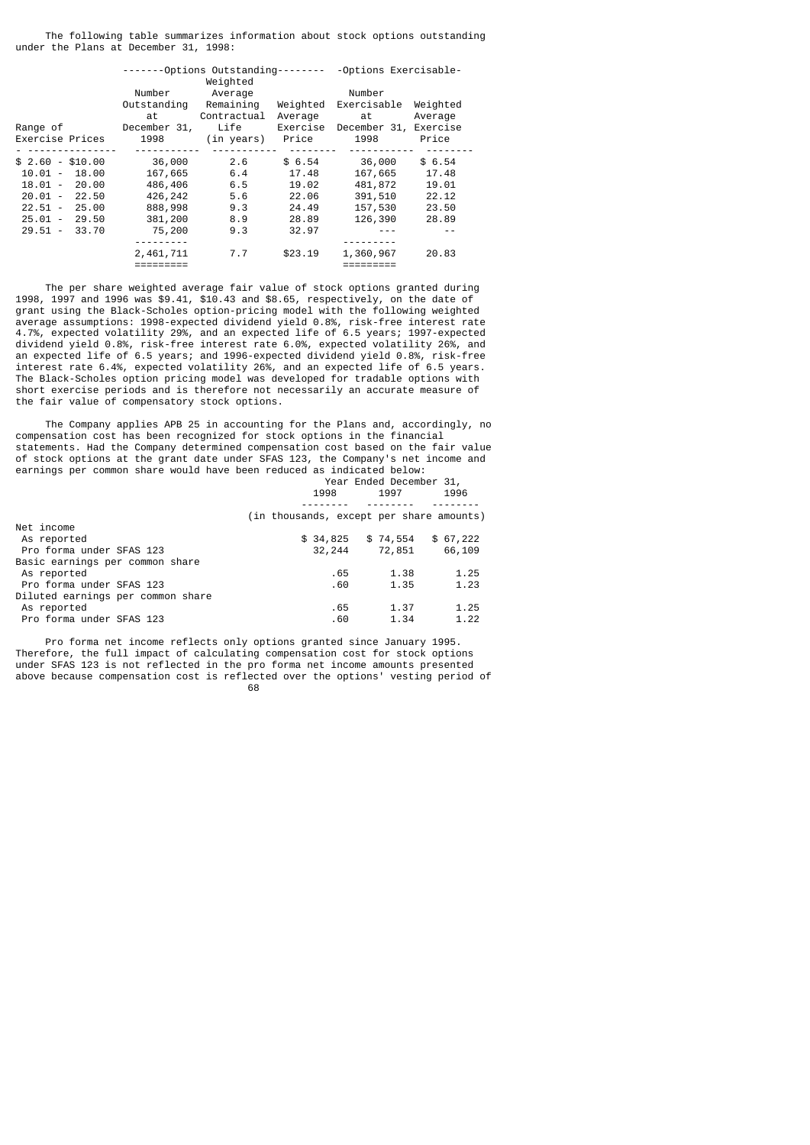The following table summarizes information about stock options outstanding under the Plans at December 31, 1998:

|                    | Number       | $----0ptions$ Outstanding--------<br>Weighted<br>Average |          | -Options Exercisable-<br>Number |          |  |  |
|--------------------|--------------|----------------------------------------------------------|----------|---------------------------------|----------|--|--|
|                    | Outstanding  | Remaining                                                | Weighted | Exercisable                     | Weighted |  |  |
|                    | at           | Contractual                                              | Average  | at                              | Average  |  |  |
| Range of           | December 31, | Life                                                     | Exercise | December 31,                    | Exercise |  |  |
| Exercise Prices    | 1998         | (in years) Price                                         |          | 1998                            | Price    |  |  |
|                    |              |                                                          |          |                                 |          |  |  |
| $$2.60 - $10.00$   | 36,000       | 2.6                                                      | \$6.54   | 36,000                          | \$6.54   |  |  |
| $10.01 -$<br>18.00 | 167,665      | 6.4                                                      | 17.48    | 167,665                         | 17.48    |  |  |
| $18.01 - 20.00$    | 486,406      | 6.5                                                      | 19.02    | 481,872                         | 19.01    |  |  |
| 20.01 -<br>22.50   | 426,242      | 5.6                                                      | 22.06    | 391,510                         | 22.12    |  |  |
| $22.51 -$<br>25.00 | 888,998      | 9.3                                                      | 24.49    | 157,530                         | 23.50    |  |  |
| $25.01 -$<br>29.50 | 381,200      | 8.9                                                      | 28.89    | 126,390                         | 28.89    |  |  |
| $29.51 -$<br>33.70 | 75,200       | 9.3                                                      | 32.97    |                                 |          |  |  |
|                    |              |                                                          |          |                                 |          |  |  |
|                    | 2,461,711    | 7.7                                                      | \$23.19  | 1,360,967                       | 20.83    |  |  |
|                    |              |                                                          |          |                                 |          |  |  |

 The per share weighted average fair value of stock options granted during 1998, 1997 and 1996 was \$9.41, \$10.43 and \$8.65, respectively, on the date of grant using the Black-Scholes option-pricing model with the following weighted average assumptions: 1998-expected dividend yield 0.8%, risk-free interest rate 4.7%, expected volatility 29%, and an expected life of 6.5 years; 1997-expected dividend yield 0.8%, risk-free interest rate 6.0%, expected volatility 26%, and an expected life of 6.5 years; and 1996-expected dividend yield 0.8%, risk-free interest rate 6.4%, expected volatility 26%, and an expected life of 6.5 years. The Black-Scholes option pricing model was developed for tradable options with short exercise periods and is therefore not necessarily an accurate measure of the fair value of compensatory stock options.

 The Company applies APB 25 in accounting for the Plans and, accordingly, no compensation cost has been recognized for stock options in the financial statements. Had the Company determined compensation cost based on the fair value of stock options at the grant date under SFAS 123, the Company's net income and earnings per common share would have been reduced as indicated below: Year Ended December 31,

| 1996                                     |
|------------------------------------------|
|                                          |
| (in thousands, except per share amounts) |
|                                          |
| \$67,222                                 |
| 66,109                                   |
|                                          |
| 1.25                                     |
| 1.23                                     |
|                                          |
| 1.25                                     |
| 1.22                                     |
|                                          |

 Pro forma net income reflects only options granted since January 1995. Therefore, the full impact of calculating compensation cost for stock options under SFAS 123 is not reflected in the pro forma net income amounts presented above because compensation cost is reflected over the options' vesting period of e de la construcción de la construcción de la construcción de la construcción de la construcción de la constru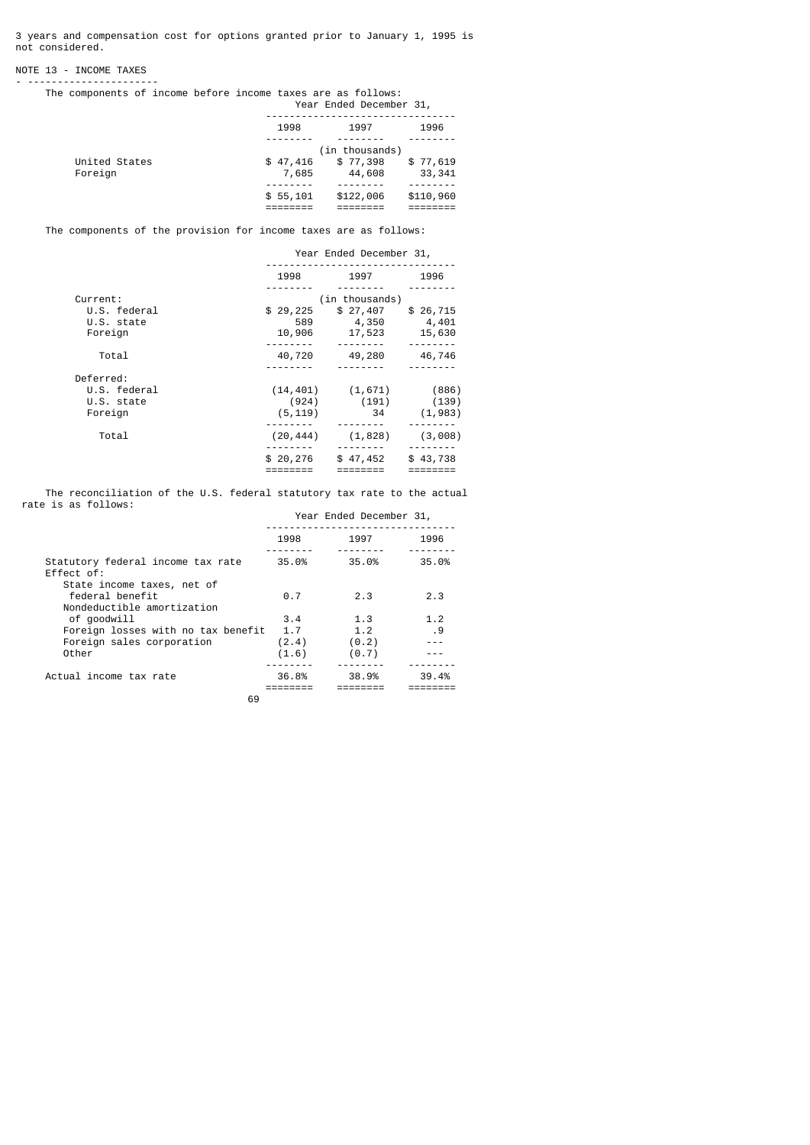3 years and compensation cost for options granted prior to January 1, 1995 is not considered.

# NOTE 13 - INCOME TAXES - ----------------------

The components of income before income taxes are as follows:

|               | Year Ended December 31, |           |           |  |  |  |  |
|---------------|-------------------------|-----------|-----------|--|--|--|--|
|               | 1998                    | 1997      | 1996      |  |  |  |  |
|               |                         |           |           |  |  |  |  |
|               | (in thousands)          |           |           |  |  |  |  |
| United States | \$47,416                | \$77,398  | \$77,619  |  |  |  |  |
| Foreign       | 7,685                   | 44,608    | 33,341    |  |  |  |  |
|               |                         |           |           |  |  |  |  |
|               | \$55,101                | \$122,006 | \$110,960 |  |  |  |  |
|               |                         |           |           |  |  |  |  |

The components of the provision for income taxes are as follows:

|              | Year Ended December 31, |                        |          |  |  |
|--------------|-------------------------|------------------------|----------|--|--|
|              | 1998                    | 1997                   | 1996     |  |  |
|              |                         |                        |          |  |  |
| Current:     |                         | (in thousands)         |          |  |  |
| U.S. federal | \$29,225                | \$27,407               | \$26,715 |  |  |
| U.S. state   | 589                     | 4,350                  | 4,401    |  |  |
| Foreign      | 10,906                  | 17,523                 | 15,630   |  |  |
|              |                         |                        |          |  |  |
| Total        | 40,720                  | 49,280                 | 46,746   |  |  |
|              |                         |                        |          |  |  |
| Deferred:    |                         |                        |          |  |  |
| U.S. federal |                         | $(14, 401)$ $(1, 671)$ | (886)    |  |  |
| U.S. state   | (924)                   | (191)                  | (139)    |  |  |
| Foreign      | (5, 119)                | 34                     | (1, 983) |  |  |
|              |                         |                        |          |  |  |
| Total        | (20, 444)               | (1, 828)               | (3,008)  |  |  |
|              |                         |                        |          |  |  |
|              | \$20,276                | \$47,452               | \$43,738 |  |  |
|              |                         |                        |          |  |  |

 The reconciliation of the U.S. federal statutory tax rate to the actual rate is as follows: Year Ended December 31,

|                                                                             | rear Ended December 31, |       |       |
|-----------------------------------------------------------------------------|-------------------------|-------|-------|
|                                                                             | 1998                    | 1997  | 1996  |
| Statutory federal income tax rate<br>Effect of:                             | 35.0%                   | 35.0% | 35.0% |
| State income taxes, net of<br>federal benefit<br>Nondeductible amortization | 0.7                     | 2.3   | 2.3   |
| of goodwill                                                                 | 3.4                     | 1.3   | 1.2   |
| Foreign losses with no tax benefit                                          | 1.7                     | 1.2   | . 9   |
| Foreign sales corporation                                                   | (2.4)                   | (0.2) |       |
| Other                                                                       | (1.6)                   | (0.7) |       |
| Actual income tax rate                                                      | 36.8%                   | 38.9% | 39.4% |
|                                                                             |                         |       |       |
| 69                                                                          |                         |       |       |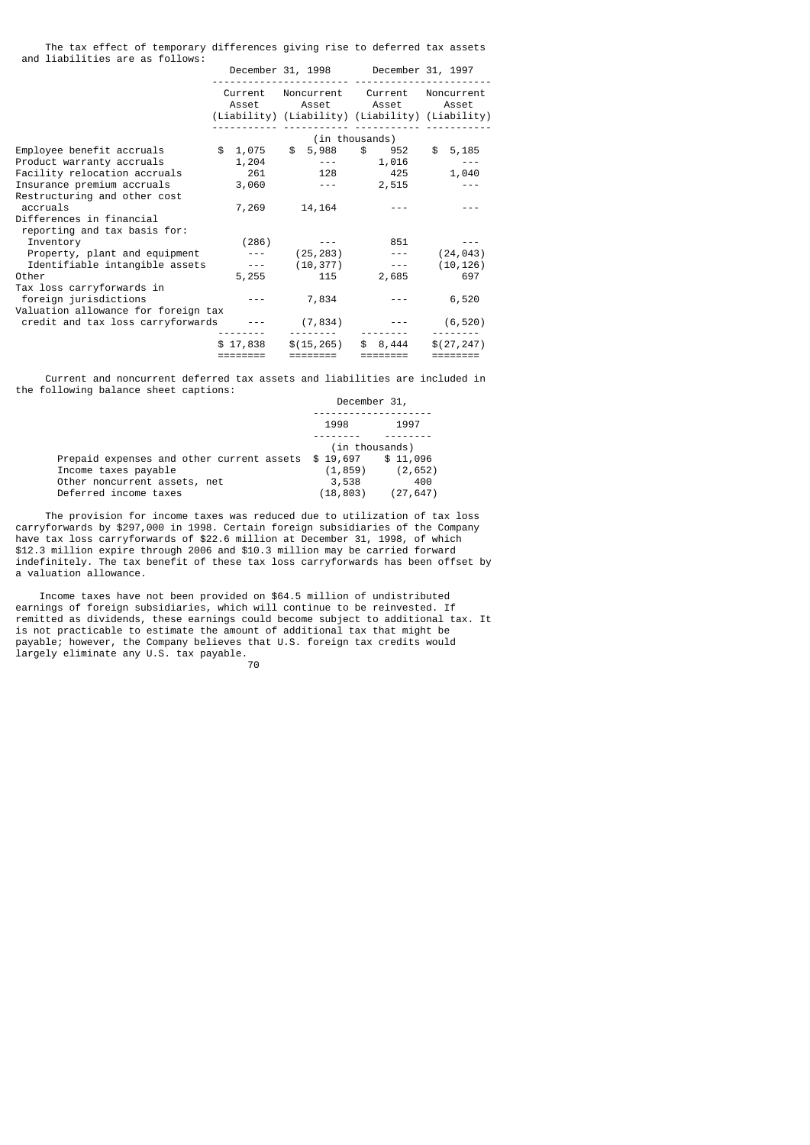The tax effect of temporary differences giving rise to deferred tax assets and liabilities are as follows:

|                                                          |                | December 31, 1998 December 31, 1997 |                                                                                                                     |                                      |  |                            |  |             |
|----------------------------------------------------------|----------------|-------------------------------------|---------------------------------------------------------------------------------------------------------------------|--------------------------------------|--|----------------------------|--|-------------|
|                                                          |                |                                     | Current Noncurrent Current Noncurrent<br>Asset Asset Asset Asset<br>(Liability) (Liability) (Liability) (Liability) |                                      |  |                            |  |             |
|                                                          | (in thousands) |                                     |                                                                                                                     |                                      |  |                            |  |             |
| Employee benefit accruals<br>Product warranty accruals   |                | \$1,075<br>1,204                    |                                                                                                                     |                                      |  | \$5,988 \$952<br>--- 1,016 |  | \$5,185     |
| Facility relocation accruals                             |                | 261                                 |                                                                                                                     | 128 — 128                            |  | 425                        |  | 1,040       |
| Insurance premium accruals                               |                | 3,060                               |                                                                                                                     | and the second control of the second |  | 2,515                      |  |             |
| Restructuring and other cost<br>accruals                 |                | 7,269                               |                                                                                                                     | 14,164                               |  |                            |  |             |
| Differences in financial<br>reporting and tax basis for: |                |                                     |                                                                                                                     |                                      |  |                            |  |             |
| Inventory                                                |                | (286)                               |                                                                                                                     |                                      |  | 851                        |  |             |
| Property, plant and equipment                            |                | $- - - -$                           |                                                                                                                     | (25,283)                             |  | <b>Service State State</b> |  | (24, 043)   |
| Identifiable intangible assets                           |                | $\sim$ $\sim$ $\sim$ $\sim$         |                                                                                                                     | (10, 377)                            |  | and the season of          |  | (10, 126)   |
| Other                                                    |                | 5,255                               |                                                                                                                     | 115                                  |  | 2,685                      |  | 697         |
| Tax loss carryforwards in                                |                |                                     |                                                                                                                     |                                      |  |                            |  |             |
| foreign jurisdictions                                    |                |                                     |                                                                                                                     | 7,834                                |  |                            |  | 6,520       |
| Valuation allowance for foreign tax                      |                |                                     |                                                                                                                     |                                      |  |                            |  |             |
| credit and tax loss carryforwards                        |                |                                     |                                                                                                                     | (7, 834)                             |  |                            |  | (6, 520)    |
|                                                          |                | \$17,838                            |                                                                                                                     | \$(15, 265)                          |  | \$8,444                    |  | \$(27, 247) |
|                                                          |                | $=$ $=$ $=$ $=$ $=$ $=$ $=$         |                                                                                                                     |                                      |  | ========                   |  | ========    |

 Current and noncurrent deferred tax assets and liabilities are included in the following balance sheet captions:

| 1998                                               | 1997      |
|----------------------------------------------------|-----------|
| (in thousands)                                     |           |
| Prepaid expenses and other current assets \$19,697 | \$11,096  |
| Income taxes payable<br>(1, 859)                   | (2, 652)  |
| Other noncurrent assets, net<br>3,538              | 400       |
| Deferred income taxes<br>(18, 803)                 | (27, 647) |

 The provision for income taxes was reduced due to utilization of tax loss carryforwards by \$297,000 in 1998. Certain foreign subsidiaries of the Company have tax loss carryforwards of \$22.6 million at December 31, 1998, of which \$12.3 million expire through 2006 and \$10.3 million may be carried forward indefinitely. The tax benefit of these tax loss carryforwards has been offset by a valuation allowance.

 Income taxes have not been provided on \$64.5 million of undistributed earnings of foreign subsidiaries, which will continue to be reinvested. If remitted as dividends, these earnings could become subject to additional tax. It is not practicable to estimate the amount of additional tax that might be payable; however, the Company believes that U.S. foreign tax credits would largely eliminate any U.S. tax payable. 70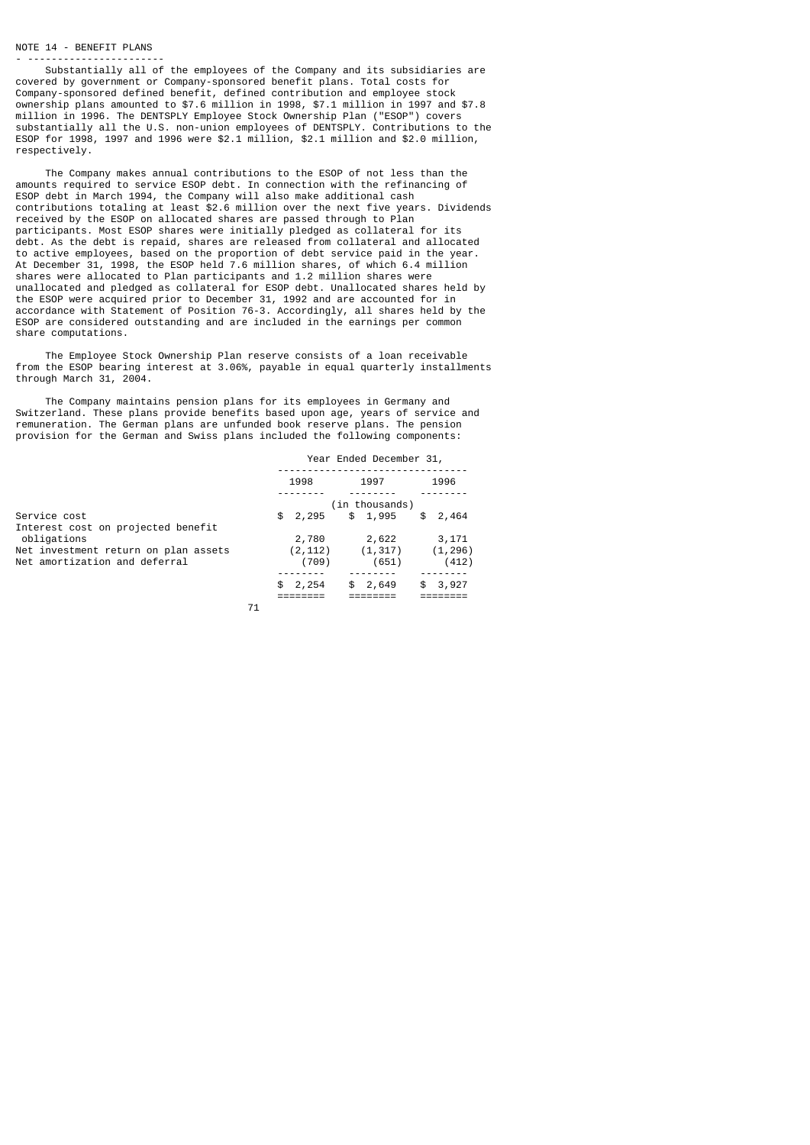### NOTE 14 - BENEFIT PLANS - -----------------------

 Substantially all of the employees of the Company and its subsidiaries are covered by government or Company-sponsored benefit plans. Total costs for Company-sponsored defined benefit, defined contribution and employee stock ownership plans amounted to \$7.6 million in 1998, \$7.1 million in 1997 and \$7.8 million in 1996. The DENTSPLY Employee Stock Ownership Plan ("ESOP") covers substantially all the U.S. non-union employees of DENTSPLY. Contributions to the ESOP for 1998, 1997 and 1996 were \$2.1 million, \$2.1 million and \$2.0 million, respectively.

 The Company makes annual contributions to the ESOP of not less than the amounts required to service ESOP debt. In connection with the refinancing of ESOP debt in March 1994, the Company will also make additional cash contributions totaling at least \$2.6 million over the next five years. Dividends received by the ESOP on allocated shares are passed through to Plan participants. Most ESOP shares were initially pledged as collateral for its debt. As the debt is repaid, shares are released from collateral and allocated to active employees, based on the proportion of debt service paid in the year. At December 31, 1998, the ESOP held 7.6 million shares, of which 6.4 million shares were allocated to Plan participants and 1.2 million shares were unallocated and pledged as collateral for ESOP debt. Unallocated shares held by the ESOP were acquired prior to December 31, 1992 and are accounted for in accordance with Statement of Position 76-3. Accordingly, all shares held by the ESOP are considered outstanding and are included in the earnings per common share computations.

 The Employee Stock Ownership Plan reserve consists of a loan receivable from the ESOP bearing interest at 3.06%, payable in equal quarterly installments through March 31, 2004.

 The Company maintains pension plans for its employees in Germany and Switzerland. These plans provide benefits based upon age, years of service and remuneration. The German plans are unfunded book reserve plans. The pension provision for the German and Swiss plans included the following components:

|                                      | Year Ended December 31, |                |             |  |
|--------------------------------------|-------------------------|----------------|-------------|--|
|                                      | 1998                    | 1997           | 1996        |  |
|                                      |                         | (in thousands) |             |  |
| Service cost                         | \$2,295                 | \$1,995        | \$<br>2,464 |  |
| Interest cost on projected benefit   |                         |                |             |  |
| obligations                          | 2,780                   | 2,622          | 3,171       |  |
| Net investment return on plan assets | (2, 112)                | (1, 317)       | (1, 296)    |  |
| Net amortization and deferral        | (709)                   | (651)          | (412)       |  |
|                                      |                         |                |             |  |
|                                      | \$2,254                 | 2,649<br>\$    | 3,927<br>\$ |  |
|                                      |                         |                |             |  |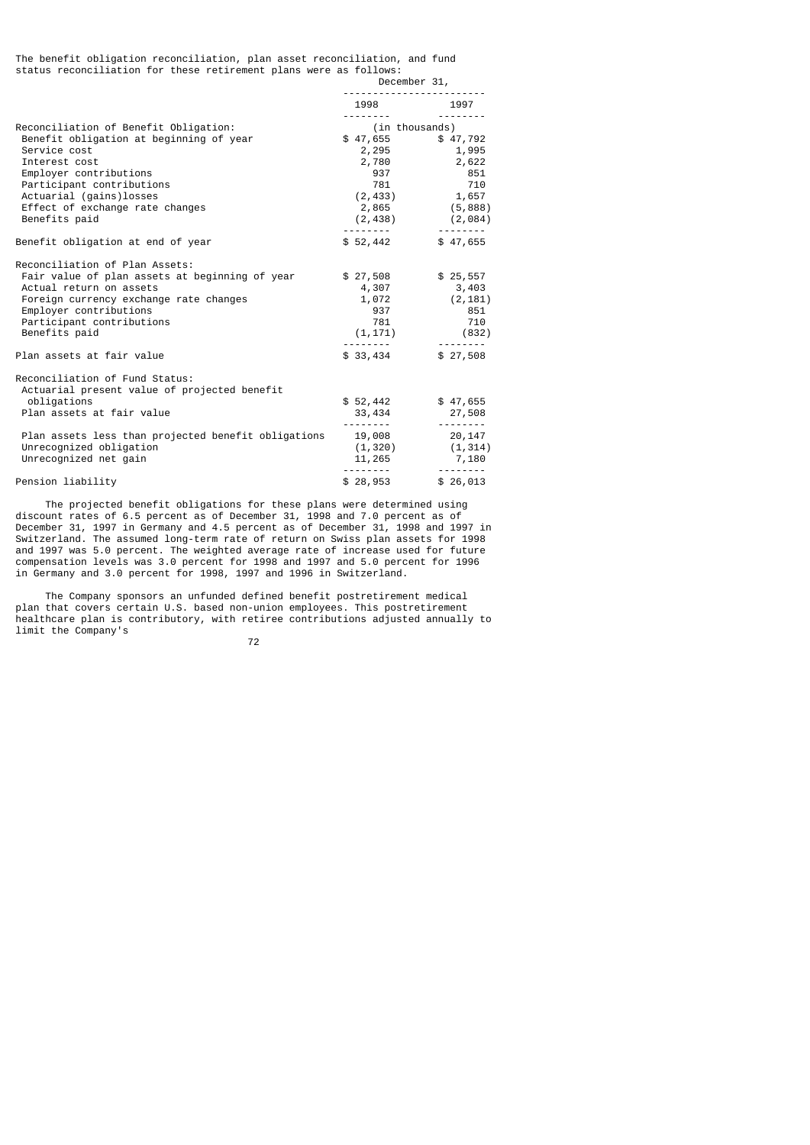#### The benefit obligation reconciliation, plan asset reconciliation, and fund status reconciliation for these retirement plans were as follows:

|  |  |  | December 31          |
|--|--|--|----------------------|
|  |  |  | -------------------- |

|                                                                                                                                                                                                                                                         | 1998 1997<br>---------                                                                                       |                                                     |
|---------------------------------------------------------------------------------------------------------------------------------------------------------------------------------------------------------------------------------------------------------|--------------------------------------------------------------------------------------------------------------|-----------------------------------------------------|
| Reconciliation of Benefit Obligation:<br>Benefit obligation at beginning of year<br>Service cost<br>Interest cost<br>Employer contributions<br>Participant contributions<br>Actuarial (gains)losses<br>Effect of exchange rate changes<br>Benefits paid | (in thousands)<br>$$47,655$ $$47,792$<br>2,295 1,995<br>2,780<br>937<br>781<br>(2, 433)<br>2,865<br>(2, 438) | 2,622<br>851<br>710<br>1,657<br>(5, 888)<br>(2,084) |
| Benefit obligation at end of year                                                                                                                                                                                                                       | \$52,442                                                                                                     | \$47,655                                            |
| Reconciliation of Plan Assets:<br>Fair value of plan assets at beginning of year<br>Actual return on assets<br>Foreign currency exchange rate changes<br>Employer contributions<br>Participant contributions<br>Benefits paid                           | $$27,508$ $$25,557$<br>4,307<br>937 — 10<br>$(1, 171)$ (832)                                                 | 3,403<br>$1,072$ (2,181)<br>851<br>781 710          |
| Plan assets at fair value                                                                                                                                                                                                                               | \$33,434                                                                                                     | ---------<br>\$27,508                               |
| Reconciliation of Fund Status:<br>Actuarial present value of projected benefit<br>obligations<br>Plan assets at fair value<br>Plan assets less than projected benefit obligations 19,008<br>Unrecognized obligation                                     | \$52,442<br>33,434<br>$(1, 320)$ $(1, 314)$                                                                  | \$47,655<br>27,508<br>20,147                        |
|                                                                                                                                                                                                                                                         |                                                                                                              |                                                     |
| Unrecognized net gain<br>Pension liability                                                                                                                                                                                                              | 11,265 7,180<br>\$28,953                                                                                     | \$26,013                                            |

 The projected benefit obligations for these plans were determined using discount rates of 6.5 percent as of December 31, 1998 and 7.0 percent as of December 31, 1997 in Germany and 4.5 percent as of December 31, 1998 and 1997 in Switzerland. The assumed long-term rate of return on Swiss plan assets for 1998 and 1997 was 5.0 percent. The weighted average rate of increase used for future compensation levels was 3.0 percent for 1998 and 1997 and 5.0 percent for 1996 in Germany and 3.0 percent for 1998, 1997 and 1996 in Switzerland.

 The Company sponsors an unfunded defined benefit postretirement medical plan that covers certain U.S. based non-union employees. This postretirement healthcare plan is contributory, with retiree contributions adjusted annually to limit the Company's

ли в село в село в село во 1922 година в 1922 година в 1922 година в 1922 година в 1922 година в 192<br>Представил на 1922 година в 1922 година в 1922 година в 1922 година в 1922 година в 1922 година в 1922 година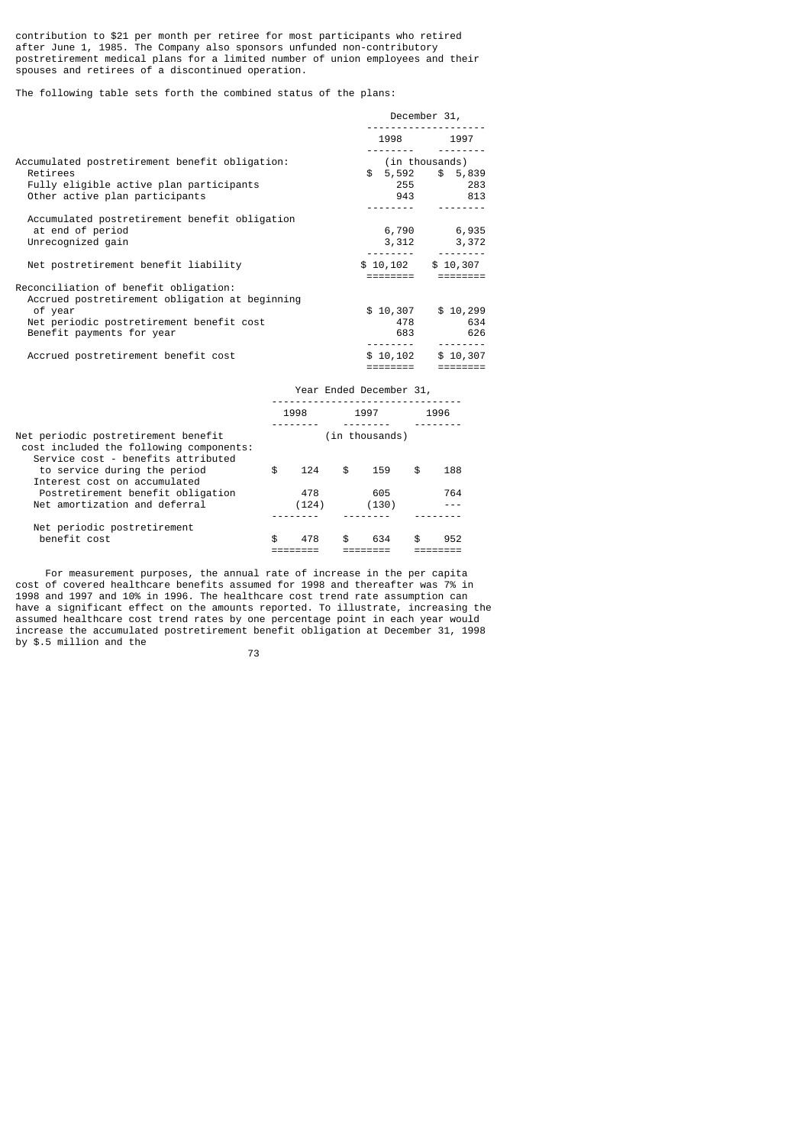contribution to \$21 per month per retiree for most participants who retired after June 1, 1985. The Company also sponsors unfunded non-contributory postretirement medical plans for a limited number of union employees and their spouses and retirees of a discontinued operation.

The following table sets forth the combined status of the plans:

|                                                | December 31,        |                   |  |
|------------------------------------------------|---------------------|-------------------|--|
|                                                |                     | 1998 1997         |  |
|                                                |                     |                   |  |
| Accumulated postretirement benefit obligation: |                     | (in thousands)    |  |
| Retirees                                       |                     | $$5,592$ $$5,839$ |  |
| Fully eligible active plan participants        |                     | 255 283           |  |
| Other active plan participants                 |                     | 943 813           |  |
|                                                |                     |                   |  |
| Accumulated postretirement benefit obligation  |                     |                   |  |
| at end of period                               |                     | 6,790 6,935       |  |
| Unrecognized gain                              | 3,312               | 3,372             |  |
|                                                |                     |                   |  |
| Net postretirement benefit liability           | $$10,102$ $$10,307$ |                   |  |
|                                                |                     |                   |  |
| Reconciliation of benefit obligation:          |                     |                   |  |
| Accrued postretirement obligation at beginning |                     |                   |  |
| of year                                        | \$10,307            | \$10,299          |  |
| Net periodic postretirement benefit cost       | 478                 | 634               |  |
| Benefit payments for year                      |                     | 626               |  |
|                                                |                     |                   |  |
| Accrued postretirement benefit cost            | \$10,102            | \$10,307          |  |
|                                                |                     | $=$ = = = = = = = |  |

|                                                                                                                      |           | Year Ended December 31, |           |
|----------------------------------------------------------------------------------------------------------------------|-----------|-------------------------|-----------|
|                                                                                                                      | 1998      | 1997                    | 1996      |
| Net periodic postretirement benefit<br>cost included the following components:<br>Service cost - benefits attributed |           | (in thousands)          |           |
| to service during the period<br>Interest cost on accumulated                                                         | \$<br>124 | \$<br>159               | \$<br>188 |
| Postretirement benefit obligation                                                                                    | 478       | 605                     | 764       |
| Net amortization and deferral                                                                                        | (124)     | (130)                   |           |
| Net periodic postretirement                                                                                          |           |                         |           |
| benefit cost                                                                                                         | \$<br>478 | \$<br>634               | \$<br>952 |
|                                                                                                                      |           |                         |           |

 For measurement purposes, the annual rate of increase in the per capita cost of covered healthcare benefits assumed for 1998 and thereafter was 7% in 1998 and 1997 and 10% in 1996. The healthcare cost trend rate assumption can have a significant effect on the amounts reported. To illustrate, increasing the assumed healthcare cost trend rates by one percentage point in each year would increase the accumulated postretirement benefit obligation at December 31, 1998 by \$.5 million and the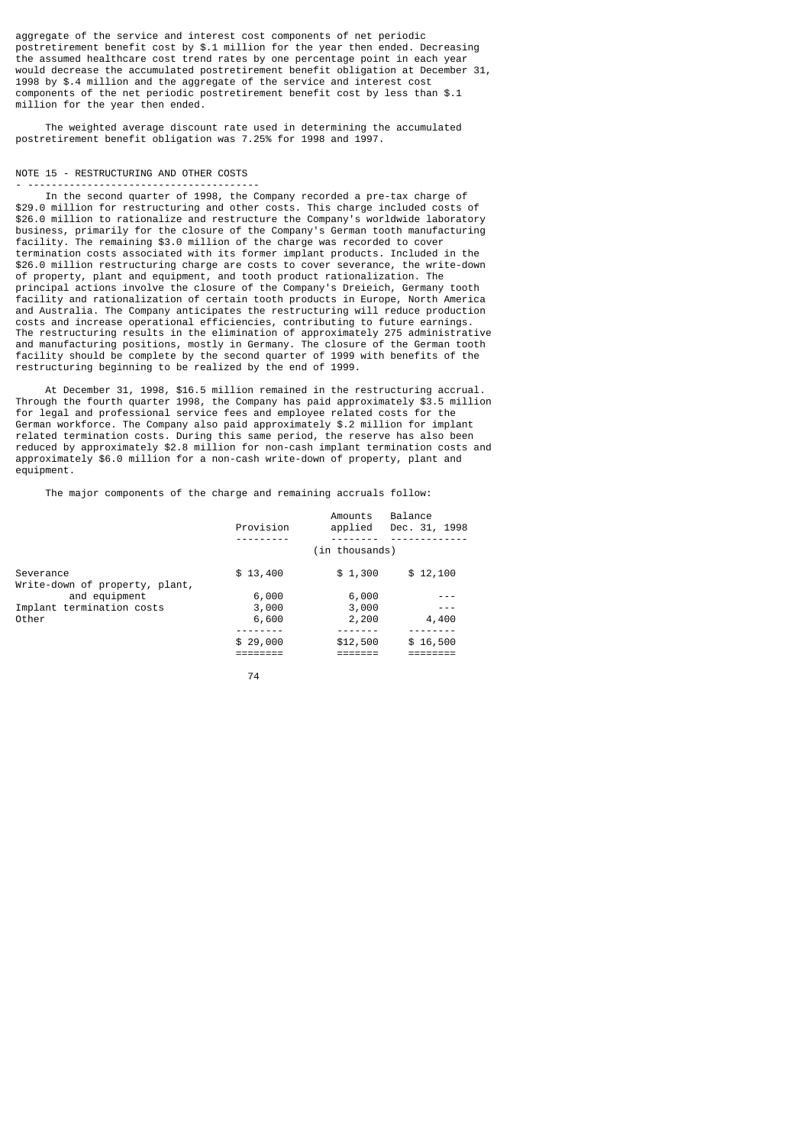aggregate of the service and interest cost components of net periodic postretirement benefit cost by \$.1 million for the year then ended. Decreasing the assumed healthcare cost trend rates by one percentage point in each year would decrease the accumulated postretirement benefit obligation at December 31, 1998 by \$.4 million and the aggregate of the service and interest cost components of the net periodic postretirement benefit cost by less than \$.1 million for the year then ended.

 The weighted average discount rate used in determining the accumulated postretirement benefit obligation was 7.25% for 1998 and 1997.

# NOTE 15 - RESTRUCTURING AND OTHER COSTS

- --------------------------------------- In the second quarter of 1998, the Company recorded a pre-tax charge of \$29.0 million for restructuring and other costs. This charge included costs of \$26.0 million to rationalize and restructure the Company's worldwide laboratory business, primarily for the closure of the Company's German tooth manufacturing facility. The remaining \$3.0 million of the charge was recorded to cover termination costs associated with its former implant products. Included in the \$26.0 million restructuring charge are costs to cover severance, the write-down of property, plant and equipment, and tooth product rationalization. The principal actions involve the closure of the Company's Dreieich, Germany tooth facility and rationalization of certain tooth products in Europe, North America and Australia. The Company anticipates the restructuring will reduce production costs and increase operational efficiencies, contributing to future earnings. The restructuring results in the elimination of approximately 275 administrative and manufacturing positions, mostly in Germany. The closure of the German tooth facility should be complete by the second quarter of 1999 with benefits of the restructuring beginning to be realized by the end of 1999.

 At December 31, 1998, \$16.5 million remained in the restructuring accrual. Through the fourth quarter 1998, the Company has paid approximately \$3.5 million for legal and professional service fees and employee related costs for the German workforce. The Company also paid approximately \$.2 million for implant related termination costs. During this same period, the reserve has also been reduced by approximately \$2.8 million for non-cash implant termination costs and approximately \$6.0 million for a non-cash write-down of property, plant and equipment.

The major components of the charge and remaining accruals follow:

|                                             | Provision | Amounts<br>applied | Balance<br>Dec. 31, 1998 |
|---------------------------------------------|-----------|--------------------|--------------------------|
|                                             |           | (in thousands)     |                          |
| Severance<br>Write-down of property, plant, | \$13,400  | \$1,300            | \$12,100                 |
| and equipment                               | 6,000     | 6,000              |                          |
| Implant termination costs                   | 3,000     | 3,000              |                          |
| Other                                       | 6,600     | 2,200              | 4,400                    |
|                                             | \$29,000  | \$12,500           | \$16,500                 |
|                                             |           |                    |                          |
|                                             |           |                    |                          |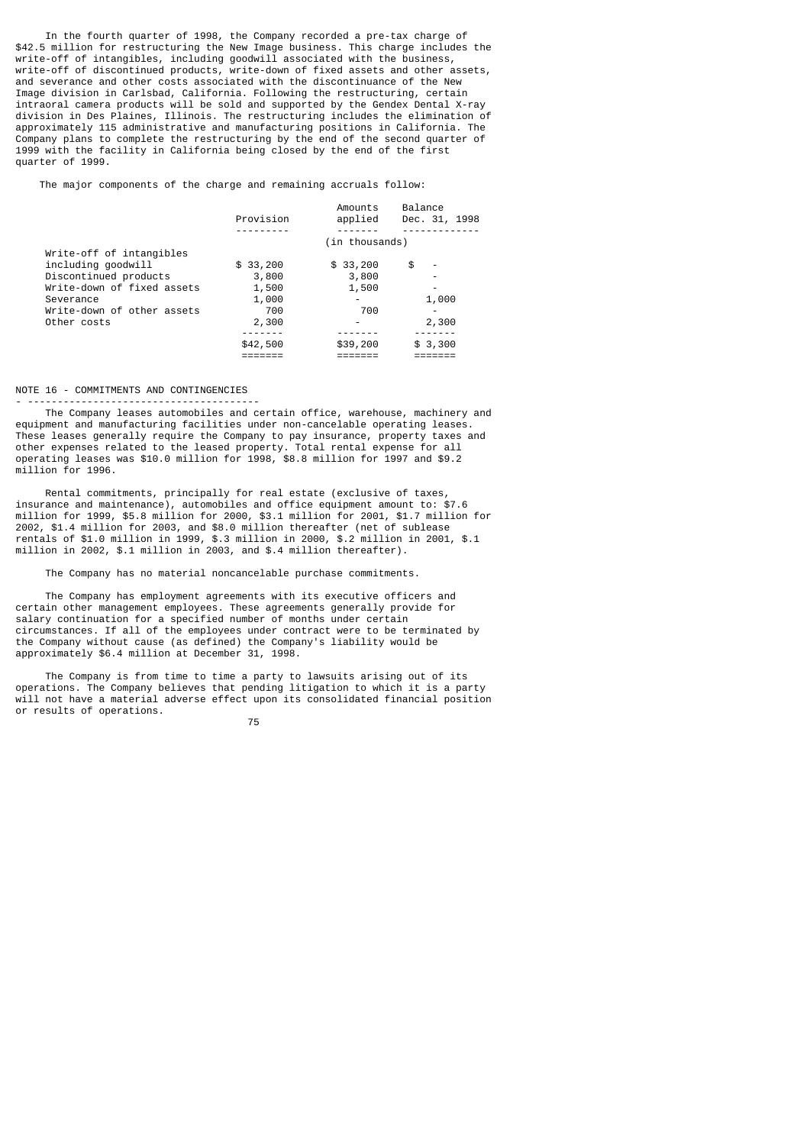In the fourth quarter of 1998, the Company recorded a pre-tax charge of \$42.5 million for restructuring the New Image business. This charge includes the write-off of intangibles, including goodwill associated with the business, write-off of discontinued products, write-down of fixed assets and other assets, and severance and other costs associated with the discontinuance of the New Image division in Carlsbad, California. Following the restructuring, certain intraoral camera products will be sold and supported by the Gendex Dental X-ray division in Des Plaines, Illinois. The restructuring includes the elimination of approximately 115 administrative and manufacturing positions in California. The Company plans to complete the restructuring by the end of the second quarter of 1999 with the facility in California being closed by the end of the first quarter of 1999.

The major components of the charge and remaining accruals follow:

|                            | Provision | Amounts<br>applied | Balance<br>Dec. 31, 1998       |
|----------------------------|-----------|--------------------|--------------------------------|
|                            |           |                    |                                |
|                            |           | (in thousands)     |                                |
| Write-off of intangibles   |           |                    |                                |
| including goodwill         | \$33,200  | \$33,200           | \$<br>$\overline{\phantom{0}}$ |
| Discontinued products      | 3,800     | 3,800              |                                |
| Write-down of fixed assets | 1,500     | 1,500              |                                |
| Severance                  | 1,000     |                    | 1,000                          |
| Write-down of other assets | 700       | 700                |                                |
| Other costs                | 2,300     | -                  | 2,300                          |
|                            |           |                    |                                |
|                            | \$42,500  | \$39,200           | \$3,300                        |
|                            |           |                    |                                |

#### NOTE 16 - COMMITMENTS AND CONTINGENCIES - ---------------------------------------

 The Company leases automobiles and certain office, warehouse, machinery and equipment and manufacturing facilities under non-cancelable operating leases. These leases generally require the Company to pay insurance, property taxes and other expenses related to the leased property. Total rental expense for all operating leases was \$10.0 million for 1998, \$8.8 million for 1997 and \$9.2 million for 1996.

 Rental commitments, principally for real estate (exclusive of taxes, insurance and maintenance), automobiles and office equipment amount to: \$7.6 million for 1999, \$5.8 million for 2000, \$3.1 million for 2001, \$1.7 million for 2002, \$1.4 million for 2003, and \$8.0 million thereafter (net of sublease rentals of \$1.0 million in 1999, \$.3 million in 2000, \$.2 million in 2001, \$.1 million in 2002, \$.1 million in 2003, and \$.4 million thereafter).

The Company has no material noncancelable purchase commitments.

 The Company has employment agreements with its executive officers and certain other management employees. These agreements generally provide for salary continuation for a specified number of months under certain circumstances. If all of the employees under contract were to be terminated by the Company without cause (as defined) the Company's liability would be approximately \$6.4 million at December 31, 1998.

 The Company is from time to time a party to lawsuits arising out of its operations. The Company believes that pending litigation to which it is a party will not have a material adverse effect upon its consolidated financial position or results of operations.

<u>75 and 2001 and 2001 and 2001 and 2001 and 2001 and 2001 and 2001 and 2001 and 2001 and 2001 and 200</u>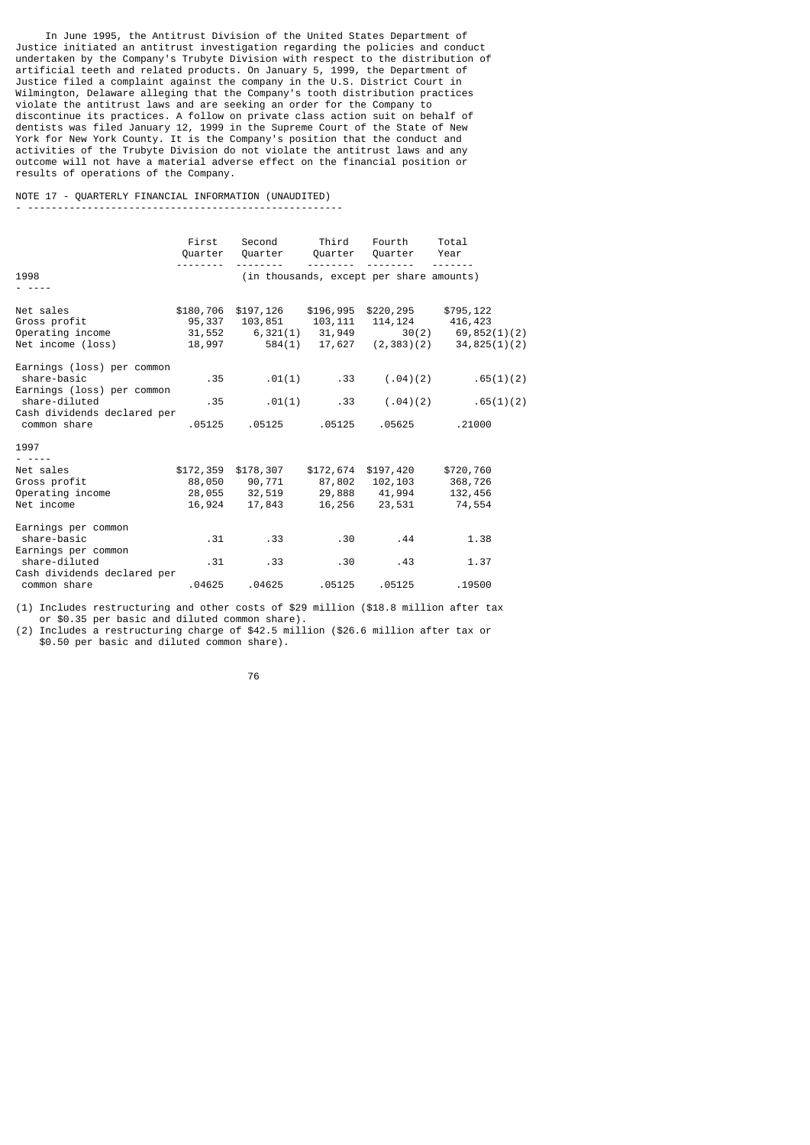In June 1995, the Antitrust Division of the United States Department of Justice initiated an antitrust investigation regarding the policies and conduct undertaken by the Company's Trubyte Division with respect to the distribution of artificial teeth and related products. On January 5, 1999, the Department of Justice filed a complaint against the company in the U.S. District Court in Wilmington, Delaware alleging that the Company's tooth distribution practices violate the antitrust laws and are seeking an order for the Company to discontinue its practices. A follow on private class action suit on behalf of dentists was filed January 12, 1999 in the Supreme Court of the State of New York for New York County. It is the Company's position that the conduct and activities of the Trubyte Division do not violate the antitrust laws and any outcome will not have a material adverse effect on the financial position or results of operations of the Company.

## NOTE 17 - QUARTERLY FINANCIAL INFORMATION (UNAUDITED) - -----------------------------------------------------

|                                                                         | First                                   | Second<br>Quarter Quarter                                | Third<br>Quarter              | Fourth<br>Quarter                               | Total<br>Year                                                              |
|-------------------------------------------------------------------------|-----------------------------------------|----------------------------------------------------------|-------------------------------|-------------------------------------------------|----------------------------------------------------------------------------|
| 1998                                                                    |                                         |                                                          |                               | (in thousands, except per share amounts)        |                                                                            |
| Net sales<br>Gross profit<br>Operating income<br>Net income (loss)      | \$180,706<br>95,337<br>31,552<br>18,997 | \$197,126<br>103,851<br>6,321(1) 31,949<br>584(1) 17,627 | \$196,995<br>103,111          | \$220,295<br>114, 124                           | \$795,122<br>416,423<br>$30(2)$ 69, 852(1)(2)<br>$(2,383)(2)$ 34,825(1)(2) |
| Earnings (loss) per common<br>share-basic<br>Earnings (loss) per common | .35                                     |                                                          | $.01(1)$ .33                  | (.04)(2)                                        | .65(1)(2)                                                                  |
| share-diluted<br>Cash dividends declared per<br>common share            | .35<br>.05125                           | .01(1)<br>.05125                                         | .33<br>.05125                 | (.04)(2)<br>.05625                              | .65(1)(2)<br>.21000                                                        |
| 1997<br>$- - - -$                                                       |                                         |                                                          |                               |                                                 |                                                                            |
| Net sales<br>Gross profit<br>Operating income<br>Net income             | \$172,359<br>88,050<br>28,055<br>16,924 | \$178,307<br>90,771<br>32,519<br>17,843                  | \$172,674<br>87,802<br>16,256 | \$197,420<br>102,103<br>29,888 41,994<br>23,531 | \$720,760<br>368,726<br>132,456<br>74,554                                  |
| Earnings per common<br>share-basic<br>Earnings per common               | .31                                     | .33                                                      | .30                           | .44                                             | 1.38                                                                       |
| share-diluted<br>Cash dividends declared per                            | .31                                     | .33                                                      | .30                           | .43                                             | 1.37                                                                       |
| common share                                                            | .04625                                  | .04625                                                   | .05125                        | .05125                                          | .19500                                                                     |

(1) Includes restructuring and other costs of \$29 million (\$18.8 million after tax or \$0.35 per basic and diluted common share).

(2) Includes a restructuring charge of \$42.5 million (\$26.6 million after tax or \$0.50 per basic and diluted common share).

en andere de la constantin de la constantin de la constantin de la constantin de la constantin de la constanti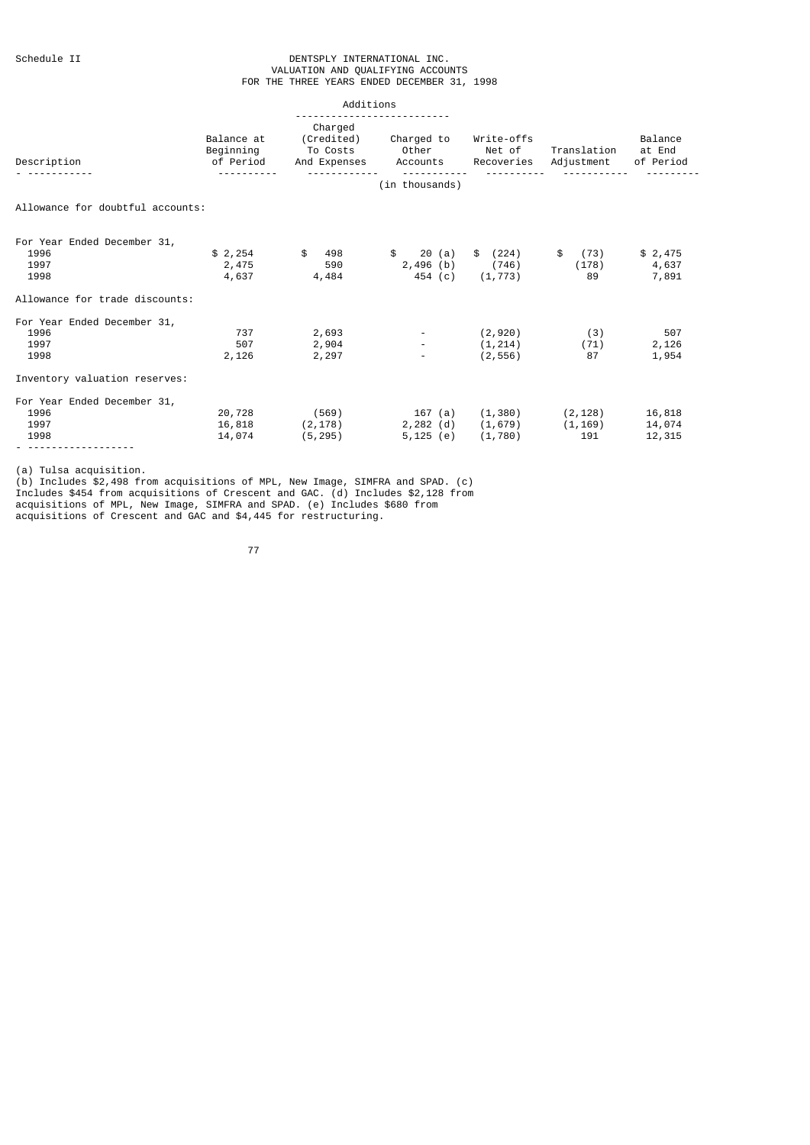## Schedule II DENTSPLY INTERNATIONAL INC. VALUATION AND QUALIFYING ACCOUNTS FOR THE THREE YEARS ENDED DECEMBER 31, 1998

|                                                     |                                      | Additions                                                            |                                                                  |                                |                                      |                                   |
|-----------------------------------------------------|--------------------------------------|----------------------------------------------------------------------|------------------------------------------------------------------|--------------------------------|--------------------------------------|-----------------------------------|
| Description                                         | Balance at<br>Beginning<br>of Period | Charged                                                              | (Credited) Charged to<br>To Costs Other<br>And Expenses Accounts | Write-offs<br>Net of           | Translation<br>Recoveries Adjustment | Balance<br>at End<br>of Period    |
|                                                     |                                      |                                                                      | (in thousands)                                                   |                                |                                      |                                   |
| Allowance for doubtful accounts:                    |                                      |                                                                      |                                                                  |                                |                                      |                                   |
| For Year Ended December 31,<br>1996<br>1997<br>1998 | 2,475<br>4,637                       | $$2,254$ $$498$<br>590<br>4,484                                      | \$ 20 (a)<br>454 (c) (1,773)                                     | \$ (224)<br>2,496 (b) (746)    | \$ (73)<br>89                        | \$2,475<br>$(178)$ 4,637<br>7,891 |
| Allowance for trade discounts:                      |                                      |                                                                      |                                                                  |                                |                                      |                                   |
| For Year Ended December 31,<br>1996<br>1997<br>1998 | 737<br>507<br>2,126                  | 2,693<br>2,904<br>2,297                                              |                                                                  | (2,920)<br>(1,214)<br>(2, 556) | (3)<br>(71)<br>87                    | 507<br>2,126<br>1,954             |
| Inventory valuation reserves:                       |                                      |                                                                      |                                                                  |                                |                                      |                                   |
| For Year Ended December 31,<br>1996<br>1997<br>1998 | 14,074 (5,295)                       | 20,728 (569)<br>$16,818$ $(2,178)$ $2,282$ $(d)$ $(1,679)$ $(1,169)$ | 167 (a) (1,380) (2,128)<br>5,125 (e) (1,780)                     |                                | 191                                  | 16,818<br>14,074<br>12,315        |

(a) Tulsa acquisition.

(b) Includes \$2,498 from acquisitions of MPL, New Image, SIMFRA and SPAD. (c) Includes \$454 from acquisitions of Crescent and GAC. (d) Includes \$2,128 from acquisitions of MPL, New Image, SIMFRA and SPAD. (e) Includes \$680 from acquisitions of Crescent and GAC and \$4,445 for restructuring.

ли в село в село во село во 177 година, во 177 година, во 177 година, во 177 година, во 177 година, во 177 год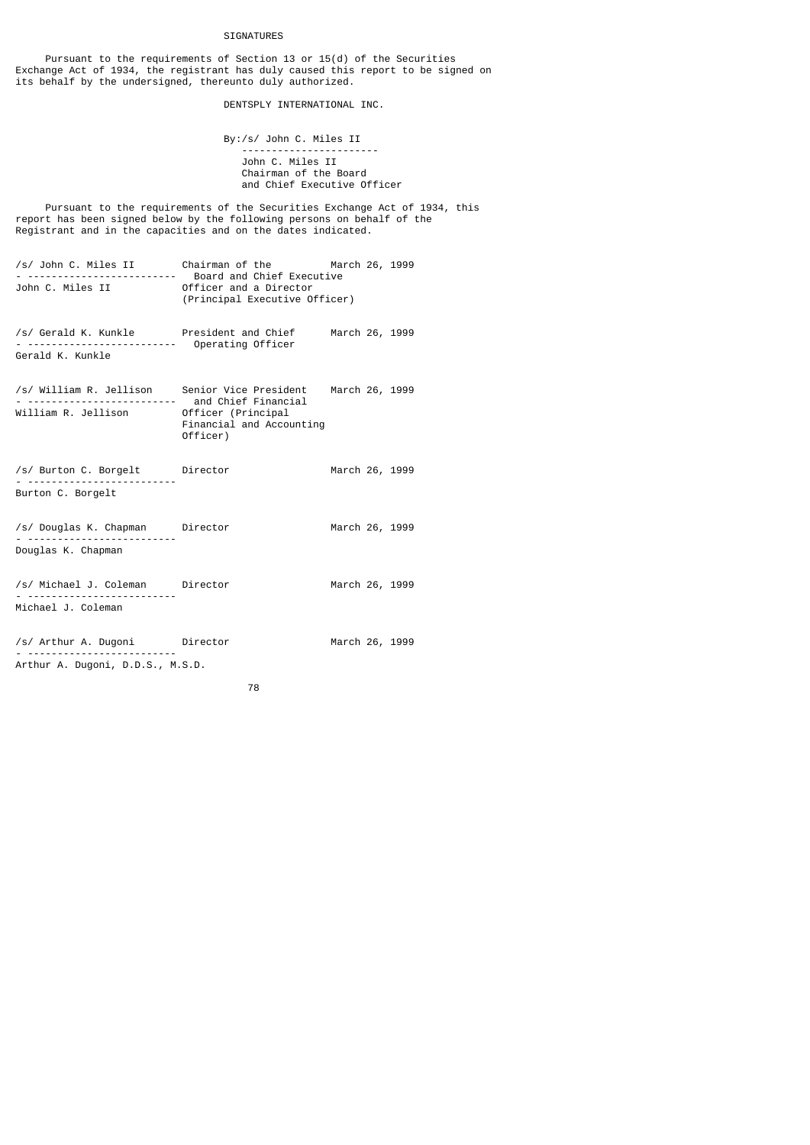# SIGNATURES

 Pursuant to the requirements of Section 13 or 15(d) of the Securities Exchange Act of 1934, the registrant has duly caused this report to be signed on its behalf by the undersigned, thereunto duly authorized.

DENTSPLY INTERNATIONAL INC.

 By:/s/ John C. Miles II ----------------------- John C. Miles II Chairman of the Board and Chief Executive Officer

 Pursuant to the requirements of the Securities Exchange Act of 1934, this report has been signed below by the following persons on behalf of the Registrant and in the capacities and on the dates indicated.

| /s/ John C. Miles II | Board and Chief Executive                               | Chairman of the March 26, 1999 |
|----------------------|---------------------------------------------------------|--------------------------------|
| John C. Miles II     | Officer and a Director<br>(Principal Executive Officer) |                                |
| /s/ Gerald K. Kunkle | President and Chief<br>Operating Officer                | March 26, 1999                 |

Gerald K. Kunkle

- /s/ William R. Jellison Senior Vice President March 26, 1999 - ------------------------- and Chief Financial William R. Jellison Officer (Principal Financial and Accounting Officer)
- /s/ Burton C. Borgelt Director March 26, 1999 - ------------------------- Burton C. Borgelt
- /s/ Douglas K. Chapman Director March 26, 1999 - ------------------------- Douglas K. Chapman
- /s/ Michael J. Coleman Director March 26, 1999 - ----------<br>---------------Michael J. Coleman
- /s/ Arthur A. Dugoni Director March 26, 1999 - ------------------------- Arthur A. Dugoni, D.D.S., M.S.D.
- 78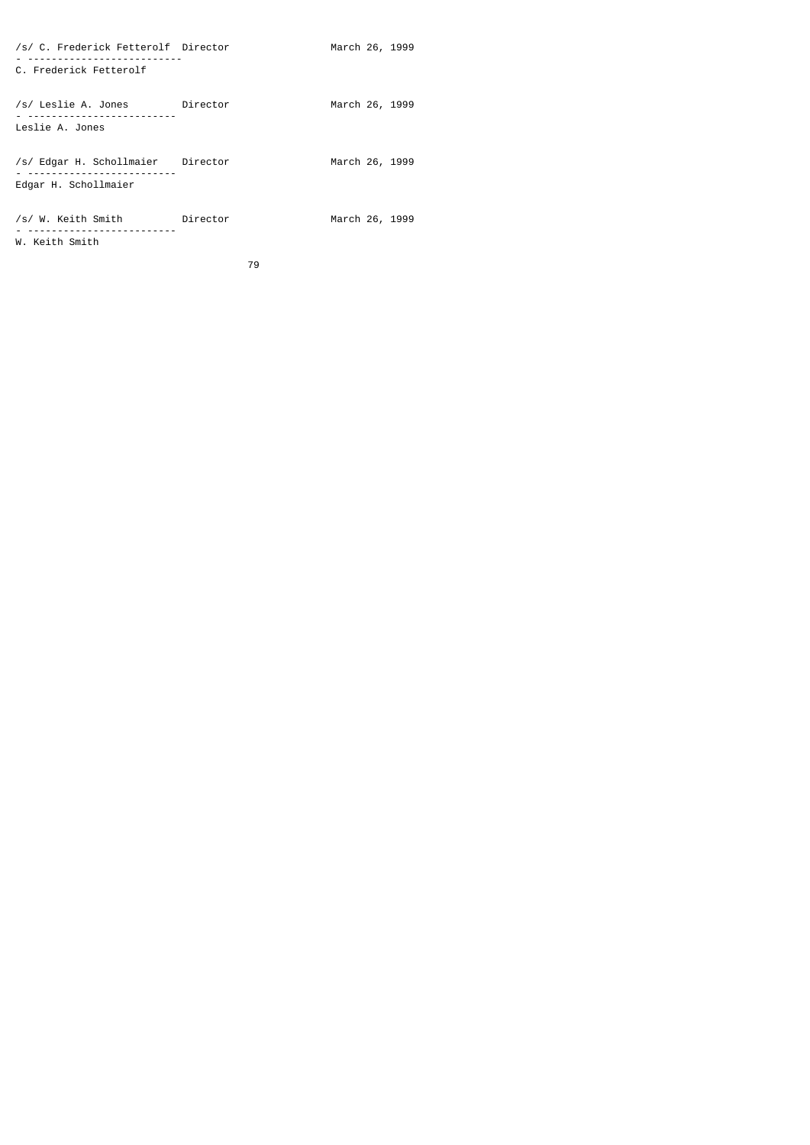| /s/ C. Frederick Fetterolf Director                       |          | March 26, 1999 |  |
|-----------------------------------------------------------|----------|----------------|--|
| C. Frederick Fetterolf                                    |          |                |  |
| /s/ Leslie A. Jones Director<br>Leslie A. Jones           |          | March 26, 1999 |  |
| /s/ Edgar H. Schollmaier Director<br>Edgar H. Schollmaier |          | March 26, 1999 |  |
| /s/ W. Keith Smith<br>W. Keith Smith                      | Director | March 26, 1999 |  |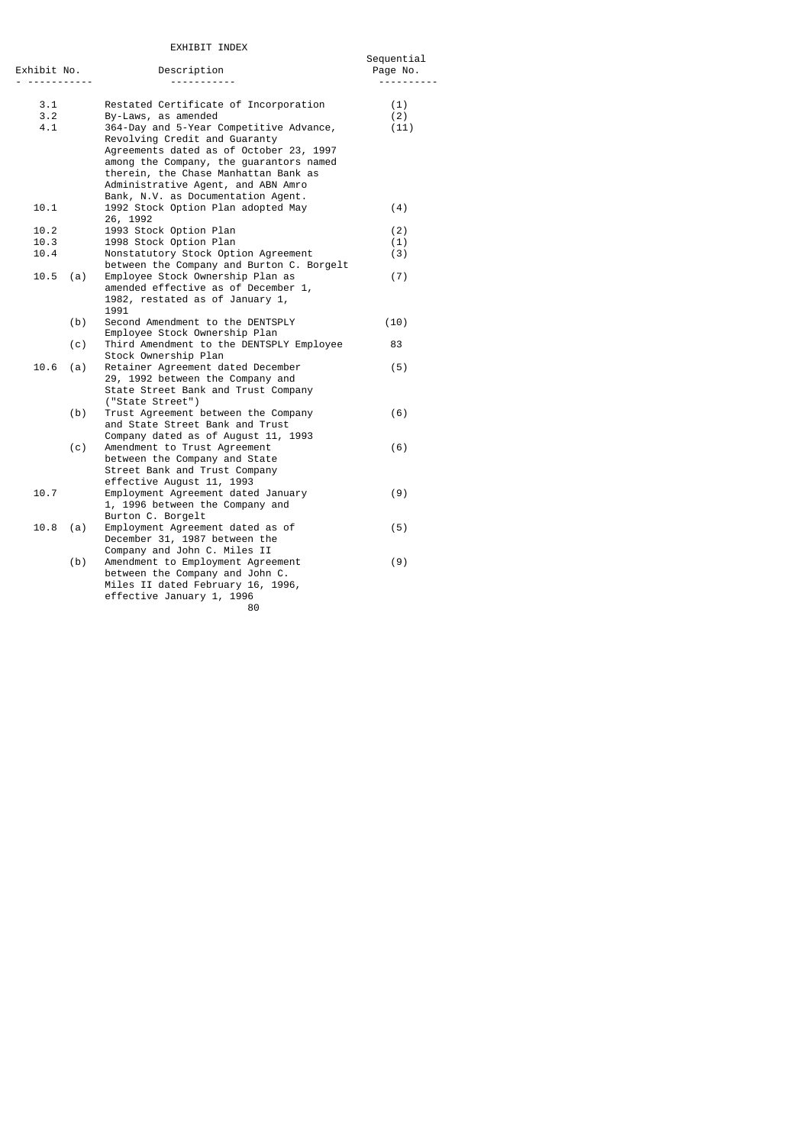# EXHIBIT INDEX

|                         | EXHIBII INDEX                                                                                                                                                                                                                                                                      |                        |
|-------------------------|------------------------------------------------------------------------------------------------------------------------------------------------------------------------------------------------------------------------------------------------------------------------------------|------------------------|
| Exhibit No.<br>-------- | Description                                                                                                                                                                                                                                                                        | Sequential<br>Page No. |
| 3.1<br>3.2              | Restated Certificate of Incorporation<br>By-Laws, as amended                                                                                                                                                                                                                       | (1)<br>(2)             |
| 4.1                     | 364-Day and 5-Year Competitive Advance,<br>Revolving Credit and Guaranty<br>Agreements dated as of October 23, 1997<br>among the Company, the guarantors named<br>therein, the Chase Manhattan Bank as<br>Administrative Agent, and ABN Amro<br>Bank, N.V. as Documentation Agent. | (11)                   |
| 10.1                    | 1992 Stock Option Plan adopted May<br>26, 1992                                                                                                                                                                                                                                     | (4)                    |
| 10.2                    | 1993 Stock Option Plan                                                                                                                                                                                                                                                             | (2)                    |
| 10.3                    | 1998 Stock Option Plan                                                                                                                                                                                                                                                             | (1)                    |
| 10.4                    | Nonstatutory Stock Option Agreement<br>between the Company and Burton C. Borgelt                                                                                                                                                                                                   | (3)                    |
| 10.5<br>(a)             | Employee Stock Ownership Plan as<br>amended effective as of December 1,<br>1982, restated as of January 1,<br>1991                                                                                                                                                                 | (7)                    |
| (b)                     | Second Amendment to the DENTSPLY<br>Employee Stock Ownership Plan                                                                                                                                                                                                                  | (10)                   |
| (c)                     | Third Amendment to the DENTSPLY Employee<br>Stock Ownership Plan                                                                                                                                                                                                                   | 83                     |
| 10.6<br>(a)             | Retainer Agreement dated December<br>29, 1992 between the Company and<br>State Street Bank and Trust Company<br>("State Street")                                                                                                                                                   | (5)                    |
| (b)                     | Trust Agreement between the Company<br>and State Street Bank and Trust<br>Company dated as of August 11, 1993                                                                                                                                                                      | (6)                    |
| (c)                     | Amendment to Trust Agreement<br>between the Company and State<br>Street Bank and Trust Company<br>effective August 11, 1993                                                                                                                                                        | (6)                    |
| 10.7                    | Employment Agreement dated January<br>1, 1996 between the Company and<br>Burton C. Borgelt                                                                                                                                                                                         | (9)                    |
| 10.8<br>(a)             | Employment Agreement dated as of<br>December 31, 1987 between the<br>Company and John C. Miles II                                                                                                                                                                                  | (5)                    |
| (b)                     | Amendment to Employment Agreement<br>between the Company and John C.<br>Miles II dated February 16, 1996,<br>effective January 1, 1996<br>80                                                                                                                                       | (9)                    |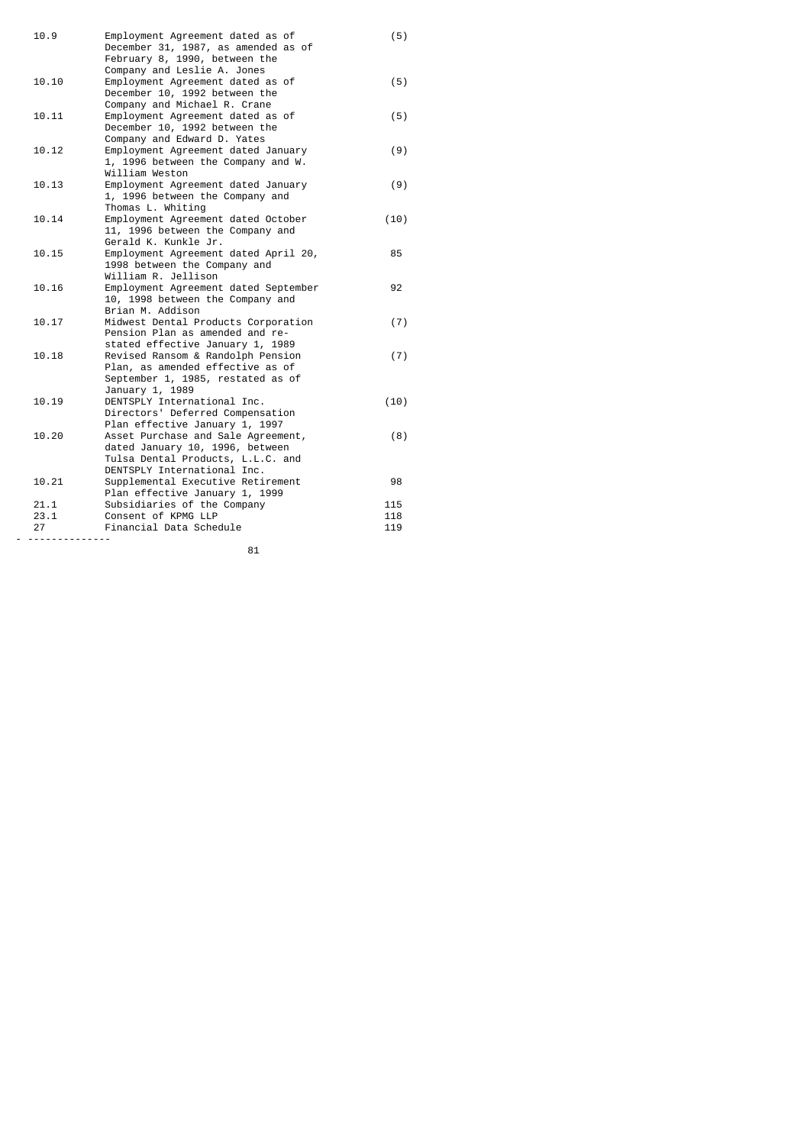| 10.9     | Employment Agreement dated as of<br>December 31, 1987, as amended as of  | (5)  |
|----------|--------------------------------------------------------------------------|------|
|          | February 8, 1990, between the<br>Company and Leslie A. Jones             |      |
| 10.10    | Employment Agreement dated as of                                         | (5)  |
|          | December 10, 1992 between the                                            |      |
|          | Company and Michael R. Crane                                             |      |
| 10.11    | Employment Agreement dated as of                                         | (5)  |
|          | December 10, 1992 between the                                            |      |
|          | Company and Edward D. Yates                                              |      |
| 10.12    | Employment Agreement dated January                                       | (9)  |
|          | 1, 1996 between the Company and W.                                       |      |
|          | William Weston                                                           |      |
| 10.13    | Employment Agreement dated January                                       | (9)  |
|          | 1, 1996 between the Company and                                          |      |
|          | Thomas L. Whiting                                                        |      |
| 10.14    | Employment Agreement dated October                                       | (10) |
|          | 11, 1996 between the Company and                                         |      |
|          | Gerald K. Kunkle Jr.                                                     |      |
| 10.15    | Employment Agreement dated April 20,                                     | 85   |
|          | 1998 between the Company and                                             |      |
| 10.16    | William R. Jellison                                                      | 92   |
|          | Employment Agreement dated September<br>10, 1998 between the Company and |      |
|          | Brian M. Addison                                                         |      |
| 10.17    | Midwest Dental Products Corporation                                      | (7)  |
|          | Pension Plan as amended and re-                                          |      |
|          | stated effective January 1, 1989                                         |      |
| 10.18    | Revised Ransom & Randolph Pension                                        | (7)  |
|          | Plan, as amended effective as of                                         |      |
|          | September 1, 1985, restated as of                                        |      |
|          | January 1, 1989                                                          |      |
| 10.19    | DENTSPLY International Inc.                                              | (10) |
|          | Directors' Deferred Compensation                                         |      |
|          | Plan effective January 1, 1997                                           |      |
| 10.20    | Asset Purchase and Sale Agreement,                                       | (8)  |
|          | dated January 10, 1996, between<br>Tulsa Dental Products, L.L.C. and     |      |
|          | DENTSPLY International Inc.                                              |      |
| 10.21    | Supplemental Executive Retirement                                        | 98   |
|          | Plan effective January 1, 1999                                           |      |
| 21.1     | Subsidiaries of the Company                                              | 115  |
| 23.1     | Consent of KPMG LLP                                                      | 118  |
| 27       | Financial Data Schedule                                                  | 119  |
| <u>.</u> |                                                                          |      |

<u>81 - Andre Stadtsmann, amerikansk politik (</u>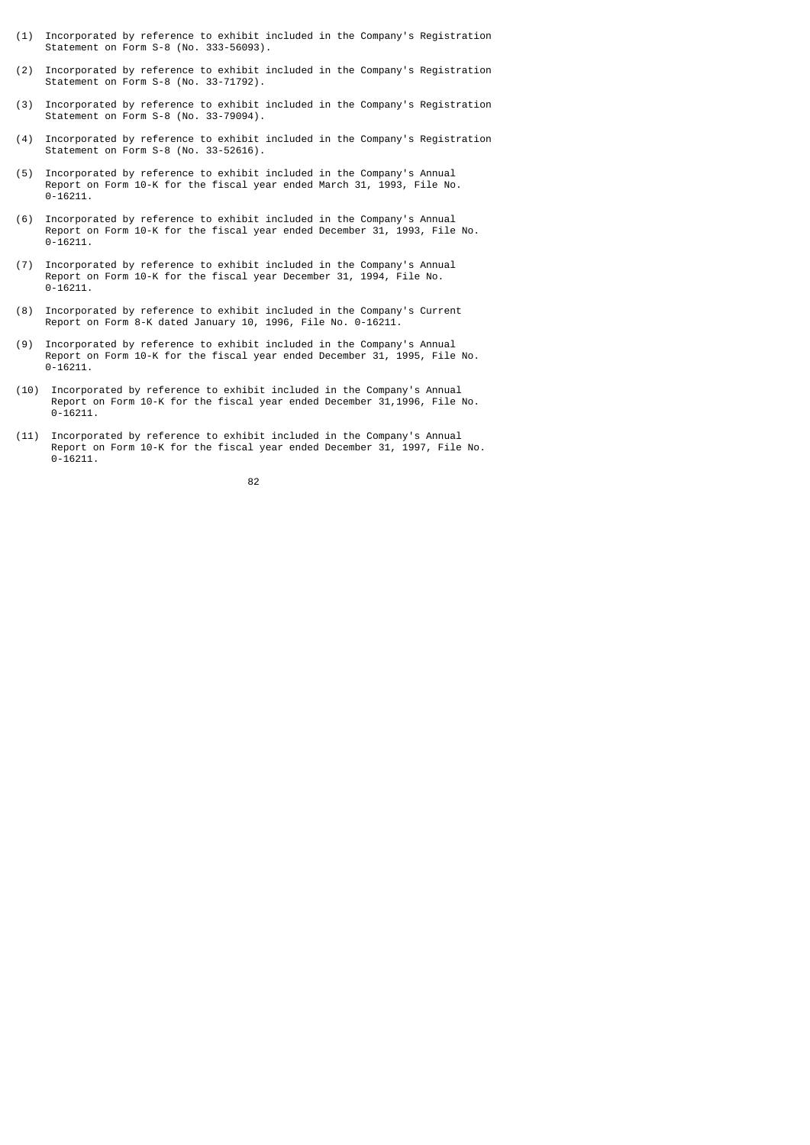- (1) Incorporated by reference to exhibit included in the Company's Registration Statement on Form S-8 (No. 333-56093).
- (2) Incorporated by reference to exhibit included in the Company's Registration Statement on Form S-8 (No. 33-71792).
- (3) Incorporated by reference to exhibit included in the Company's Registration Statement on Form S-8 (No. 33-79094).
- (4) Incorporated by reference to exhibit included in the Company's Registration Statement on Form S-8 (No. 33-52616).
- (5) Incorporated by reference to exhibit included in the Company's Annual Report on Form 10-K for the fiscal year ended March 31, 1993, File No. 0-16211.
- (6) Incorporated by reference to exhibit included in the Company's Annual Report on Form 10-K for the fiscal year ended December 31, 1993, File No.  $0 - 16211$ .
- (7) Incorporated by reference to exhibit included in the Company's Annual Report on Form 10-K for the fiscal year December 31, 1994, File No.  $0 - 16211$ .
- (8) Incorporated by reference to exhibit included in the Company's Current Report on Form 8-K dated January 10, 1996, File No. 0-16211.
- (9) Incorporated by reference to exhibit included in the Company's Annual Report on Form 10-K for the fiscal year ended December 31, 1995, File No. 0-16211.
- (10) Incorporated by reference to exhibit included in the Company's Annual Report on Form 10-K for the fiscal year ended December 31,1996, File No.  $0 - 16211$ .
- (11) Incorporated by reference to exhibit included in the Company's Annual Report on Form 10-K for the fiscal year ended December 31, 1997, File No.  $0 - 16211$ .

<u>82 and 2008 and 2008 and 2008 and 2008 and 2008 and 2008 and 2008 and 2008 and 2008 and 2008 and 2008 and 200</u>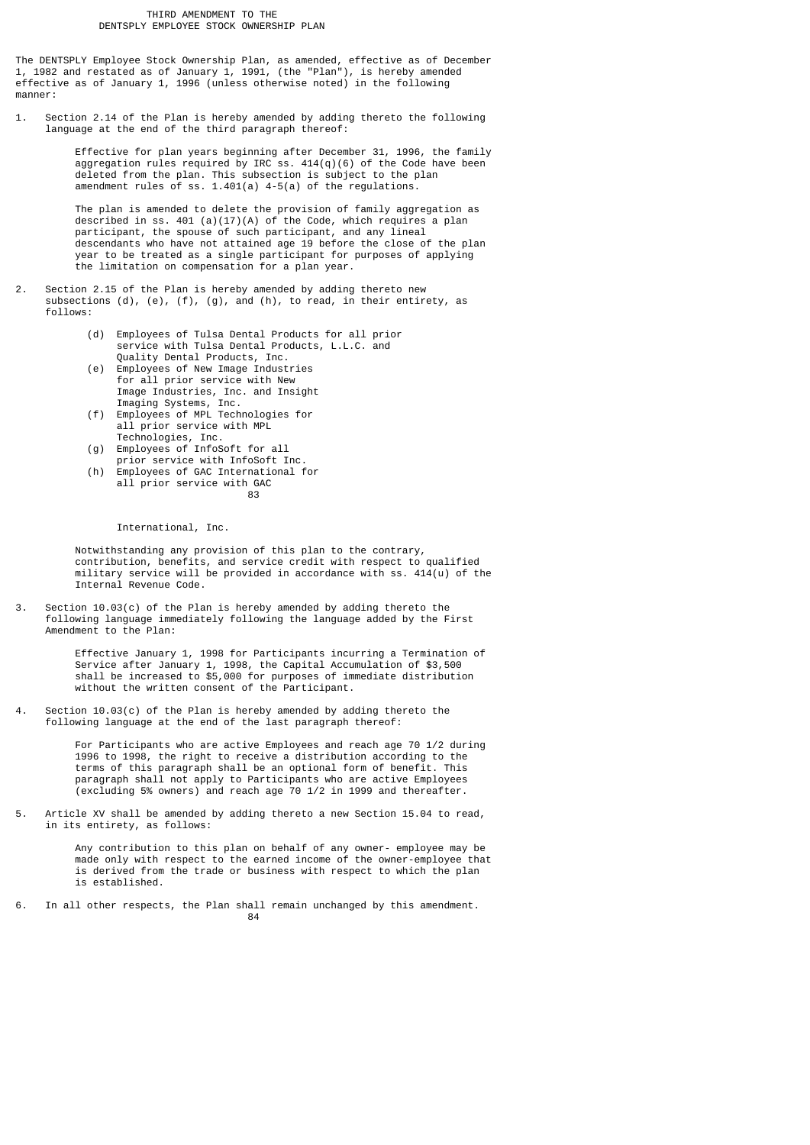The DENTSPLY Employee Stock Ownership Plan, as amended, effective as of December 1, 1982 and restated as of January 1, 1991, (the "Plan"), is hereby amended effective as of January 1, 1996 (unless otherwise noted) in the following manner:

1. Section 2.14 of the Plan is hereby amended by adding thereto the following language at the end of the third paragraph thereof:

> Effective for plan years beginning after December 31, 1996, the family aggregation rules required by IRC ss.  $414(q)(6)$  of the Code have been deleted from the plan. This subsection is subject to the plan amendment rules of ss. 1.401(a) 4-5(a) of the regulations.

 The plan is amended to delete the provision of family aggregation as described in ss. 401 (a)(17)(A) of the Code, which requires a plan participant, the spouse of such participant, and any lineal descendants who have not attained age 19 before the close of the plan year to be treated as a single participant for purposes of applying the limitation on compensation for a plan year.

- 2. Section 2.15 of the Plan is hereby amended by adding thereto new subsections (d), (e), (f), (g), and (h), to read, in their entirety, as follows:
	- (d) Employees of Tulsa Dental Products for all prior service with Tulsa Dental Products, L.L.C. and Quality Dental Products, Inc.
- (e) Employees of New Image Industries for all prior service with New Image Industries, Inc. and Insight Imaging Systems, Inc.
- (f) Employees of MPL Technologies for all prior service with MPL Technologies, Inc.
- (g) Employees of InfoSoft for all
	- prior service with InfoSoft Inc.
- (h) Employees of GAC International for all prior service with GAC<br>83 <u>and the contract of the contract of the contract of the contract of the contract of the contract of the con</u>

International, Inc.

 Notwithstanding any provision of this plan to the contrary, contribution, benefits, and service credit with respect to qualified military service will be provided in accordance with ss. 414(u) of the Internal Revenue Code.

3. Section 10.03(c) of the Plan is hereby amended by adding thereto the following language immediately following the language added by the First Amendment to the Plan:

> Effective January 1, 1998 for Participants incurring a Termination of Service after January 1, 1998, the Capital Accumulation of \$3,500 shall be increased to \$5,000 for purposes of immediate distribution without the written consent of the Participant.

4. Section 10.03(c) of the Plan is hereby amended by adding thereto the following language at the end of the last paragraph thereof:

> For Participants who are active Employees and reach age 70 1/2 during 1996 to 1998, the right to receive a distribution according to the terms of this paragraph shall be an optional form of benefit. This paragraph shall not apply to Participants who are active Employees (excluding 5% owners) and reach age 70 1/2 in 1999 and thereafter.

Article XV shall be amended by adding thereto a new Section 15.04 to read, in its entirety, as follows:

 Any contribution to this plan on behalf of any owner- employee may be made only with respect to the earned income of the owner-employee that is derived from the trade or business with respect to which the plan is established.

6. In all other respects, the Plan shall remain unchanged by this amendment.<br> $84$ e a componente de la construction de la construction de la construction de la construction de la construction<br>En 1930, est de la construction de la construction de la construction de la construction de la construction de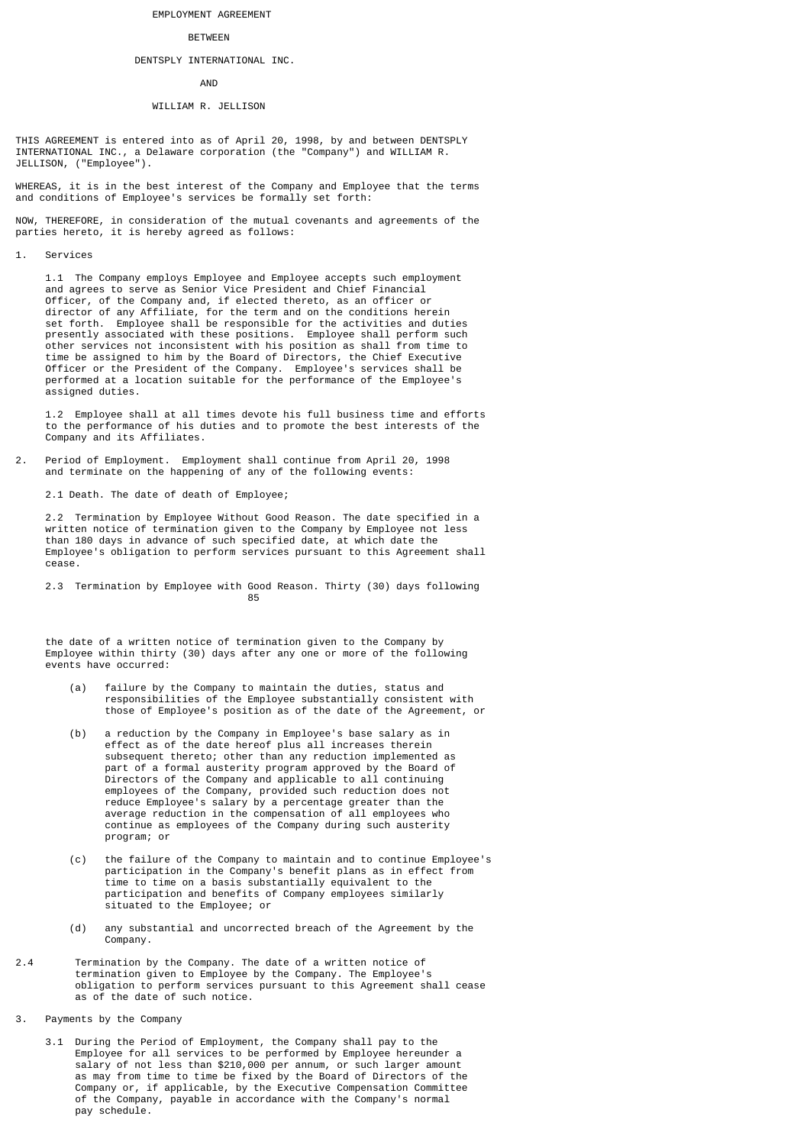## EMPLOYMENT AGREEMENT

#### BETWEEN

# DENTSPLY INTERNATIONAL INC.

## AND

#### WILLIAM R. JELLISON

THIS AGREEMENT is entered into as of April 20, 1998, by and between DENTSPLY INTERNATIONAL INC., a Delaware corporation (the "Company") and WILLIAM R. JELLISON, ("Employee").

WHEREAS, it is in the best interest of the Company and Employee that the terms and conditions of Employee's services be formally set forth:

NOW, THEREFORE, in consideration of the mutual covenants and agreements of the parties hereto, it is hereby agreed as follows:

#### 1. Services

 1.1 The Company employs Employee and Employee accepts such employment and agrees to serve as Senior Vice President and Chief Financial Officer, of the Company and, if elected thereto, as an officer or director of any Affiliate, for the term and on the conditions herein set forth. Employee shall be responsible for the activities and duties presently associated with these positions. Employee shall perform such other services not inconsistent with his position as shall from time to time be assigned to him by the Board of Directors, the Chief Executive Officer or the President of the Company. Employee's services shall be performed at a location suitable for the performance of the Employee's assigned duties.

 1.2 Employee shall at all times devote his full business time and efforts to the performance of his duties and to promote the best interests of the Company and its Affiliates.

2. Period of Employment. Employment shall continue from April 20, 1998 and terminate on the happening of any of the following events:

2.1 Death. The date of death of Employee;

 2.2 Termination by Employee Without Good Reason. The date specified in a written notice of termination given to the Company by Employee not less than 180 days in advance of such specified date, at which date the Employee's obligation to perform services pursuant to this Agreement shall cease.

 2.3 Termination by Employee with Good Reason. Thirty (30) days following <u>85 and 200 and 200 and 200 and 200 and 200 and 200 and 200 and 200 and 200 and 200 and 200 and 200 and 200 and 200 and 200 and 200 and 200 and 200 and 200 and 200 and 200 and 200 and 200 and 200 and 200 and 200 and 200 an</u>

 the date of a written notice of termination given to the Company by Employee within thirty (30) days after any one or more of the following events have occurred:

- (a) failure by the Company to maintain the duties, status and responsibilities of the Employee substantially consistent with those of Employee's position as of the date of the Agreement, or
- (b) a reduction by the Company in Employee's base salary as in effect as of the date hereof plus all increases therein subsequent thereto; other than any reduction implemented as part of a formal austerity program approved by the Board of Directors of the Company and applicable to all continuing employees of the Company, provided such reduction does not reduce Employee's salary by a percentage greater than the average reduction in the compensation of all employees who continue as employees of the Company during such austerity program; or
	- (c) the failure of the Company to maintain and to continue Employee's participation in the Company's benefit plans as in effect from time to time on a basis substantially equivalent to the participation and benefits of Company employees similarly situated to the Employee; or
	- (d) any substantial and uncorrected breach of the Agreement by the Company.
- 2.4 Termination by the Company. The date of a written notice of termination given to Employee by the Company. The Employee's obligation to perform services pursuant to this Agreement shall cease as of the date of such notice.
- 3. Payments by the Company
- 3.1 During the Period of Employment, the Company shall pay to the Employee for all services to be performed by Employee hereunder a salary of not less than \$210,000 per annum, or such larger amount as may from time to time be fixed by the Board of Directors of the Company or, if applicable, by the Executive Compensation Committee of the Company, payable in accordance with the Company's normal pay schedule.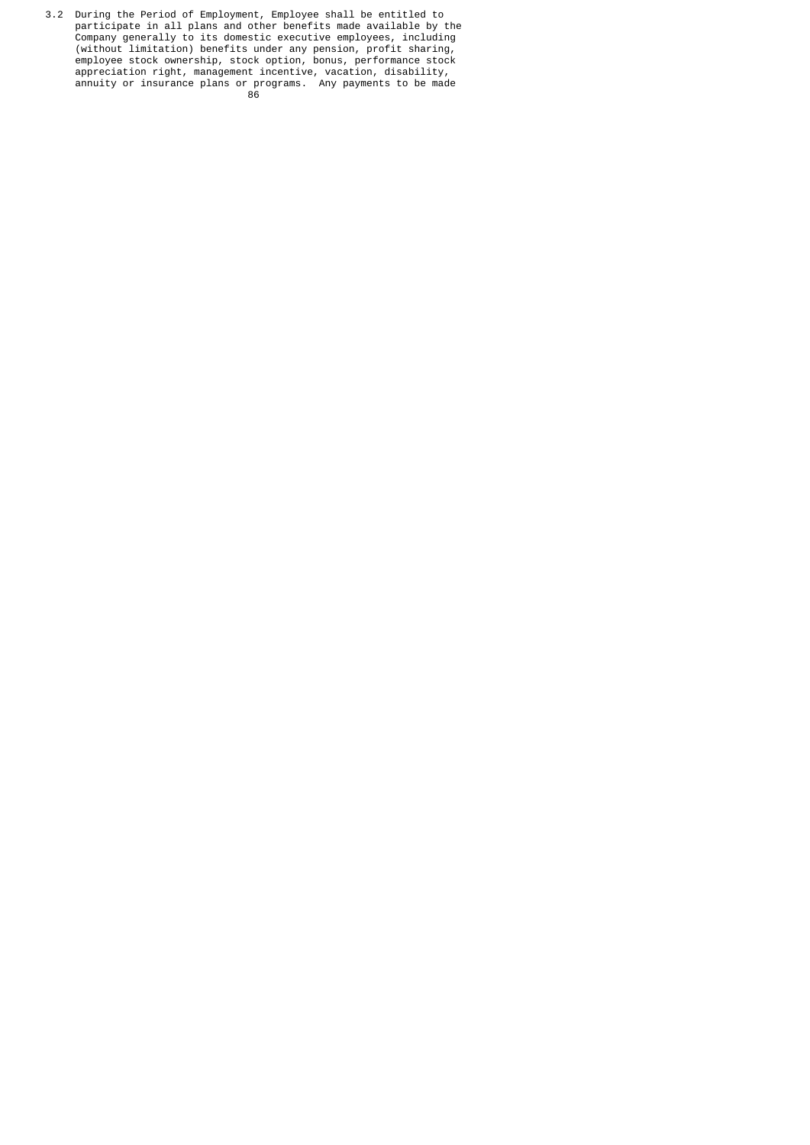3.2 During the Period of Employment, Employee shall be entitled to participate in all plans and other benefits made available by the Company generally to its domestic executive employees, including (without limitation) benefits under any pension, profit sharing, employee stock ownership, stock option, bonus, performance stock appreciation right, management incentive, vacation, disability, annuity or insurance plans or programs. Any payments to be made <u>86 - John Stein, Amerikaansk politiker (</u>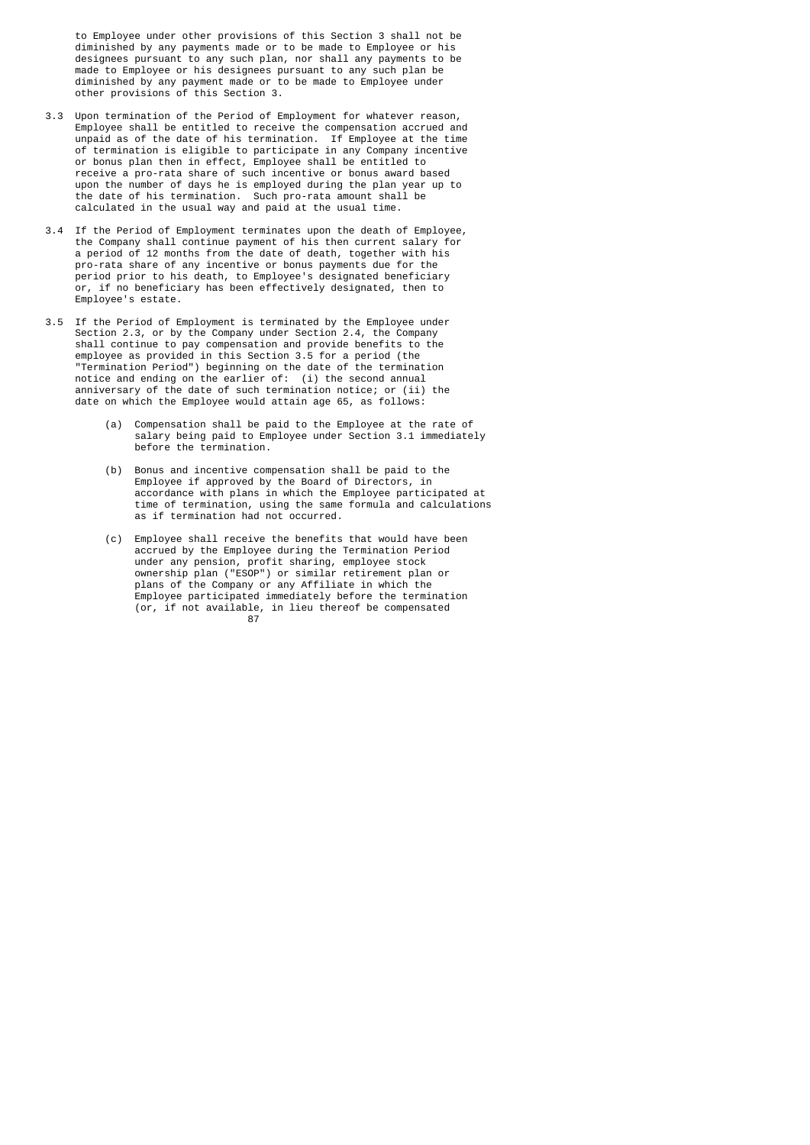to Employee under other provisions of this Section 3 shall not be diminished by any payments made or to be made to Employee or his designees pursuant to any such plan, nor shall any payments to be made to Employee or his designees pursuant to any such plan be diminished by any payment made or to be made to Employee under other provisions of this Section 3.

- 3.3 Upon termination of the Period of Employment for whatever reason, Employee shall be entitled to receive the compensation accrued and unpaid as of the date of his termination. If Employee at the time of termination is eligible to participate in any Company incentive or bonus plan then in effect, Employee shall be entitled to receive a pro-rata share of such incentive or bonus award based upon the number of days he is employed during the plan year up to the date of his termination. Such pro-rata amount shall be calculated in the usual way and paid at the usual time.
- 3.4 If the Period of Employment terminates upon the death of Employee, the Company shall continue payment of his then current salary for a period of 12 months from the date of death, together with his pro-rata share of any incentive or bonus payments due for the period prior to his death, to Employee's designated beneficiary or, if no beneficiary has been effectively designated, then to Employee's estate.
- 3.5 If the Period of Employment is terminated by the Employee under Section 2.3, or by the Company under Section 2.4, the Company shall continue to pay compensation and provide benefits to the employee as provided in this Section 3.5 for a period (the "Termination Period") beginning on the date of the termination notice and ending on the earlier of: (i) the second annual anniversary of the date of such termination notice; or (ii) the date on which the Employee would attain age 65, as follows:
	- (a) Compensation shall be paid to the Employee at the rate of salary being paid to Employee under Section 3.1 immediately before the termination.
- (b) Bonus and incentive compensation shall be paid to the Employee if approved by the Board of Directors, in accordance with plans in which the Employee participated at time of termination, using the same formula and calculations as if termination had not occurred.
- (c) Employee shall receive the benefits that would have been accrued by the Employee during the Termination Period under any pension, profit sharing, employee stock ownership plan ("ESOP") or similar retirement plan or plans of the Company or any Affiliate in which the Employee participated immediately before the termination (or, if not available, in lieu thereof be compensated 87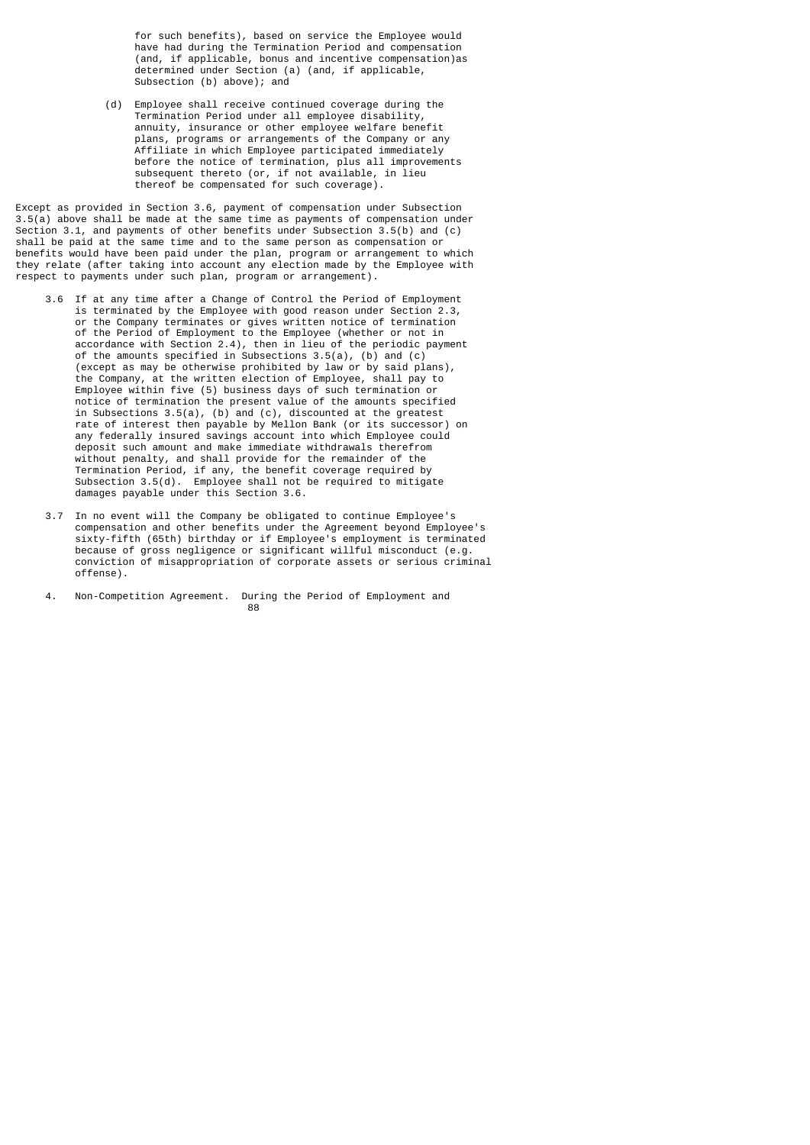for such benefits), based on service the Employee would have had during the Termination Period and compensation (and, if applicable, bonus and incentive compensation)as determined under Section (a) (and, if applicable, Subsection (b) above); and

 (d) Employee shall receive continued coverage during the Termination Period under all employee disability, annuity, insurance or other employee welfare benefit plans, programs or arrangements of the Company or any Affiliate in which Employee participated immediately before the notice of termination, plus all improvements subsequent thereto (or, if not available, in lieu thereof be compensated for such coverage).

Except as provided in Section 3.6, payment of compensation under Subsection 3.5(a) above shall be made at the same time as payments of compensation under Section 3.1, and payments of other benefits under Subsection 3.5(b) and (c) shall be paid at the same time and to the same person as compensation or benefits would have been paid under the plan, program or arrangement to which they relate (after taking into account any election made by the Employee with respect to payments under such plan, program or arrangement).

- 3.6 If at any time after a Change of Control the Period of Employment is terminated by the Employee with good reason under Section 2.3, or the Company terminates or gives written notice of termination of the Period of Employment to the Employee (whether or not in accordance with Section 2.4), then in lieu of the periodic payment of the amounts specified in Subsections 3.5(a), (b) and (c) (except as may be otherwise prohibited by law or by said plans), the Company, at the written election of Employee, shall pay to Employee within five (5) business days of such termination or notice of termination the present value of the amounts specified in Subsections 3.5(a), (b) and (c), discounted at the greatest rate of interest then payable by Mellon Bank (or its successor) on any federally insured savings account into which Employee could deposit such amount and make immediate withdrawals therefrom without penalty, and shall provide for the remainder of the Termination Period, if any, the benefit coverage required by Subsection 3.5(d). Employee shall not be required to mitigate damages payable under this Section 3.6.
	- 3.7 In no event will the Company be obligated to continue Employee's compensation and other benefits under the Agreement beyond Employee's sixty-fifth (65th) birthday or if Employee's employment is terminated because of gross negligence or significant willful misconduct (e.g. conviction of misappropriation of corporate assets or serious criminal offense).
- 4. Non-Competition Agreement. During the Period of Employment and<br>88 e a construction de la construction de la construction de la construction de la construction de la constructio<br>En 1980, est en 1980, est en 1980, est en 1980, est en 1980, est en 1980, est en 1980, est en 1980, est en 198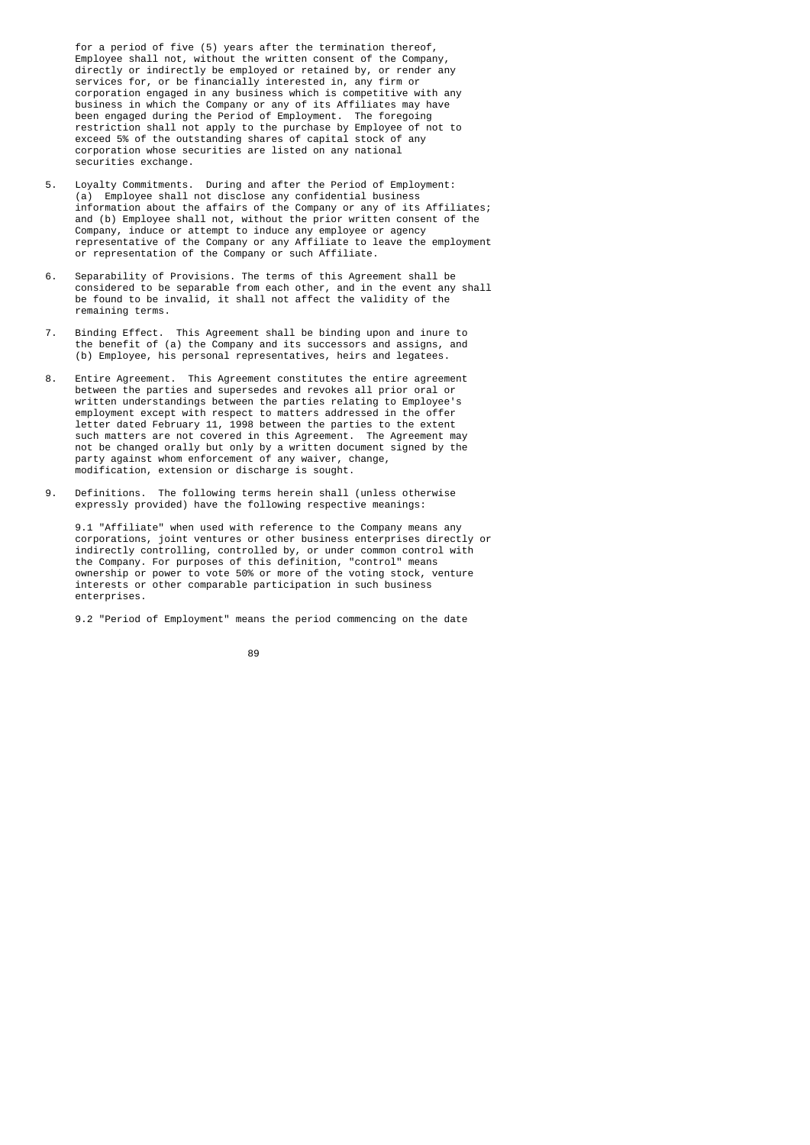for a period of five (5) years after the termination thereof, Employee shall not, without the written consent of the Company, directly or indirectly be employed or retained by, or render any services for, or be financially interested in, any firm or corporation engaged in any business which is competitive with any business in which the Company or any of its Affiliates may have been engaged during the Period of Employment. The foregoing restriction shall not apply to the purchase by Employee of not to exceed 5% of the outstanding shares of capital stock of any corporation whose securities are listed on any national securities exchange.

- 5. Loyalty Commitments. During and after the Period of Employment: (a) Employee shall not disclose any confidential business information about the affairs of the Company or any of its Affiliates; and (b) Employee shall not, without the prior written consent of the Company, induce or attempt to induce any employee or agency representative of the Company or any Affiliate to leave the employment or representation of the Company or such Affiliate.
- 6. Separability of Provisions. The terms of this Agreement shall be considered to be separable from each other, and in the event any shall be found to be invalid, it shall not affect the validity of the remaining terms.
	- 7. Binding Effect. This Agreement shall be binding upon and inure to the benefit of (a) the Company and its successors and assigns, and (b) Employee, his personal representatives, heirs and legatees.
	- 8. Entire Agreement. This Agreement constitutes the entire agreement between the parties and supersedes and revokes all prior oral or written understandings between the parties relating to Employee's employment except with respect to matters addressed in the offer letter dated February 11, 1998 between the parties to the extent such matters are not covered in this Agreement. The Agreement may not be changed orally but only by a written document signed by the party against whom enforcement of any waiver, change, modification, extension or discharge is sought.
	- 9. Definitions. The following terms herein shall (unless otherwise expressly provided) have the following respective meanings:

 9.1 "Affiliate" when used with reference to the Company means any corporations, joint ventures or other business enterprises directly or indirectly controlling, controlled by, or under common control with the Company. For purposes of this definition, "control" means ownership or power to vote 50% or more of the voting stock, venture interests or other comparable participation in such business enterprises.

9.2 "Period of Employment" means the period commencing on the date

e de la construcción de la construcción de la construcción de la construcción de la construcción de la constru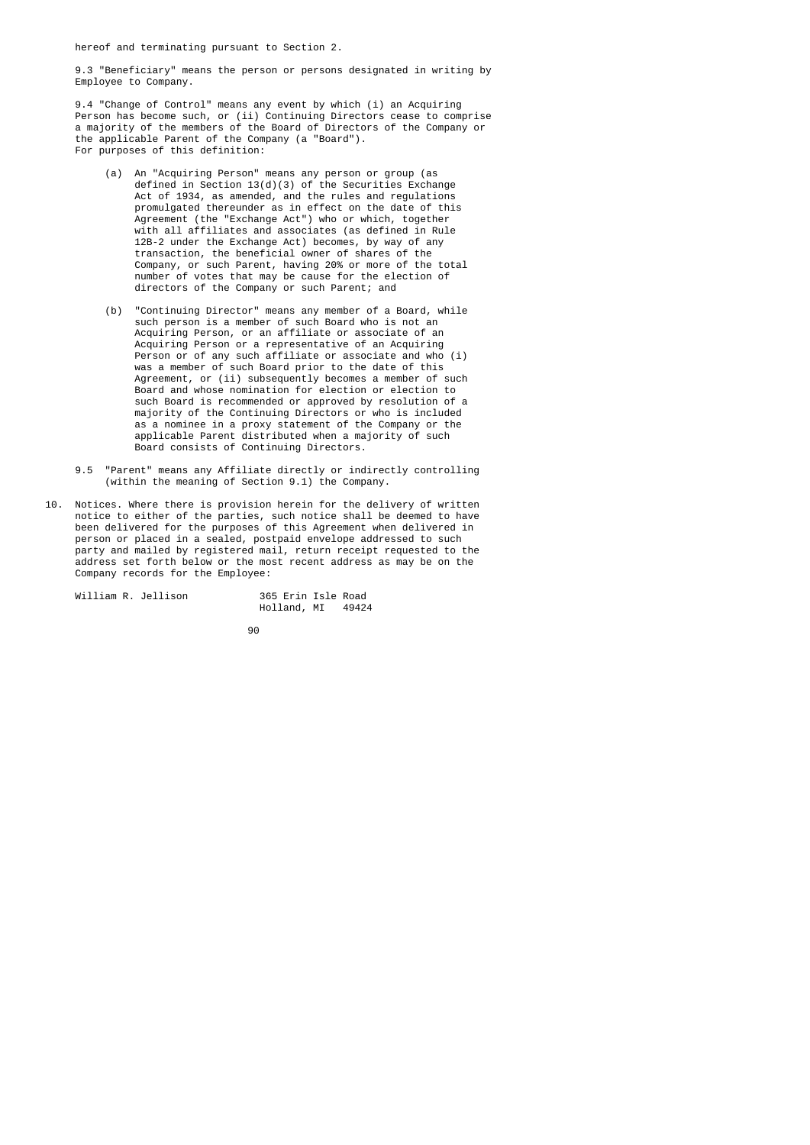hereof and terminating pursuant to Section 2.

 9.3 "Beneficiary" means the person or persons designated in writing by Employee to Company.

 9.4 "Change of Control" means any event by which (i) an Acquiring Person has become such, or (ii) Continuing Directors cease to comprise a majority of the members of the Board of Directors of the Company or the applicable Parent of the Company (a "Board"). For purposes of this definition:

- (a) An "Acquiring Person" means any person or group (as defined in Section 13(d)(3) of the Securities Exchange Act of 1934, as amended, and the rules and regulations promulgated thereunder as in effect on the date of this Agreement (the "Exchange Act") who or which, together with all affiliates and associates (as defined in Rule 12B-2 under the Exchange Act) becomes, by way of any transaction, the beneficial owner of shares of the Company, or such Parent, having 20% or more of the total number of votes that may be cause for the election of directors of the Company or such Parent; and
- (b) "Continuing Director" means any member of a Board, while such person is a member of such Board who is not an Acquiring Person, or an affiliate or associate of an Acquiring Person or a representative of an Acquiring Person or of any such affiliate or associate and who (i) was a member of such Board prior to the date of this Agreement, or (ii) subsequently becomes a member of such Board and whose nomination for election or election to such Board is recommended or approved by resolution of a majority of the Continuing Directors or who is included as a nominee in a proxy statement of the Company or the applicable Parent distributed when a majority of such Board consists of Continuing Directors.
	- 9.5 "Parent" means any Affiliate directly or indirectly controlling (within the meaning of Section 9.1) the Company.
- 10. Notices. Where there is provision herein for the delivery of written notice to either of the parties, such notice shall be deemed to have been delivered for the purposes of this Agreement when delivered in person or placed in a sealed, postpaid envelope addressed to such party and mailed by registered mail, return receipt requested to the address set forth below or the most recent address as may be on the Company records for the Employee:

| William R. Jellison | 365 Erin Isle Road |       |
|---------------------|--------------------|-------|
|                     | Holland, MI        | 49424 |

e de la construcción de la construcción de la construcción de la construcción de la construcción de la constru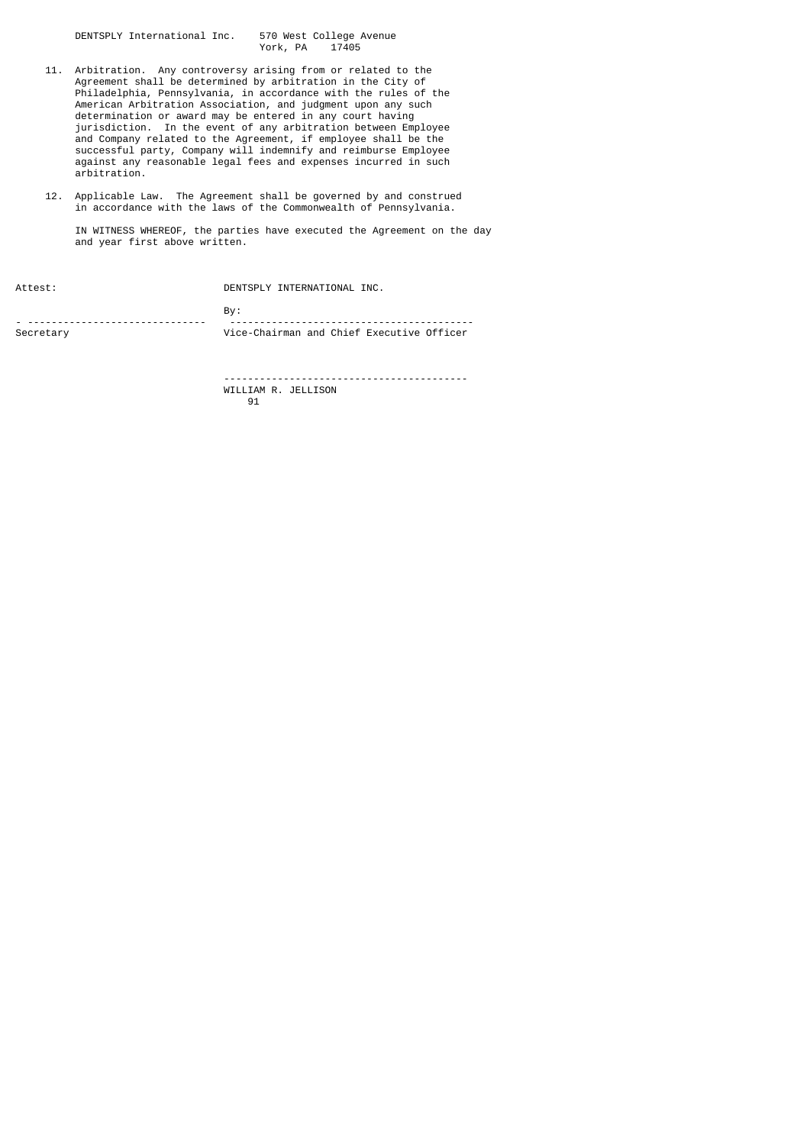DENTSPLY International Inc. 570 West College Avenue York, PA

- 11. Arbitration. Any controversy arising from or related to the Agreement shall be determined by arbitration in the City of Philadelphia, Pennsylvania, in accordance with the rules of the American Arbitration Association, and judgment upon any such determination or award may be entered in any court having jurisdiction. In the event of any arbitration between Employee and Company related to the Agreement, if employee shall be the successful party, Company will indemnify and reimburse Employee against any reasonable legal fees and expenses incurred in such arbitration.
- 12. Applicable Law. The Agreement shall be governed by and construed in accordance with the laws of the Commonwealth of Pennsylvania.

 IN WITNESS WHEREOF, the parties have executed the Agreement on the day and year first above written.

| Attest:   | DENTSPLY INTERNATIONAL INC.               |  |
|-----------|-------------------------------------------|--|
|           | Bv:                                       |  |
| Secretary | Vice-Chairman and Chief Executive Officer |  |

 ----------------------------------------- WILLIAM R. JELLISON<br>91 91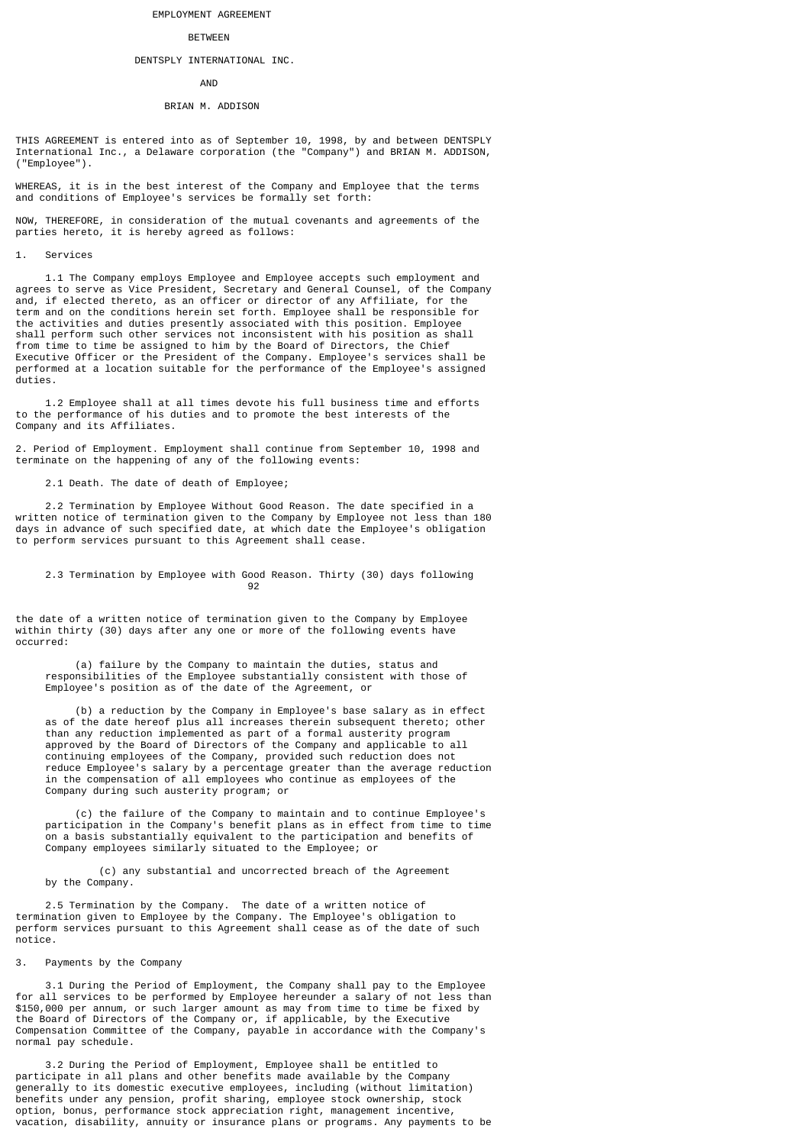## EMPLOYMENT AGREEMENT

#### BETWEEN

#### DENTSPLY INTERNATIONAL INC.

## AND

#### BRIAN M. ADDISON

THIS AGREEMENT is entered into as of September 10, 1998, by and between DENTSPLY International Inc., a Delaware corporation (the "Company") and BRIAN M. ADDISON, ("Employee").

WHEREAS, it is in the best interest of the Company and Employee that the terms and conditions of Employee's services be formally set forth:

NOW, THEREFORE, in consideration of the mutual covenants and agreements of the parties hereto, it is hereby agreed as follows:

#### 1. Services

 1.1 The Company employs Employee and Employee accepts such employment and agrees to serve as Vice President, Secretary and General Counsel, of the Company and, if elected thereto, as an officer or director of any Affiliate, for the term and on the conditions herein set forth. Employee shall be responsible for the activities and duties presently associated with this position. Employee shall perform such other services not inconsistent with his position as shall from time to time be assigned to him by the Board of Directors, the Chief Executive Officer or the President of the Company. Employee's services shall be performed at a location suitable for the performance of the Employee's assigned duties.

 1.2 Employee shall at all times devote his full business time and efforts to the performance of his duties and to promote the best interests of the Company and its Affiliates.

2. Period of Employment. Employment shall continue from September 10, 1998 and terminate on the happening of any of the following events:

2.1 Death. The date of death of Employee;

 2.2 Termination by Employee Without Good Reason. The date specified in a written notice of termination given to the Company by Employee not less than 180 days in advance of such specified date, at which date the Employee's obligation to perform services pursuant to this Agreement shall cease.

## 2.3 Termination by Employee with Good Reason. Thirty (30) days following<br>92 92 and 2012 and 2012 and 2012 and 2012 and 2012 and 2012 and 2012 and 2012 and 2012 and 2012 and 201

the date of a written notice of termination given to the Company by Employee within thirty (30) days after any one or more of the following events have occurred:

 (a) failure by the Company to maintain the duties, status and responsibilities of the Employee substantially consistent with those of Employee's position as of the date of the Agreement, or

 (b) a reduction by the Company in Employee's base salary as in effect as of the date hereof plus all increases therein subsequent thereto; other than any reduction implemented as part of a formal austerity program approved by the Board of Directors of the Company and applicable to all continuing employees of the Company, provided such reduction does not reduce Employee's salary by a percentage greater than the average reduction in the compensation of all employees who continue as employees of the Company during such austerity program; or

 (c) the failure of the Company to maintain and to continue Employee's participation in the Company's benefit plans as in effect from time to time on a basis substantially equivalent to the participation and benefits of Company employees similarly situated to the Employee; or

 (c) any substantial and uncorrected breach of the Agreement by the Company.

 2.5 Termination by the Company. The date of a written notice of termination given to Employee by the Company. The Employee's obligation to perform services pursuant to this Agreement shall cease as of the date of such notice.

## 3. Payments by the Company

 3.1 During the Period of Employment, the Company shall pay to the Employee for all services to be performed by Employee hereunder a salary of not less than \$150,000 per annum, or such larger amount as may from time to time be fixed by the Board of Directors of the Company or, if applicable, by the Executive Compensation Committee of the Company, payable in accordance with the Company's normal pay schedule.

 3.2 During the Period of Employment, Employee shall be entitled to participate in all plans and other benefits made available by the Company generally to its domestic executive employees, including (without limitation) benefits under any pension, profit sharing, employee stock ownership, stock option, bonus, performance stock appreciation right, management incentive, vacation, disability, annuity or insurance plans or programs. Any payments to be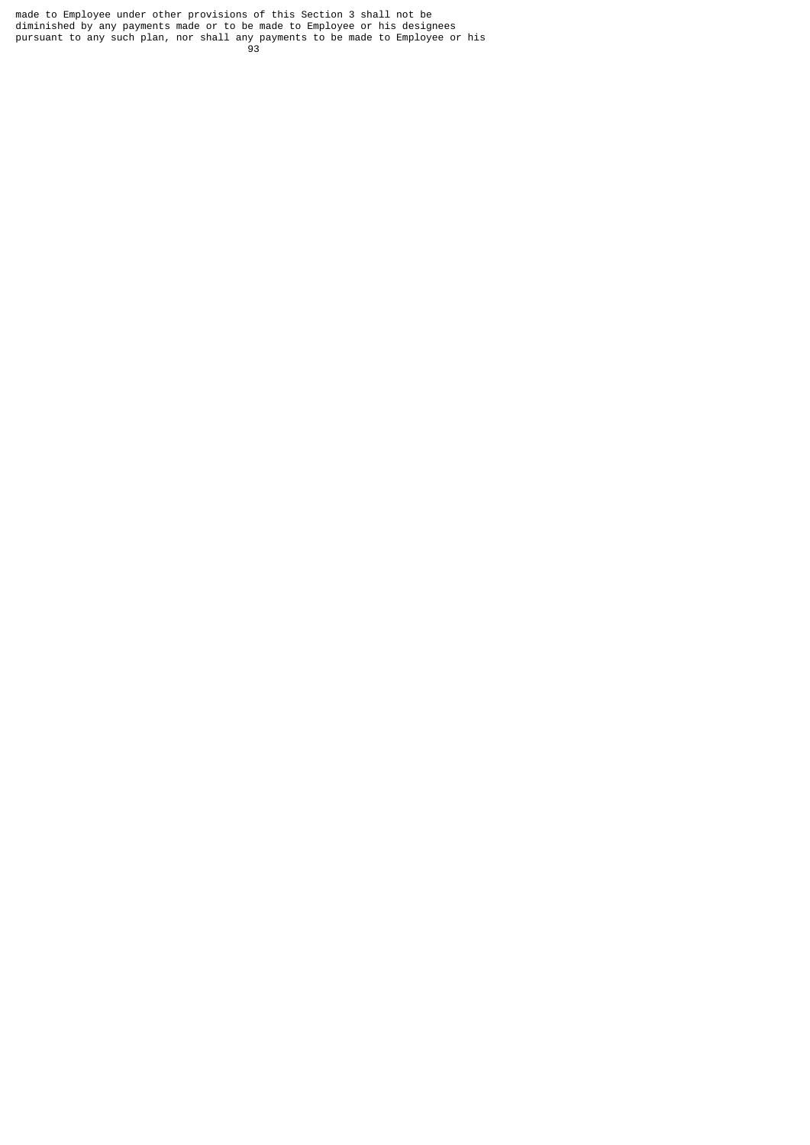made to Employee under other provisions of this Section 3 shall not be diminished by any payments made or to be made to Employee or his designees pursuant to any such plan, nor shall any payments to be made to Employee or his 93 - Paul Barbara, poeta e a poeta e a 1930 - Paul Barbara, poeta e a 1930 - Paul Barbara, poeta e a 1930 - Pa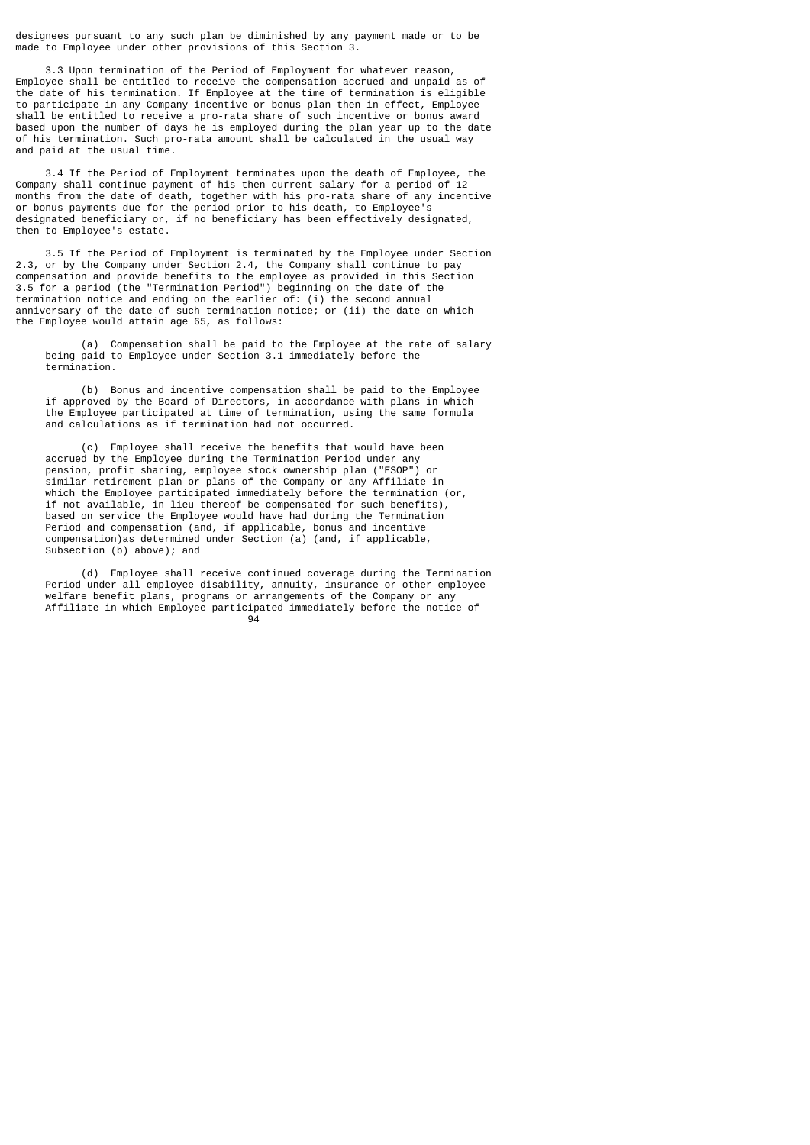designees pursuant to any such plan be diminished by any payment made or to be made to Employee under other provisions of this Section 3.

 3.3 Upon termination of the Period of Employment for whatever reason, Employee shall be entitled to receive the compensation accrued and unpaid as of the date of his termination. If Employee at the time of termination is eligible to participate in any Company incentive or bonus plan then in effect, Employee shall be entitled to receive a pro-rata share of such incentive or bonus award based upon the number of days he is employed during the plan year up to the date of his termination. Such pro-rata amount shall be calculated in the usual way and paid at the usual time.

 3.4 If the Period of Employment terminates upon the death of Employee, the Company shall continue payment of his then current salary for a period of 12 months from the date of death, together with his pro-rata share of any incentive or bonus payments due for the period prior to his death, to Employee's designated beneficiary or, if no beneficiary has been effectively designated, then to Employee's estate.

 3.5 If the Period of Employment is terminated by the Employee under Section 2.3, or by the Company under Section 2.4, the Company shall continue to pay compensation and provide benefits to the employee as provided in this Section 3.5 for a period (the "Termination Period") beginning on the date of the termination notice and ending on the earlier of: (i) the second annual anniversary of the date of such termination notice; or (ii) the date on which the Employee would attain age 65, as follows:

 (a) Compensation shall be paid to the Employee at the rate of salary being paid to Employee under Section 3.1 immediately before the termination.

 (b) Bonus and incentive compensation shall be paid to the Employee if approved by the Board of Directors, in accordance with plans in which the Employee participated at time of termination, using the same formula and calculations as if termination had not occurred.

 (c) Employee shall receive the benefits that would have been accrued by the Employee during the Termination Period under any pension, profit sharing, employee stock ownership plan ("ESOP") or similar retirement plan or plans of the Company or any Affiliate in which the Employee participated immediately before the termination (or, if not available, in lieu thereof be compensated for such benefits), based on service the Employee would have had during the Termination Period and compensation (and, if applicable, bonus and incentive compensation)as determined under Section (a) (and, if applicable, Subsection (b) above); and

 (d) Employee shall receive continued coverage during the Termination Period under all employee disability, annuity, insurance or other employee welfare benefit plans, programs or arrangements of the Company or any Affiliate in which Employee participated immediately before the notice of <u>94 and 2012 and 2013</u>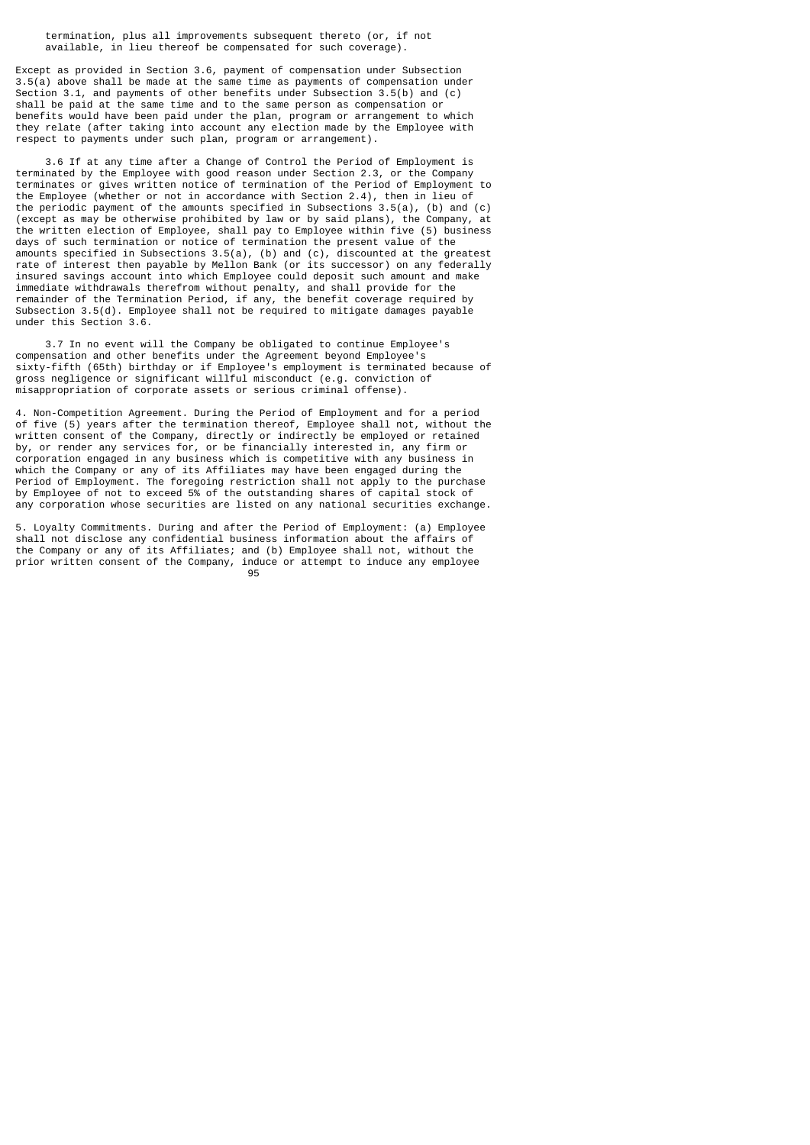termination, plus all improvements subsequent thereto (or, if not available, in lieu thereof be compensated for such coverage).

Except as provided in Section 3.6, payment of compensation under Subsection 3.5(a) above shall be made at the same time as payments of compensation under Section 3.1, and payments of other benefits under Subsection 3.5(b) and (c) shall be paid at the same time and to the same person as compensation or benefits would have been paid under the plan, program or arrangement to which they relate (after taking into account any election made by the Employee with respect to payments under such plan, program or arrangement).

 3.6 If at any time after a Change of Control the Period of Employment is terminated by the Employee with good reason under Section 2.3, or the Company terminates or gives written notice of termination of the Period of Employment to the Employee (whether or not in accordance with Section 2.4), then in lieu of the periodic payment of the amounts specified in Subsections 3.5(a), (b) and (c) (except as may be otherwise prohibited by law or by said plans), the Company, at the written election of Employee, shall pay to Employee within five (5) business days of such termination or notice of termination the present value of the amounts specified in Subsections 3.5(a), (b) and (c), discounted at the greatest rate of interest then payable by Mellon Bank (or its successor) on any federally insured savings account into which Employee could deposit such amount and make immediate withdrawals therefrom without penalty, and shall provide for the remainder of the Termination Period, if any, the benefit coverage required by Subsection 3.5(d). Employee shall not be required to mitigate damages payable under this Section 3.6.

 3.7 In no event will the Company be obligated to continue Employee's compensation and other benefits under the Agreement beyond Employee's sixty-fifth (65th) birthday or if Employee's employment is terminated because of gross negligence or significant willful misconduct (e.g. conviction of misappropriation of corporate assets or serious criminal offense).

4. Non-Competition Agreement. During the Period of Employment and for a period of five (5) years after the termination thereof, Employee shall not, without the written consent of the Company, directly or indirectly be employed or retained by, or render any services for, or be financially interested in, any firm or corporation engaged in any business which is competitive with any business in which the Company or any of its Affiliates may have been engaged during the Period of Employment. The foregoing restriction shall not apply to the purchase by Employee of not to exceed 5% of the outstanding shares of capital stock of any corporation whose securities are listed on any national securities exchange.

5. Loyalty Commitments. During and after the Period of Employment: (a) Employee shall not disclose any confidential business information about the affairs of the Company or any of its Affiliates; and (b) Employee shall not, without the prior written consent of the Company, induce or attempt to induce any employee<br>95 e de la construcción de la construcción de la construcción de la construcción de la construcción de la constru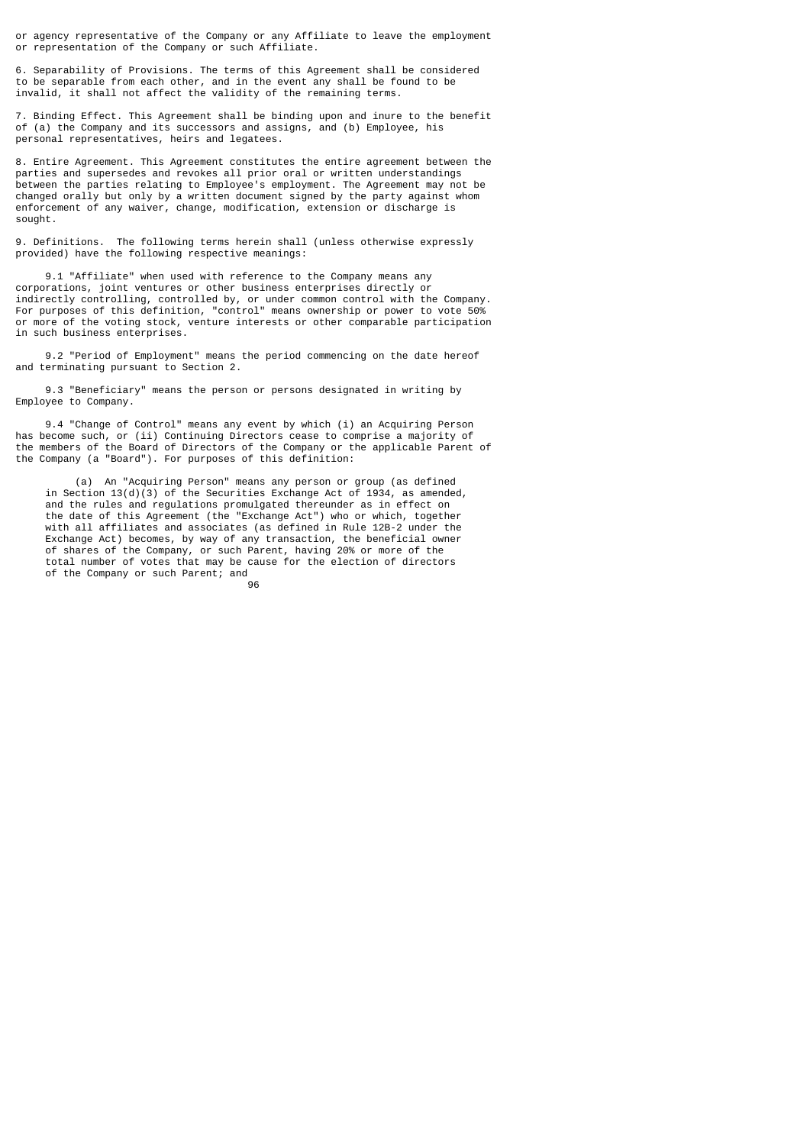or agency representative of the Company or any Affiliate to leave the employment or representation of the Company or such Affiliate.

6. Separability of Provisions. The terms of this Agreement shall be considered to be separable from each other, and in the event any shall be found to be invalid, it shall not affect the validity of the remaining terms.

7. Binding Effect. This Agreement shall be binding upon and inure to the benefit of (a) the Company and its successors and assigns, and (b) Employee, his personal representatives, heirs and legatees.

8. Entire Agreement. This Agreement constitutes the entire agreement between the parties and supersedes and revokes all prior oral or written understandings between the parties relating to Employee's employment. The Agreement may not be changed orally but only by a written document signed by the party against whom enforcement of any waiver, change, modification, extension or discharge is sought.

9. Definitions. The following terms herein shall (unless otherwise expressly provided) have the following respective meanings:

 9.1 "Affiliate" when used with reference to the Company means any corporations, joint ventures or other business enterprises directly or indirectly controlling, controlled by, or under common control with the Company. For purposes of this definition, "control" means ownership or power to vote 50% or more of the voting stock, venture interests or other comparable participation in such business enterprises.

 9.2 "Period of Employment" means the period commencing on the date hereof and terminating pursuant to Section 2.

 9.3 "Beneficiary" means the person or persons designated in writing by Employee to Company.

 9.4 "Change of Control" means any event by which (i) an Acquiring Person has become such, or (ii) Continuing Directors cease to comprise a majority of the members of the Board of Directors of the Company or the applicable Parent of the Company (a "Board"). For purposes of this definition:

 (a) An "Acquiring Person" means any person or group (as defined in Section 13(d)(3) of the Securities Exchange Act of 1934, as amended, and the rules and regulations promulgated thereunder as in effect on the date of this Agreement (the "Exchange Act") who or which, together with all affiliates and associates (as defined in Rule 12B-2 under the Exchange Act) becomes, by way of any transaction, the beneficial owner of shares of the Company, or such Parent, having 20% or more of the total number of votes that may be cause for the election of directors of the Company or such Parent; and <u>96 - Jan James James Jan James James James James James James James James James James James James James James </u>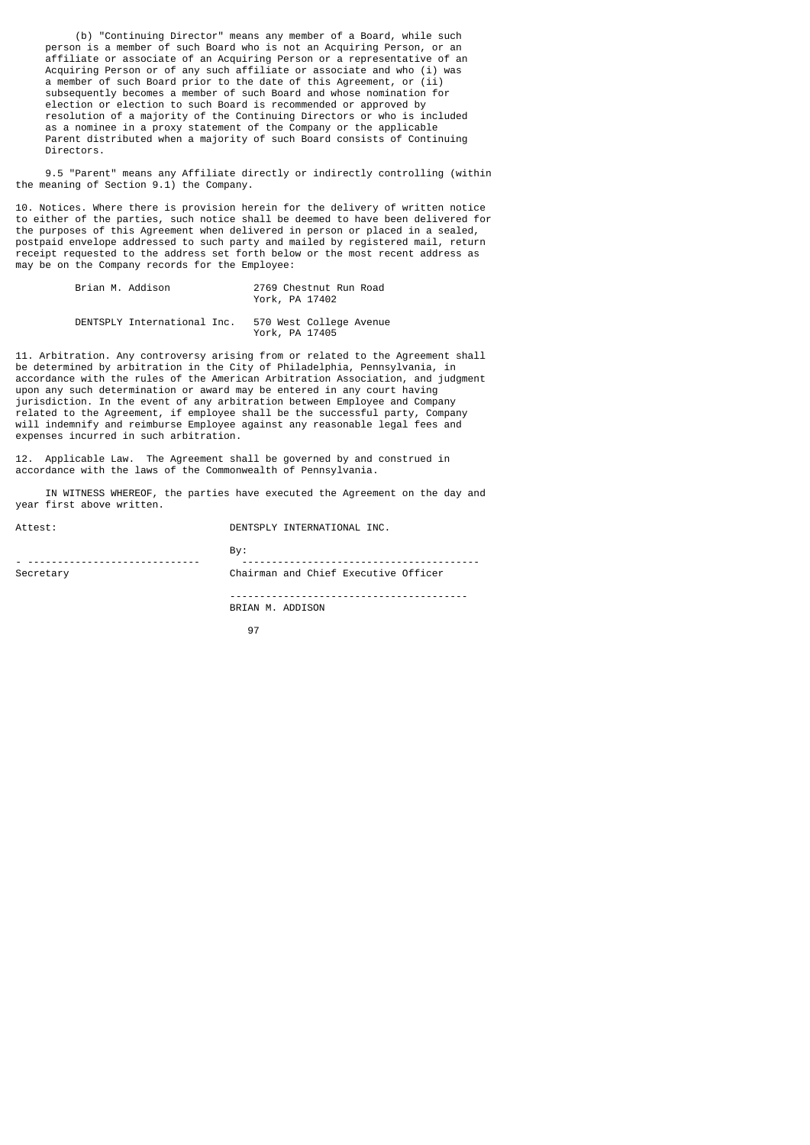(b) "Continuing Director" means any member of a Board, while such person is a member of such Board who is not an Acquiring Person, or an affiliate or associate of an Acquiring Person or a representative of an Acquiring Person or of any such affiliate or associate and who (i) was a member of such Board prior to the date of this Agreement, or (ii) subsequently becomes a member of such Board and whose nomination for election or election to such Board is recommended or approved by resolution of a majority of the Continuing Directors or who is included as a nominee in a proxy statement of the Company or the applicable Parent distributed when a majority of such Board consists of Continuing Directors.

 9.5 "Parent" means any Affiliate directly or indirectly controlling (within the meaning of Section 9.1) the Company.

10. Notices. Where there is provision herein for the delivery of written notice to either of the parties, such notice shall be deemed to have been delivered for the purposes of this Agreement when delivered in person or placed in a sealed, postpaid envelope addressed to such party and mailed by registered mail, return receipt requested to the address set forth below or the most recent address as may be on the Company records for the Employee:

| Brian M. Addison |                             | 2769 Chestnut Run Road<br>York, PA 17402  |
|------------------|-----------------------------|-------------------------------------------|
|                  | DENTSPLY International Inc. | 570 West College Avenue<br>York, PA 17405 |

11. Arbitration. Any controversy arising from or related to the Agreement shall be determined by arbitration in the City of Philadelphia, Pennsylvania, in accordance with the rules of the American Arbitration Association, and judgment upon any such determination or award may be entered in any court having jurisdiction. In the event of any arbitration between Employee and Company related to the Agreement, if employee shall be the successful party, Company will indemnify and reimburse Employee against any reasonable legal fees and expenses incurred in such arbitration.

12. Applicable Law. The Agreement shall be governed by and construed in accordance with the laws of the Commonwealth of Pennsylvania.

 IN WITNESS WHEREOF, the parties have executed the Agreement on the day and year first above written.

| Attest:   | DENTSPLY INTERNATIONAL INC.          |
|-----------|--------------------------------------|
|           | Bv:                                  |
| Secretary | Chairman and Chief Executive Officer |
|           |                                      |

BRIAN M. ADDISON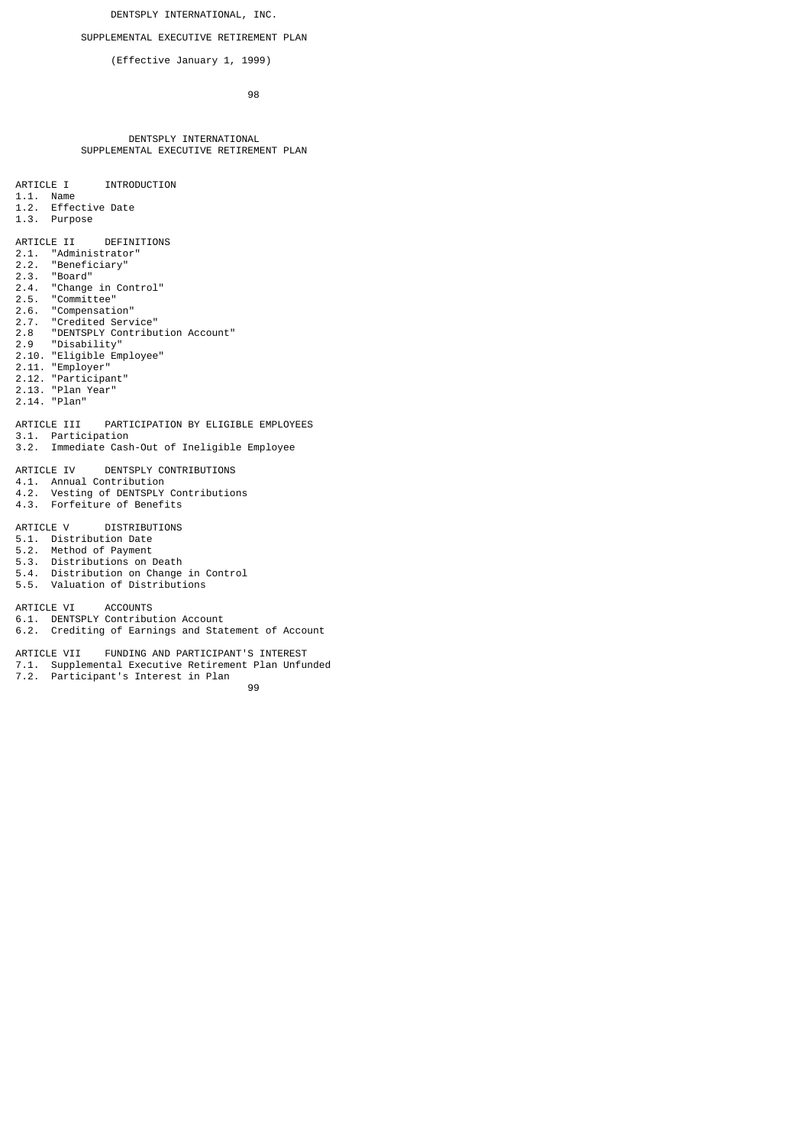DENTSPLY INTERNATIONAL, INC.

SUPPLEMENTAL EXECUTIVE RETIREMENT PLAN

(Effective January 1, 1999)

e de la construcción de la construcción de la construcción de la construcción de la construcción de la constru

## DENTSPLY INTERNATIONAL SUPPLEMENTAL EXECUTIVE RETIREMENT PLAN

## ARTICLE I INTRODUCTION

- 1.1. Name
- 1.2. Effective Date
- 1.3. Purpose

# ARTICLE II DEFINITIONS<br>2.1. "Administrator"

- 2.1. "Administrator"
- 2.2. "Beneficiary"
- 2.3. "Board"<br>2.4. "Change
- 2.4. "Change in Control"<br>2.5. "Committee"
- 
- 2.5. "Committee"<br>2.6. "Compensati "Compensation"
- 2.7. "Credited Service"
- 2.8 "DENTSPLY Contribution Account"
- 2.9 "Disability"
- 2.10. "Eligible Employee"
- 2.11. "Employer"
- 2.12. "Participant" 2.13. "Plan Year"
- 2.14. "Plan"
- ARTICLE III PARTICIPATION BY ELIGIBLE EMPLOYEES
- 3.1. Participation
- 3.2. Immediate Cash-Out of Ineligible Employee

# ARTICLE IV DENTSPLY CONTRIBUTIONS

- 4.1. Annual Contribution
- 4.2. Vesting of DENTSPLY Contributions
- 4.3. Forfeiture of Benefits

## ARTICLE V DISTRIBUTIONS

- 5.1. Distribution Date
- 5.2. Method of Payment
- 5.3. Distributions on Death
- 5.4. Distribution on Change in Control
- 5.5. Valuation of Distributions

ARTICLE VI ACCOUNTS

- 6.1. DENTSPLY Contribution Account
- 6.2. Crediting of Earnings and Statement of Account
- ARTICLE VII FUNDING AND PARTICIPANT'S INTEREST
- 7.1. Supplemental Executive Retirement Plan Unfunded
- 7.2. Participant's Interest in Plan

99 - Paul Barbara, poeta e a poeta e a 1999 - Paul Barbara, poeta e a 1999 - Paul Barbara, poeta e a 1999 - Pa<br>1999 - Paul Barbara, poeta e a 1999 - Paul Barbara, poeta e a 1999 - Paul Barbara, poeta e a 1999 - Paul Barba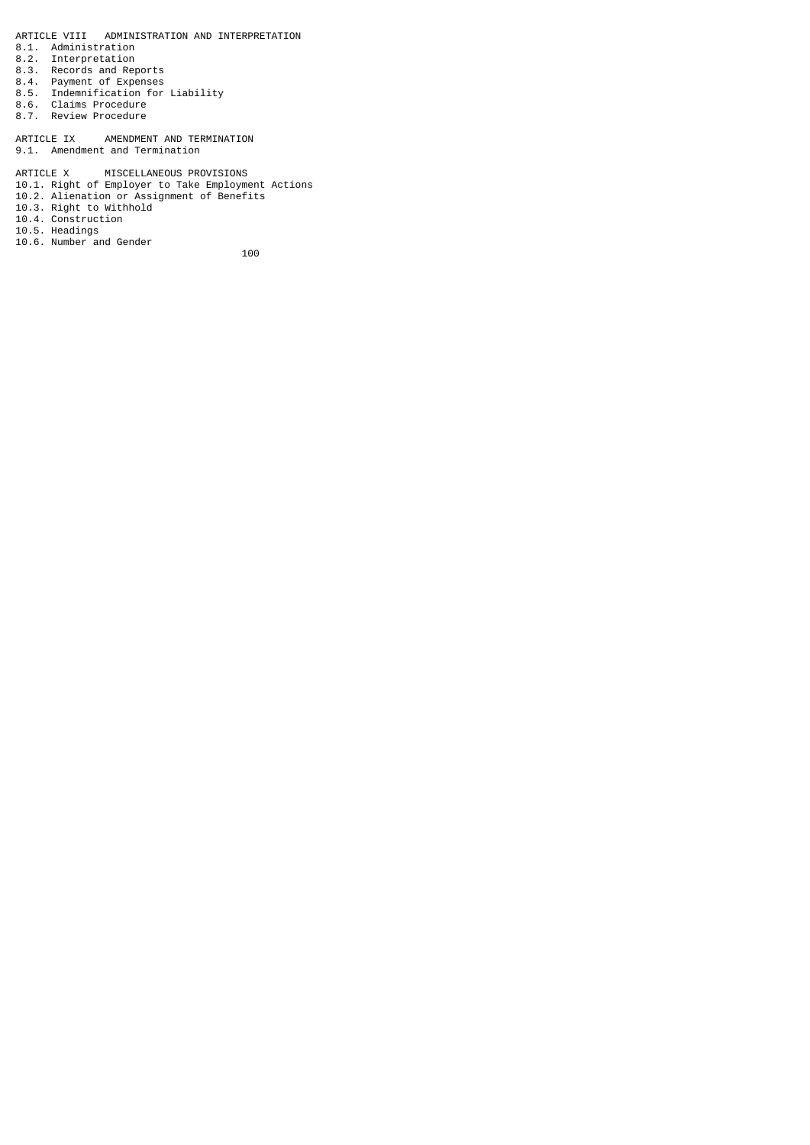ARTICLE VIII ADMINISTRATION AND INTERPRETATION

- 8.1. Administration
- 8.2. Interpretation
- 8.3. Records and Reports
- 8.4. Payment of Expenses
- 8.5. Indemnification for Liability
- 8.6. Claims Procedure
- 8.7. Review Procedure

ARTICLE IX AMENDMENT AND TERMINATION 9.1. Amendment and Termination

ARTICLE X MISCELLANEOUS PROVISIONS

- 10.1. Right of Employer to Take Employment Actions
- 10.2. Alienation or Assignment of Benefits
- 10.3. Right to Withhold
- 10.4. Construction
- 10.5. Headings 10.6. Number and Gender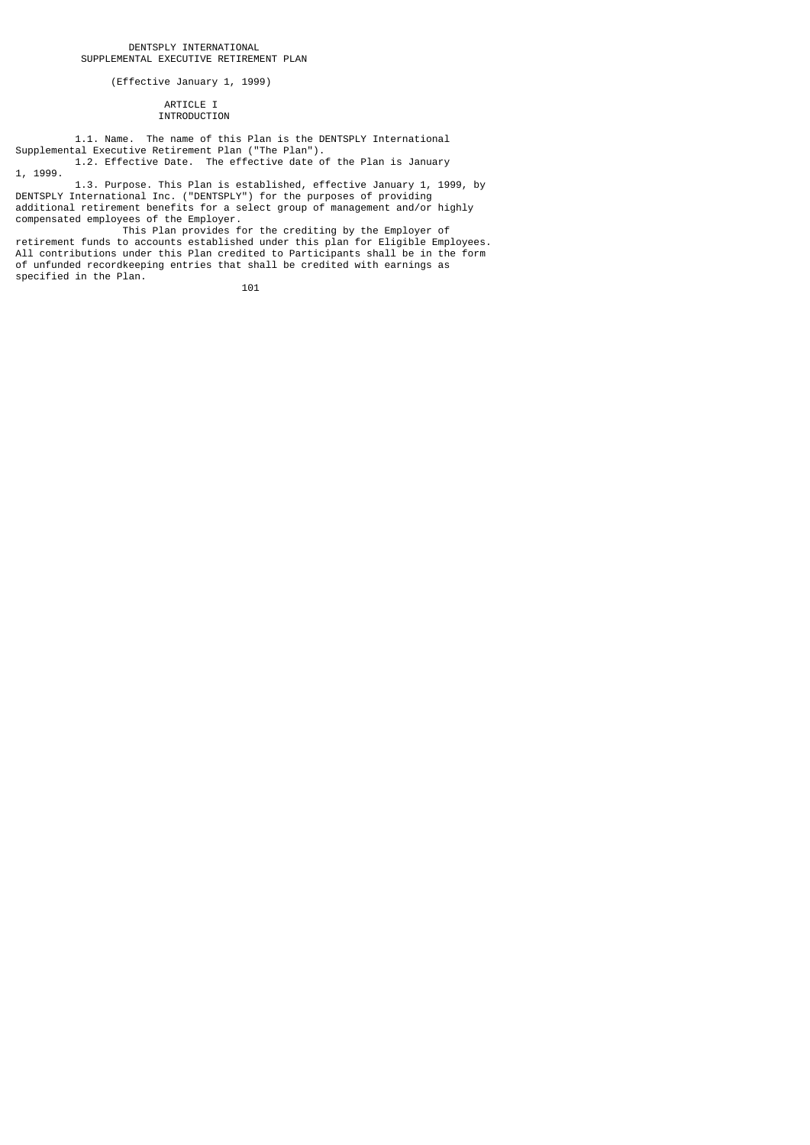(Effective January 1, 1999)

## ARTICLE I INTRODUCTION

 1.1. Name. The name of this Plan is the DENTSPLY International Supplemental Executive Retirement Plan ("The Plan"). 1.2. Effective Date. The effective date of the Plan is January

1, 1999. 1.3. Purpose. This Plan is established, effective January 1, 1999, by DENTSPLY International Inc. ("DENTSPLY") for the purposes of providing additional retirement benefits for a select group of management and/or highly compensated employees of the Employer.

 This Plan provides for the crediting by the Employer of retirement funds to accounts established under this plan for Eligible Employees. All contributions under this Plan credited to Participants shall be in the form of unfunded recordkeeping entries that shall be credited with earnings as specified in the Plan.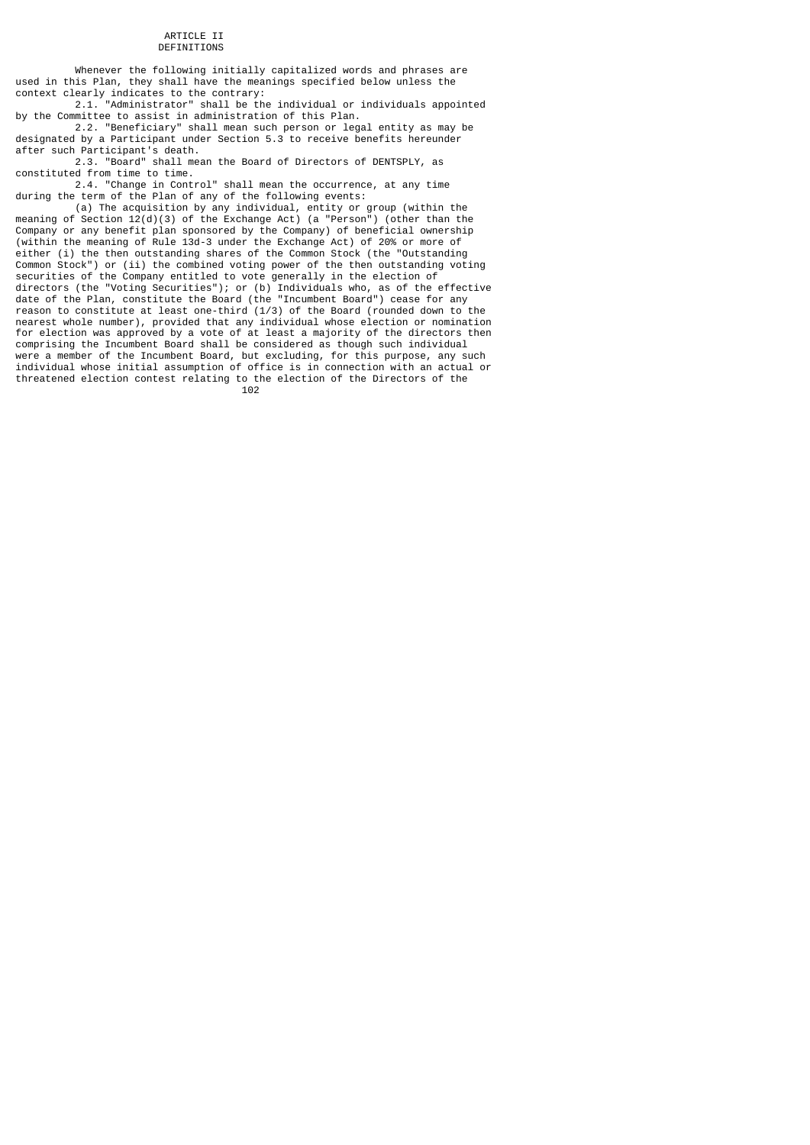#### ARTICLE II DEFINITIONS

 Whenever the following initially capitalized words and phrases are used in this Plan, they shall have the meanings specified below unless the context clearly indicates to the contrary:

 2.1. "Administrator" shall be the individual or individuals appointed by the Committee to assist in administration of this Plan.

 2.2. "Beneficiary" shall mean such person or legal entity as may be designated by a Participant under Section 5.3 to receive benefits hereunder after such Participant's death.

 2.3. "Board" shall mean the Board of Directors of DENTSPLY, as constituted from time to time.

 2.4. "Change in Control" shall mean the occurrence, at any time during the term of the Plan of any of the following events:

 (a) The acquisition by any individual, entity or group (within the meaning of Section 12(d)(3) of the Exchange Act) (a "Person") (other than the Company or any benefit plan sponsored by the Company) of beneficial ownership (within the meaning of Rule 13d-3 under the Exchange Act) of 20% or more of either (i) the then outstanding shares of the Common Stock (the "Outstanding Common Stock") or (ii) the combined voting power of the then outstanding voting securities of the Company entitled to vote generally in the election of directors (the "Voting Securities"); or (b) Individuals who, as of the effective date of the Plan, constitute the Board (the "Incumbent Board") cease for any reason to constitute at least one-third (1/3) of the Board (rounded down to the nearest whole number), provided that any individual whose election or nomination for election was approved by a vote of at least a majority of the directors then comprising the Incumbent Board shall be considered as though such individual were a member of the Incumbent Board, but excluding, for this purpose, any such individual whose initial assumption of office is in connection with an actual or threatened election contest relating to the election of the Directors of the 102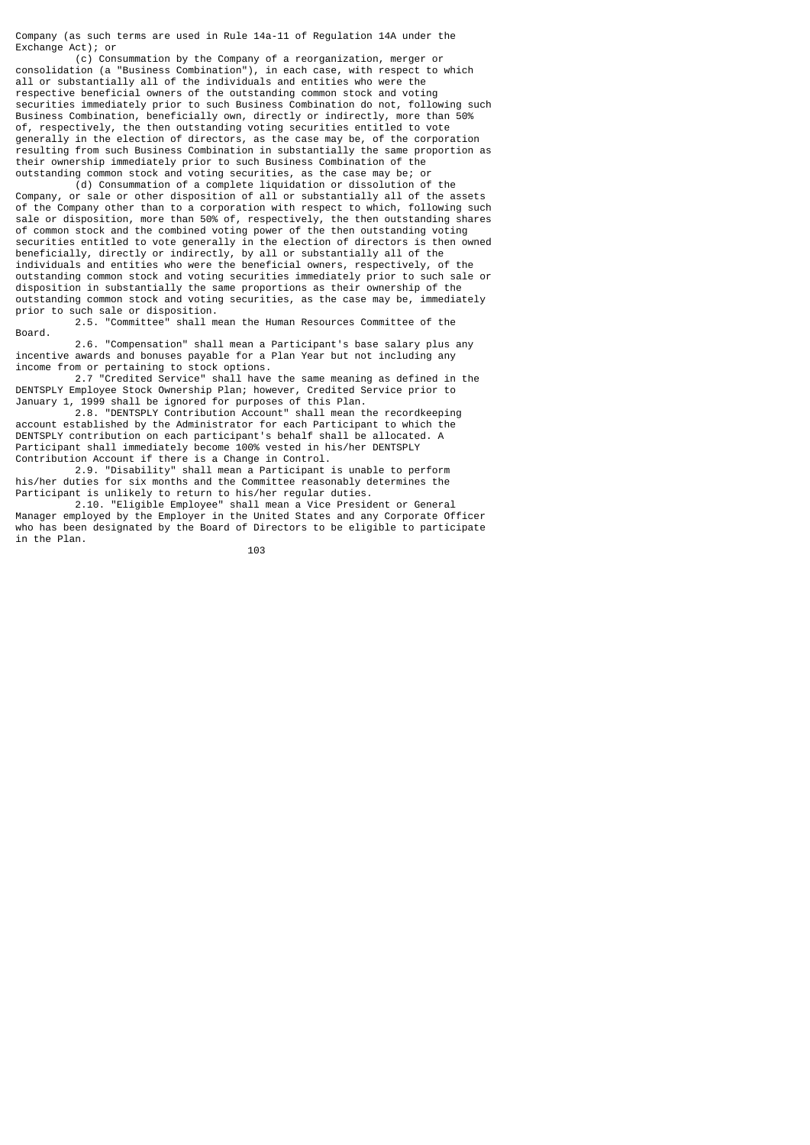Company (as such terms are used in Rule 14a-11 of Regulation 14A under the Exchange Act); or

 (c) Consummation by the Company of a reorganization, merger or consolidation (a "Business Combination"), in each case, with respect to which all or substantially all of the individuals and entities who were the respective beneficial owners of the outstanding common stock and voting securities immediately prior to such Business Combination do not, following such Business Combination, beneficially own, directly or indirectly, more than 50% of, respectively, the then outstanding voting securities entitled to vote generally in the election of directors, as the case may be, of the corporation resulting from such Business Combination in substantially the same proportion as their ownership immediately prior to such Business Combination of the outstanding common stock and voting securities, as the case may be; or

 (d) Consummation of a complete liquidation or dissolution of the Company, or sale or other disposition of all or substantially all of the assets of the Company other than to a corporation with respect to which, following such sale or disposition, more than 50% of, respectively, the then outstanding shares of common stock and the combined voting power of the then outstanding voting securities entitled to vote generally in the election of directors is then owned beneficially, directly or indirectly, by all or substantially all of the individuals and entities who were the beneficial owners, respectively, of the outstanding common stock and voting securities immediately prior to such sale or disposition in substantially the same proportions as their ownership of the outstanding common stock and voting securities, as the case may be, immediately prior to such sale or disposition.

 2.5. "Committee" shall mean the Human Resources Committee of the Board.

 2.6. "Compensation" shall mean a Participant's base salary plus any incentive awards and bonuses payable for a Plan Year but not including any income from or pertaining to stock options.

 2.7 "Credited Service" shall have the same meaning as defined in the DENTSPLY Employee Stock Ownership Plan; however, Credited Service prior to January 1, 1999 shall be ignored for purposes of this Plan.

 2.8. "DENTSPLY Contribution Account" shall mean the recordkeeping account established by the Administrator for each Participant to which the DENTSPLY contribution on each participant's behalf shall be allocated. A Participant shall immediately become 100% vested in his/her DENTSPLY Contribution Account if there is a Change in Control.

 2.9. "Disability" shall mean a Participant is unable to perform his/her duties for six months and the Committee reasonably determines the Participant is unlikely to return to his/her regular duties.

 2.10. "Eligible Employee" shall mean a Vice President or General Manager employed by the Employer in the United States and any Corporate Officer who has been designated by the Board of Directors to be eligible to participate in the Plan.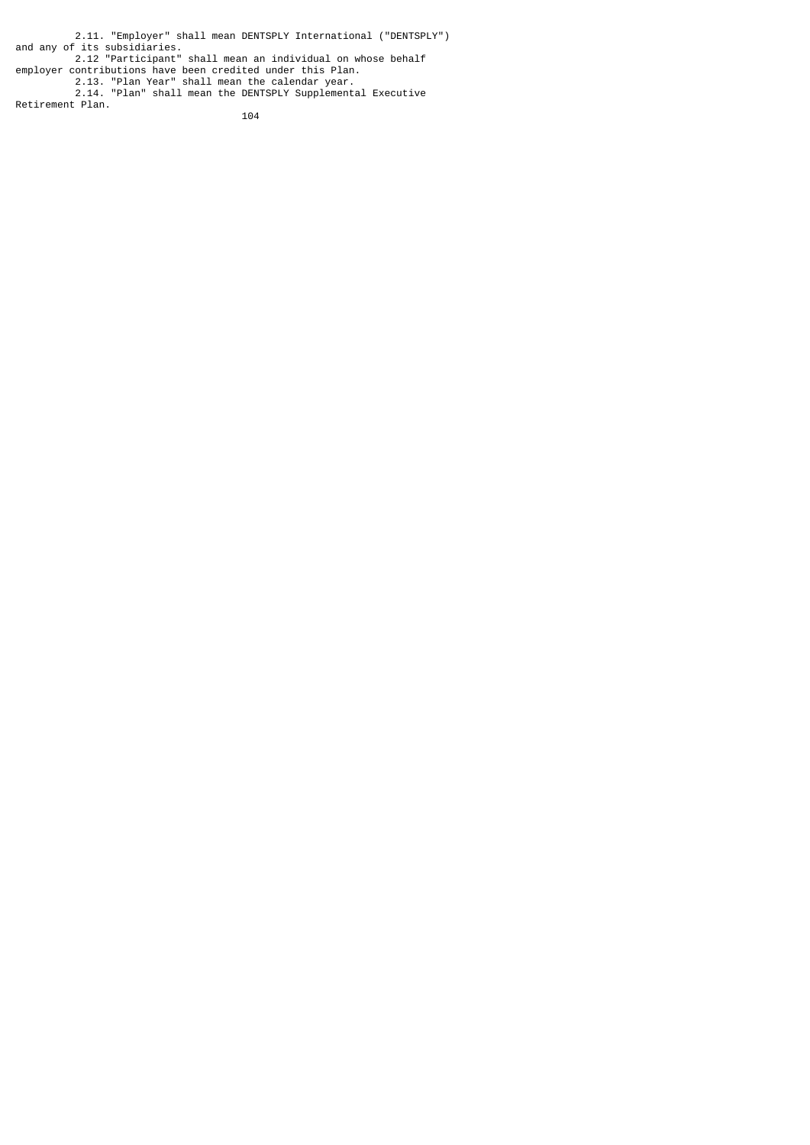2.11. "Employer" shall mean DENTSPLY International ("DENTSPLY") and any of its subsidiaries. 2.12 "Participant" shall mean an individual on whose behalf employer contributions have been credited under this Plan. 2.13. "Plan Year" shall mean the calendar year. 2.14. "Plan" shall mean the DENTSPLY Supplemental Executive Retirement Plan.

<u>104</u>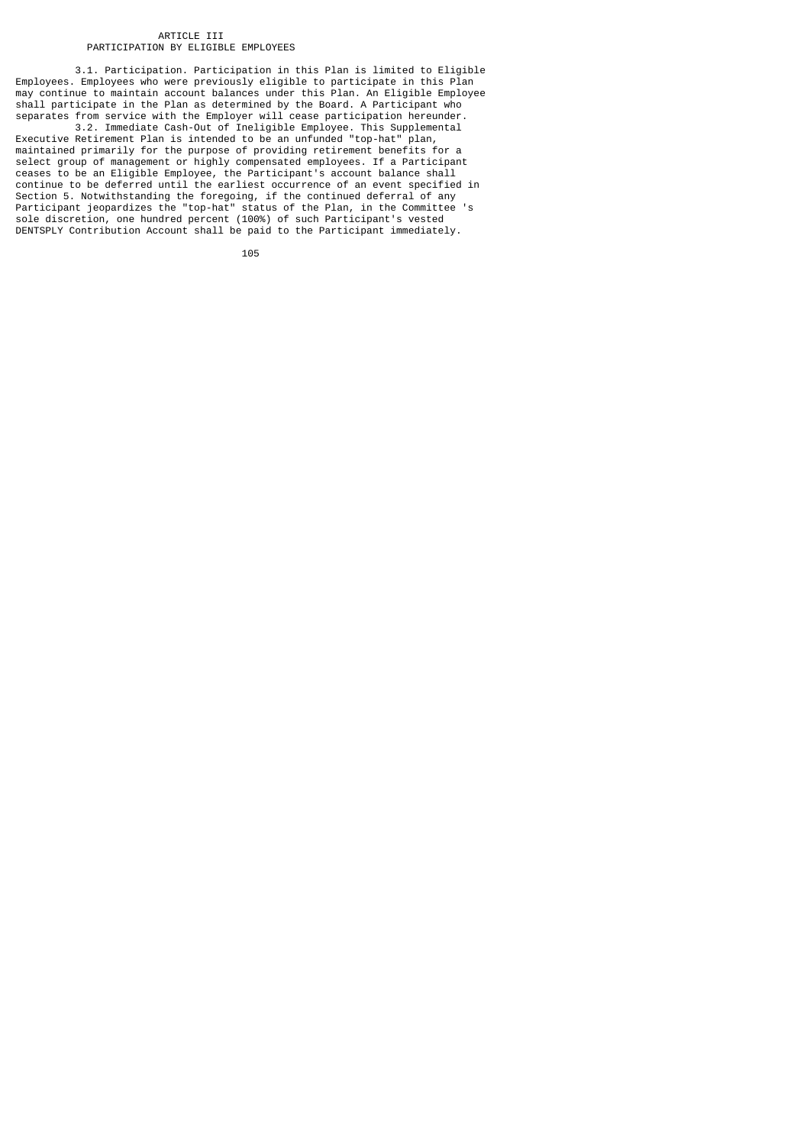## ARTICLE III PARTICIPATION BY ELIGIBLE EMPLOYEES

 3.1. Participation. Participation in this Plan is limited to Eligible Employees. Employees who were previously eligible to participate in this Plan may continue to maintain account balances under this Plan. An Eligible Employee shall participate in the Plan as determined by the Board. A Participant who separates from service with the Employer will cease participation hereunder.

 3.2. Immediate Cash-Out of Ineligible Employee. This Supplemental Executive Retirement Plan is intended to be an unfunded "top-hat" plan, maintained primarily for the purpose of providing retirement benefits for a select group of management or highly compensated employees. If a Participant ceases to be an Eligible Employee, the Participant's account balance shall continue to be deferred until the earliest occurrence of an event specified in Section 5. Notwithstanding the foregoing, if the continued deferral of any Participant jeopardizes the "top-hat" status of the Plan, in the Committee 's sole discretion, one hundred percent (100%) of such Participant's vested DENTSPLY Contribution Account shall be paid to the Participant immediately.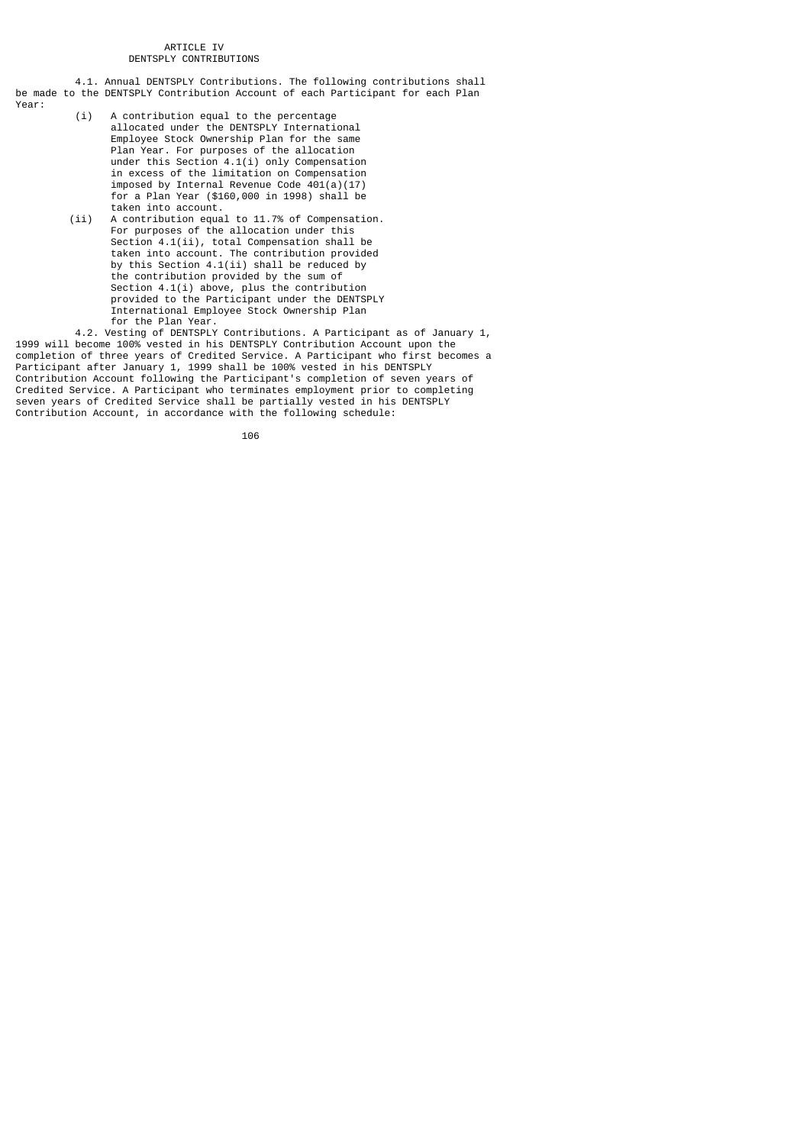## ARTICLE IV DENTSPLY CONTRIBUTIONS

 4.1. Annual DENTSPLY Contributions. The following contributions shall be made to the DENTSPLY Contribution Account of each Participant for each Plan Year:

- (i) A contribution equal to the percentage allocated under the DENTSPLY International Employee Stock Ownership Plan for the same Plan Year. For purposes of the allocation under this Section 4.1(i) only Compensation in excess of the limitation on Compensation imposed by Internal Revenue Code 401(a)(17) for a Plan Year (\$160,000 in 1998) shall be
- taken into account.<br>(ii) A contribution equa A contribution equal to 11.7% of Compensation. For purposes of the allocation under this Section 4.1(ii), total Compensation shall be taken into account. The contribution provided by this Section 4.1(ii) shall be reduced by the contribution provided by the sum of Section 4.1(i) above, plus the contribution provided to the Participant under the DENTSPLY International Employee Stock Ownership Plan for the Plan Year.

 4.2. Vesting of DENTSPLY Contributions. A Participant as of January 1, 1999 will become 100% vested in his DENTSPLY Contribution Account upon the completion of three years of Credited Service. A Participant who first becomes a Participant after January 1, 1999 shall be 100% vested in his DENTSPLY Contribution Account following the Participant's completion of seven years of Credited Service. A Participant who terminates employment prior to completing seven years of Credited Service shall be partially vested in his DENTSPLY Contribution Account, in accordance with the following schedule: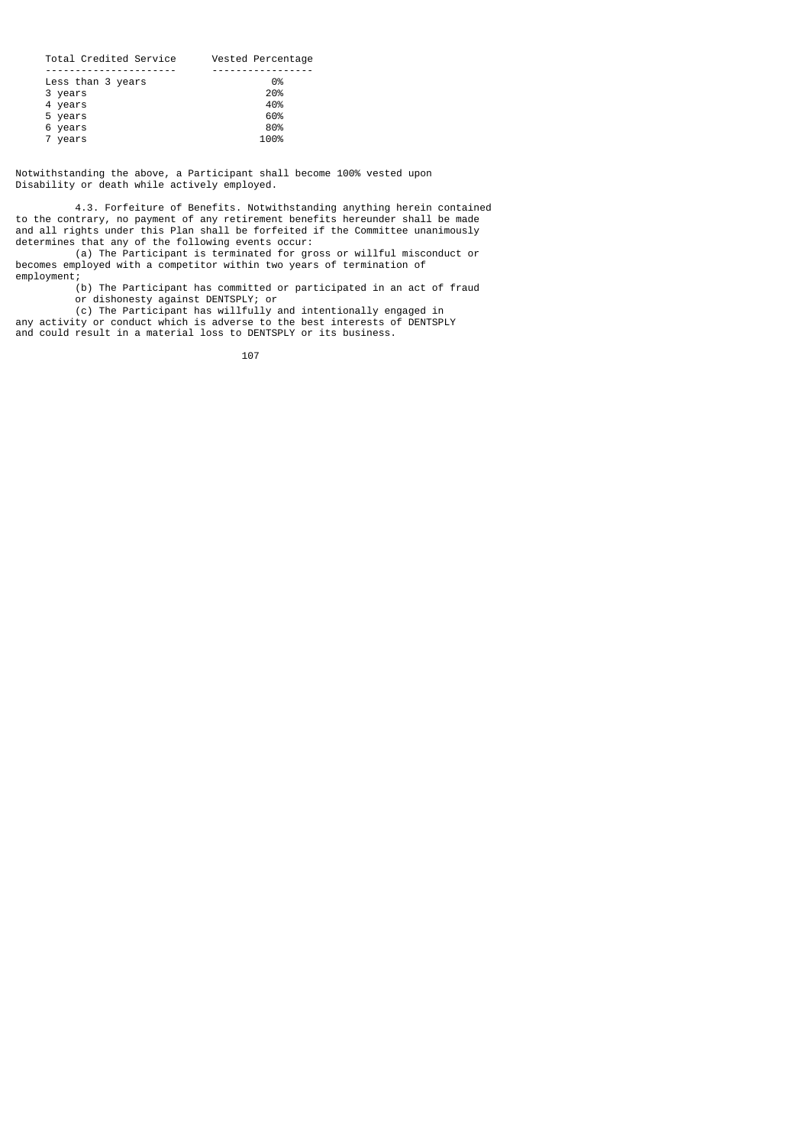| Total Credited Service | Vested Percentage |
|------------------------|-------------------|
|                        |                   |
| Less than 3 years      | 0%                |
| 3 years                | 20%               |
| 4 years                | 40%               |
| 5 years                | 60%               |
| 6 years                | 80%               |
| 7 years                | 100%              |
|                        |                   |

Notwithstanding the above, a Participant shall become 100% vested upon Disability or death while actively employed.

 4.3. Forfeiture of Benefits. Notwithstanding anything herein contained to the contrary, no payment of any retirement benefits hereunder shall be made and all rights under this Plan shall be forfeited if the Committee unanimously determines that any of the following events occur:

 (a) The Participant is terminated for gross or willful misconduct or becomes employed with a competitor within two years of termination of employment;

 (b) The Participant has committed or participated in an act of fraud or dishonesty against DENTSPLY; or

 (c) The Participant has willfully and intentionally engaged in any activity or conduct which is adverse to the best interests of DENTSPLY and could result in a material loss to DENTSPLY or its business.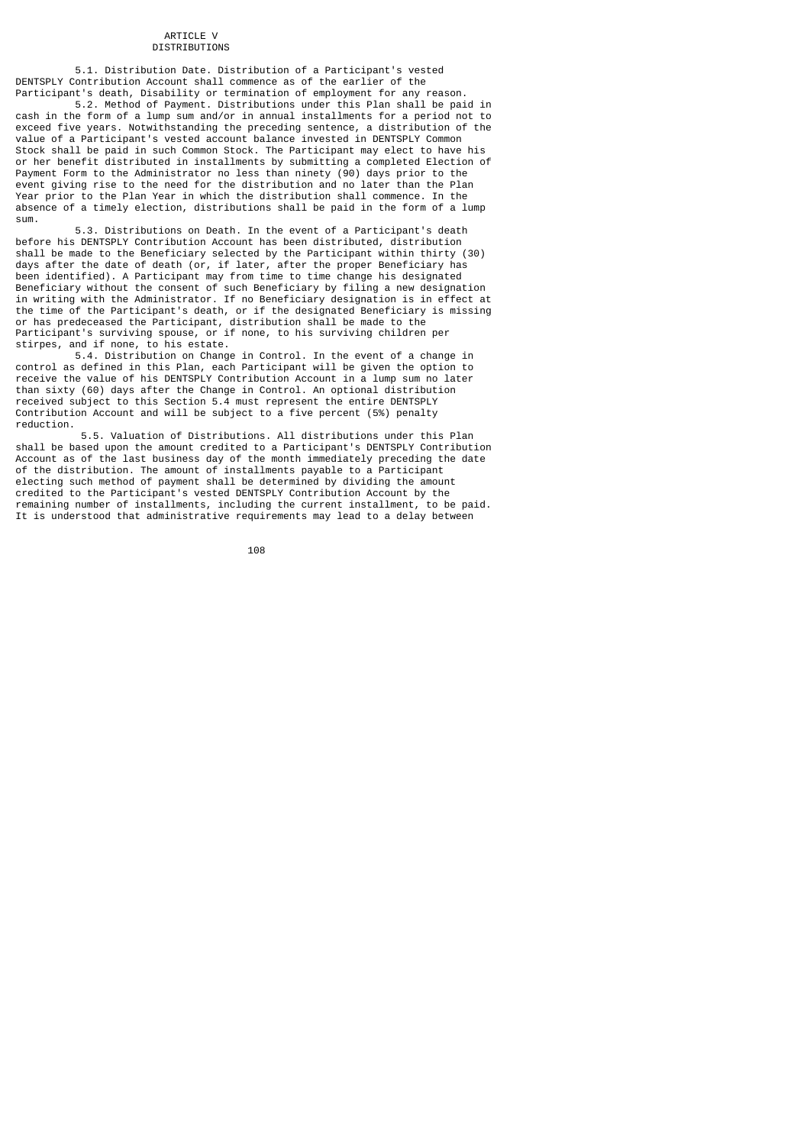## ARTICLE V DISTRIBUTIONS

 5.1. Distribution Date. Distribution of a Participant's vested DENTSPLY Contribution Account shall commence as of the earlier of the Participant's death, Disability or termination of employment for any reason.

 5.2. Method of Payment. Distributions under this Plan shall be paid in cash in the form of a lump sum and/or in annual installments for a period not to exceed five years. Notwithstanding the preceding sentence, a distribution of the value of a Participant's vested account balance invested in DENTSPLY Common Stock shall be paid in such Common Stock. The Participant may elect to have his or her benefit distributed in installments by submitting a completed Election of Payment Form to the Administrator no less than ninety (90) days prior to the event giving rise to the need for the distribution and no later than the Plan Year prior to the Plan Year in which the distribution shall commence. In the absence of a timely election, distributions shall be paid in the form of a lump sum.

 5.3. Distributions on Death. In the event of a Participant's death before his DENTSPLY Contribution Account has been distributed, distribution shall be made to the Beneficiary selected by the Participant within thirty (30) days after the date of death (or, if later, after the proper Beneficiary has been identified). A Participant may from time to time change his designated Beneficiary without the consent of such Beneficiary by filing a new designation in writing with the Administrator. If no Beneficiary designation is in effect at the time of the Participant's death, or if the designated Beneficiary is missing or has predeceased the Participant, distribution shall be made to the Participant's surviving spouse, or if none, to his surviving children per stirpes, and if none, to his estate.

 5.4. Distribution on Change in Control. In the event of a change in control as defined in this Plan, each Participant will be given the option to receive the value of his DENTSPLY Contribution Account in a lump sum no later than sixty (60) days after the Change in Control. An optional distribution received subject to this Section 5.4 must represent the entire DENTSPLY Contribution Account and will be subject to a five percent (5%) penalty reduction.

 5.5. Valuation of Distributions. All distributions under this Plan shall be based upon the amount credited to a Participant's DENTSPLY Contribution Account as of the last business day of the month immediately preceding the date of the distribution. The amount of installments payable to a Participant electing such method of payment shall be determined by dividing the amount credited to the Participant's vested DENTSPLY Contribution Account by the remaining number of installments, including the current installment, to be paid. It is understood that administrative requirements may lead to a delay between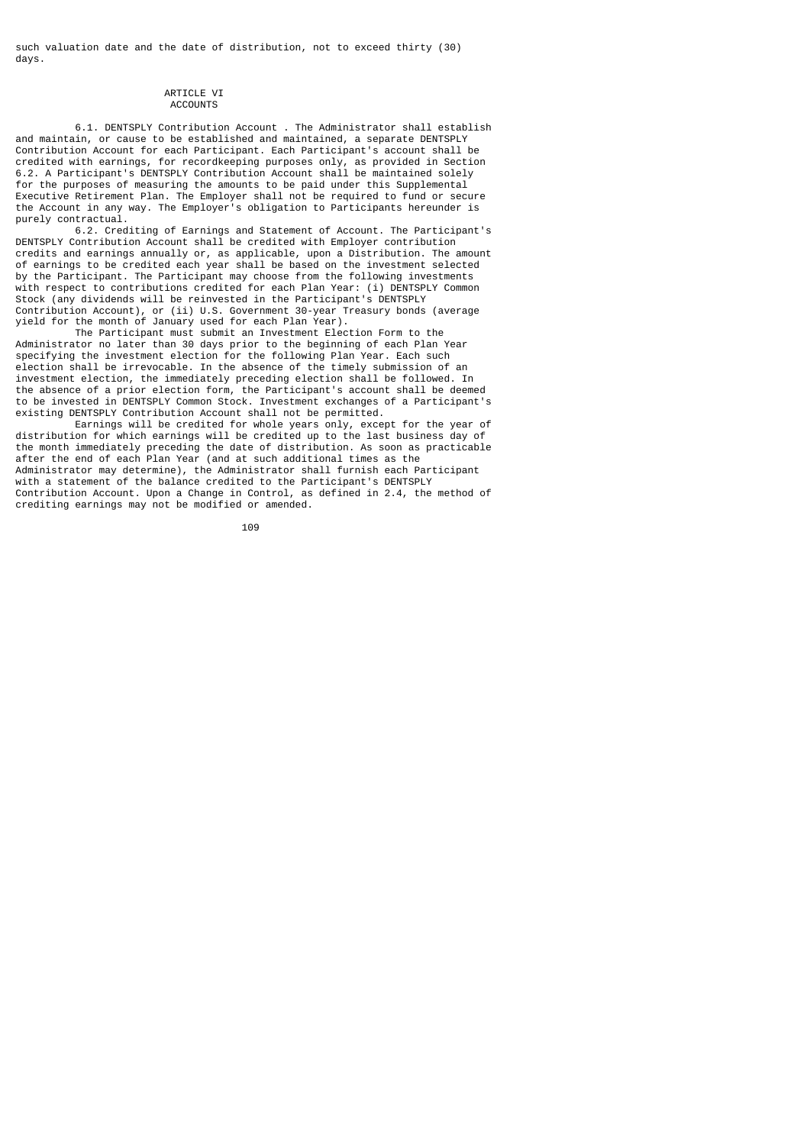such valuation date and the date of distribution, not to exceed thirty (30) days.

#### ARTICLE VI **ACCOUNTS**

 6.1. DENTSPLY Contribution Account . The Administrator shall establish and maintain, or cause to be established and maintained, a separate DENTSPLY Contribution Account for each Participant. Each Participant's account shall be credited with earnings, for recordkeeping purposes only, as provided in Section 6.2. A Participant's DENTSPLY Contribution Account shall be maintained solely for the purposes of measuring the amounts to be paid under this Supplemental Executive Retirement Plan. The Employer shall not be required to fund or secure the Account in any way. The Employer's obligation to Participants hereunder is purely contractual.

 6.2. Crediting of Earnings and Statement of Account. The Participant's DENTSPLY Contribution Account shall be credited with Employer contribution credits and earnings annually or, as applicable, upon a Distribution. The amount of earnings to be credited each year shall be based on the investment selected by the Participant. The Participant may choose from the following investments with respect to contributions credited for each Plan Year: (i) DENTSPLY Common Stock (any dividends will be reinvested in the Participant's DENTSPLY Contribution Account), or (ii) U.S. Government 30-year Treasury bonds (average yield for the month of January used for each Plan Year).

 The Participant must submit an Investment Election Form to the Administrator no later than 30 days prior to the beginning of each Plan Year specifying the investment election for the following Plan Year. Each such election shall be irrevocable. In the absence of the timely submission of an investment election, the immediately preceding election shall be followed. In the absence of a prior election form, the Participant's account shall be deemed to be invested in DENTSPLY Common Stock. Investment exchanges of a Participant's existing DENTSPLY Contribution Account shall not be permitted.

 Earnings will be credited for whole years only, except for the year of distribution for which earnings will be credited up to the last business day of the month immediately preceding the date of distribution. As soon as practicable after the end of each Plan Year (and at such additional times as the Administrator may determine), the Administrator shall furnish each Participant with a statement of the balance credited to the Participant's DENTSPLY Contribution Account. Upon a Change in Control, as defined in 2.4, the method of crediting earnings may not be modified or amended.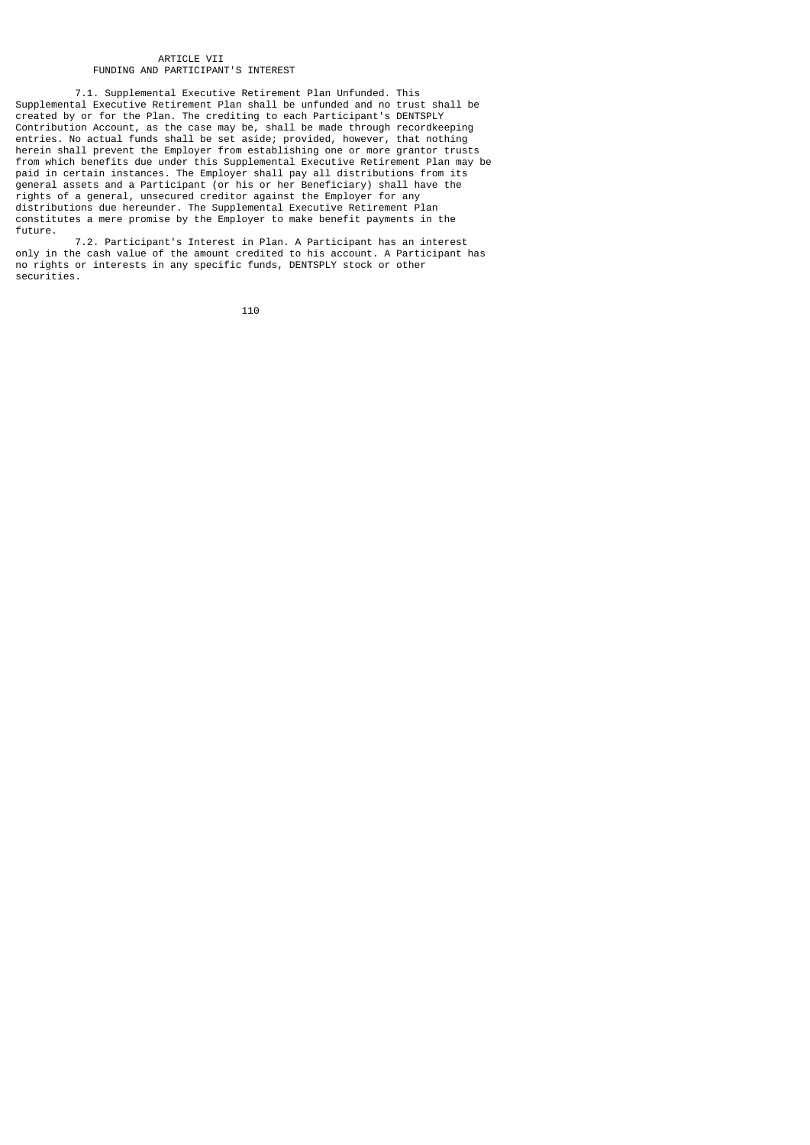## ARTICLE VII FUNDING AND PARTICIPANT'S INTEREST

 7.1. Supplemental Executive Retirement Plan Unfunded. This Supplemental Executive Retirement Plan shall be unfunded and no trust shall be created by or for the Plan. The crediting to each Participant's DENTSPLY Contribution Account, as the case may be, shall be made through recordkeeping entries. No actual funds shall be set aside; provided, however, that nothing herein shall prevent the Employer from establishing one or more grantor trusts from which benefits due under this Supplemental Executive Retirement Plan may be paid in certain instances. The Employer shall pay all distributions from its general assets and a Participant (or his or her Beneficiary) shall have the rights of a general, unsecured creditor against the Employer for any distributions due hereunder. The Supplemental Executive Retirement Plan constitutes a mere promise by the Employer to make benefit payments in the future.

 7.2. Participant's Interest in Plan. A Participant has an interest only in the cash value of the amount credited to his account. A Participant has no rights or interests in any specific funds, DENTSPLY stock or other securities.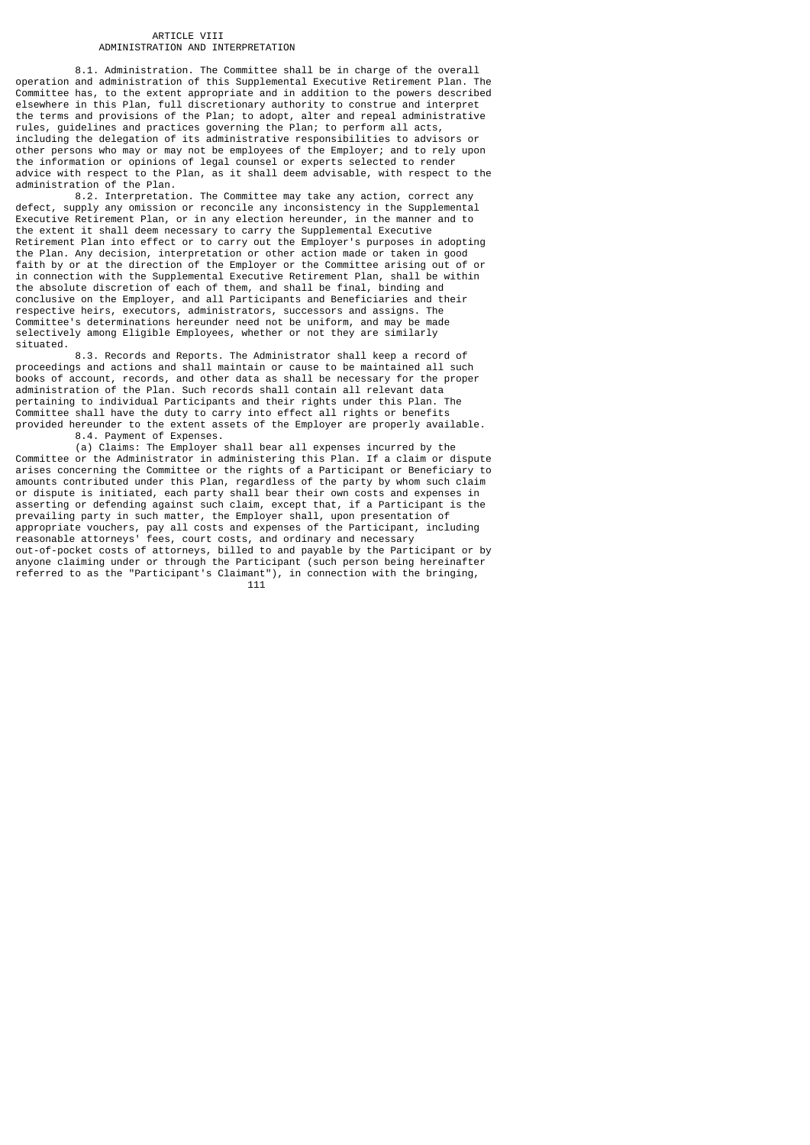## ARTICLE VIII ADMINISTRATION AND INTERPRETATION

 8.1. Administration. The Committee shall be in charge of the overall operation and administration of this Supplemental Executive Retirement Plan. The Committee has, to the extent appropriate and in addition to the powers described elsewhere in this Plan, full discretionary authority to construe and interpret the terms and provisions of the Plan; to adopt, alter and repeal administrative rules, guidelines and practices governing the Plan; to perform all acts, including the delegation of its administrative responsibilities to advisors or other persons who may or may not be employees of the Employer; and to rely upon the information or opinions of legal counsel or experts selected to render advice with respect to the Plan, as it shall deem advisable, with respect to the administration of the Plan.

 8.2. Interpretation. The Committee may take any action, correct any defect, supply any omission or reconcile any inconsistency in the Supplemental Executive Retirement Plan, or in any election hereunder, in the manner and to the extent it shall deem necessary to carry the Supplemental Executive Retirement Plan into effect or to carry out the Employer's purposes in adopting the Plan. Any decision, interpretation or other action made or taken in good faith by or at the direction of the Employer or the Committee arising out of or in connection with the Supplemental Executive Retirement Plan, shall be within the absolute discretion of each of them, and shall be final, binding and conclusive on the Employer, and all Participants and Beneficiaries and their respective heirs, executors, administrators, successors and assigns. The Committee's determinations hereunder need not be uniform, and may be made selectively among Eligible Employees, whether or not they are similarly situated.

 8.3. Records and Reports. The Administrator shall keep a record of proceedings and actions and shall maintain or cause to be maintained all such books of account, records, and other data as shall be necessary for the proper administration of the Plan. Such records shall contain all relevant data pertaining to individual Participants and their rights under this Plan. The Committee shall have the duty to carry into effect all rights or benefits provided hereunder to the extent assets of the Employer are properly available. 8.4. Payment of Expenses.

 (a) Claims: The Employer shall bear all expenses incurred by the Committee or the Administrator in administering this Plan. If a claim or dispute arises concerning the Committee or the rights of a Participant or Beneficiary to amounts contributed under this Plan, regardless of the party by whom such claim or dispute is initiated, each party shall bear their own costs and expenses in asserting or defending against such claim, except that, if a Participant is the prevailing party in such matter, the Employer shall, upon presentation of appropriate vouchers, pay all costs and expenses of the Participant, including reasonable attorneys' fees, court costs, and ordinary and necessary out-of-pocket costs of attorneys, billed to and payable by the Participant or by anyone claiming under or through the Participant (such person being hereinafter referred to as the "Participant's Claimant"), in connection with the bringing,<br>111  $111$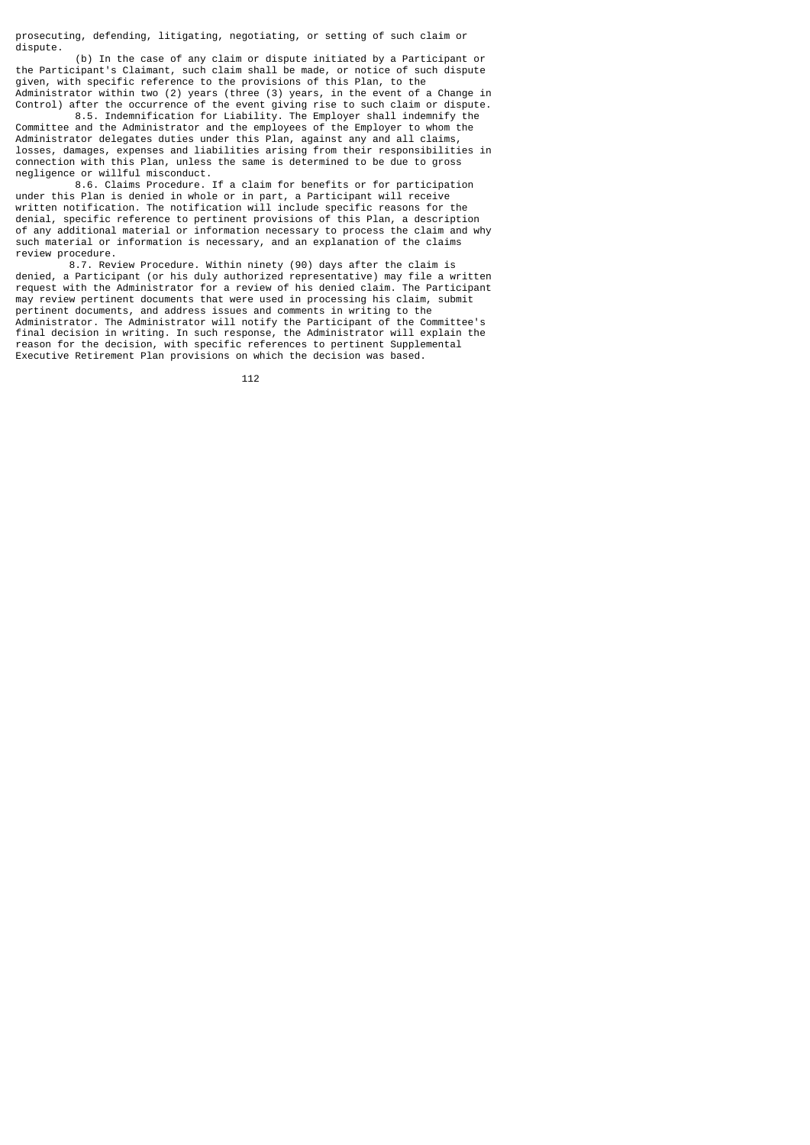prosecuting, defending, litigating, negotiating, or setting of such claim or dispute.

 (b) In the case of any claim or dispute initiated by a Participant or the Participant's Claimant, such claim shall be made, or notice of such dispute given, with specific reference to the provisions of this Plan, to the Administrator within two (2) years (three (3) years, in the event of a Change in Control) after the occurrence of the event giving rise to such claim or dispute.

 8.5. Indemnification for Liability. The Employer shall indemnify the Committee and the Administrator and the employees of the Employer to whom the Administrator delegates duties under this Plan, against any and all claims, losses, damages, expenses and liabilities arising from their responsibilities in connection with this Plan, unless the same is determined to be due to gross negligence or willful misconduct.

 8.6. Claims Procedure. If a claim for benefits or for participation under this Plan is denied in whole or in part, a Participant will receive written notification. The notification will include specific reasons for the denial, specific reference to pertinent provisions of this Plan, a description of any additional material or information necessary to process the claim and why such material or information is necessary, and an explanation of the claims review procedure.

 8.7. Review Procedure. Within ninety (90) days after the claim is denied, a Participant (or his duly authorized representative) may file a written request with the Administrator for a review of his denied claim. The Participant may review pertinent documents that were used in processing his claim, submit pertinent documents, and address issues and comments in writing to the Administrator. The Administrator will notify the Participant of the Committee's final decision in writing. In such response, the Administrator will explain the reason for the decision, with specific references to pertinent Supplemental Executive Retirement Plan provisions on which the decision was based.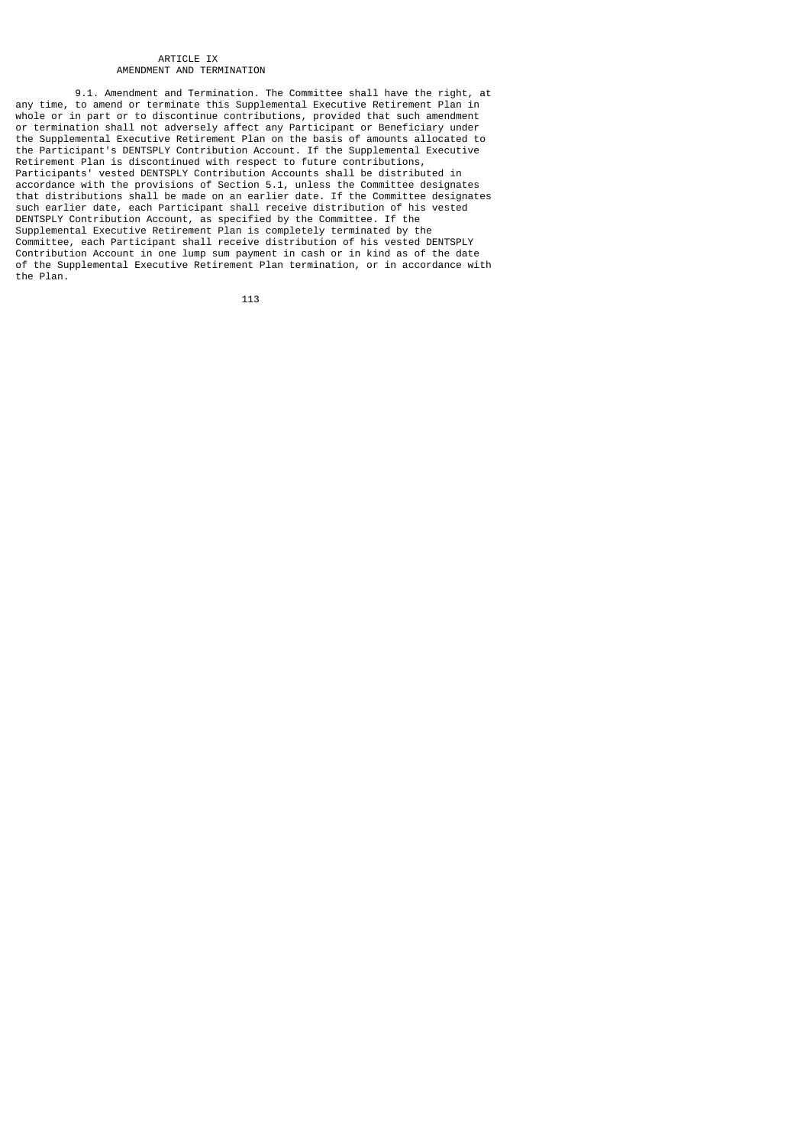#### ARTICLE IX AMENDMENT AND TERMINATION

 9.1. Amendment and Termination. The Committee shall have the right, at any time, to amend or terminate this Supplemental Executive Retirement Plan in whole or in part or to discontinue contributions, provided that such amendment or termination shall not adversely affect any Participant or Beneficiary under the Supplemental Executive Retirement Plan on the basis of amounts allocated to the Participant's DENTSPLY Contribution Account. If the Supplemental Executive Retirement Plan is discontinued with respect to future contributions, Participants' vested DENTSPLY Contribution Accounts shall be distributed in accordance with the provisions of Section 5.1, unless the Committee designates that distributions shall be made on an earlier date. If the Committee designates such earlier date, each Participant shall receive distribution of his vested DENTSPLY Contribution Account, as specified by the Committee. If the Supplemental Executive Retirement Plan is completely terminated by the Committee, each Participant shall receive distribution of his vested DENTSPLY Contribution Account in one lump sum payment in cash or in kind as of the date of the Supplemental Executive Retirement Plan termination, or in accordance with the Plan.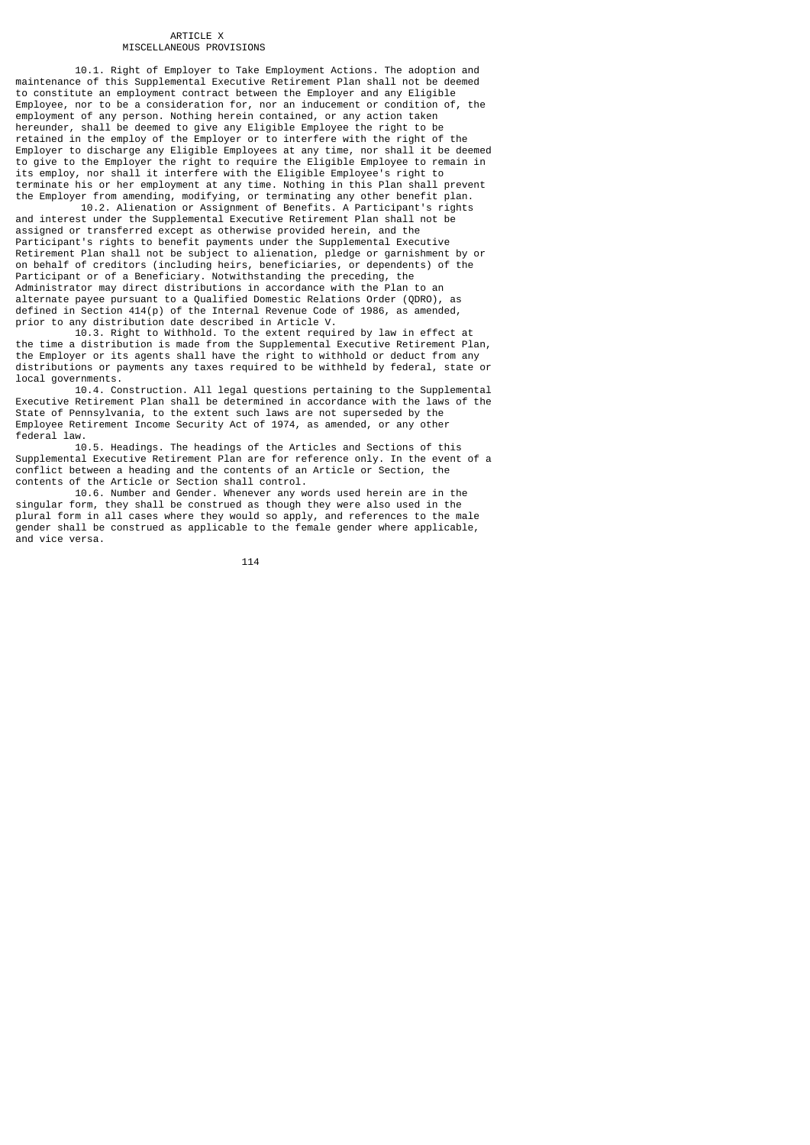### ARTICLE X MISCELLANEOUS PROVISIONS

 10.1. Right of Employer to Take Employment Actions. The adoption and maintenance of this Supplemental Executive Retirement Plan shall not be deemed to constitute an employment contract between the Employer and any Eligible Employee, nor to be a consideration for, nor an inducement or condition of, the employment of any person. Nothing herein contained, or any action taken deprograms of any potent increased to give any Eligible Employee the right to be retained in the employ of the Employer or to interfere with the right of the Employer to discharge any Eligible Employees at any time, nor shall it be deemed to give to the Employer the right to require the Eligible Employee to remain in its employ, nor shall it interfere with the Eligible Employee's right to terminate his or her employment at any time. Nothing in this Plan shall prevent the Employer from amending, modifying, or terminating any other benefit plan.

 10.2. Alienation or Assignment of Benefits. A Participant's rights and interest under the Supplemental Executive Retirement Plan shall not be assigned or transferred except as otherwise provided herein, and the Participant's rights to benefit payments under the Supplemental Executive Retirement Plan shall not be subject to alienation, pledge or garnishment by or on behalf of creditors (including heirs, beneficiaries, or dependents) of the Participant or of a Beneficiary. Notwithstanding the preceding, the Administrator may direct distributions in accordance with the Plan to an alternate payee pursuant to a Qualified Domestic Relations Order (QDRO), as defined in Section 414(p) of the Internal Revenue Code of 1986, as amended, prior to any distribution date described in Article V.

 10.3. Right to Withhold. To the extent required by law in effect at the time a distribution is made from the Supplemental Executive Retirement Plan, the Employer or its agents shall have the right to withhold or deduct from any distributions or payments any taxes required to be withheld by federal, state or local governments.

 10.4. Construction. All legal questions pertaining to the Supplemental Executive Retirement Plan shall be determined in accordance with the laws of the State of Pennsylvania, to the extent such laws are not superseded by the Employee Retirement Income Security Act of 1974, as amended, or any other federal law.

 10.5. Headings. The headings of the Articles and Sections of this Supplemental Executive Retirement Plan are for reference only. In the event of a conflict between a heading and the contents of an Article or Section, the contents of the Article or Section shall control.

 10.6. Number and Gender. Whenever any words used herein are in the singular form, they shall be construed as though they were also used in the plural form in all cases where they would so apply, and references to the male gender shall be construed as applicable to the female gender where applicable, and vice versa.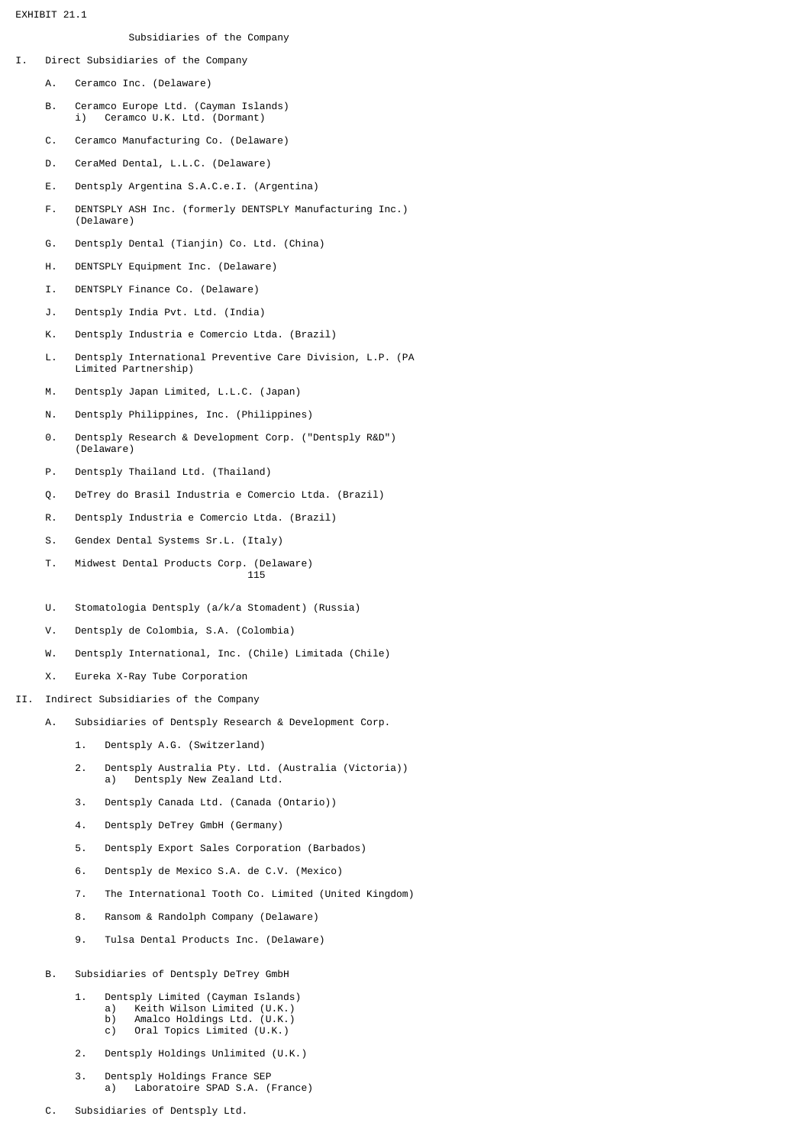EXHIBIT 21.1

# Subsidiaries of the Company

- I. Direct Subsidiaries of the Company
	- A. Ceramco Inc. (Delaware)
	- B. Ceramco Europe Ltd. (Cayman Islands) i) Ceramco U.K. Ltd. (Dormant)
	- C. Ceramco Manufacturing Co. (Delaware)
	- D. CeraMed Dental, L.L.C. (Delaware)
	- E. Dentsply Argentina S.A.C.e.I. (Argentina)
	- F. DENTSPLY ASH Inc. (formerly DENTSPLY Manufacturing Inc.) (Delaware)
	- G. Dentsply Dental (Tianjin) Co. Ltd. (China)
	- H. DENTSPLY Equipment Inc. (Delaware)
	- I. DENTSPLY Finance Co. (Delaware)
	- J. Dentsply India Pvt. Ltd. (India)
	- K. Dentsply Industria e Comercio Ltda. (Brazil)
	- L. Dentsply International Preventive Care Division, L.P. (PA Limited Partnership)
	- M. Dentsply Japan Limited, L.L.C. (Japan)
	- N. Dentsply Philippines, Inc. (Philippines)
	- 0. Dentsply Research & Development Corp. ("Dentsply R&D") (Delaware)
	- P. Dentsply Thailand Ltd. (Thailand)
	- Q. DeTrey do Brasil Industria e Comercio Ltda. (Brazil)
	- R. Dentsply Industria e Comercio Ltda. (Brazil)
	- S. Gendex Dental Systems Sr.L. (Italy)
- T. Midwest Dental Products Corp. (Delaware) <u>115</u>
	- U. Stomatologia Dentsply (a/k/a Stomadent) (Russia)
	- V. Dentsply de Colombia, S.A. (Colombia)
	- W. Dentsply International, Inc. (Chile) Limitada (Chile)
	- X. Eureka X-Ray Tube Corporation
- II. Indirect Subsidiaries of the Company
	- A. Subsidiaries of Dentsply Research & Development Corp.
		- 1. Dentsply A.G. (Switzerland)
		- 2. Dentsply Australia Pty. Ltd. (Australia (Victoria)) a) Dentsply New Zealand Ltd.
		- 3. Dentsply Canada Ltd. (Canada (Ontario))
		- 4. Dentsply DeTrey GmbH (Germany)
		- 5. Dentsply Export Sales Corporation (Barbados)
		- 6. Dentsply de Mexico S.A. de C.V. (Mexico)
		- 7. The International Tooth Co. Limited (United Kingdom)
		- 8. Ransom & Randolph Company (Delaware)
		- 9. Tulsa Dental Products Inc. (Delaware)
	- B. Subsidiaries of Dentsply DeTrey GmbH
		- 1. Dentsply Limited (Cayman Islands)
			- a) keith Wilson Limited (U.K.)<br>b) Amalco Holdings Ltd. (U.K.)
			- b) Amalco Holdings Ltd. (U.K.)<br>c) Oral Topics Limited (U.K.) Oral Topics Limited (U.K.)
		- 2. Dentsply Holdings Unlimited (U.K.)
		- 3. Dentsply Holdings France SEP a) Laboratoire SPAD S.A. (France)
	- C. Subsidiaries of Dentsply Ltd.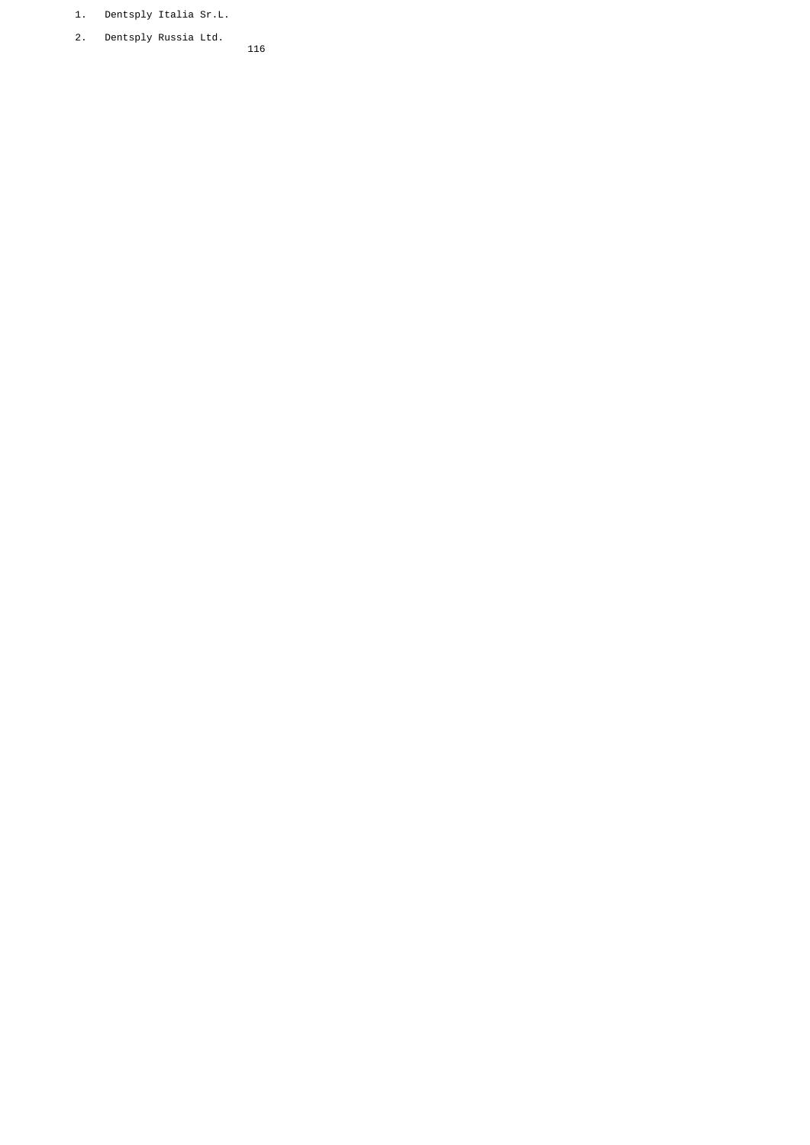- 1. Dentsply Italia Sr.L.
- 2. Dentsply Russia Ltd. 116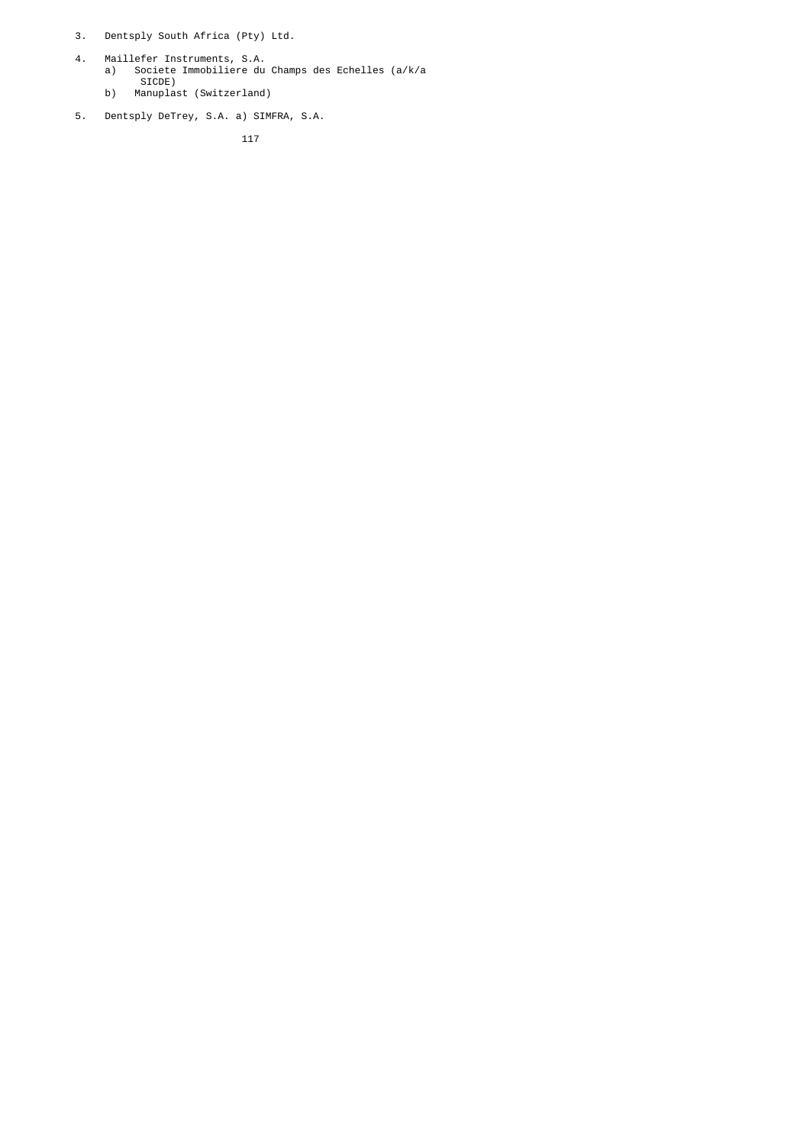- 3. Dentsply South Africa (Pty) Ltd.
- 4. Maillefer Instruments, S.A. a) Societe Immobiliere du Champs des Echelles (a/k/a SICDE)
	- b) Manuplast (Switzerland)
	- 5. Dentsply DeTrey, S.A. a) SIMFRA, S.A.

<u>117 - Johann Stein, martin 117</u>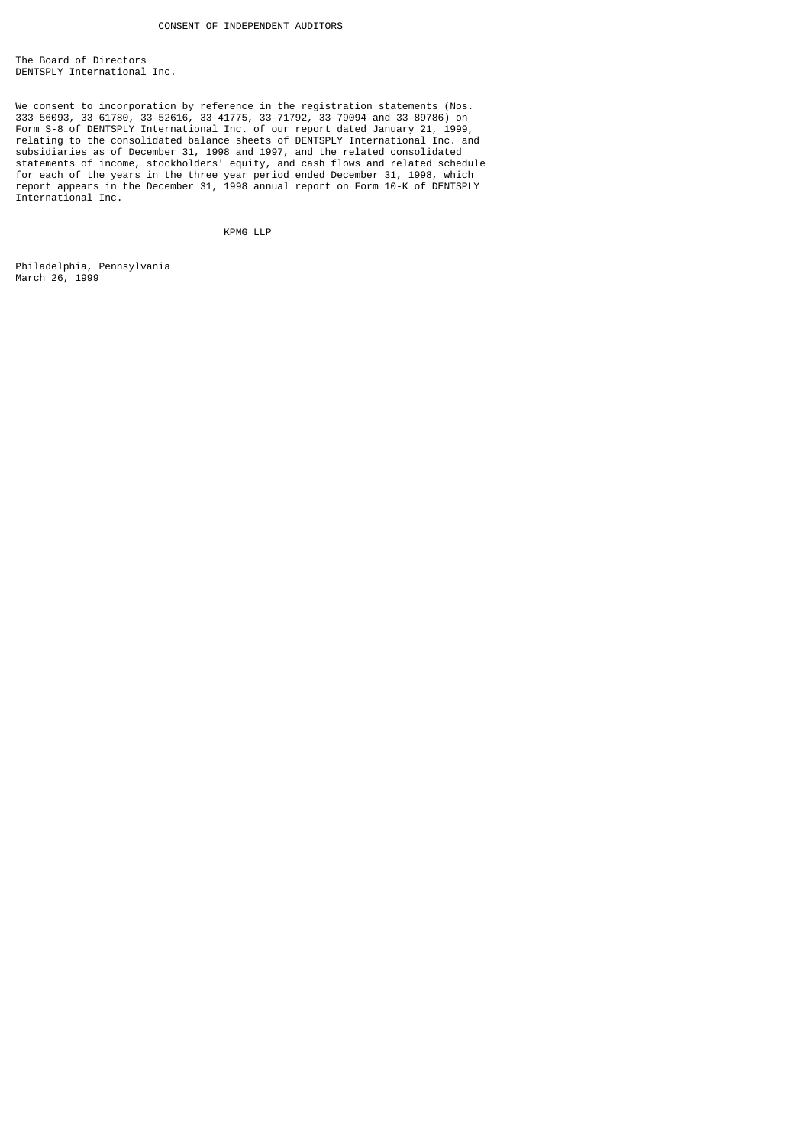The Board of Directors DENTSPLY International Inc.

We consent to incorporation by reference in the registration statements (Nos. 333-56093, 33-61780, 33-52616, 33-41775, 33-71792, 33-79094 and 33-89786) on Form S-8 of DENTSPLY International Inc. of our report dated January 21, 1999, relating to the consolidated balance sheets of DENTSPLY International Inc. and subsidiaries as of December 31, 1998 and 1997, and the related consolidated statements of income, stockholders' equity, and cash flows and related schedule for each of the years in the three year period ended December 31, 1998, which report appears in the December 31, 1998 annual report on Form 10-K of DENTSPLY International Inc.

KPMG LLP

Philadelphia, Pennsylvania March 26, 1999